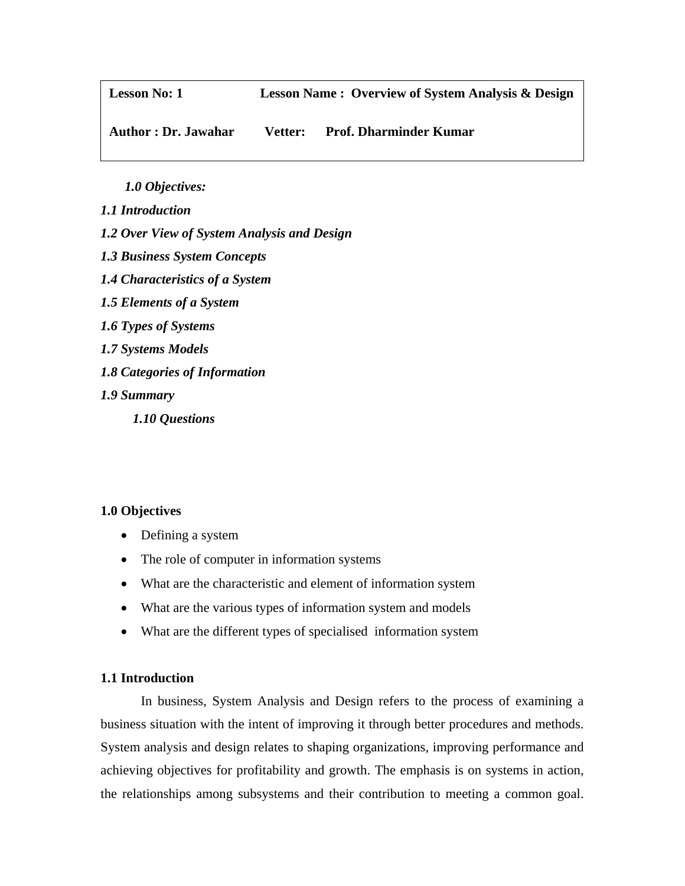**Author : Dr. Jawahar Vetter: Prof. Dharminder Kumar** 

 *1.0 Objectives:* 

*1.1 Introduction* 

- *1.2 Over View of System Analysis and Design*
- *1.3 Business System Concepts*
- *1.4 Characteristics of a System*
- *1.5 Elements of a System*
- *1.6 Types of Systems*
- *1.7 Systems Models*
- *1.8 Categories of Information*
- *1.9 Summary*

 *1.10 Questions* 

# **1.0 Objectives**

- Defining a system
- The role of computer in information systems
- What are the characteristic and element of information system
- What are the various types of information system and models
- What are the different types of specialised information system

# **1.1 Introduction**

In business, System Analysis and Design refers to the process of examining a business situation with the intent of improving it through better procedures and methods. System analysis and design relates to shaping organizations, improving performance and achieving objectives for profitability and growth. The emphasis is on systems in action, the relationships among subsystems and their contribution to meeting a common goal.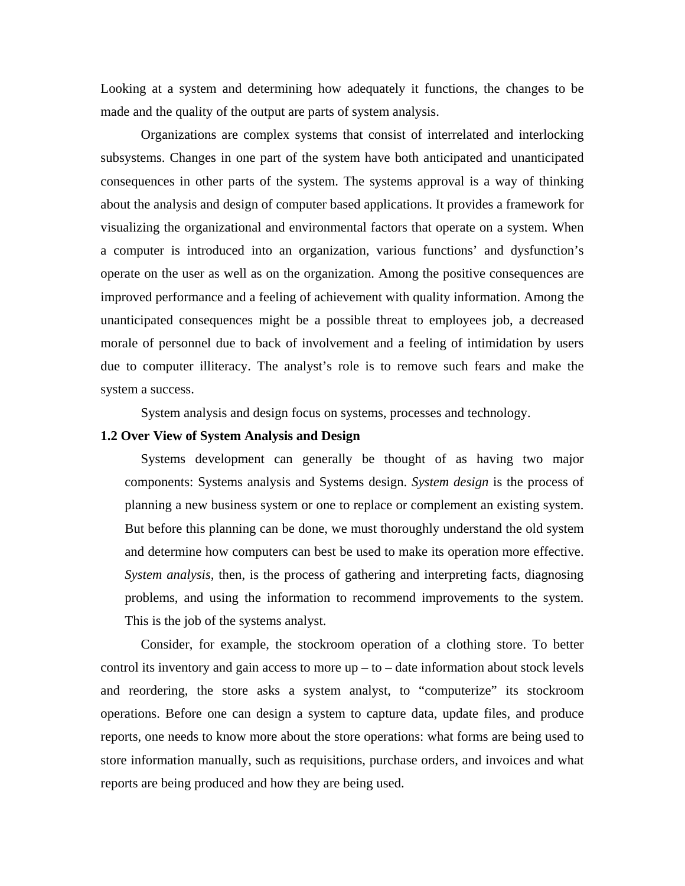Looking at a system and determining how adequately it functions, the changes to be made and the quality of the output are parts of system analysis.

Organizations are complex systems that consist of interrelated and interlocking subsystems. Changes in one part of the system have both anticipated and unanticipated consequences in other parts of the system. The systems approval is a way of thinking about the analysis and design of computer based applications. It provides a framework for visualizing the organizational and environmental factors that operate on a system. When a computer is introduced into an organization, various functions' and dysfunction's operate on the user as well as on the organization. Among the positive consequences are improved performance and a feeling of achievement with quality information. Among the unanticipated consequences might be a possible threat to employees job, a decreased morale of personnel due to back of involvement and a feeling of intimidation by users due to computer illiteracy. The analyst's role is to remove such fears and make the system a success.

System analysis and design focus on systems, processes and technology.

#### **1.2 Over View of System Analysis and Design**

 Systems development can generally be thought of as having two major components: Systems analysis and Systems design. *System design* is the process of planning a new business system or one to replace or complement an existing system. But before this planning can be done, we must thoroughly understand the old system and determine how computers can best be used to make its operation more effective. *System analysis,* then, is the process of gathering and interpreting facts, diagnosing problems, and using the information to recommend improvements to the system. This is the job of the systems analyst.

 Consider, for example, the stockroom operation of a clothing store. To better control its inventory and gain access to more  $up - to - date$  information about stock levels and reordering, the store asks a system analyst, to "computerize" its stockroom operations. Before one can design a system to capture data, update files, and produce reports, one needs to know more about the store operations: what forms are being used to store information manually, such as requisitions, purchase orders, and invoices and what reports are being produced and how they are being used.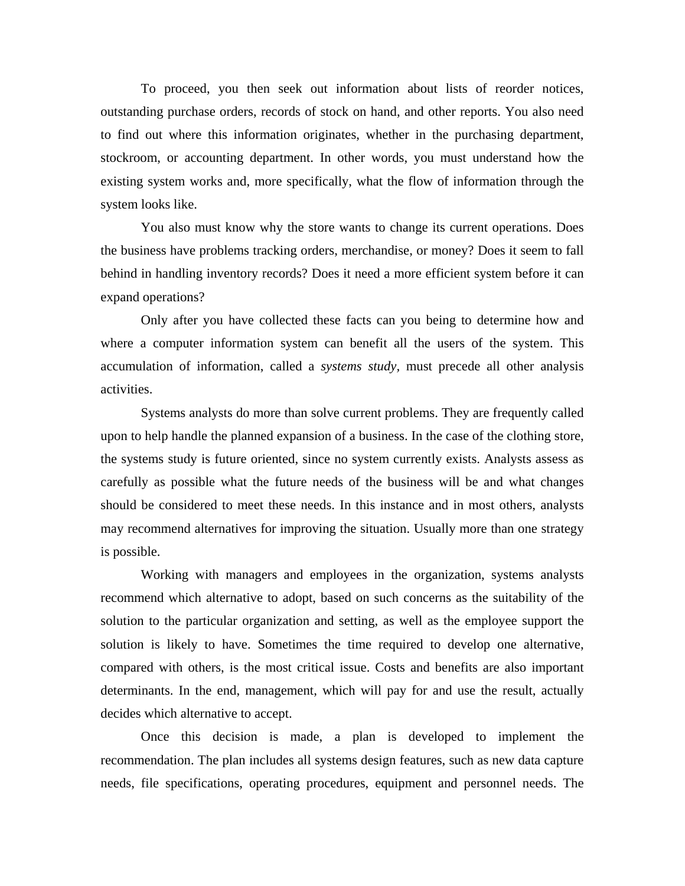To proceed, you then seek out information about lists of reorder notices, outstanding purchase orders, records of stock on hand, and other reports. You also need to find out where this information originates, whether in the purchasing department, stockroom, or accounting department. In other words, you must understand how the existing system works and, more specifically, what the flow of information through the system looks like.

 You also must know why the store wants to change its current operations. Does the business have problems tracking orders, merchandise, or money? Does it seem to fall behind in handling inventory records? Does it need a more efficient system before it can expand operations?

 Only after you have collected these facts can you being to determine how and where a computer information system can benefit all the users of the system. This accumulation of information, called a *systems study,* must precede all other analysis activities.

 Systems analysts do more than solve current problems. They are frequently called upon to help handle the planned expansion of a business. In the case of the clothing store, the systems study is future oriented, since no system currently exists. Analysts assess as carefully as possible what the future needs of the business will be and what changes should be considered to meet these needs. In this instance and in most others, analysts may recommend alternatives for improving the situation. Usually more than one strategy is possible.

 Working with managers and employees in the organization, systems analysts recommend which alternative to adopt, based on such concerns as the suitability of the solution to the particular organization and setting, as well as the employee support the solution is likely to have. Sometimes the time required to develop one alternative, compared with others, is the most critical issue. Costs and benefits are also important determinants. In the end, management, which will pay for and use the result, actually decides which alternative to accept.

 Once this decision is made, a plan is developed to implement the recommendation. The plan includes all systems design features, such as new data capture needs, file specifications, operating procedures, equipment and personnel needs. The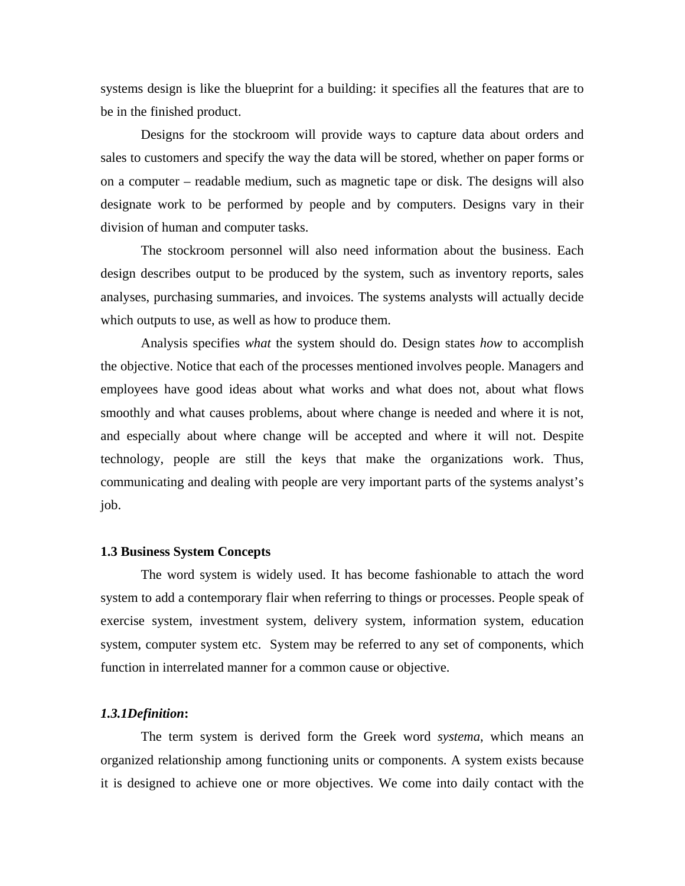systems design is like the blueprint for a building: it specifies all the features that are to be in the finished product.

 Designs for the stockroom will provide ways to capture data about orders and sales to customers and specify the way the data will be stored, whether on paper forms or on a computer – readable medium, such as magnetic tape or disk. The designs will also designate work to be performed by people and by computers. Designs vary in their division of human and computer tasks.

 The stockroom personnel will also need information about the business. Each design describes output to be produced by the system, such as inventory reports, sales analyses, purchasing summaries, and invoices. The systems analysts will actually decide which outputs to use, as well as how to produce them.

 Analysis specifies *what* the system should do. Design states *how* to accomplish the objective. Notice that each of the processes mentioned involves people. Managers and employees have good ideas about what works and what does not, about what flows smoothly and what causes problems, about where change is needed and where it is not, and especially about where change will be accepted and where it will not. Despite technology, people are still the keys that make the organizations work. Thus, communicating and dealing with people are very important parts of the systems analyst's job.

#### **1.3 Business System Concepts**

The word system is widely used. It has become fashionable to attach the word system to add a contemporary flair when referring to things or processes. People speak of exercise system, investment system, delivery system, information system, education system, computer system etc. System may be referred to any set of components, which function in interrelated manner for a common cause or objective.

#### *1.3.1Definition***:**

The term system is derived form the Greek word *systema*, which means an organized relationship among functioning units or components. A system exists because it is designed to achieve one or more objectives. We come into daily contact with the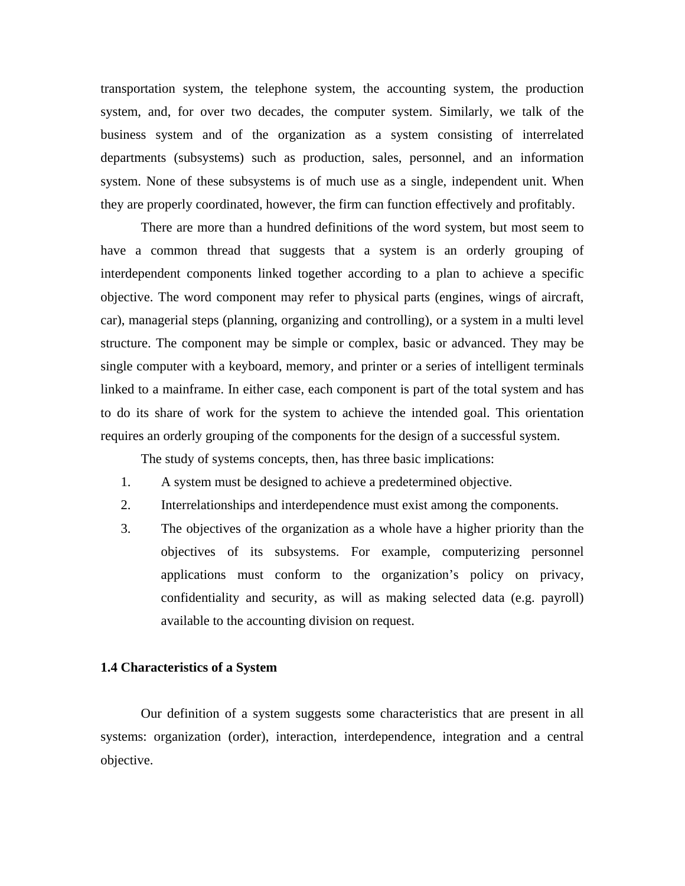transportation system, the telephone system, the accounting system, the production system, and, for over two decades, the computer system. Similarly, we talk of the business system and of the organization as a system consisting of interrelated departments (subsystems) such as production, sales, personnel, and an information system. None of these subsystems is of much use as a single, independent unit. When they are properly coordinated, however, the firm can function effectively and profitably.

 There are more than a hundred definitions of the word system, but most seem to have a common thread that suggests that a system is an orderly grouping of interdependent components linked together according to a plan to achieve a specific objective. The word component may refer to physical parts (engines, wings of aircraft, car), managerial steps (planning, organizing and controlling), or a system in a multi level structure. The component may be simple or complex, basic or advanced. They may be single computer with a keyboard, memory, and printer or a series of intelligent terminals linked to a mainframe. In either case, each component is part of the total system and has to do its share of work for the system to achieve the intended goal. This orientation requires an orderly grouping of the components for the design of a successful system.

The study of systems concepts, then, has three basic implications:

- 1. A system must be designed to achieve a predetermined objective.
- 2. Interrelationships and interdependence must exist among the components.
- 3. The objectives of the organization as a whole have a higher priority than the objectives of its subsystems. For example, computerizing personnel applications must conform to the organization's policy on privacy, confidentiality and security, as will as making selected data (e.g. payroll) available to the accounting division on request.

## **1.4 Characteristics of a System**

 Our definition of a system suggests some characteristics that are present in all systems: organization (order), interaction, interdependence, integration and a central objective.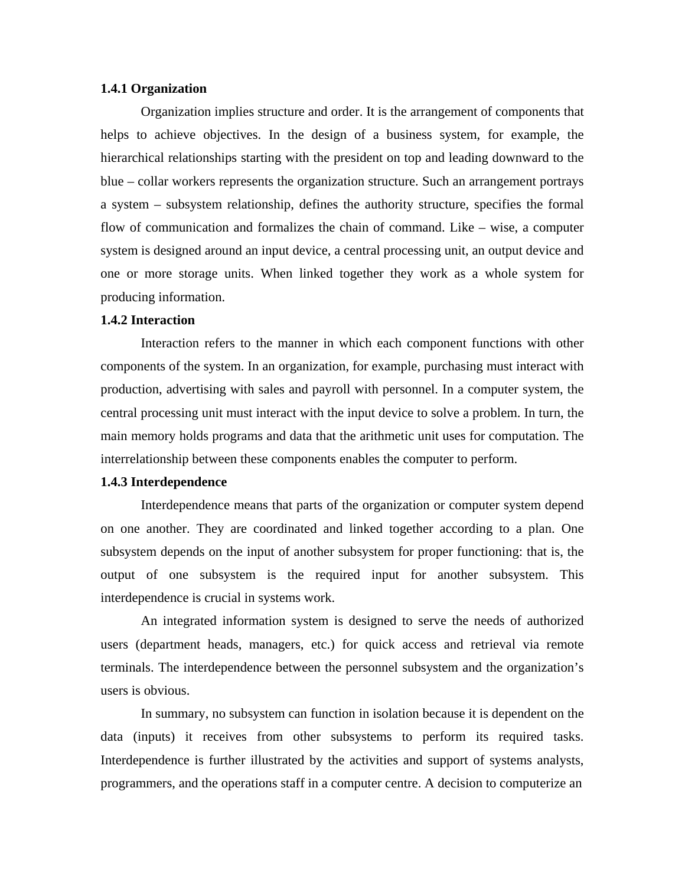# **1.4.1 Organization**

 Organization implies structure and order. It is the arrangement of components that helps to achieve objectives. In the design of a business system, for example, the hierarchical relationships starting with the president on top and leading downward to the blue – collar workers represents the organization structure. Such an arrangement portrays a system – subsystem relationship, defines the authority structure, specifies the formal flow of communication and formalizes the chain of command. Like – wise, a computer system is designed around an input device, a central processing unit, an output device and one or more storage units. When linked together they work as a whole system for producing information.

# **1.4.2 Interaction**

Interaction refers to the manner in which each component functions with other components of the system. In an organization, for example, purchasing must interact with production, advertising with sales and payroll with personnel. In a computer system, the central processing unit must interact with the input device to solve a problem. In turn, the main memory holds programs and data that the arithmetic unit uses for computation. The interrelationship between these components enables the computer to perform.

# **1.4.3 Interdependence**

 Interdependence means that parts of the organization or computer system depend on one another. They are coordinated and linked together according to a plan. One subsystem depends on the input of another subsystem for proper functioning: that is, the output of one subsystem is the required input for another subsystem. This interdependence is crucial in systems work.

An integrated information system is designed to serve the needs of authorized users (department heads, managers, etc.) for quick access and retrieval via remote terminals. The interdependence between the personnel subsystem and the organization's users is obvious.

In summary, no subsystem can function in isolation because it is dependent on the data (inputs) it receives from other subsystems to perform its required tasks. Interdependence is further illustrated by the activities and support of systems analysts, programmers, and the operations staff in a computer centre. A decision to computerize an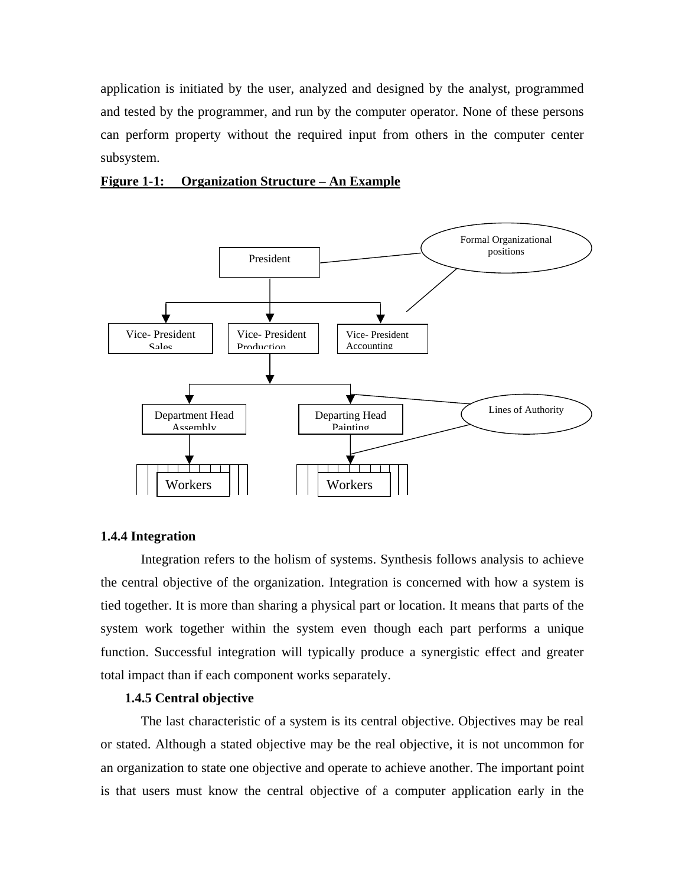application is initiated by the user, analyzed and designed by the analyst, programmed and tested by the programmer, and run by the computer operator. None of these persons can perform property without the required input from others in the computer center subsystem.

#### **Figure 1-1: Organization Structure – An Example**



# **1.4.4 Integration**

Integration refers to the holism of systems. Synthesis follows analysis to achieve the central objective of the organization. Integration is concerned with how a system is tied together. It is more than sharing a physical part or location. It means that parts of the system work together within the system even though each part performs a unique function. Successful integration will typically produce a synergistic effect and greater total impact than if each component works separately.

## **1.4.5 Central objective**

 The last characteristic of a system is its central objective. Objectives may be real or stated. Although a stated objective may be the real objective, it is not uncommon for an organization to state one objective and operate to achieve another. The important point is that users must know the central objective of a computer application early in the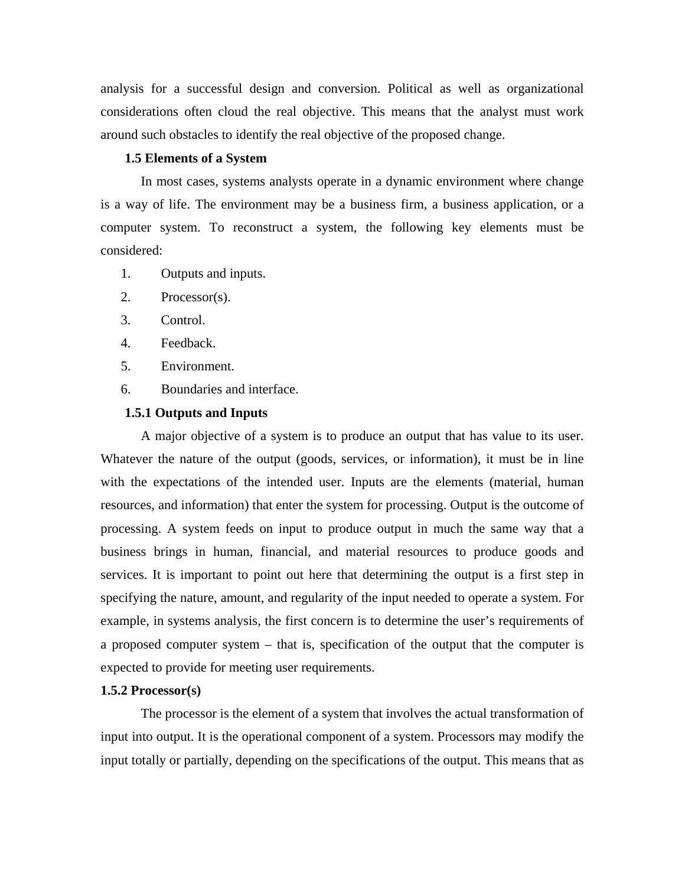analysis for a successful design and conversion. Political as well as organizational considerations often cloud the real objective. This means that the analyst must work around such obstacles to identify the real objective of the proposed change.

#### **1.5 Elements of a System**

 In most cases, systems analysts operate in a dynamic environment where change is a way of life. The environment may be a business firm, a business application, or a computer system. To reconstruct a system, the following key elements must be considered:

- 1. Outputs and inputs.
- 2. Processor(s).
- 3. Control.
- 4. Feedback.
- 5. Environment.
- 6. Boundaries and interface.

#### **1.5.1 Outputs and Inputs**

 A major objective of a system is to produce an output that has value to its user. Whatever the nature of the output (goods, services, or information), it must be in line with the expectations of the intended user. Inputs are the elements (material, human resources, and information) that enter the system for processing. Output is the outcome of processing. A system feeds on input to produce output in much the same way that a business brings in human, financial, and material resources to produce goods and services. It is important to point out here that determining the output is a first step in specifying the nature, amount, and regularity of the input needed to operate a system. For example, in systems analysis, the first concern is to determine the user's requirements of a proposed computer system – that is, specification of the output that the computer is expected to provide for meeting user requirements.

#### **1.5.2 Processor(s)**

 The processor is the element of a system that involves the actual transformation of input into output. It is the operational component of a system. Processors may modify the input totally or partially, depending on the specifications of the output. This means that as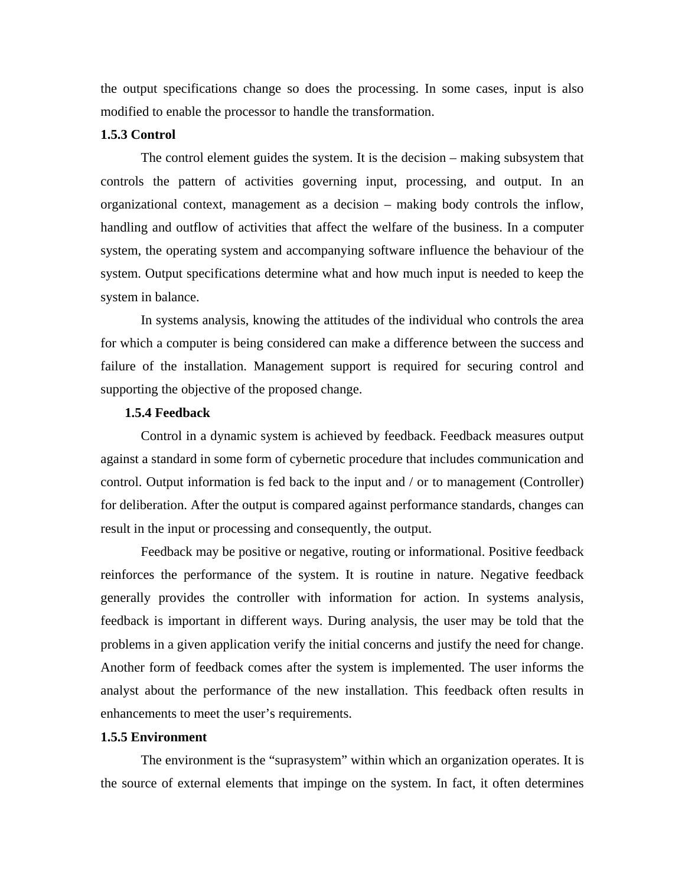the output specifications change so does the processing. In some cases, input is also modified to enable the processor to handle the transformation.

## **1.5.3 Control**

 The control element guides the system. It is the decision – making subsystem that controls the pattern of activities governing input, processing, and output. In an organizational context, management as a decision – making body controls the inflow, handling and outflow of activities that affect the welfare of the business. In a computer system, the operating system and accompanying software influence the behaviour of the system. Output specifications determine what and how much input is needed to keep the system in balance.

 In systems analysis, knowing the attitudes of the individual who controls the area for which a computer is being considered can make a difference between the success and failure of the installation. Management support is required for securing control and supporting the objective of the proposed change.

# **1.5.4 Feedback**

 Control in a dynamic system is achieved by feedback. Feedback measures output against a standard in some form of cybernetic procedure that includes communication and control. Output information is fed back to the input and / or to management (Controller) for deliberation. After the output is compared against performance standards, changes can result in the input or processing and consequently, the output.

 Feedback may be positive or negative, routing or informational. Positive feedback reinforces the performance of the system. It is routine in nature. Negative feedback generally provides the controller with information for action. In systems analysis, feedback is important in different ways. During analysis, the user may be told that the problems in a given application verify the initial concerns and justify the need for change. Another form of feedback comes after the system is implemented. The user informs the analyst about the performance of the new installation. This feedback often results in enhancements to meet the user's requirements.

## **1.5.5 Environment**

 The environment is the "suprasystem" within which an organization operates. It is the source of external elements that impinge on the system. In fact, it often determines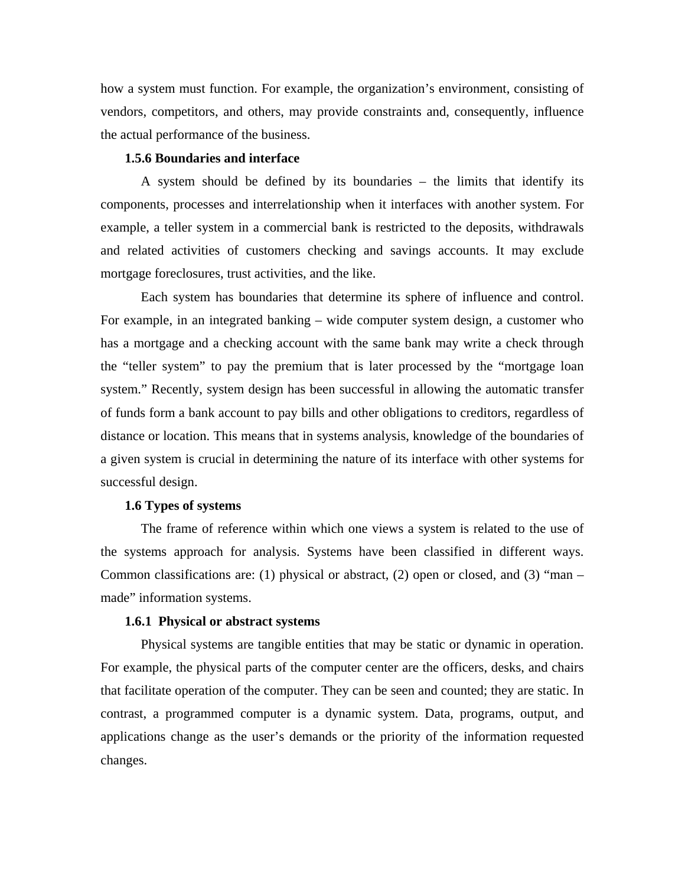how a system must function. For example, the organization's environment, consisting of vendors, competitors, and others, may provide constraints and, consequently, influence the actual performance of the business.

### **1.5.6 Boundaries and interface**

 A system should be defined by its boundaries – the limits that identify its components, processes and interrelationship when it interfaces with another system. For example, a teller system in a commercial bank is restricted to the deposits, withdrawals and related activities of customers checking and savings accounts. It may exclude mortgage foreclosures, trust activities, and the like.

 Each system has boundaries that determine its sphere of influence and control. For example, in an integrated banking – wide computer system design, a customer who has a mortgage and a checking account with the same bank may write a check through the "teller system" to pay the premium that is later processed by the "mortgage loan system." Recently, system design has been successful in allowing the automatic transfer of funds form a bank account to pay bills and other obligations to creditors, regardless of distance or location. This means that in systems analysis, knowledge of the boundaries of a given system is crucial in determining the nature of its interface with other systems for successful design.

#### **1.6 Types of systems**

 The frame of reference within which one views a system is related to the use of the systems approach for analysis. Systems have been classified in different ways. Common classifications are: (1) physical or abstract, (2) open or closed, and (3) "man – made" information systems.

#### **1.6.1 Physical or abstract systems**

 Physical systems are tangible entities that may be static or dynamic in operation. For example, the physical parts of the computer center are the officers, desks, and chairs that facilitate operation of the computer. They can be seen and counted; they are static. In contrast, a programmed computer is a dynamic system. Data, programs, output, and applications change as the user's demands or the priority of the information requested changes.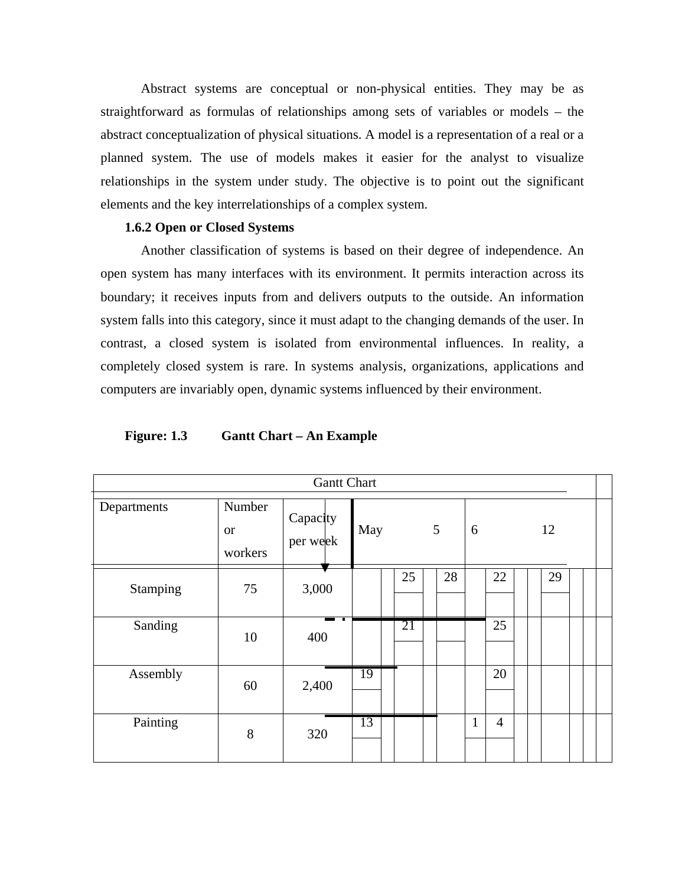Abstract systems are conceptual or non-physical entities. They may be as straightforward as formulas of relationships among sets of variables or models – the abstract conceptualization of physical situations. A model is a representation of a real or a planned system. The use of models makes it easier for the analyst to visualize relationships in the system under study. The objective is to point out the significant elements and the key interrelationships of a complex system.

# **1.6.2 Open or Closed Systems**

Another classification of systems is based on their degree of independence. An open system has many interfaces with its environment. It permits interaction across its boundary; it receives inputs from and delivers outputs to the outside. An information system falls into this category, since it must adapt to the changing demands of the user. In contrast, a closed system is isolated from environmental influences. In reality, a completely closed system is rare. In systems analysis, organizations, applications and computers are invariably open, dynamic systems influenced by their environment.

| <b>Gantt Chart</b> |                                |                      |     |    |    |              |                |  |    |  |  |
|--------------------|--------------------------------|----------------------|-----|----|----|--------------|----------------|--|----|--|--|
| Departments        | Number<br><b>or</b><br>workers | Capacity<br>per week | May |    | 5  | 6            |                |  | 12 |  |  |
| Stamping           | 75                             | 3,000                |     | 25 | 28 |              | 22             |  | 29 |  |  |
| Sanding            | 10                             | т<br>400             |     | 21 |    |              | 25             |  |    |  |  |
| Assembly           | 60                             | 2,400                | 19  |    |    |              | 20             |  |    |  |  |
| Painting           | 8                              | 320                  | 13  |    |    | $\mathbf{1}$ | $\overline{4}$ |  |    |  |  |

## **Figure: 1.3 Gantt Chart – An Example**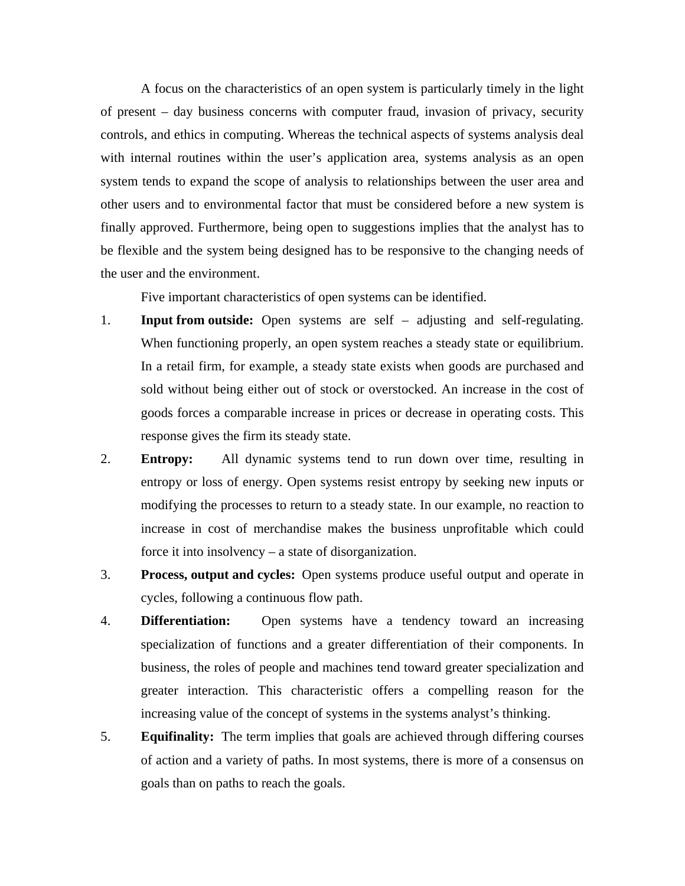A focus on the characteristics of an open system is particularly timely in the light of present – day business concerns with computer fraud, invasion of privacy, security controls, and ethics in computing. Whereas the technical aspects of systems analysis deal with internal routines within the user's application area, systems analysis as an open system tends to expand the scope of analysis to relationships between the user area and other users and to environmental factor that must be considered before a new system is finally approved. Furthermore, being open to suggestions implies that the analyst has to be flexible and the system being designed has to be responsive to the changing needs of the user and the environment.

Five important characteristics of open systems can be identified.

- 1. **Input from outside:** Open systems are self adjusting and self-regulating. When functioning properly, an open system reaches a steady state or equilibrium. In a retail firm, for example, a steady state exists when goods are purchased and sold without being either out of stock or overstocked. An increase in the cost of goods forces a comparable increase in prices or decrease in operating costs. This response gives the firm its steady state.
- 2. **Entropy:** All dynamic systems tend to run down over time, resulting in entropy or loss of energy. Open systems resist entropy by seeking new inputs or modifying the processes to return to a steady state. In our example, no reaction to increase in cost of merchandise makes the business unprofitable which could force it into insolvency – a state of disorganization.
- 3. **Process, output and cycles:** Open systems produce useful output and operate in cycles, following a continuous flow path.
- 4. **Differentiation:** Open systems have a tendency toward an increasing specialization of functions and a greater differentiation of their components. In business, the roles of people and machines tend toward greater specialization and greater interaction. This characteristic offers a compelling reason for the increasing value of the concept of systems in the systems analyst's thinking.
- 5. **Equifinality:** The term implies that goals are achieved through differing courses of action and a variety of paths. In most systems, there is more of a consensus on goals than on paths to reach the goals.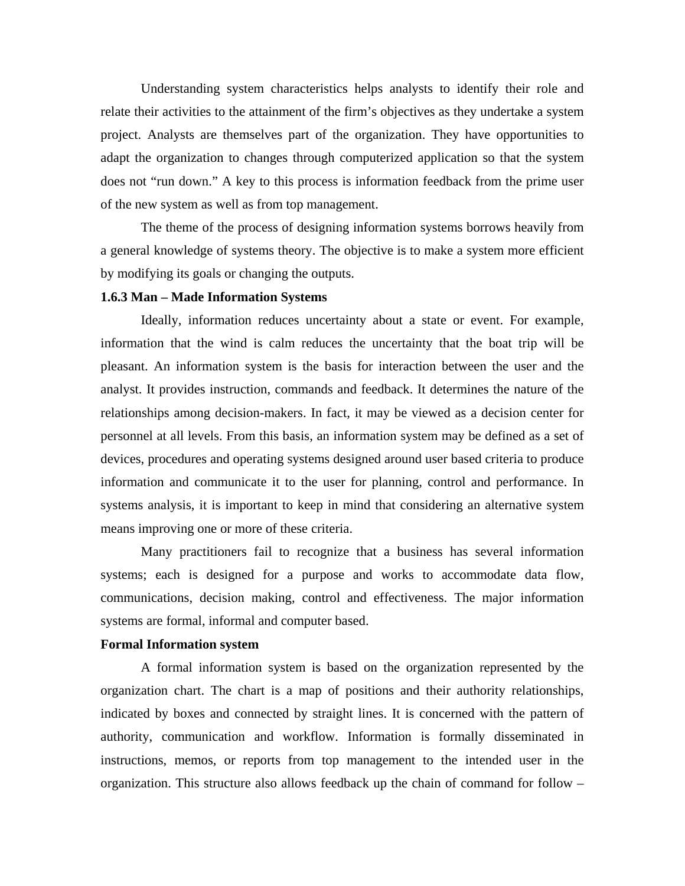Understanding system characteristics helps analysts to identify their role and relate their activities to the attainment of the firm's objectives as they undertake a system project. Analysts are themselves part of the organization. They have opportunities to adapt the organization to changes through computerized application so that the system does not "run down." A key to this process is information feedback from the prime user of the new system as well as from top management.

The theme of the process of designing information systems borrows heavily from a general knowledge of systems theory. The objective is to make a system more efficient by modifying its goals or changing the outputs.

#### **1.6.3 Man – Made Information Systems**

 Ideally, information reduces uncertainty about a state or event. For example, information that the wind is calm reduces the uncertainty that the boat trip will be pleasant. An information system is the basis for interaction between the user and the analyst. It provides instruction, commands and feedback. It determines the nature of the relationships among decision-makers. In fact, it may be viewed as a decision center for personnel at all levels. From this basis, an information system may be defined as a set of devices, procedures and operating systems designed around user based criteria to produce information and communicate it to the user for planning, control and performance. In systems analysis, it is important to keep in mind that considering an alternative system means improving one or more of these criteria.

 Many practitioners fail to recognize that a business has several information systems; each is designed for a purpose and works to accommodate data flow, communications, decision making, control and effectiveness. The major information systems are formal, informal and computer based.

#### **Formal Information system**

 A formal information system is based on the organization represented by the organization chart. The chart is a map of positions and their authority relationships, indicated by boxes and connected by straight lines. It is concerned with the pattern of authority, communication and workflow. Information is formally disseminated in instructions, memos, or reports from top management to the intended user in the organization. This structure also allows feedback up the chain of command for follow –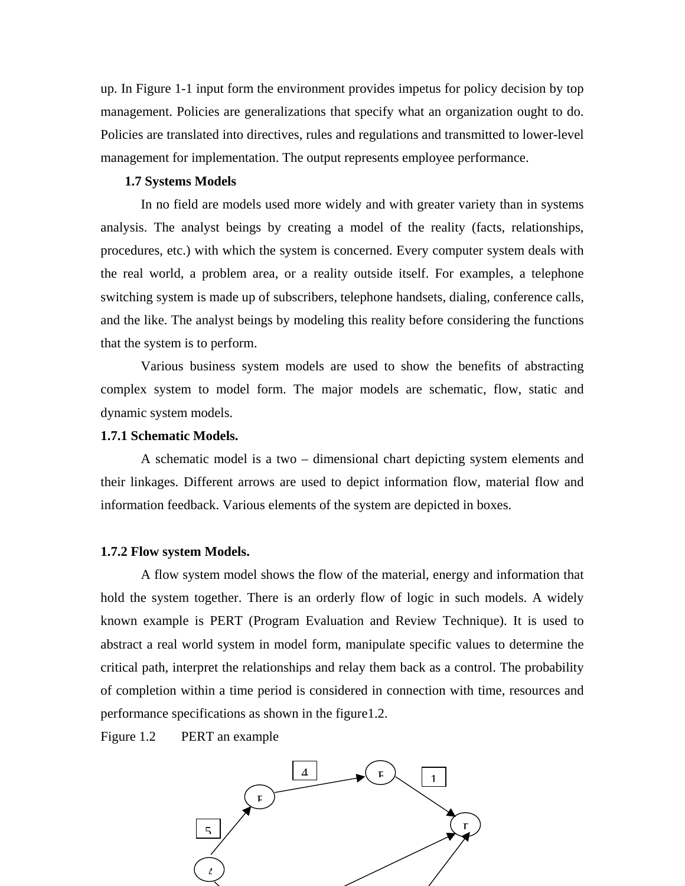up. In Figure 1-1 input form the environment provides impetus for policy decision by top management. Policies are generalizations that specify what an organization ought to do. Policies are translated into directives, rules and regulations and transmitted to lower-level management for implementation. The output represents employee performance.

## **1.7 Systems Models**

 In no field are models used more widely and with greater variety than in systems analysis. The analyst beings by creating a model of the reality (facts, relationships, procedures, etc.) with which the system is concerned. Every computer system deals with the real world, a problem area, or a reality outside itself. For examples, a telephone switching system is made up of subscribers, telephone handsets, dialing, conference calls, and the like. The analyst beings by modeling this reality before considering the functions that the system is to perform.

 Various business system models are used to show the benefits of abstracting complex system to model form. The major models are schematic, flow, static and dynamic system models.

#### **1.7.1 Schematic Models.**

A schematic model is a two – dimensional chart depicting system elements and their linkages. Different arrows are used to depict information flow, material flow and information feedback. Various elements of the system are depicted in boxes.

#### **1.7.2 Flow system Models.**

 A flow system model shows the flow of the material, energy and information that hold the system together. There is an orderly flow of logic in such models. A widely known example is PERT (Program Evaluation and Review Technique). It is used to abstract a real world system in model form, manipulate specific values to determine the critical path, interpret the relationships and relay them back as a control. The probability of completion within a time period is considered in connection with time, resources and performance specifications as shown in the figure1.2.

Figure 1.2 PERT an example

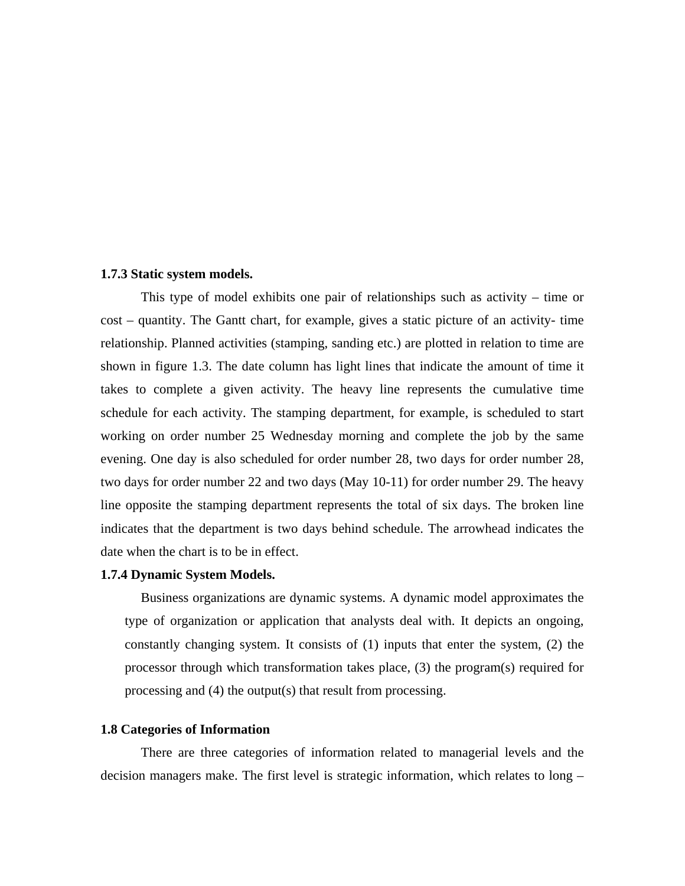#### **1.7.3 Static system models.**

This type of model exhibits one pair of relationships such as activity – time or cost – quantity. The Gantt chart, for example, gives a static picture of an activity- time relationship. Planned activities (stamping, sanding etc.) are plotted in relation to time are shown in figure 1.3. The date column has light lines that indicate the amount of time it takes to complete a given activity. The heavy line represents the cumulative time schedule for each activity. The stamping department, for example, is scheduled to start working on order number 25 Wednesday morning and complete the job by the same evening. One day is also scheduled for order number 28, two days for order number 28, two days for order number 22 and two days (May 10-11) for order number 29. The heavy line opposite the stamping department represents the total of six days. The broken line indicates that the department is two days behind schedule. The arrowhead indicates the date when the chart is to be in effect.

#### **1.7.4 Dynamic System Models.**

 Business organizations are dynamic systems. A dynamic model approximates the type of organization or application that analysts deal with. It depicts an ongoing, constantly changing system. It consists of (1) inputs that enter the system, (2) the processor through which transformation takes place, (3) the program(s) required for processing and (4) the output(s) that result from processing.

#### **1.8 Categories of Information**

 There are three categories of information related to managerial levels and the decision managers make. The first level is strategic information, which relates to long –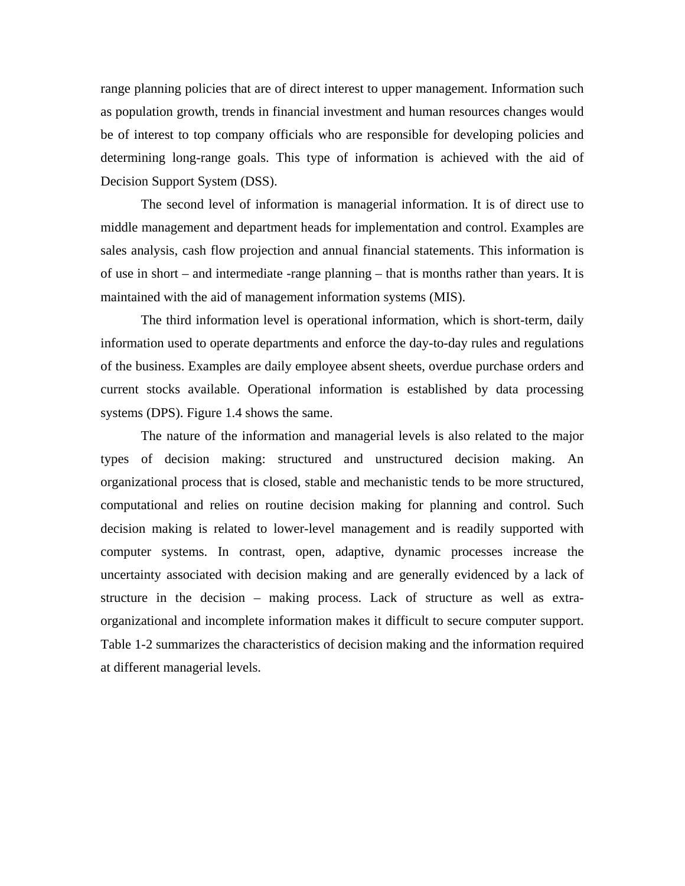range planning policies that are of direct interest to upper management. Information such as population growth, trends in financial investment and human resources changes would be of interest to top company officials who are responsible for developing policies and determining long-range goals. This type of information is achieved with the aid of Decision Support System (DSS).

 The second level of information is managerial information. It is of direct use to middle management and department heads for implementation and control. Examples are sales analysis, cash flow projection and annual financial statements. This information is of use in short – and intermediate -range planning – that is months rather than years. It is maintained with the aid of management information systems (MIS).

 The third information level is operational information, which is short-term, daily information used to operate departments and enforce the day-to-day rules and regulations of the business. Examples are daily employee absent sheets, overdue purchase orders and current stocks available. Operational information is established by data processing systems (DPS). Figure 1.4 shows the same.

 The nature of the information and managerial levels is also related to the major types of decision making: structured and unstructured decision making. An organizational process that is closed, stable and mechanistic tends to be more structured, computational and relies on routine decision making for planning and control. Such decision making is related to lower-level management and is readily supported with computer systems. In contrast, open, adaptive, dynamic processes increase the uncertainty associated with decision making and are generally evidenced by a lack of structure in the decision – making process. Lack of structure as well as extraorganizational and incomplete information makes it difficult to secure computer support. Table 1-2 summarizes the characteristics of decision making and the information required at different managerial levels.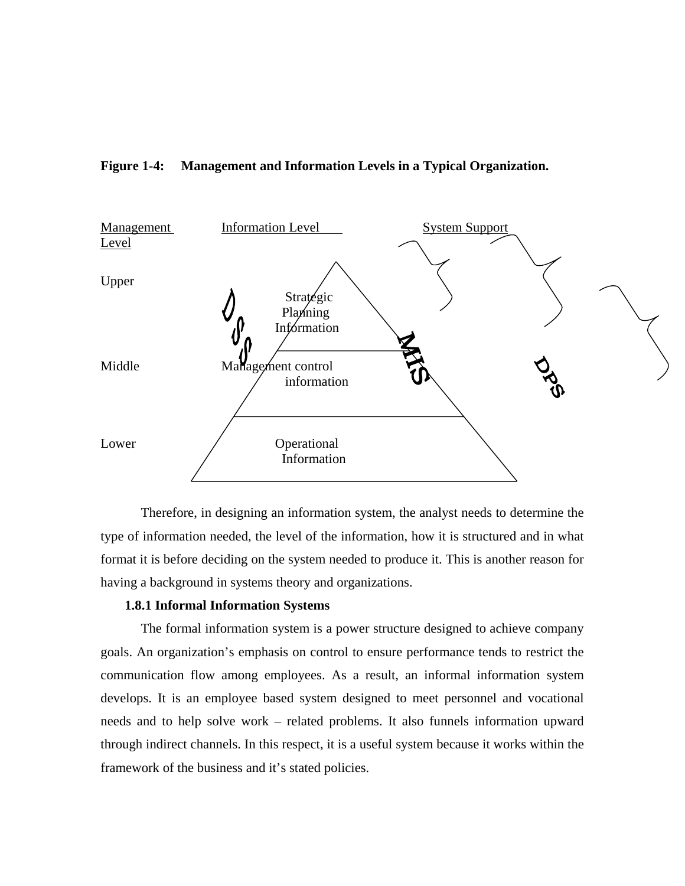# **Figure 1-4: Management and Information Levels in a Typical Organization.**



Therefore, in designing an information system, the analyst needs to determine the type of information needed, the level of the information, how it is structured and in what format it is before deciding on the system needed to produce it. This is another reason for having a background in systems theory and organizations.

# **1.8.1 Informal Information Systems**

 The formal information system is a power structure designed to achieve company goals. An organization's emphasis on control to ensure performance tends to restrict the communication flow among employees. As a result, an informal information system develops. It is an employee based system designed to meet personnel and vocational needs and to help solve work – related problems. It also funnels information upward through indirect channels. In this respect, it is a useful system because it works within the framework of the business and it's stated policies.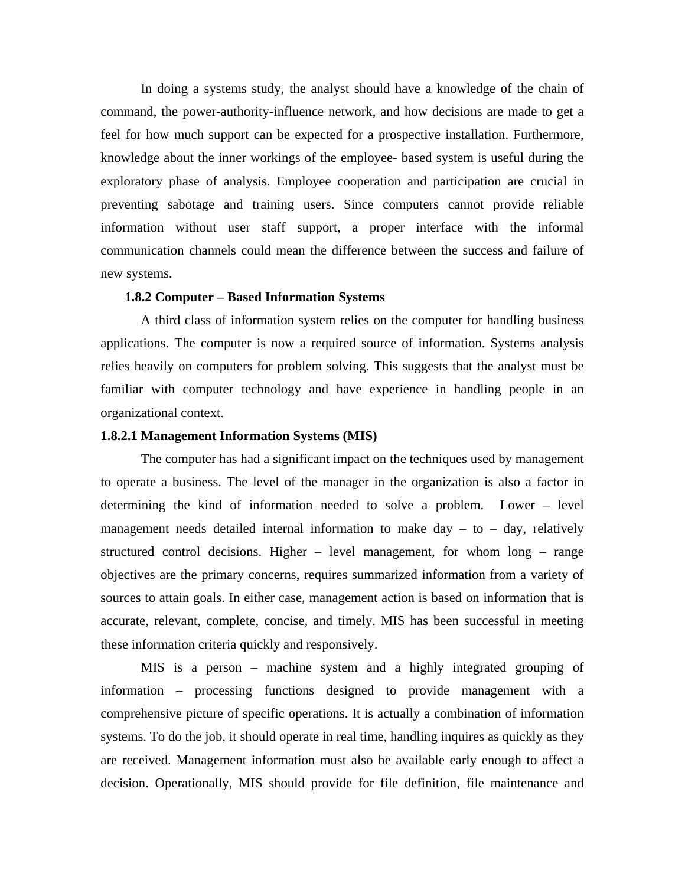In doing a systems study, the analyst should have a knowledge of the chain of command, the power-authority-influence network, and how decisions are made to get a feel for how much support can be expected for a prospective installation. Furthermore, knowledge about the inner workings of the employee- based system is useful during the exploratory phase of analysis. Employee cooperation and participation are crucial in preventing sabotage and training users. Since computers cannot provide reliable information without user staff support, a proper interface with the informal communication channels could mean the difference between the success and failure of new systems.

#### **1.8.2 Computer – Based Information Systems**

A third class of information system relies on the computer for handling business applications. The computer is now a required source of information. Systems analysis relies heavily on computers for problem solving. This suggests that the analyst must be familiar with computer technology and have experience in handling people in an organizational context.

#### **1.8.2.1 Management Information Systems (MIS)**

The computer has had a significant impact on the techniques used by management to operate a business. The level of the manager in the organization is also a factor in determining the kind of information needed to solve a problem. Lower – level management needs detailed internal information to make day  $-$  to  $-$  day, relatively structured control decisions. Higher – level management, for whom long – range objectives are the primary concerns, requires summarized information from a variety of sources to attain goals. In either case, management action is based on information that is accurate, relevant, complete, concise, and timely. MIS has been successful in meeting these information criteria quickly and responsively.

 MIS is a person – machine system and a highly integrated grouping of information – processing functions designed to provide management with a comprehensive picture of specific operations. It is actually a combination of information systems. To do the job, it should operate in real time, handling inquires as quickly as they are received. Management information must also be available early enough to affect a decision. Operationally, MIS should provide for file definition, file maintenance and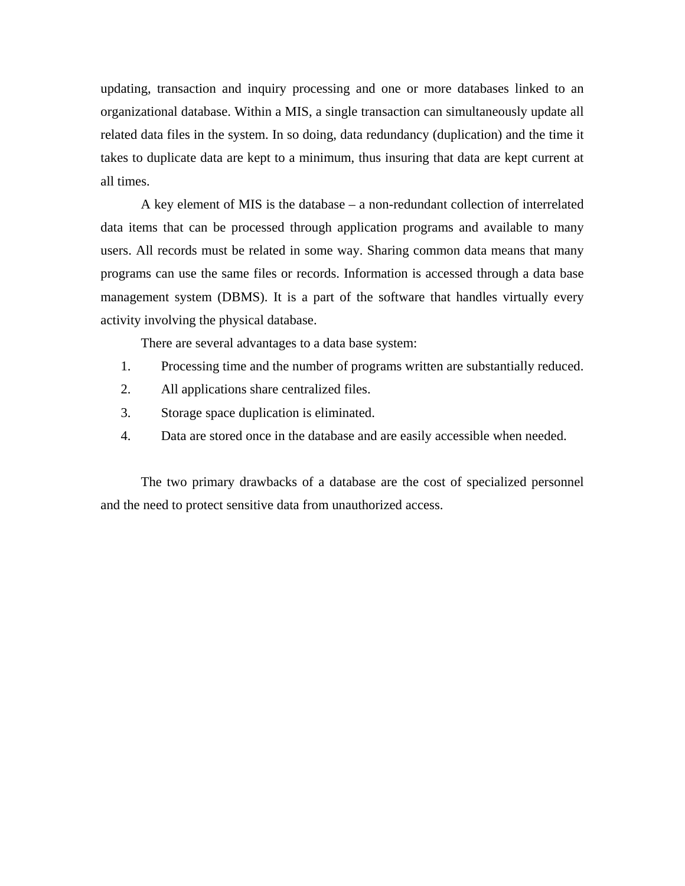updating, transaction and inquiry processing and one or more databases linked to an organizational database. Within a MIS, a single transaction can simultaneously update all related data files in the system. In so doing, data redundancy (duplication) and the time it takes to duplicate data are kept to a minimum, thus insuring that data are kept current at all times.

 A key element of MIS is the database – a non-redundant collection of interrelated data items that can be processed through application programs and available to many users. All records must be related in some way. Sharing common data means that many programs can use the same files or records. Information is accessed through a data base management system (DBMS). It is a part of the software that handles virtually every activity involving the physical database.

There are several advantages to a data base system:

- 1. Processing time and the number of programs written are substantially reduced.
- 2. All applications share centralized files.
- 3. Storage space duplication is eliminated.
- 4. Data are stored once in the database and are easily accessible when needed.

The two primary drawbacks of a database are the cost of specialized personnel and the need to protect sensitive data from unauthorized access.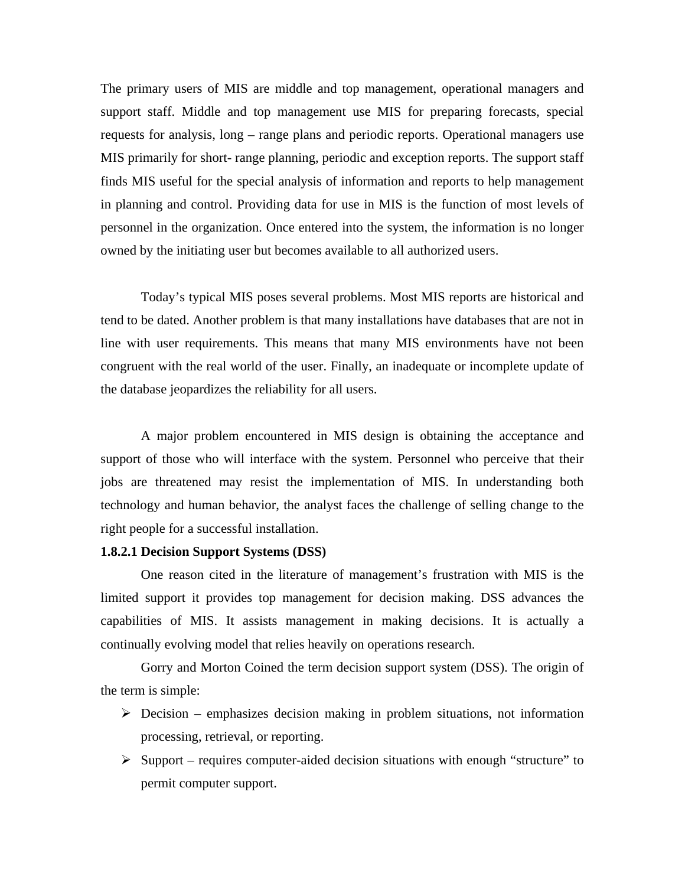The primary users of MIS are middle and top management, operational managers and support staff. Middle and top management use MIS for preparing forecasts, special requests for analysis, long – range plans and periodic reports. Operational managers use MIS primarily for short- range planning, periodic and exception reports. The support staff finds MIS useful for the special analysis of information and reports to help management in planning and control. Providing data for use in MIS is the function of most levels of personnel in the organization. Once entered into the system, the information is no longer owned by the initiating user but becomes available to all authorized users.

Today's typical MIS poses several problems. Most MIS reports are historical and tend to be dated. Another problem is that many installations have databases that are not in line with user requirements. This means that many MIS environments have not been congruent with the real world of the user. Finally, an inadequate or incomplete update of the database jeopardizes the reliability for all users.

A major problem encountered in MIS design is obtaining the acceptance and support of those who will interface with the system. Personnel who perceive that their jobs are threatened may resist the implementation of MIS. In understanding both technology and human behavior, the analyst faces the challenge of selling change to the right people for a successful installation.

#### **1.8.2.1 Decision Support Systems (DSS)**

One reason cited in the literature of management's frustration with MIS is the limited support it provides top management for decision making. DSS advances the capabilities of MIS. It assists management in making decisions. It is actually a continually evolving model that relies heavily on operations research.

 Gorry and Morton Coined the term decision support system (DSS). The origin of the term is simple:

- $\triangleright$  Decision emphasizes decision making in problem situations, not information processing, retrieval, or reporting.
- $\triangleright$  Support requires computer-aided decision situations with enough "structure" to permit computer support.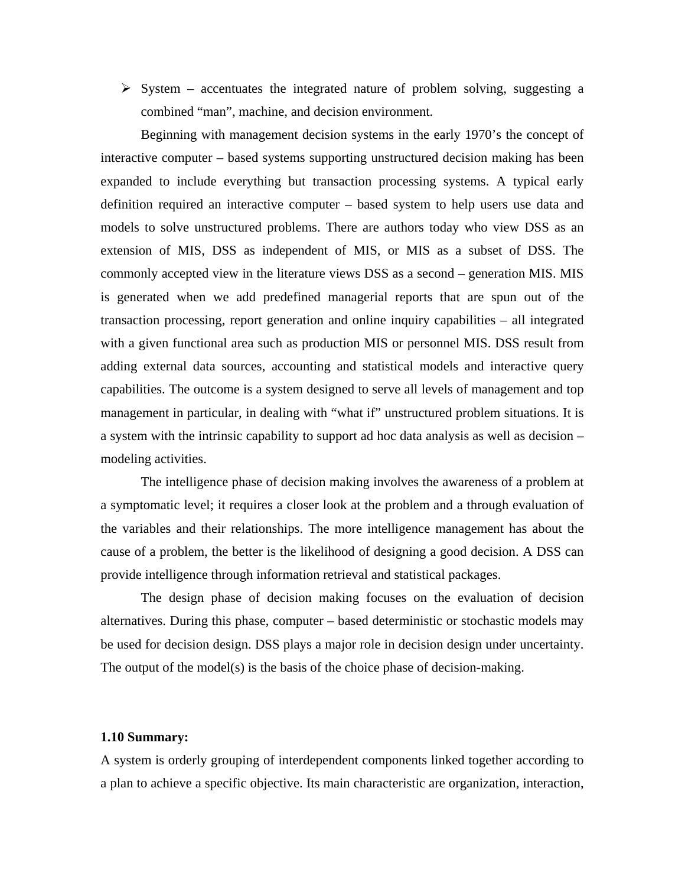$\triangleright$  System – accentuates the integrated nature of problem solving, suggesting a combined "man", machine, and decision environment.

Beginning with management decision systems in the early 1970's the concept of interactive computer – based systems supporting unstructured decision making has been expanded to include everything but transaction processing systems. A typical early definition required an interactive computer – based system to help users use data and models to solve unstructured problems. There are authors today who view DSS as an extension of MIS, DSS as independent of MIS, or MIS as a subset of DSS. The commonly accepted view in the literature views DSS as a second – generation MIS. MIS is generated when we add predefined managerial reports that are spun out of the transaction processing, report generation and online inquiry capabilities – all integrated with a given functional area such as production MIS or personnel MIS. DSS result from adding external data sources, accounting and statistical models and interactive query capabilities. The outcome is a system designed to serve all levels of management and top management in particular, in dealing with "what if" unstructured problem situations. It is a system with the intrinsic capability to support ad hoc data analysis as well as decision – modeling activities.

The intelligence phase of decision making involves the awareness of a problem at a symptomatic level; it requires a closer look at the problem and a through evaluation of the variables and their relationships. The more intelligence management has about the cause of a problem, the better is the likelihood of designing a good decision. A DSS can provide intelligence through information retrieval and statistical packages.

The design phase of decision making focuses on the evaluation of decision alternatives. During this phase, computer – based deterministic or stochastic models may be used for decision design. DSS plays a major role in decision design under uncertainty. The output of the model(s) is the basis of the choice phase of decision-making.

## **1.10 Summary:**

A system is orderly grouping of interdependent components linked together according to a plan to achieve a specific objective. Its main characteristic are organization, interaction,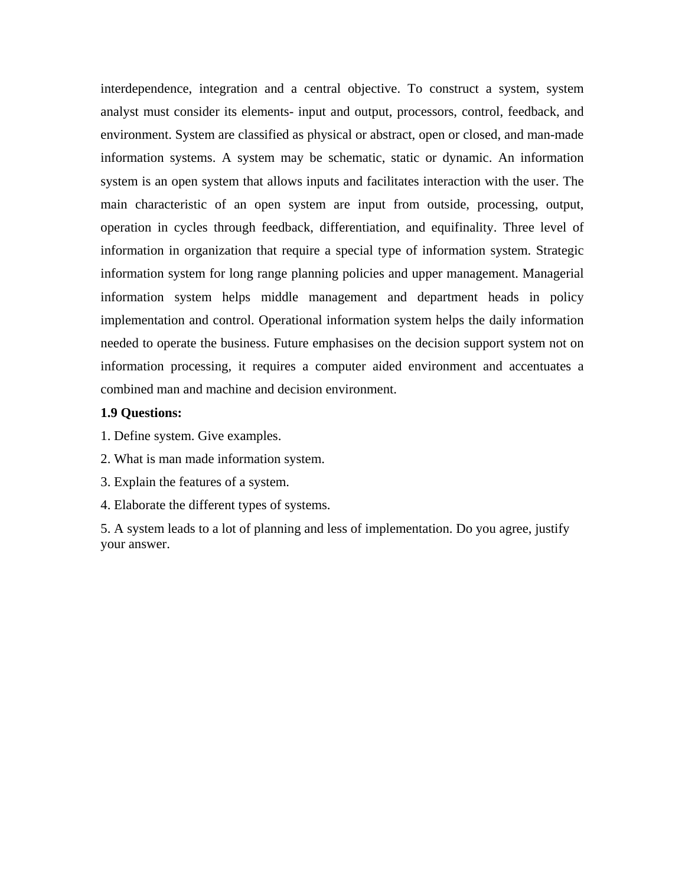interdependence, integration and a central objective. To construct a system, system analyst must consider its elements- input and output, processors, control, feedback, and environment. System are classified as physical or abstract, open or closed, and man-made information systems. A system may be schematic, static or dynamic. An information system is an open system that allows inputs and facilitates interaction with the user. The main characteristic of an open system are input from outside, processing, output, operation in cycles through feedback, differentiation, and equifinality. Three level of information in organization that require a special type of information system. Strategic information system for long range planning policies and upper management. Managerial information system helps middle management and department heads in policy implementation and control. Operational information system helps the daily information needed to operate the business. Future emphasises on the decision support system not on information processing, it requires a computer aided environment and accentuates a combined man and machine and decision environment.

#### **1.9 Questions:**

- 1. Define system. Give examples.
- 2. What is man made information system.
- 3. Explain the features of a system.
- 4. Elaborate the different types of systems.

5. A system leads to a lot of planning and less of implementation. Do you agree, justify your answer.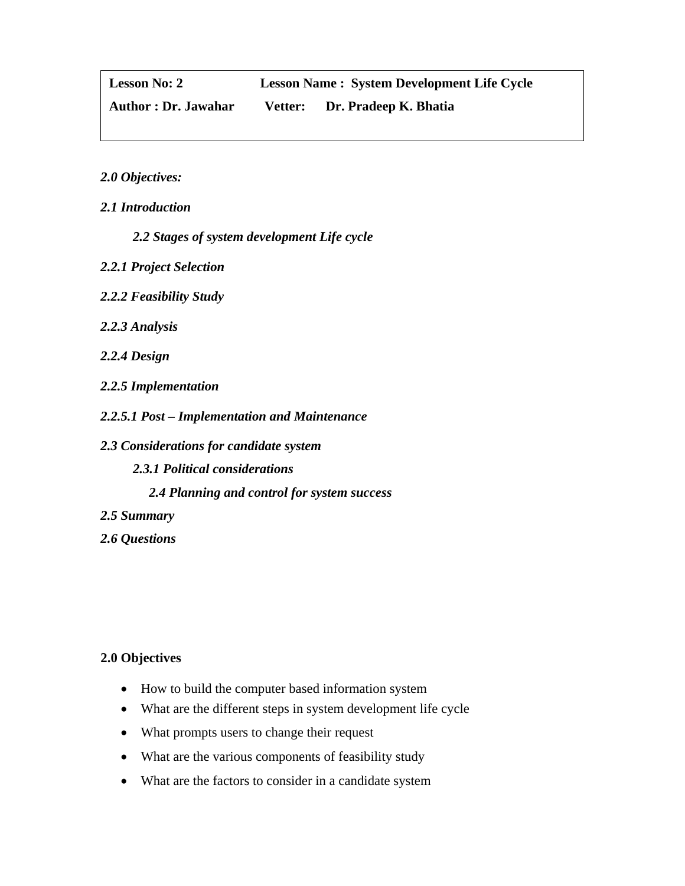# *2.0 Objectives:*

- *2.1 Introduction* 
	- *2.2 Stages of system development Life cycle*
- *2.2.1 Project Selection*
- *2.2.2 Feasibility Study*
- *2.2.3 Analysis*
- *2.2.4 Design*
- *2.2.5 Implementation*
- *2.2.5.1 Post Implementation and Maintenance*
- *2.3 Considerations for candidate system* 
	- *2.3.1 Political considerations* 
		- *2.4 Planning and control for system success*
- *2.5 Summary*
- *2.6 Questions*

# **2.0 Objectives**

- How to build the computer based information system
- What are the different steps in system development life cycle
- What prompts users to change their request
- What are the various components of feasibility study
- What are the factors to consider in a candidate system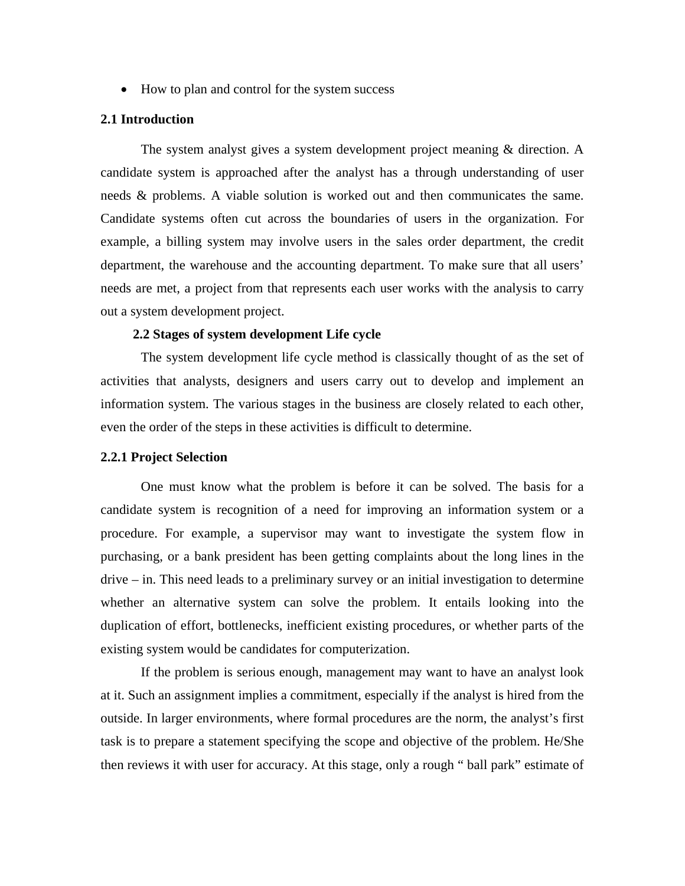• How to plan and control for the system success

## **2.1 Introduction**

 The system analyst gives a system development project meaning & direction. A candidate system is approached after the analyst has a through understanding of user needs & problems. A viable solution is worked out and then communicates the same. Candidate systems often cut across the boundaries of users in the organization. For example, a billing system may involve users in the sales order department, the credit department, the warehouse and the accounting department. To make sure that all users' needs are met, a project from that represents each user works with the analysis to carry out a system development project.

## **2.2 Stages of system development Life cycle**

 The system development life cycle method is classically thought of as the set of activities that analysts, designers and users carry out to develop and implement an information system. The various stages in the business are closely related to each other, even the order of the steps in these activities is difficult to determine.

#### **2.2.1 Project Selection**

One must know what the problem is before it can be solved. The basis for a candidate system is recognition of a need for improving an information system or a procedure. For example, a supervisor may want to investigate the system flow in purchasing, or a bank president has been getting complaints about the long lines in the drive – in. This need leads to a preliminary survey or an initial investigation to determine whether an alternative system can solve the problem. It entails looking into the duplication of effort, bottlenecks, inefficient existing procedures, or whether parts of the existing system would be candidates for computerization.

If the problem is serious enough, management may want to have an analyst look at it. Such an assignment implies a commitment, especially if the analyst is hired from the outside. In larger environments, where formal procedures are the norm, the analyst's first task is to prepare a statement specifying the scope and objective of the problem. He/She then reviews it with user for accuracy. At this stage, only a rough " ball park" estimate of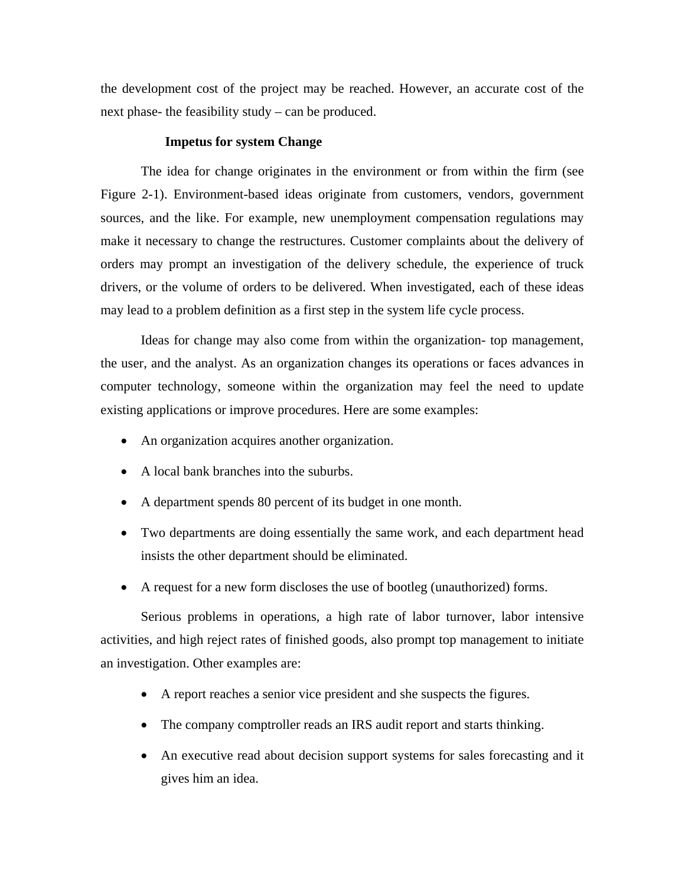the development cost of the project may be reached. However, an accurate cost of the next phase- the feasibility study – can be produced.

## **Impetus for system Change**

The idea for change originates in the environment or from within the firm (see Figure 2-1). Environment-based ideas originate from customers, vendors, government sources, and the like. For example, new unemployment compensation regulations may make it necessary to change the restructures. Customer complaints about the delivery of orders may prompt an investigation of the delivery schedule, the experience of truck drivers, or the volume of orders to be delivered. When investigated, each of these ideas may lead to a problem definition as a first step in the system life cycle process.

Ideas for change may also come from within the organization- top management, the user, and the analyst. As an organization changes its operations or faces advances in computer technology, someone within the organization may feel the need to update existing applications or improve procedures. Here are some examples:

- An organization acquires another organization.
- A local bank branches into the suburbs.
- A department spends 80 percent of its budget in one month.
- Two departments are doing essentially the same work, and each department head insists the other department should be eliminated.
- A request for a new form discloses the use of bootleg (unauthorized) forms.

Serious problems in operations, a high rate of labor turnover, labor intensive activities, and high reject rates of finished goods, also prompt top management to initiate an investigation. Other examples are:

- A report reaches a senior vice president and she suspects the figures.
- The company comptroller reads an IRS audit report and starts thinking.
- An executive read about decision support systems for sales forecasting and it gives him an idea.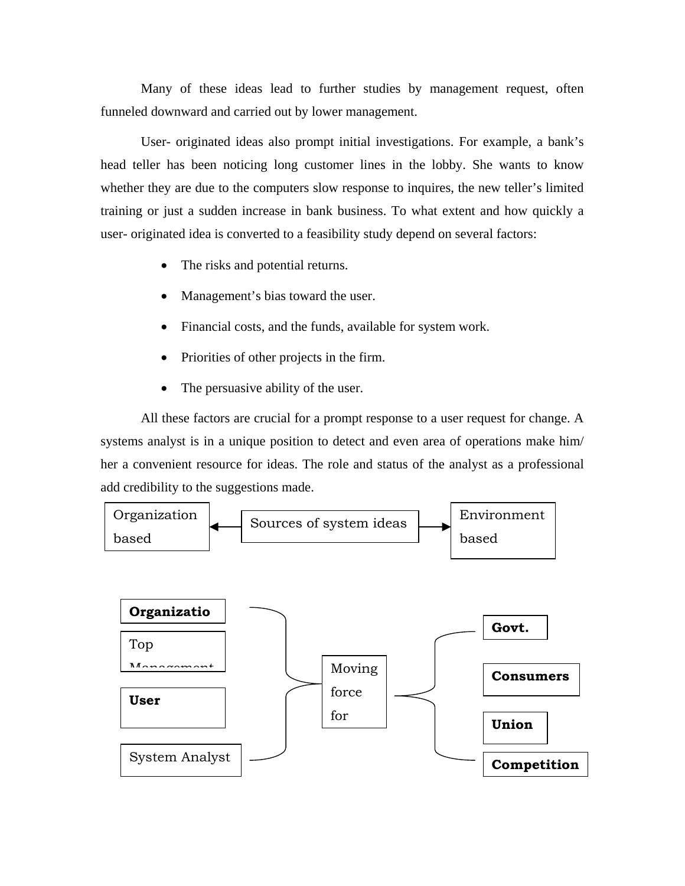Many of these ideas lead to further studies by management request, often funneled downward and carried out by lower management.

User- originated ideas also prompt initial investigations. For example, a bank's head teller has been noticing long customer lines in the lobby. She wants to know whether they are due to the computers slow response to inquires, the new teller's limited training or just a sudden increase in bank business. To what extent and how quickly a user- originated idea is converted to a feasibility study depend on several factors:

- The risks and potential returns.
- Management's bias toward the user.
- Financial costs, and the funds, available for system work.
- Priorities of other projects in the firm.
- The persuasive ability of the user.

All these factors are crucial for a prompt response to a user request for change. A systems analyst is in a unique position to detect and even area of operations make him/ her a convenient resource for ideas. The role and status of the analyst as a professional add credibility to the suggestions made.

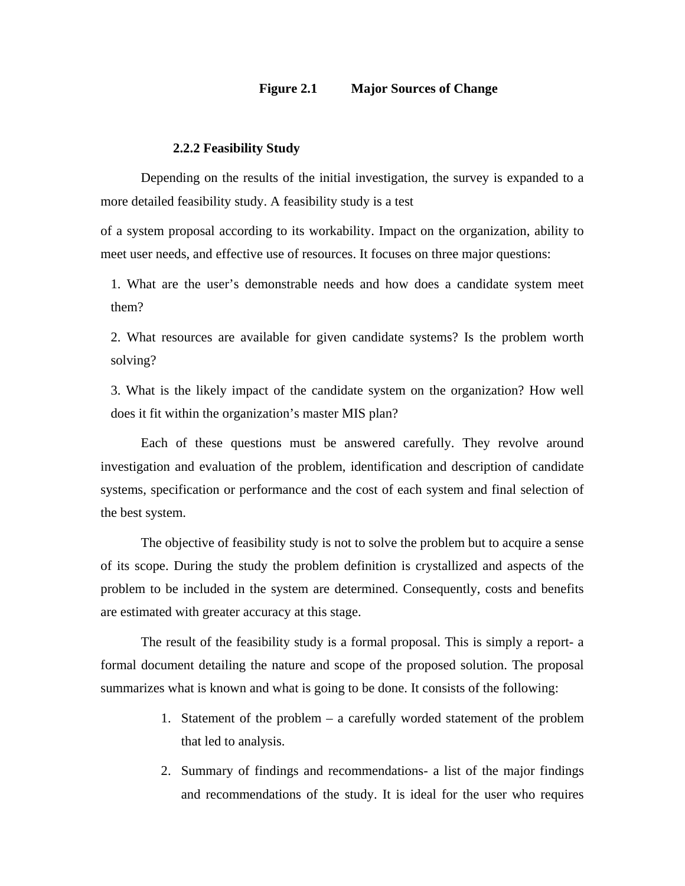# **Figure 2.1 Major Sources of Change**

#### **2.2.2 Feasibility Study**

Depending on the results of the initial investigation, the survey is expanded to a more detailed feasibility study. A feasibility study is a test

of a system proposal according to its workability. Impact on the organization, ability to meet user needs, and effective use of resources. It focuses on three major questions:

1. What are the user's demonstrable needs and how does a candidate system meet them?

2. What resources are available for given candidate systems? Is the problem worth solving?

3. What is the likely impact of the candidate system on the organization? How well does it fit within the organization's master MIS plan?

Each of these questions must be answered carefully. They revolve around investigation and evaluation of the problem, identification and description of candidate systems, specification or performance and the cost of each system and final selection of the best system.

The objective of feasibility study is not to solve the problem but to acquire a sense of its scope. During the study the problem definition is crystallized and aspects of the problem to be included in the system are determined. Consequently, costs and benefits are estimated with greater accuracy at this stage.

The result of the feasibility study is a formal proposal. This is simply a report- a formal document detailing the nature and scope of the proposed solution. The proposal summarizes what is known and what is going to be done. It consists of the following:

- 1. Statement of the problem a carefully worded statement of the problem that led to analysis.
- 2. Summary of findings and recommendations- a list of the major findings and recommendations of the study. It is ideal for the user who requires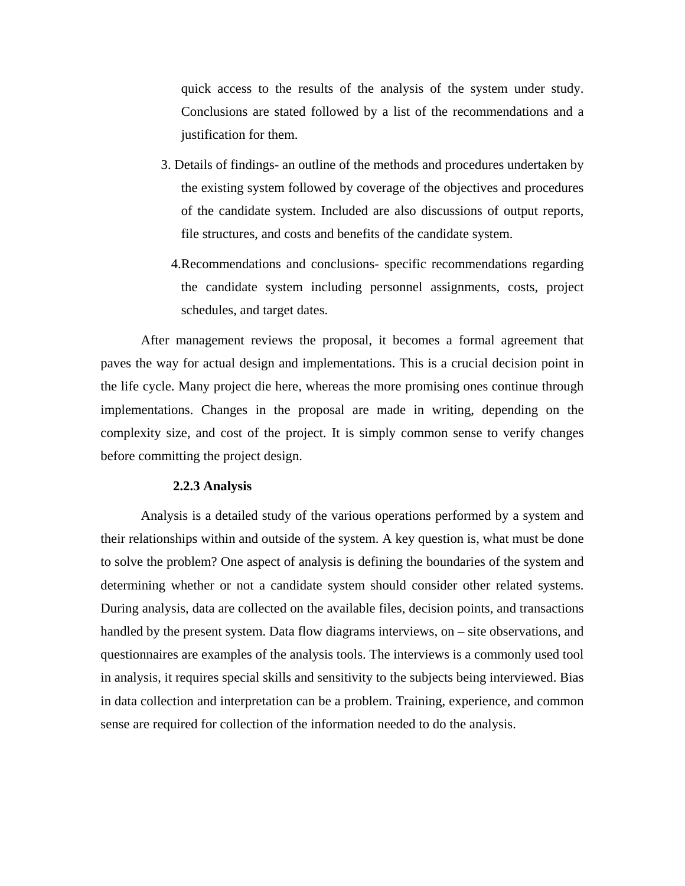quick access to the results of the analysis of the system under study. Conclusions are stated followed by a list of the recommendations and a justification for them.

- 3. Details of findings- an outline of the methods and procedures undertaken by the existing system followed by coverage of the objectives and procedures of the candidate system. Included are also discussions of output reports, file structures, and costs and benefits of the candidate system.
	- 4.Recommendations and conclusions- specific recommendations regarding the candidate system including personnel assignments, costs, project schedules, and target dates.

After management reviews the proposal, it becomes a formal agreement that paves the way for actual design and implementations. This is a crucial decision point in the life cycle. Many project die here, whereas the more promising ones continue through implementations. Changes in the proposal are made in writing, depending on the complexity size, and cost of the project. It is simply common sense to verify changes before committing the project design.

### **2.2.3 Analysis**

Analysis is a detailed study of the various operations performed by a system and their relationships within and outside of the system. A key question is, what must be done to solve the problem? One aspect of analysis is defining the boundaries of the system and determining whether or not a candidate system should consider other related systems. During analysis, data are collected on the available files, decision points, and transactions handled by the present system. Data flow diagrams interviews, on – site observations, and questionnaires are examples of the analysis tools. The interviews is a commonly used tool in analysis, it requires special skills and sensitivity to the subjects being interviewed. Bias in data collection and interpretation can be a problem. Training, experience, and common sense are required for collection of the information needed to do the analysis.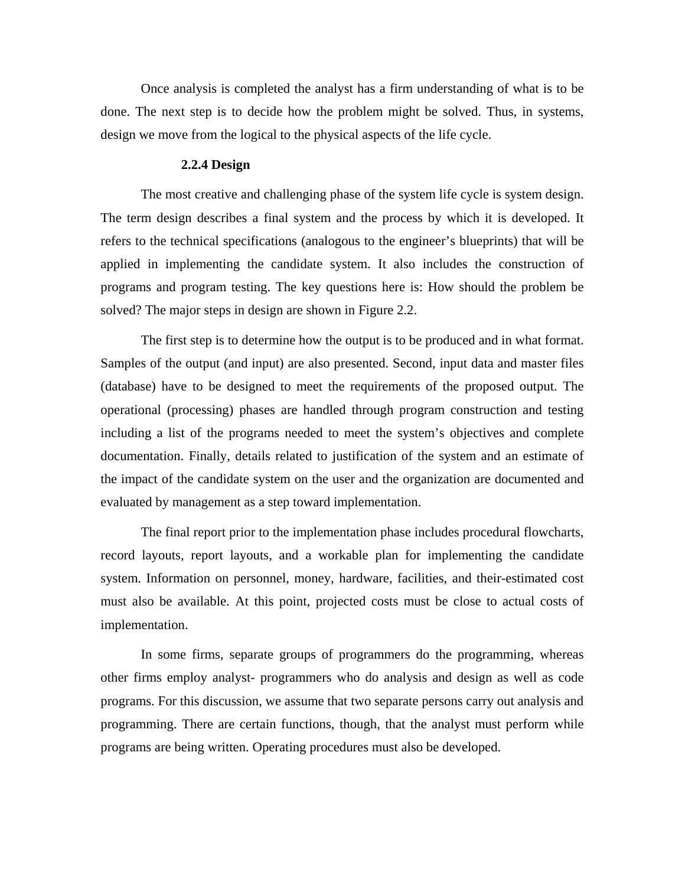Once analysis is completed the analyst has a firm understanding of what is to be done. The next step is to decide how the problem might be solved. Thus, in systems, design we move from the logical to the physical aspects of the life cycle.

#### **2.2.4 Design**

The most creative and challenging phase of the system life cycle is system design. The term design describes a final system and the process by which it is developed. It refers to the technical specifications (analogous to the engineer's blueprints) that will be applied in implementing the candidate system. It also includes the construction of programs and program testing. The key questions here is: How should the problem be solved? The major steps in design are shown in Figure 2.2.

The first step is to determine how the output is to be produced and in what format. Samples of the output (and input) are also presented. Second, input data and master files (database) have to be designed to meet the requirements of the proposed output. The operational (processing) phases are handled through program construction and testing including a list of the programs needed to meet the system's objectives and complete documentation. Finally, details related to justification of the system and an estimate of the impact of the candidate system on the user and the organization are documented and evaluated by management as a step toward implementation.

The final report prior to the implementation phase includes procedural flowcharts, record layouts, report layouts, and a workable plan for implementing the candidate system. Information on personnel, money, hardware, facilities, and their-estimated cost must also be available. At this point, projected costs must be close to actual costs of implementation.

In some firms, separate groups of programmers do the programming, whereas other firms employ analyst- programmers who do analysis and design as well as code programs. For this discussion, we assume that two separate persons carry out analysis and programming. There are certain functions, though, that the analyst must perform while programs are being written. Operating procedures must also be developed.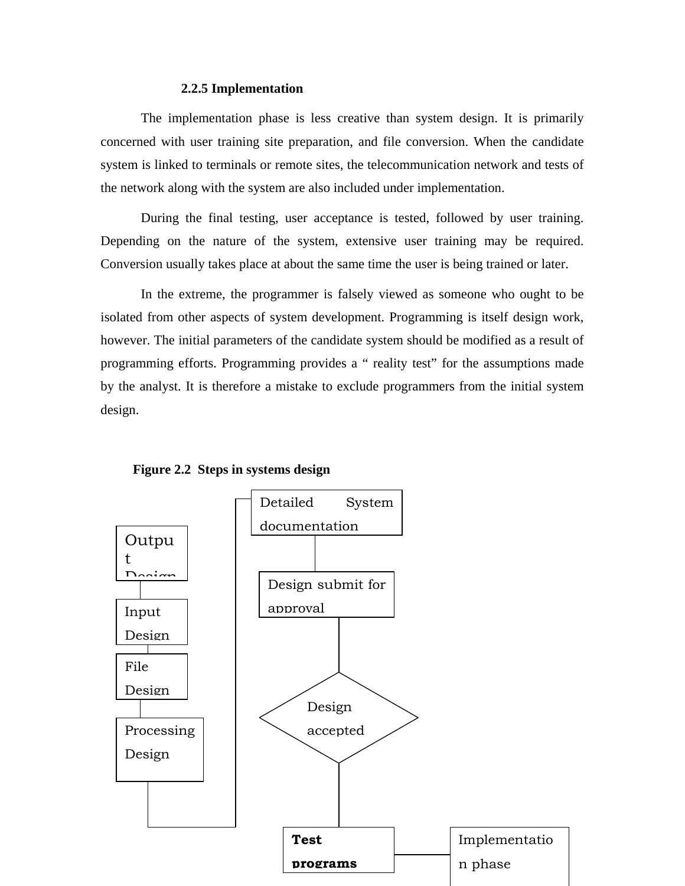#### **2.2.5 Implementation**

The implementation phase is less creative than system design. It is primarily concerned with user training site preparation, and file conversion. When the candidate system is linked to terminals or remote sites, the telecommunication network and tests of the network along with the system are also included under implementation.

During the final testing, user acceptance is tested, followed by user training. Depending on the nature of the system, extensive user training may be required. Conversion usually takes place at about the same time the user is being trained or later.

In the extreme, the programmer is falsely viewed as someone who ought to be isolated from other aspects of system development. Programming is itself design work, however. The initial parameters of the candidate system should be modified as a result of programming efforts. Programming provides a " reality test" for the assumptions made by the analyst. It is therefore a mistake to exclude programmers from the initial system design.



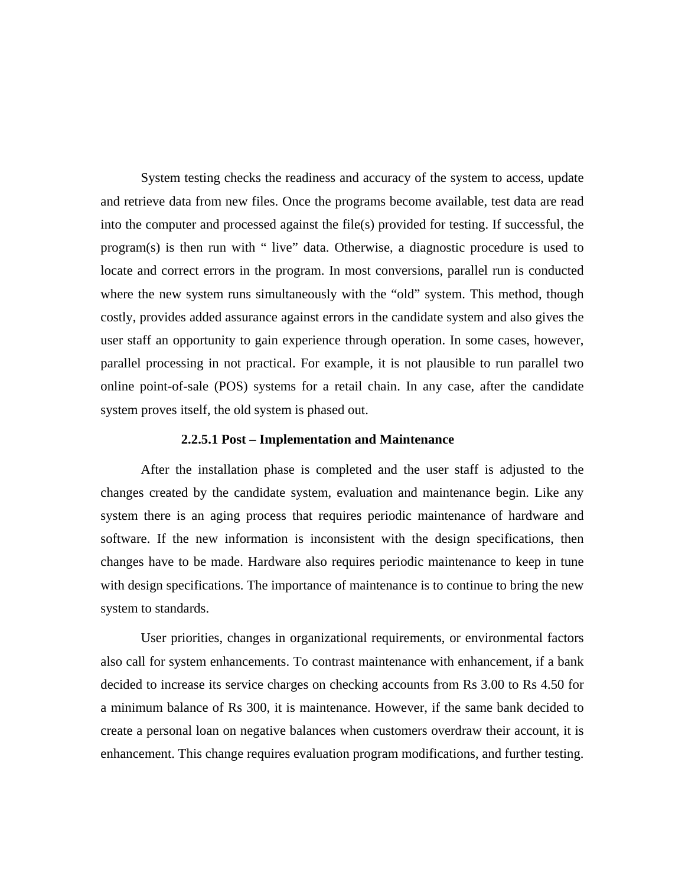System testing checks the readiness and accuracy of the system to access, update and retrieve data from new files. Once the programs become available, test data are read into the computer and processed against the file(s) provided for testing. If successful, the program(s) is then run with " live" data. Otherwise, a diagnostic procedure is used to locate and correct errors in the program. In most conversions, parallel run is conducted where the new system runs simultaneously with the "old" system. This method, though costly, provides added assurance against errors in the candidate system and also gives the user staff an opportunity to gain experience through operation. In some cases, however, parallel processing in not practical. For example, it is not plausible to run parallel two online point-of-sale (POS) systems for a retail chain. In any case, after the candidate system proves itself, the old system is phased out.

#### **2.2.5.1 Post – Implementation and Maintenance**

After the installation phase is completed and the user staff is adjusted to the changes created by the candidate system, evaluation and maintenance begin. Like any system there is an aging process that requires periodic maintenance of hardware and software. If the new information is inconsistent with the design specifications, then changes have to be made. Hardware also requires periodic maintenance to keep in tune with design specifications. The importance of maintenance is to continue to bring the new system to standards.

User priorities, changes in organizational requirements, or environmental factors also call for system enhancements. To contrast maintenance with enhancement, if a bank decided to increase its service charges on checking accounts from Rs 3.00 to Rs 4.50 for a minimum balance of Rs 300, it is maintenance. However, if the same bank decided to create a personal loan on negative balances when customers overdraw their account, it is enhancement. This change requires evaluation program modifications, and further testing.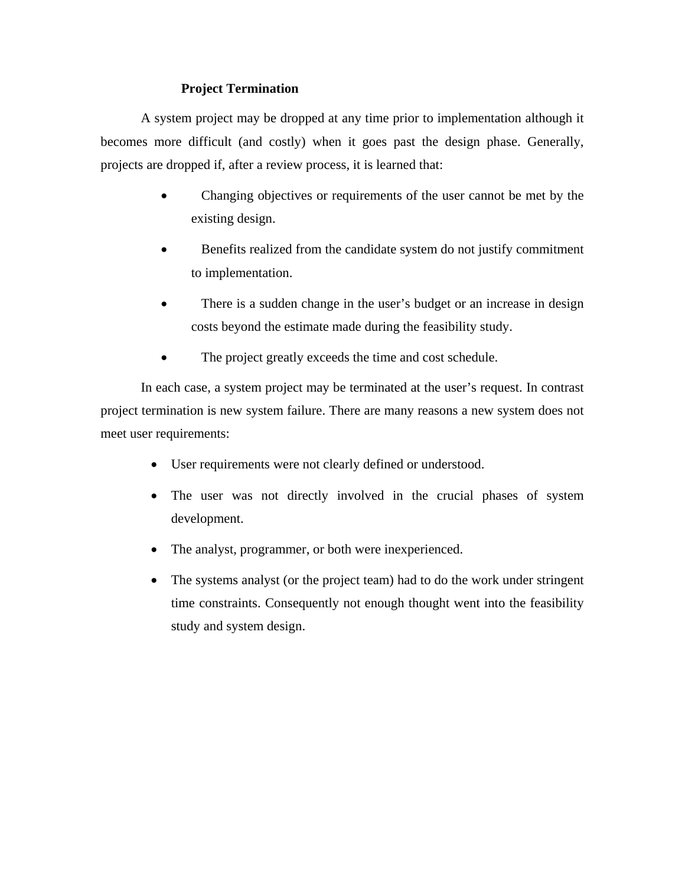# **Project Termination**

A system project may be dropped at any time prior to implementation although it becomes more difficult (and costly) when it goes past the design phase. Generally, projects are dropped if, after a review process, it is learned that:

- Changing objectives or requirements of the user cannot be met by the existing design.
- Benefits realized from the candidate system do not justify commitment to implementation.
- There is a sudden change in the user's budget or an increase in design costs beyond the estimate made during the feasibility study.
- The project greatly exceeds the time and cost schedule.

In each case, a system project may be terminated at the user's request. In contrast project termination is new system failure. There are many reasons a new system does not meet user requirements:

- User requirements were not clearly defined or understood.
- The user was not directly involved in the crucial phases of system development.
- The analyst, programmer, or both were inexperienced.
- The systems analyst (or the project team) had to do the work under stringent time constraints. Consequently not enough thought went into the feasibility study and system design.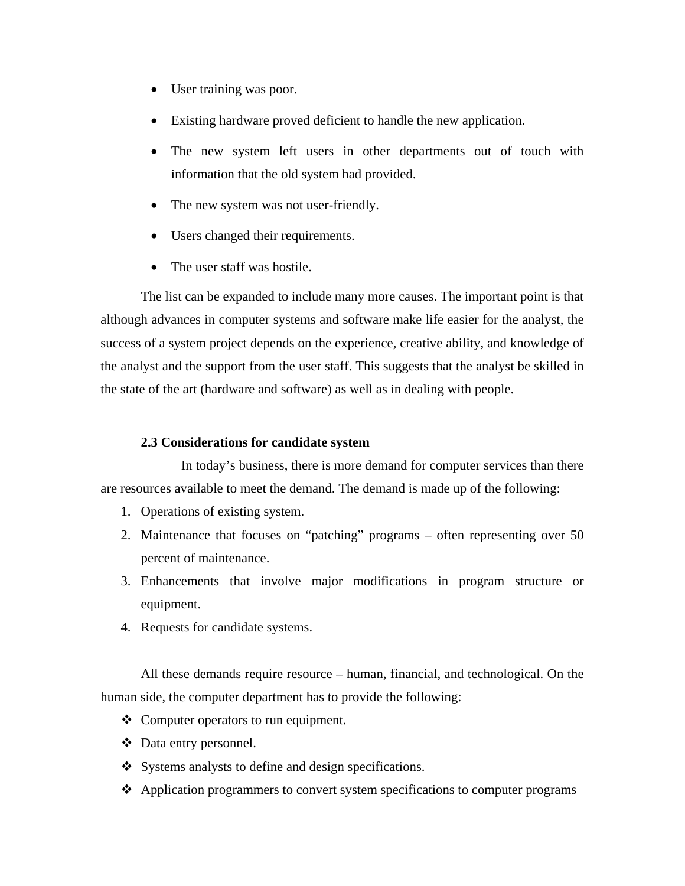- User training was poor.
- Existing hardware proved deficient to handle the new application.
- The new system left users in other departments out of touch with information that the old system had provided.
- The new system was not user-friendly.
- Users changed their requirements.
- The user staff was hostile.

The list can be expanded to include many more causes. The important point is that although advances in computer systems and software make life easier for the analyst, the success of a system project depends on the experience, creative ability, and knowledge of the analyst and the support from the user staff. This suggests that the analyst be skilled in the state of the art (hardware and software) as well as in dealing with people.

# **2.3 Considerations for candidate system**

 In today's business, there is more demand for computer services than there are resources available to meet the demand. The demand is made up of the following:

- 1. Operations of existing system.
- 2. Maintenance that focuses on "patching" programs often representing over 50 percent of maintenance.
- 3. Enhancements that involve major modifications in program structure or equipment.
- 4. Requests for candidate systems.

All these demands require resource – human, financial, and technological. On the human side, the computer department has to provide the following:

- ❖ Computer operators to run equipment.
- Data entry personnel.
- $\triangleleft$  Systems analysts to define and design specifications.
- Application programmers to convert system specifications to computer programs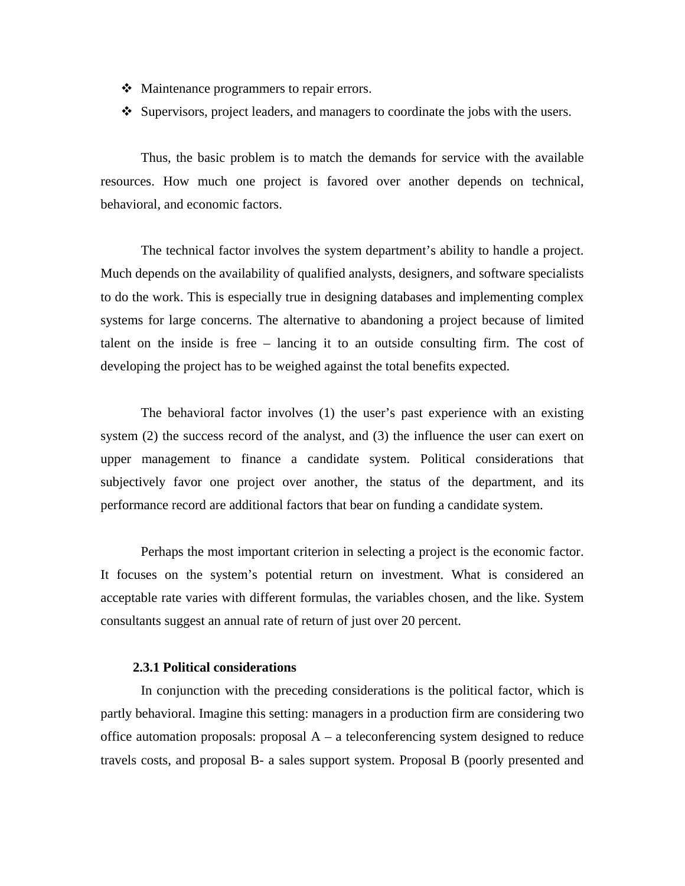- Maintenance programmers to repair errors.
- $\div$  Supervisors, project leaders, and managers to coordinate the jobs with the users.

Thus, the basic problem is to match the demands for service with the available resources. How much one project is favored over another depends on technical, behavioral, and economic factors.

 The technical factor involves the system department's ability to handle a project. Much depends on the availability of qualified analysts, designers, and software specialists to do the work. This is especially true in designing databases and implementing complex systems for large concerns. The alternative to abandoning a project because of limited talent on the inside is free – lancing it to an outside consulting firm. The cost of developing the project has to be weighed against the total benefits expected.

 The behavioral factor involves (1) the user's past experience with an existing system (2) the success record of the analyst, and (3) the influence the user can exert on upper management to finance a candidate system. Political considerations that subjectively favor one project over another, the status of the department, and its performance record are additional factors that bear on funding a candidate system.

 Perhaps the most important criterion in selecting a project is the economic factor. It focuses on the system's potential return on investment. What is considered an acceptable rate varies with different formulas, the variables chosen, and the like. System consultants suggest an annual rate of return of just over 20 percent.

#### **2.3.1 Political considerations**

 In conjunction with the preceding considerations is the political factor, which is partly behavioral. Imagine this setting: managers in a production firm are considering two office automation proposals: proposal  $A - a$  teleconferencing system designed to reduce travels costs, and proposal B- a sales support system. Proposal B (poorly presented and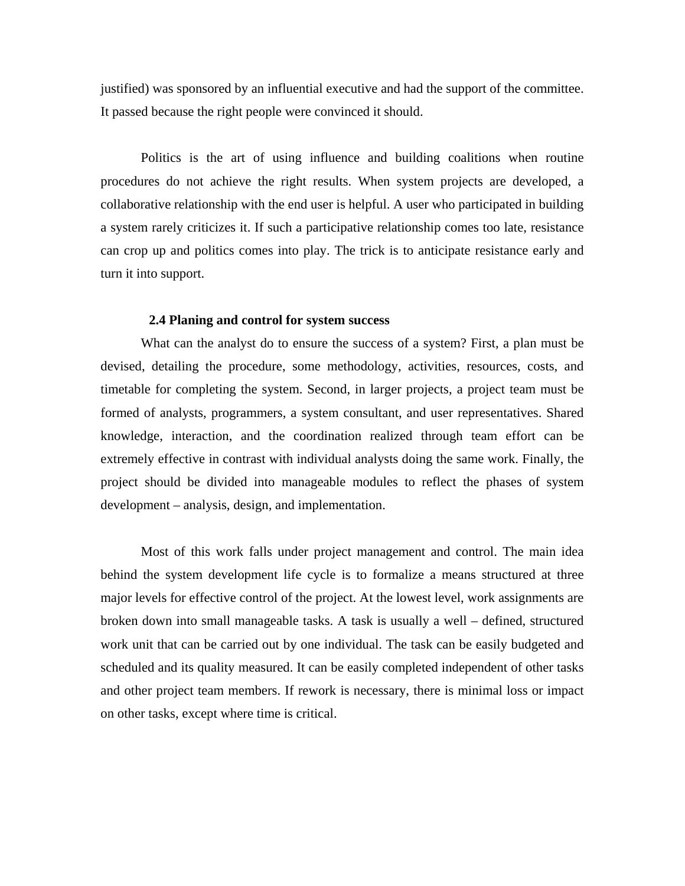justified) was sponsored by an influential executive and had the support of the committee. It passed because the right people were convinced it should.

 Politics is the art of using influence and building coalitions when routine procedures do not achieve the right results. When system projects are developed, a collaborative relationship with the end user is helpful. A user who participated in building a system rarely criticizes it. If such a participative relationship comes too late, resistance can crop up and politics comes into play. The trick is to anticipate resistance early and turn it into support.

#### **2.4 Planing and control for system success**

 What can the analyst do to ensure the success of a system? First, a plan must be devised, detailing the procedure, some methodology, activities, resources, costs, and timetable for completing the system. Second, in larger projects, a project team must be formed of analysts, programmers, a system consultant, and user representatives. Shared knowledge, interaction, and the coordination realized through team effort can be extremely effective in contrast with individual analysts doing the same work. Finally, the project should be divided into manageable modules to reflect the phases of system development – analysis, design, and implementation.

 Most of this work falls under project management and control. The main idea behind the system development life cycle is to formalize a means structured at three major levels for effective control of the project. At the lowest level, work assignments are broken down into small manageable tasks. A task is usually a well – defined, structured work unit that can be carried out by one individual. The task can be easily budgeted and scheduled and its quality measured. It can be easily completed independent of other tasks and other project team members. If rework is necessary, there is minimal loss or impact on other tasks, except where time is critical.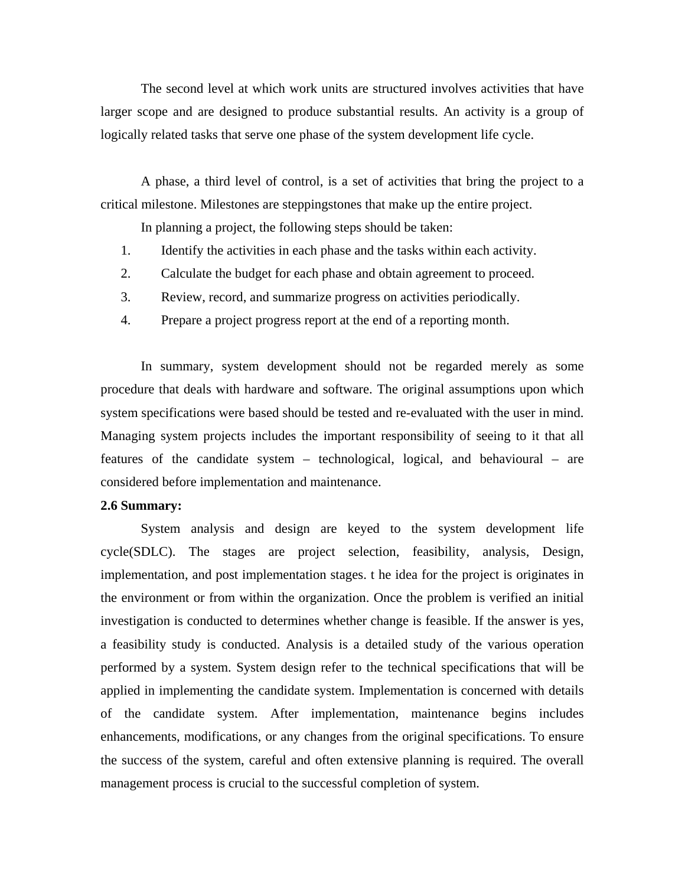The second level at which work units are structured involves activities that have larger scope and are designed to produce substantial results. An activity is a group of logically related tasks that serve one phase of the system development life cycle.

 A phase, a third level of control, is a set of activities that bring the project to a critical milestone. Milestones are steppingstones that make up the entire project.

In planning a project, the following steps should be taken:

- 1. Identify the activities in each phase and the tasks within each activity.
- 2. Calculate the budget for each phase and obtain agreement to proceed.
- 3. Review, record, and summarize progress on activities periodically.
- 4. Prepare a project progress report at the end of a reporting month.

In summary, system development should not be regarded merely as some procedure that deals with hardware and software. The original assumptions upon which system specifications were based should be tested and re-evaluated with the user in mind. Managing system projects includes the important responsibility of seeing to it that all features of the candidate system – technological, logical, and behavioural – are considered before implementation and maintenance.

#### **2.6 Summary:**

 System analysis and design are keyed to the system development life cycle(SDLC). The stages are project selection, feasibility, analysis, Design, implementation, and post implementation stages. t he idea for the project is originates in the environment or from within the organization. Once the problem is verified an initial investigation is conducted to determines whether change is feasible. If the answer is yes, a feasibility study is conducted. Analysis is a detailed study of the various operation performed by a system. System design refer to the technical specifications that will be applied in implementing the candidate system. Implementation is concerned with details of the candidate system. After implementation, maintenance begins includes enhancements, modifications, or any changes from the original specifications. To ensure the success of the system, careful and often extensive planning is required. The overall management process is crucial to the successful completion of system.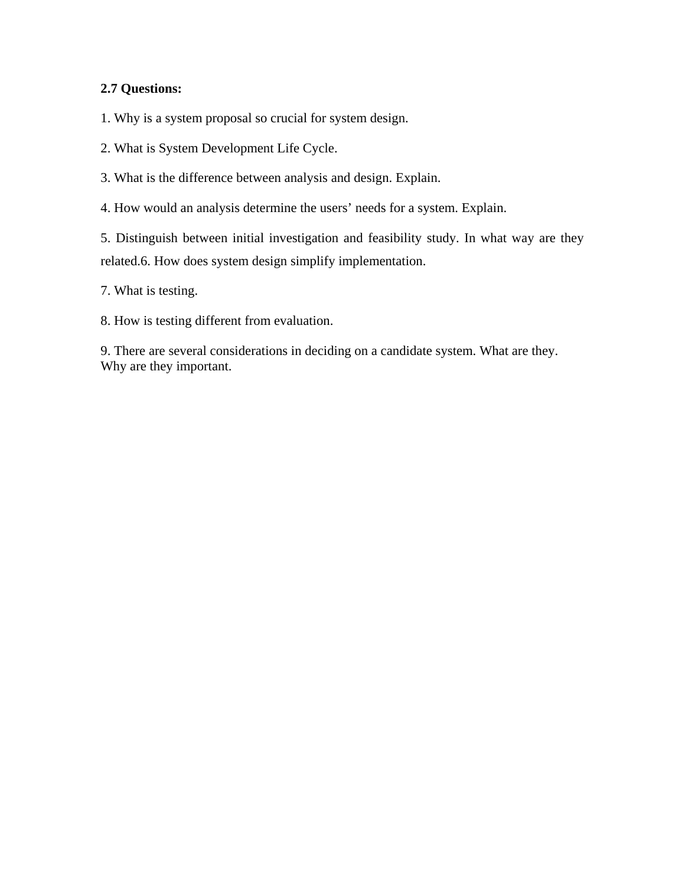# **2.7 Questions:**

1. Why is a system proposal so crucial for system design.

2. What is System Development Life Cycle.

3. What is the difference between analysis and design. Explain.

4. How would an analysis determine the users' needs for a system. Explain.

5. Distinguish between initial investigation and feasibility study. In what way are they related.6. How does system design simplify implementation.

7. What is testing.

8. How is testing different from evaluation.

9. There are several considerations in deciding on a candidate system. What are they. Why are they important.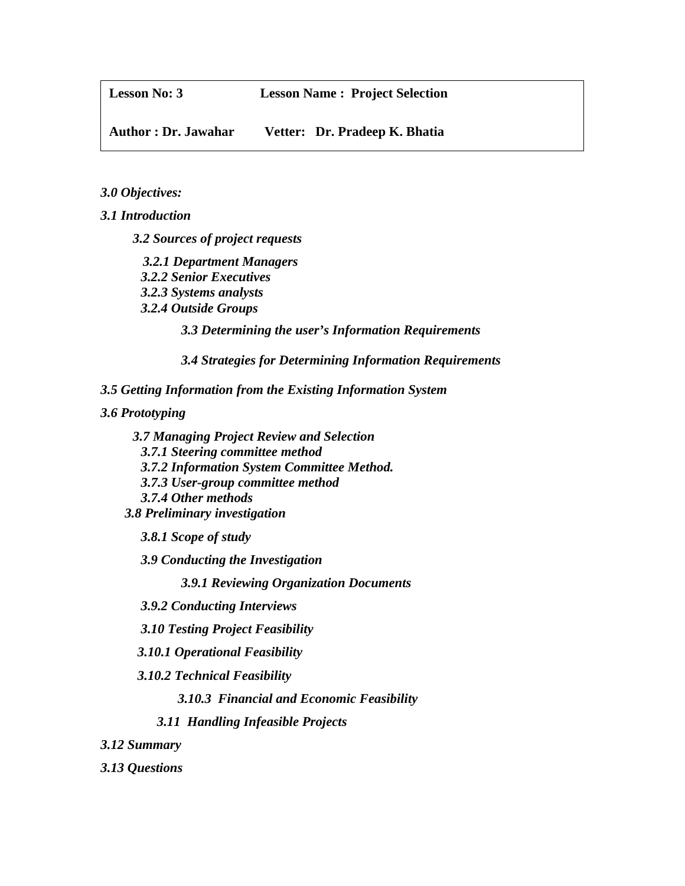**Author : Dr. Jawahar Vetter: Dr. Pradeep K. Bhatia** 

### *3.0 Objectives:*

#### *3.1 Introduction*

 *3.2 Sources of project requests* 

 *3.2.1 Department Managers* 

*3.2.2 Senior Executives* 

*3.2.3 Systems analysts* 

*3.2.4 Outside Groups* 

 *3.3 Determining the user's Information Requirements* 

 *3.4 Strategies for Determining Information Requirements* 

### *3.5 Getting Information from the Existing Information System*

- *3.6 Prototyping* 
	- *3.7 Managing Project Review and Selection 3.7.1 Steering committee method 3.7.2 Information System Committee Method. 3.7.3 User-group committee method 3.7.4 Other methods 3.8 Preliminary investigation 3.8.1 Scope of study*

 *3.9 Conducting the Investigation* 

 *3.9.1 Reviewing Organization Documents* 

 *3.9.2 Conducting Interviews* 

 *3.10 Testing Project Feasibility* 

 *3.10.1 Operational Feasibility* 

 *3.10.2 Technical Feasibility* 

 *3.10.3 Financial and Economic Feasibility* 

 *3.11 Handling Infeasible Projects* 

*3.12 Summary* 

*3.13 Questions*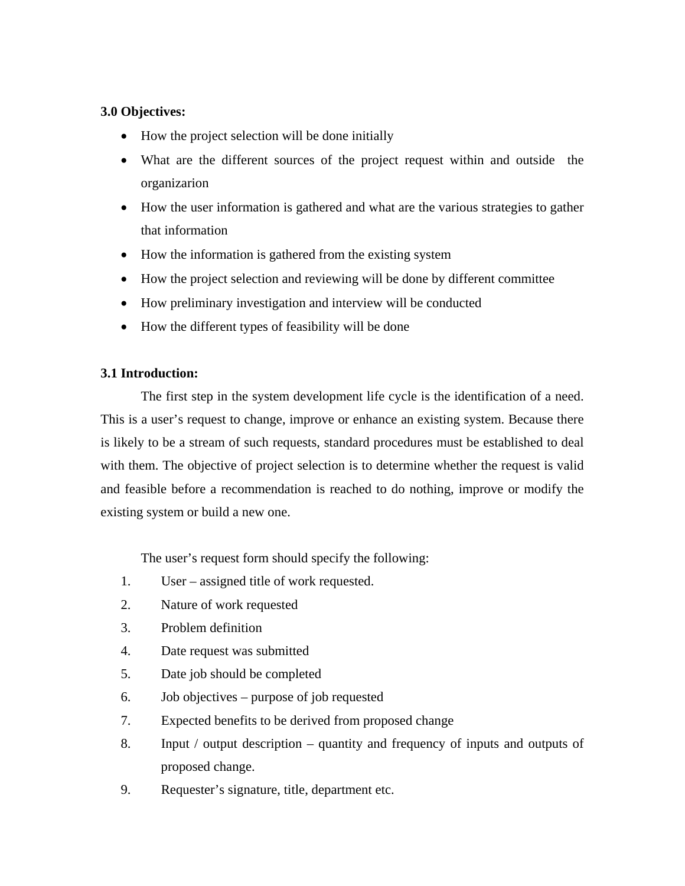# **3.0 Objectives:**

- How the project selection will be done initially
- What are the different sources of the project request within and outside the organizarion
- How the user information is gathered and what are the various strategies to gather that information
- How the information is gathered from the existing system
- How the project selection and reviewing will be done by different committee
- How preliminary investigation and interview will be conducted
- How the different types of feasibility will be done

# **3.1 Introduction:**

 The first step in the system development life cycle is the identification of a need. This is a user's request to change, improve or enhance an existing system. Because there is likely to be a stream of such requests, standard procedures must be established to deal with them. The objective of project selection is to determine whether the request is valid and feasible before a recommendation is reached to do nothing, improve or modify the existing system or build a new one.

The user's request form should specify the following:

- 1. User assigned title of work requested.
- 2. Nature of work requested
- 3. Problem definition
- 4. Date request was submitted
- 5. Date job should be completed
- 6. Job objectives purpose of job requested
- 7. Expected benefits to be derived from proposed change
- 8. Input / output description quantity and frequency of inputs and outputs of proposed change.
- 9. Requester's signature, title, department etc.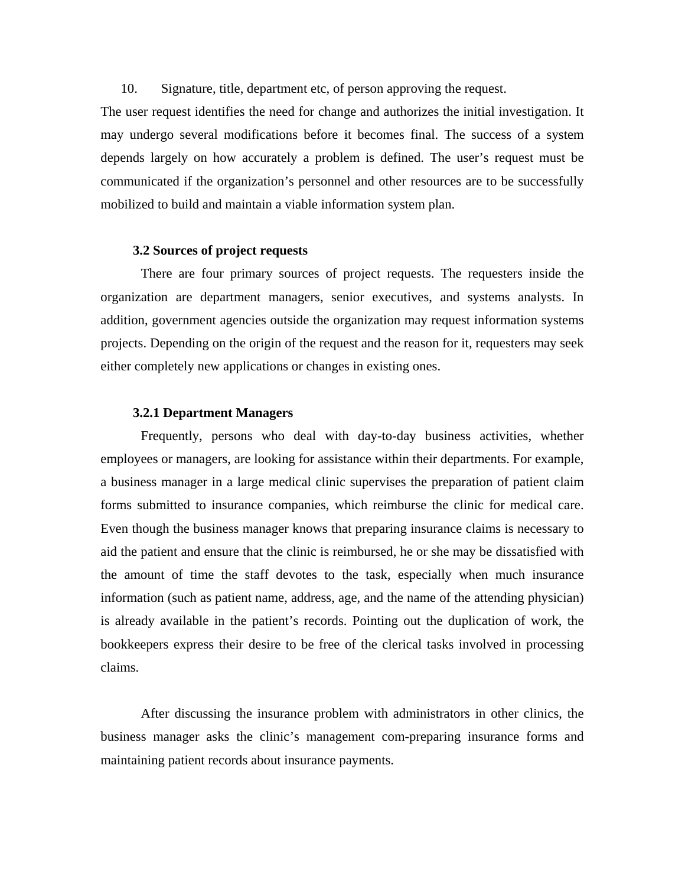10. Signature, title, department etc, of person approving the request.

The user request identifies the need for change and authorizes the initial investigation. It may undergo several modifications before it becomes final. The success of a system depends largely on how accurately a problem is defined. The user's request must be communicated if the organization's personnel and other resources are to be successfully mobilized to build and maintain a viable information system plan.

#### **3.2 Sources of project requests**

There are four primary sources of project requests. The requesters inside the organization are department managers, senior executives, and systems analysts. In addition, government agencies outside the organization may request information systems projects. Depending on the origin of the request and the reason for it, requesters may seek either completely new applications or changes in existing ones.

#### **3.2.1 Department Managers**

 Frequently, persons who deal with day-to-day business activities, whether employees or managers, are looking for assistance within their departments. For example, a business manager in a large medical clinic supervises the preparation of patient claim forms submitted to insurance companies, which reimburse the clinic for medical care. Even though the business manager knows that preparing insurance claims is necessary to aid the patient and ensure that the clinic is reimbursed, he or she may be dissatisfied with the amount of time the staff devotes to the task, especially when much insurance information (such as patient name, address, age, and the name of the attending physician) is already available in the patient's records. Pointing out the duplication of work, the bookkeepers express their desire to be free of the clerical tasks involved in processing claims.

 After discussing the insurance problem with administrators in other clinics, the business manager asks the clinic's management com-preparing insurance forms and maintaining patient records about insurance payments.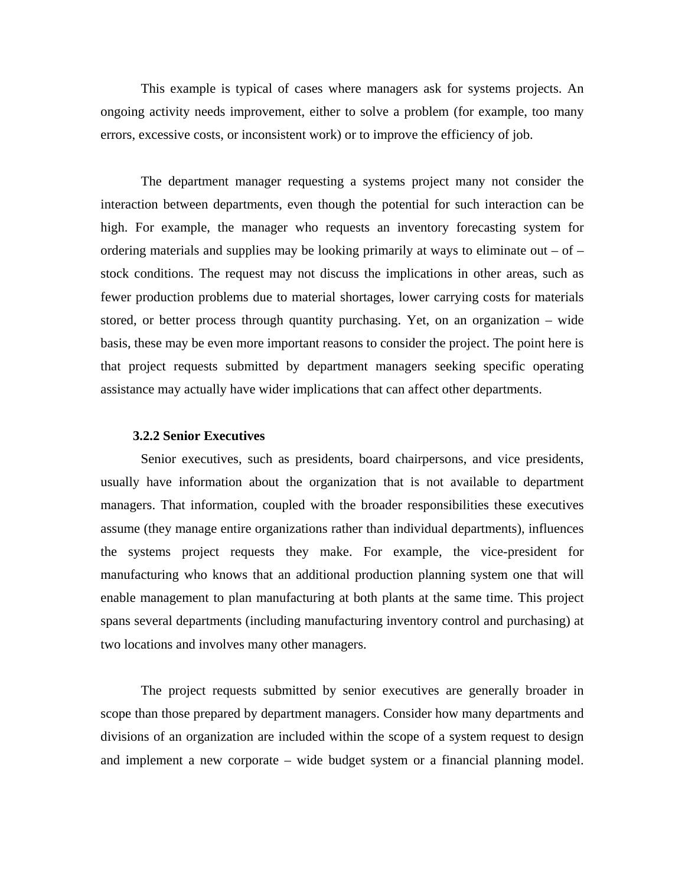This example is typical of cases where managers ask for systems projects. An ongoing activity needs improvement, either to solve a problem (for example, too many errors, excessive costs, or inconsistent work) or to improve the efficiency of job.

The department manager requesting a systems project many not consider the interaction between departments, even though the potential for such interaction can be high. For example, the manager who requests an inventory forecasting system for ordering materials and supplies may be looking primarily at ways to eliminate out – of – stock conditions. The request may not discuss the implications in other areas, such as fewer production problems due to material shortages, lower carrying costs for materials stored, or better process through quantity purchasing. Yet, on an organization – wide basis, these may be even more important reasons to consider the project. The point here is that project requests submitted by department managers seeking specific operating assistance may actually have wider implications that can affect other departments.

#### **3.2.2 Senior Executives**

 Senior executives, such as presidents, board chairpersons, and vice presidents, usually have information about the organization that is not available to department managers. That information, coupled with the broader responsibilities these executives assume (they manage entire organizations rather than individual departments), influences the systems project requests they make. For example, the vice-president for manufacturing who knows that an additional production planning system one that will enable management to plan manufacturing at both plants at the same time. This project spans several departments (including manufacturing inventory control and purchasing) at two locations and involves many other managers.

 The project requests submitted by senior executives are generally broader in scope than those prepared by department managers. Consider how many departments and divisions of an organization are included within the scope of a system request to design and implement a new corporate – wide budget system or a financial planning model.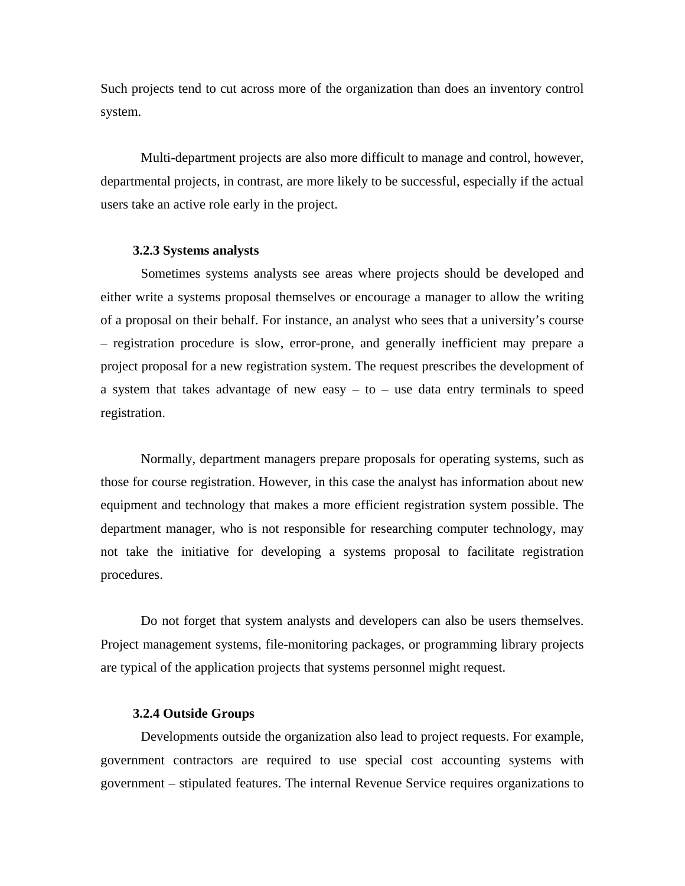Such projects tend to cut across more of the organization than does an inventory control system.

 Multi-department projects are also more difficult to manage and control, however, departmental projects, in contrast, are more likely to be successful, especially if the actual users take an active role early in the project.

#### **3.2.3 Systems analysts**

 Sometimes systems analysts see areas where projects should be developed and either write a systems proposal themselves or encourage a manager to allow the writing of a proposal on their behalf. For instance, an analyst who sees that a university's course – registration procedure is slow, error-prone, and generally inefficient may prepare a project proposal for a new registration system. The request prescribes the development of a system that takes advantage of new easy  $-$  to  $-$  use data entry terminals to speed registration.

 Normally, department managers prepare proposals for operating systems, such as those for course registration. However, in this case the analyst has information about new equipment and technology that makes a more efficient registration system possible. The department manager, who is not responsible for researching computer technology, may not take the initiative for developing a systems proposal to facilitate registration procedures.

 Do not forget that system analysts and developers can also be users themselves. Project management systems, file-monitoring packages, or programming library projects are typical of the application projects that systems personnel might request.

#### **3.2.4 Outside Groups**

 Developments outside the organization also lead to project requests. For example, government contractors are required to use special cost accounting systems with government – stipulated features. The internal Revenue Service requires organizations to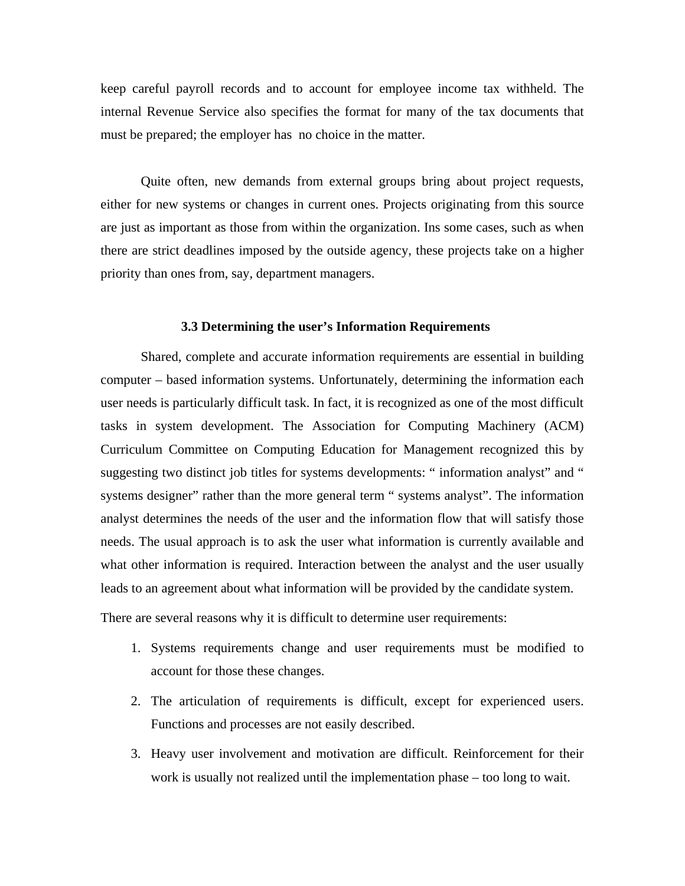keep careful payroll records and to account for employee income tax withheld. The internal Revenue Service also specifies the format for many of the tax documents that must be prepared; the employer has no choice in the matter.

 Quite often, new demands from external groups bring about project requests, either for new systems or changes in current ones. Projects originating from this source are just as important as those from within the organization. Ins some cases, such as when there are strict deadlines imposed by the outside agency, these projects take on a higher priority than ones from, say, department managers.

#### **3.3 Determining the user's Information Requirements**

Shared, complete and accurate information requirements are essential in building computer – based information systems. Unfortunately, determining the information each user needs is particularly difficult task. In fact, it is recognized as one of the most difficult tasks in system development. The Association for Computing Machinery (ACM) Curriculum Committee on Computing Education for Management recognized this by suggesting two distinct job titles for systems developments: " information analyst" and " systems designer" rather than the more general term " systems analyst". The information analyst determines the needs of the user and the information flow that will satisfy those needs. The usual approach is to ask the user what information is currently available and what other information is required. Interaction between the analyst and the user usually leads to an agreement about what information will be provided by the candidate system.

There are several reasons why it is difficult to determine user requirements:

- 1. Systems requirements change and user requirements must be modified to account for those these changes.
- 2. The articulation of requirements is difficult, except for experienced users. Functions and processes are not easily described.
- 3. Heavy user involvement and motivation are difficult. Reinforcement for their work is usually not realized until the implementation phase – too long to wait.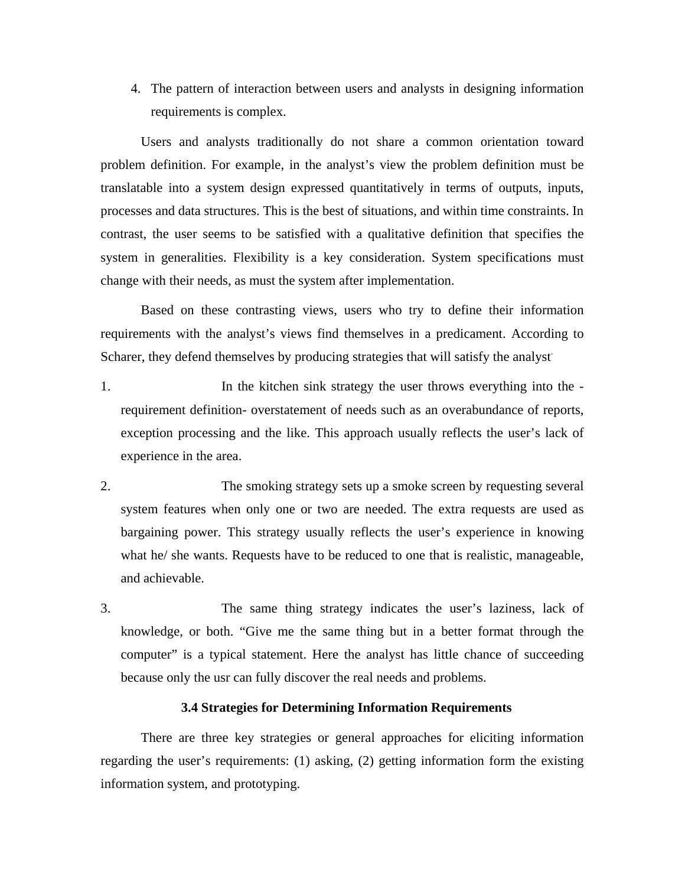4. The pattern of interaction between users and analysts in designing information requirements is complex.

Users and analysts traditionally do not share a common orientation toward problem definition. For example, in the analyst's view the problem definition must be translatable into a system design expressed quantitatively in terms of outputs, inputs, processes and data structures. This is the best of situations, and within time constraints. In contrast, the user seems to be satisfied with a qualitative definition that specifies the system in generalities. Flexibility is a key consideration. System specifications must change with their needs, as must the system after implementation.

Based on these contrasting views, users who try to define their information requirements with the analyst's views find themselves in a predicament. According to Scharer, they defend themselves by producing strategies that will satisfy the analyst.

- 1. In the kitchen sink strategy the user throws everything into the requirement definition- overstatement of needs such as an overabundance of reports, exception processing and the like. This approach usually reflects the user's lack of experience in the area.
- 2. The smoking strategy sets up a smoke screen by requesting several system features when only one or two are needed. The extra requests are used as bargaining power. This strategy usually reflects the user's experience in knowing what he/ she wants. Requests have to be reduced to one that is realistic, manageable, and achievable.
- 3. The same thing strategy indicates the user's laziness, lack of knowledge, or both. "Give me the same thing but in a better format through the computer" is a typical statement. Here the analyst has little chance of succeeding because only the usr can fully discover the real needs and problems.

### **3.4 Strategies for Determining Information Requirements**

There are three key strategies or general approaches for eliciting information regarding the user's requirements: (1) asking, (2) getting information form the existing information system, and prototyping.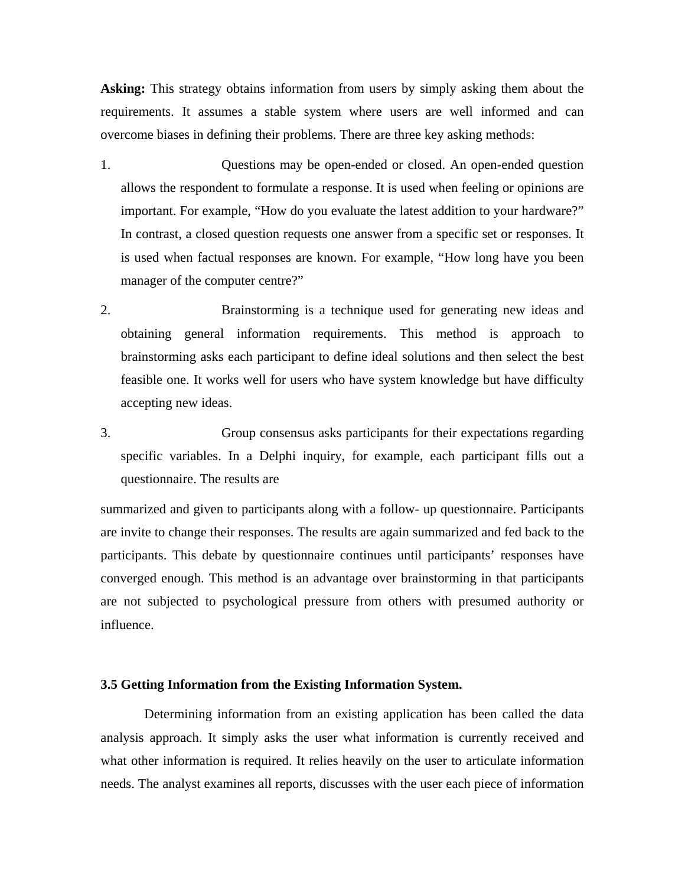**Asking:** This strategy obtains information from users by simply asking them about the requirements. It assumes a stable system where users are well informed and can overcome biases in defining their problems. There are three key asking methods:

- 1. Questions may be open-ended or closed. An open-ended question allows the respondent to formulate a response. It is used when feeling or opinions are important. For example, "How do you evaluate the latest addition to your hardware?" In contrast, a closed question requests one answer from a specific set or responses. It is used when factual responses are known. For example, "How long have you been manager of the computer centre?"
- 2. Brainstorming is a technique used for generating new ideas and obtaining general information requirements. This method is approach to brainstorming asks each participant to define ideal solutions and then select the best feasible one. It works well for users who have system knowledge but have difficulty accepting new ideas.
- 3. Group consensus asks participants for their expectations regarding specific variables. In a Delphi inquiry, for example, each participant fills out a questionnaire. The results are

summarized and given to participants along with a follow- up questionnaire. Participants are invite to change their responses. The results are again summarized and fed back to the participants. This debate by questionnaire continues until participants' responses have converged enough. This method is an advantage over brainstorming in that participants are not subjected to psychological pressure from others with presumed authority or influence.

### **3.5 Getting Information from the Existing Information System.**

Determining information from an existing application has been called the data analysis approach. It simply asks the user what information is currently received and what other information is required. It relies heavily on the user to articulate information needs. The analyst examines all reports, discusses with the user each piece of information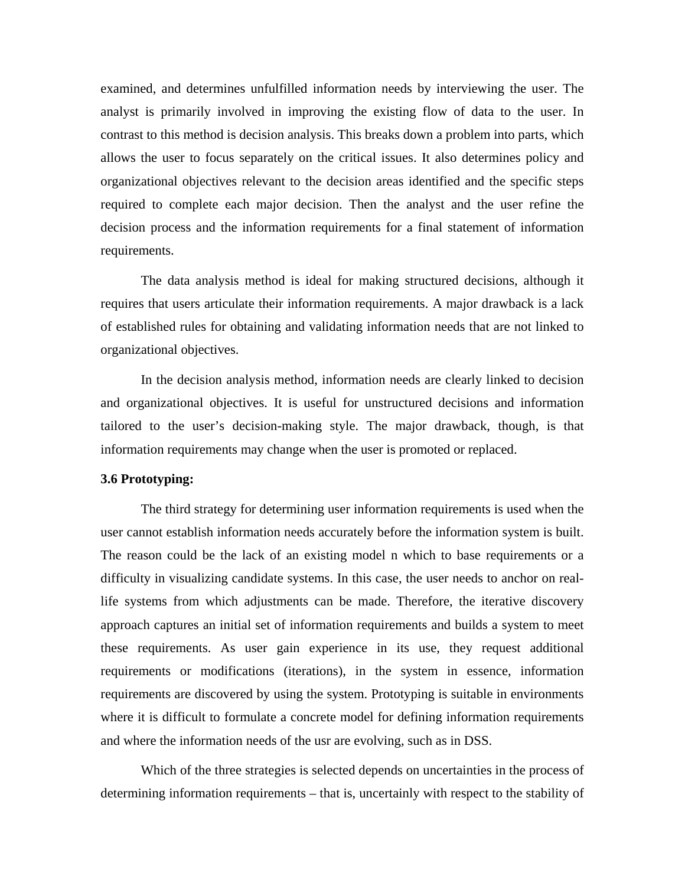examined, and determines unfulfilled information needs by interviewing the user. The analyst is primarily involved in improving the existing flow of data to the user. In contrast to this method is decision analysis. This breaks down a problem into parts, which allows the user to focus separately on the critical issues. It also determines policy and organizational objectives relevant to the decision areas identified and the specific steps required to complete each major decision. Then the analyst and the user refine the decision process and the information requirements for a final statement of information requirements.

The data analysis method is ideal for making structured decisions, although it requires that users articulate their information requirements. A major drawback is a lack of established rules for obtaining and validating information needs that are not linked to organizational objectives.

In the decision analysis method, information needs are clearly linked to decision and organizational objectives. It is useful for unstructured decisions and information tailored to the user's decision-making style. The major drawback, though, is that information requirements may change when the user is promoted or replaced.

### **3.6 Prototyping:**

The third strategy for determining user information requirements is used when the user cannot establish information needs accurately before the information system is built. The reason could be the lack of an existing model n which to base requirements or a difficulty in visualizing candidate systems. In this case, the user needs to anchor on reallife systems from which adjustments can be made. Therefore, the iterative discovery approach captures an initial set of information requirements and builds a system to meet these requirements. As user gain experience in its use, they request additional requirements or modifications (iterations), in the system in essence, information requirements are discovered by using the system. Prototyping is suitable in environments where it is difficult to formulate a concrete model for defining information requirements and where the information needs of the usr are evolving, such as in DSS.

Which of the three strategies is selected depends on uncertainties in the process of determining information requirements – that is, uncertainly with respect to the stability of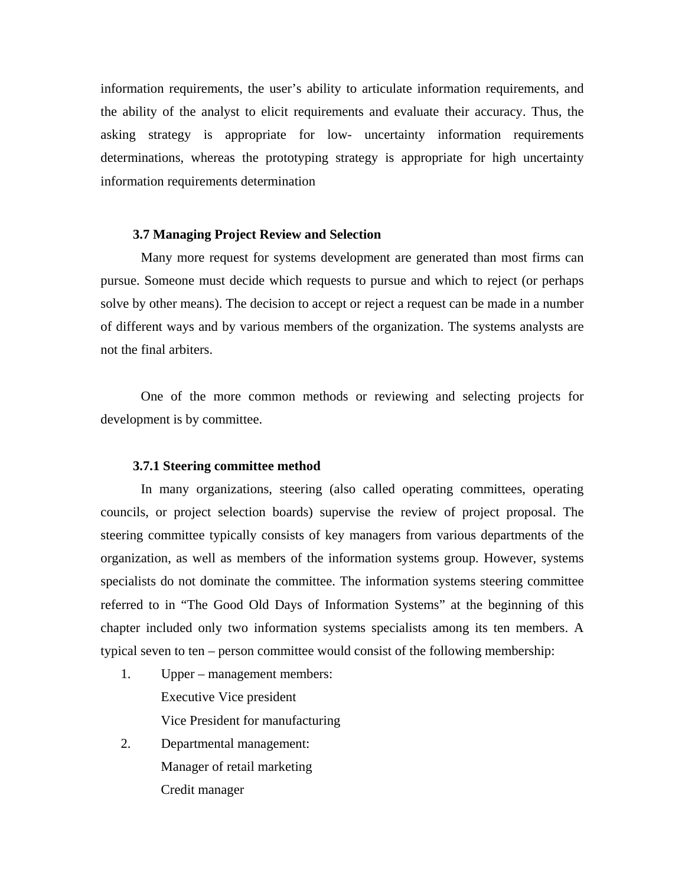information requirements, the user's ability to articulate information requirements, and the ability of the analyst to elicit requirements and evaluate their accuracy. Thus, the asking strategy is appropriate for low- uncertainty information requirements determinations, whereas the prototyping strategy is appropriate for high uncertainty information requirements determination

### **3.7 Managing Project Review and Selection**

 Many more request for systems development are generated than most firms can pursue. Someone must decide which requests to pursue and which to reject (or perhaps solve by other means). The decision to accept or reject a request can be made in a number of different ways and by various members of the organization. The systems analysts are not the final arbiters.

 One of the more common methods or reviewing and selecting projects for development is by committee.

#### **3.7.1 Steering committee method**

 In many organizations, steering (also called operating committees, operating councils, or project selection boards) supervise the review of project proposal. The steering committee typically consists of key managers from various departments of the organization, as well as members of the information systems group. However, systems specialists do not dominate the committee. The information systems steering committee referred to in "The Good Old Days of Information Systems" at the beginning of this chapter included only two information systems specialists among its ten members. A typical seven to ten – person committee would consist of the following membership:

- 1. Upper management members: Executive Vice president Vice President for manufacturing
- 2. Departmental management: Manager of retail marketing Credit manager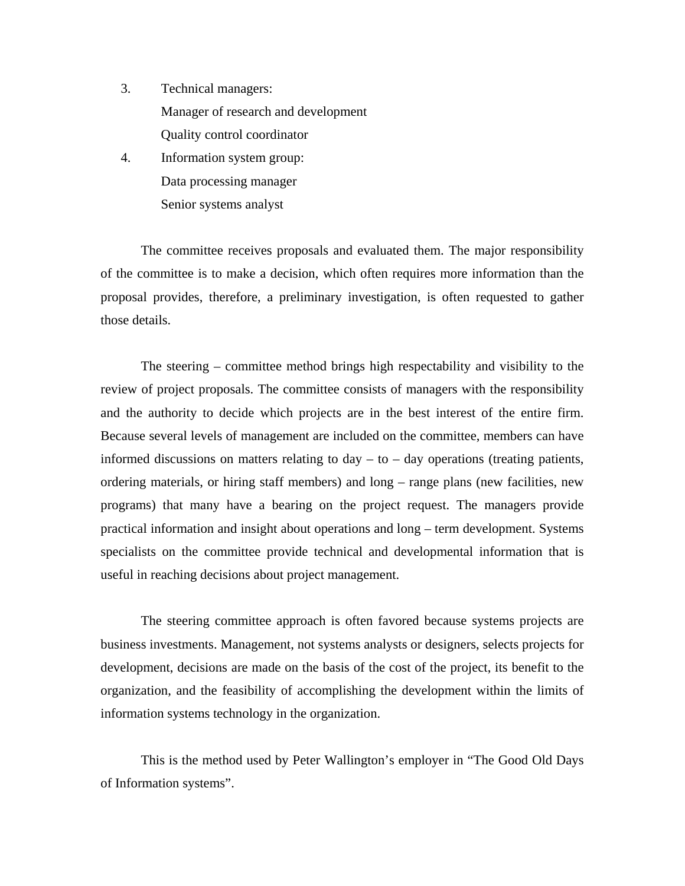- 3. Technical managers: Manager of research and development Quality control coordinator
- 4. Information system group: Data processing manager Senior systems analyst

 The committee receives proposals and evaluated them. The major responsibility of the committee is to make a decision, which often requires more information than the proposal provides, therefore, a preliminary investigation, is often requested to gather those details.

 The steering – committee method brings high respectability and visibility to the review of project proposals. The committee consists of managers with the responsibility and the authority to decide which projects are in the best interest of the entire firm. Because several levels of management are included on the committee, members can have informed discussions on matters relating to  $day - to - day$  operations (treating patients, ordering materials, or hiring staff members) and long – range plans (new facilities, new programs) that many have a bearing on the project request. The managers provide practical information and insight about operations and long – term development. Systems specialists on the committee provide technical and developmental information that is useful in reaching decisions about project management.

 The steering committee approach is often favored because systems projects are business investments. Management, not systems analysts or designers, selects projects for development, decisions are made on the basis of the cost of the project, its benefit to the organization, and the feasibility of accomplishing the development within the limits of information systems technology in the organization.

 This is the method used by Peter Wallington's employer in "The Good Old Days of Information systems".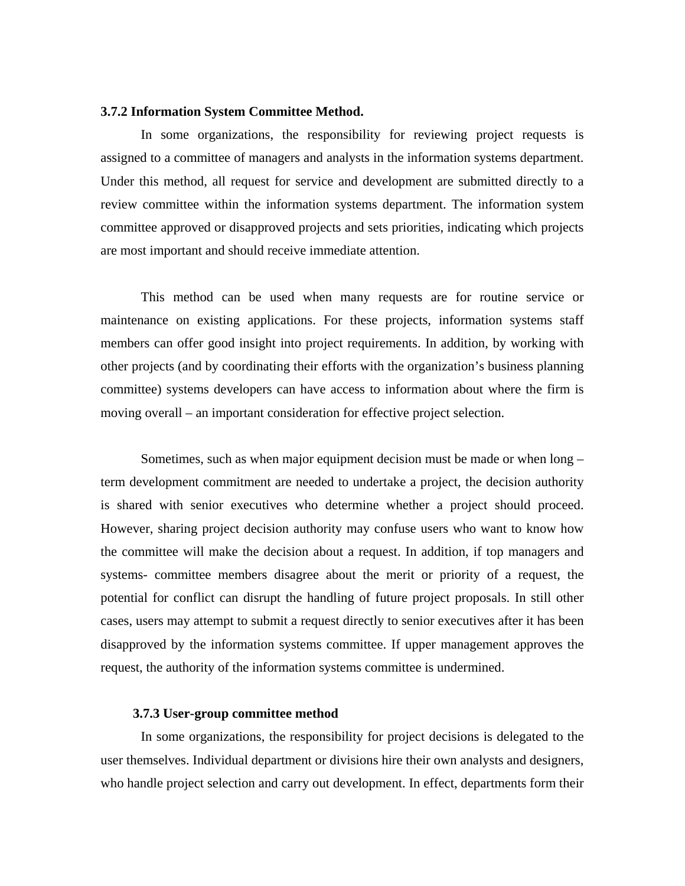#### **3.7.2 Information System Committee Method.**

 In some organizations, the responsibility for reviewing project requests is assigned to a committee of managers and analysts in the information systems department. Under this method, all request for service and development are submitted directly to a review committee within the information systems department. The information system committee approved or disapproved projects and sets priorities, indicating which projects are most important and should receive immediate attention.

 This method can be used when many requests are for routine service or maintenance on existing applications. For these projects, information systems staff members can offer good insight into project requirements. In addition, by working with other projects (and by coordinating their efforts with the organization's business planning committee) systems developers can have access to information about where the firm is moving overall – an important consideration for effective project selection.

 Sometimes, such as when major equipment decision must be made or when long – term development commitment are needed to undertake a project, the decision authority is shared with senior executives who determine whether a project should proceed. However, sharing project decision authority may confuse users who want to know how the committee will make the decision about a request. In addition, if top managers and systems- committee members disagree about the merit or priority of a request, the potential for conflict can disrupt the handling of future project proposals. In still other cases, users may attempt to submit a request directly to senior executives after it has been disapproved by the information systems committee. If upper management approves the request, the authority of the information systems committee is undermined.

### **3.7.3 User-group committee method**

 In some organizations, the responsibility for project decisions is delegated to the user themselves. Individual department or divisions hire their own analysts and designers, who handle project selection and carry out development. In effect, departments form their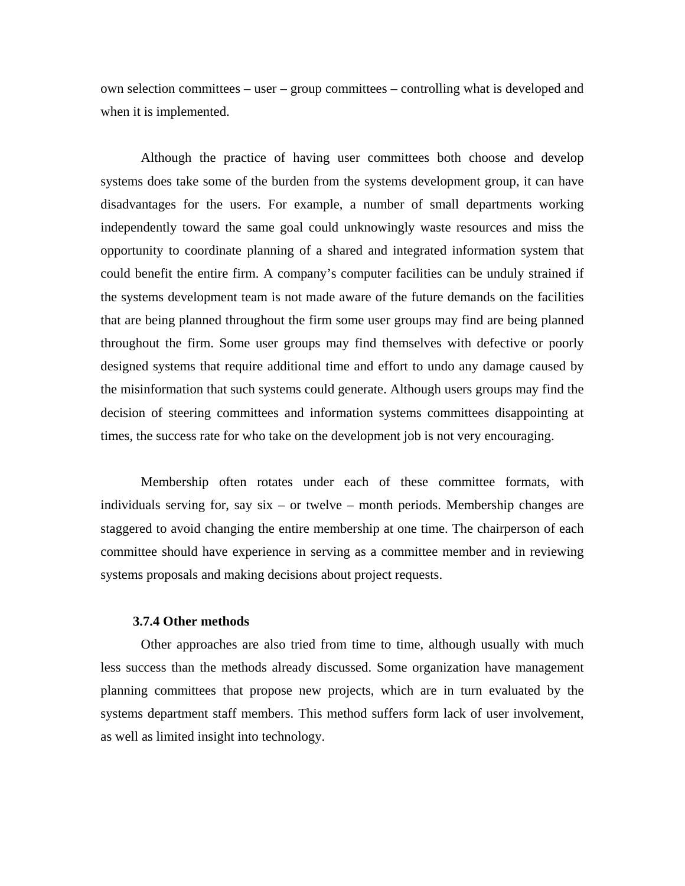own selection committees – user – group committees – controlling what is developed and when it is implemented.

 Although the practice of having user committees both choose and develop systems does take some of the burden from the systems development group, it can have disadvantages for the users. For example, a number of small departments working independently toward the same goal could unknowingly waste resources and miss the opportunity to coordinate planning of a shared and integrated information system that could benefit the entire firm. A company's computer facilities can be unduly strained if the systems development team is not made aware of the future demands on the facilities that are being planned throughout the firm some user groups may find are being planned throughout the firm. Some user groups may find themselves with defective or poorly designed systems that require additional time and effort to undo any damage caused by the misinformation that such systems could generate. Although users groups may find the decision of steering committees and information systems committees disappointing at times, the success rate for who take on the development job is not very encouraging.

 Membership often rotates under each of these committee formats, with individuals serving for, say six – or twelve – month periods. Membership changes are staggered to avoid changing the entire membership at one time. The chairperson of each committee should have experience in serving as a committee member and in reviewing systems proposals and making decisions about project requests.

### **3.7.4 Other methods**

 Other approaches are also tried from time to time, although usually with much less success than the methods already discussed. Some organization have management planning committees that propose new projects, which are in turn evaluated by the systems department staff members. This method suffers form lack of user involvement, as well as limited insight into technology.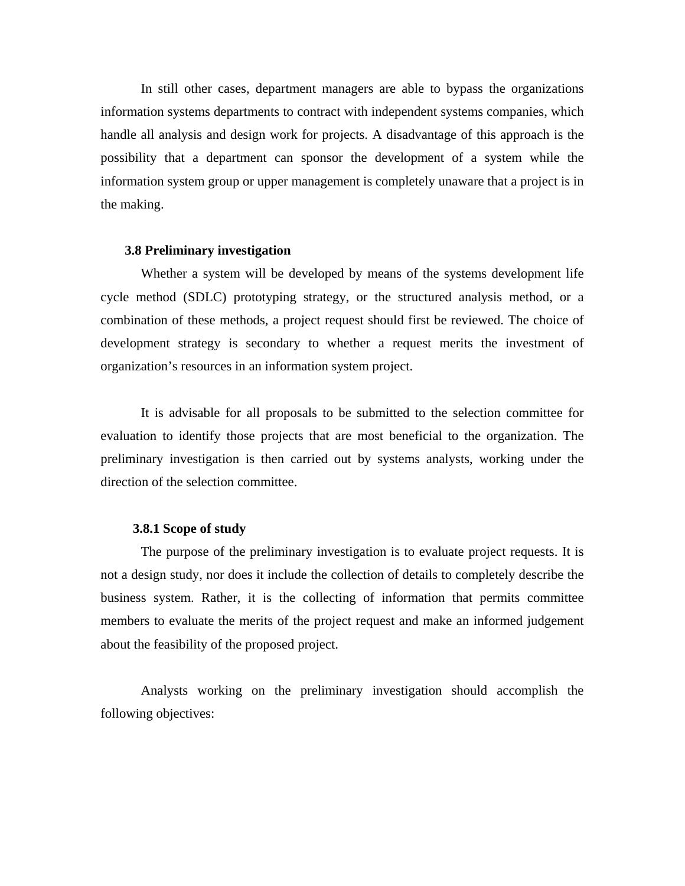In still other cases, department managers are able to bypass the organizations information systems departments to contract with independent systems companies, which handle all analysis and design work for projects. A disadvantage of this approach is the possibility that a department can sponsor the development of a system while the information system group or upper management is completely unaware that a project is in the making.

#### **3.8 Preliminary investigation**

 Whether a system will be developed by means of the systems development life cycle method (SDLC) prototyping strategy, or the structured analysis method, or a combination of these methods, a project request should first be reviewed. The choice of development strategy is secondary to whether a request merits the investment of organization's resources in an information system project.

 It is advisable for all proposals to be submitted to the selection committee for evaluation to identify those projects that are most beneficial to the organization. The preliminary investigation is then carried out by systems analysts, working under the direction of the selection committee.

#### **3.8.1 Scope of study**

 The purpose of the preliminary investigation is to evaluate project requests. It is not a design study, nor does it include the collection of details to completely describe the business system. Rather, it is the collecting of information that permits committee members to evaluate the merits of the project request and make an informed judgement about the feasibility of the proposed project.

 Analysts working on the preliminary investigation should accomplish the following objectives: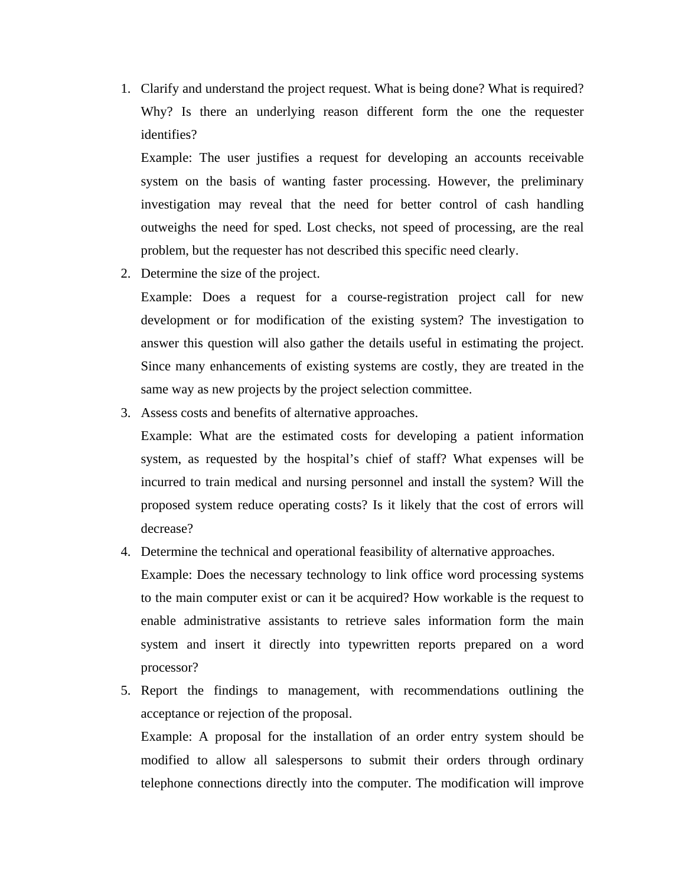1. Clarify and understand the project request. What is being done? What is required? Why? Is there an underlying reason different form the one the requester identifies?

Example: The user justifies a request for developing an accounts receivable system on the basis of wanting faster processing. However, the preliminary investigation may reveal that the need for better control of cash handling outweighs the need for sped. Lost checks, not speed of processing, are the real problem, but the requester has not described this specific need clearly.

2. Determine the size of the project.

Example: Does a request for a course-registration project call for new development or for modification of the existing system? The investigation to answer this question will also gather the details useful in estimating the project. Since many enhancements of existing systems are costly, they are treated in the same way as new projects by the project selection committee.

3. Assess costs and benefits of alternative approaches.

Example: What are the estimated costs for developing a patient information system, as requested by the hospital's chief of staff? What expenses will be incurred to train medical and nursing personnel and install the system? Will the proposed system reduce operating costs? Is it likely that the cost of errors will decrease?

4. Determine the technical and operational feasibility of alternative approaches.

Example: Does the necessary technology to link office word processing systems to the main computer exist or can it be acquired? How workable is the request to enable administrative assistants to retrieve sales information form the main system and insert it directly into typewritten reports prepared on a word processor?

5. Report the findings to management, with recommendations outlining the acceptance or rejection of the proposal.

Example: A proposal for the installation of an order entry system should be modified to allow all salespersons to submit their orders through ordinary telephone connections directly into the computer. The modification will improve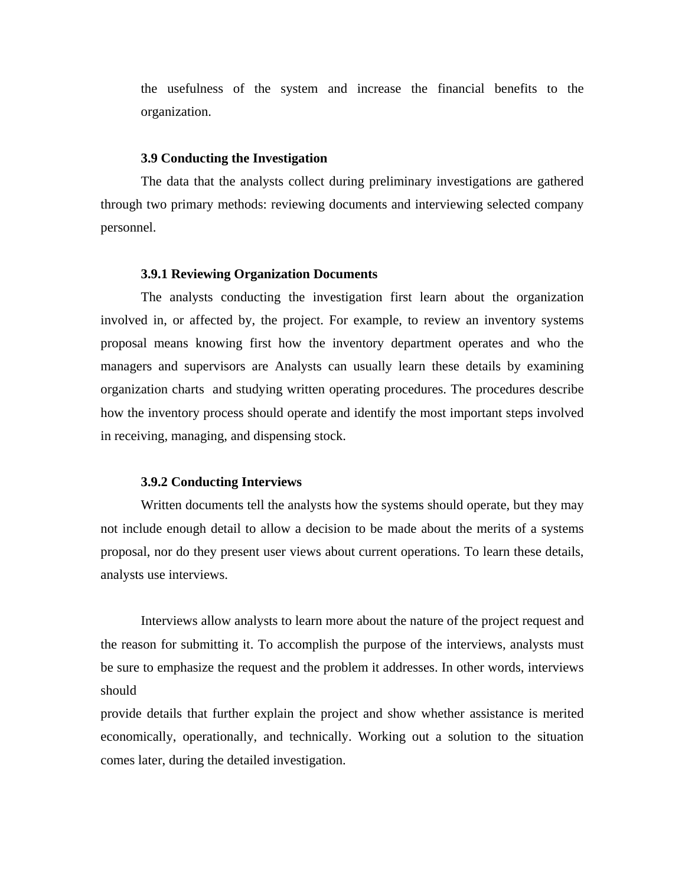the usefulness of the system and increase the financial benefits to the organization.

#### **3.9 Conducting the Investigation**

The data that the analysts collect during preliminary investigations are gathered through two primary methods: reviewing documents and interviewing selected company personnel.

#### **3.9.1 Reviewing Organization Documents**

The analysts conducting the investigation first learn about the organization involved in, or affected by, the project. For example, to review an inventory systems proposal means knowing first how the inventory department operates and who the managers and supervisors are Analysts can usually learn these details by examining organization charts and studying written operating procedures. The procedures describe how the inventory process should operate and identify the most important steps involved in receiving, managing, and dispensing stock.

### **3.9.2 Conducting Interviews**

Written documents tell the analysts how the systems should operate, but they may not include enough detail to allow a decision to be made about the merits of a systems proposal, nor do they present user views about current operations. To learn these details, analysts use interviews.

Interviews allow analysts to learn more about the nature of the project request and the reason for submitting it. To accomplish the purpose of the interviews, analysts must be sure to emphasize the request and the problem it addresses. In other words, interviews should

provide details that further explain the project and show whether assistance is merited economically, operationally, and technically. Working out a solution to the situation comes later, during the detailed investigation.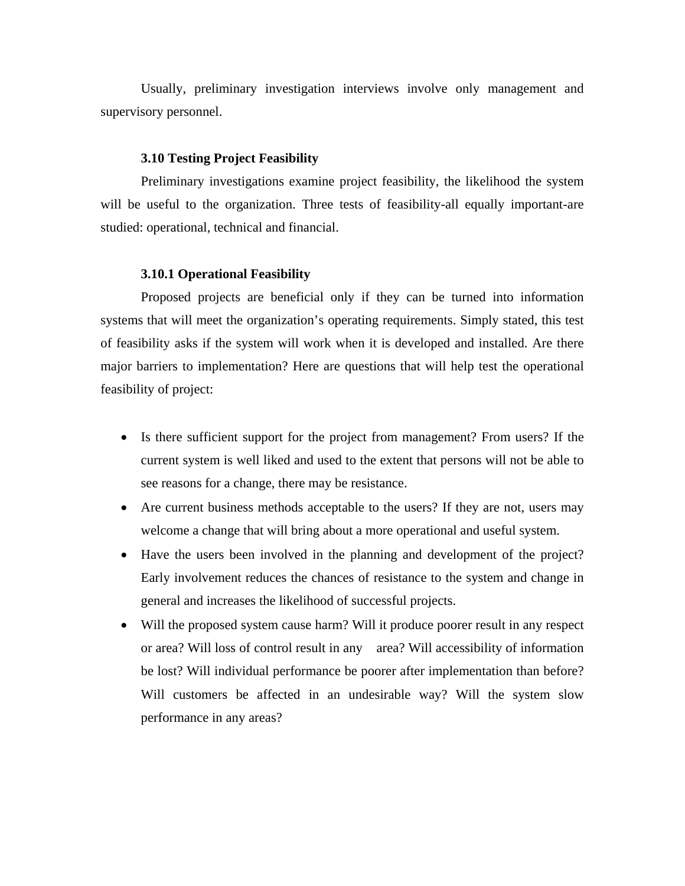Usually, preliminary investigation interviews involve only management and supervisory personnel.

### **3.10 Testing Project Feasibility**

Preliminary investigations examine project feasibility, the likelihood the system will be useful to the organization. Three tests of feasibility-all equally important-are studied: operational, technical and financial.

### **3.10.1 Operational Feasibility**

Proposed projects are beneficial only if they can be turned into information systems that will meet the organization's operating requirements. Simply stated, this test of feasibility asks if the system will work when it is developed and installed. Are there major barriers to implementation? Here are questions that will help test the operational feasibility of project:

- Is there sufficient support for the project from management? From users? If the current system is well liked and used to the extent that persons will not be able to see reasons for a change, there may be resistance.
- Are current business methods acceptable to the users? If they are not, users may welcome a change that will bring about a more operational and useful system.
- Have the users been involved in the planning and development of the project? Early involvement reduces the chances of resistance to the system and change in general and increases the likelihood of successful projects.
- Will the proposed system cause harm? Will it produce poorer result in any respect or area? Will loss of control result in any area? Will accessibility of information be lost? Will individual performance be poorer after implementation than before? Will customers be affected in an undesirable way? Will the system slow performance in any areas?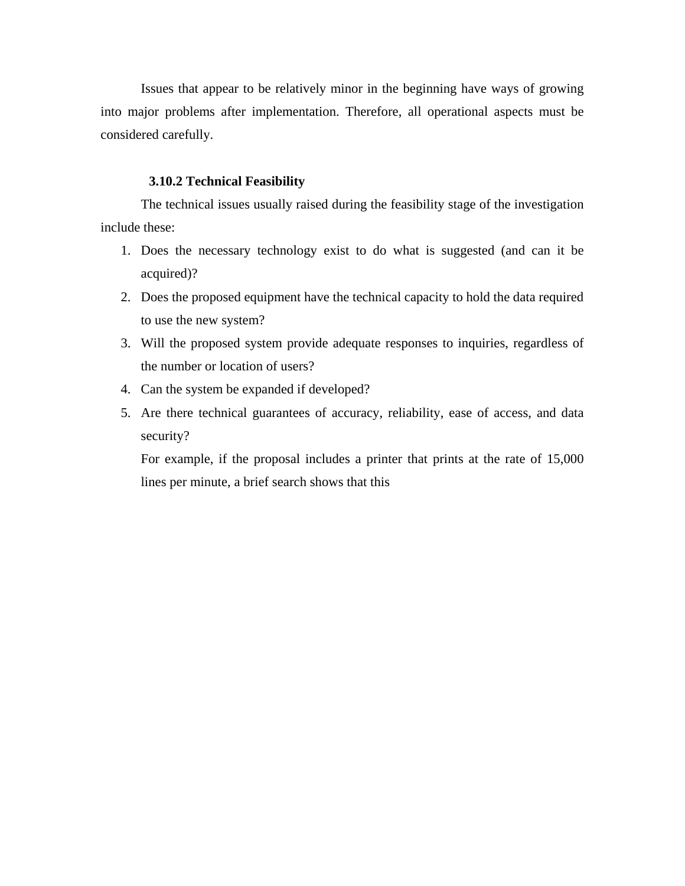Issues that appear to be relatively minor in the beginning have ways of growing into major problems after implementation. Therefore, all operational aspects must be considered carefully.

### **3.10.2 Technical Feasibility**

The technical issues usually raised during the feasibility stage of the investigation include these:

- 1. Does the necessary technology exist to do what is suggested (and can it be acquired)?
- 2. Does the proposed equipment have the technical capacity to hold the data required to use the new system?
- 3. Will the proposed system provide adequate responses to inquiries, regardless of the number or location of users?
- 4. Can the system be expanded if developed?
- 5. Are there technical guarantees of accuracy, reliability, ease of access, and data security?

For example, if the proposal includes a printer that prints at the rate of 15,000 lines per minute, a brief search shows that this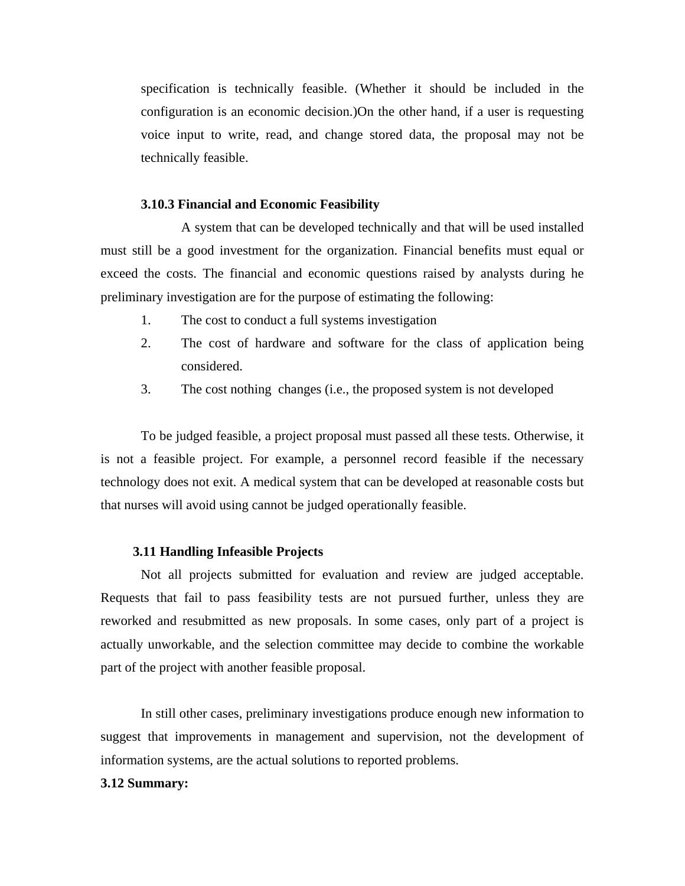specification is technically feasible. (Whether it should be included in the configuration is an economic decision.)On the other hand, if a user is requesting voice input to write, read, and change stored data, the proposal may not be technically feasible.

### **3.10.3 Financial and Economic Feasibility**

 A system that can be developed technically and that will be used installed must still be a good investment for the organization. Financial benefits must equal or exceed the costs. The financial and economic questions raised by analysts during he preliminary investigation are for the purpose of estimating the following:

- 1. The cost to conduct a full systems investigation
- 2. The cost of hardware and software for the class of application being considered.
- 3. The cost nothing changes (i.e., the proposed system is not developed

To be judged feasible, a project proposal must passed all these tests. Otherwise, it is not a feasible project. For example, a personnel record feasible if the necessary technology does not exit. A medical system that can be developed at reasonable costs but that nurses will avoid using cannot be judged operationally feasible.

### **3.11 Handling Infeasible Projects**

 Not all projects submitted for evaluation and review are judged acceptable. Requests that fail to pass feasibility tests are not pursued further, unless they are reworked and resubmitted as new proposals. In some cases, only part of a project is actually unworkable, and the selection committee may decide to combine the workable part of the project with another feasible proposal.

 In still other cases, preliminary investigations produce enough new information to suggest that improvements in management and supervision, not the development of information systems, are the actual solutions to reported problems.

### **3.12 Summary:**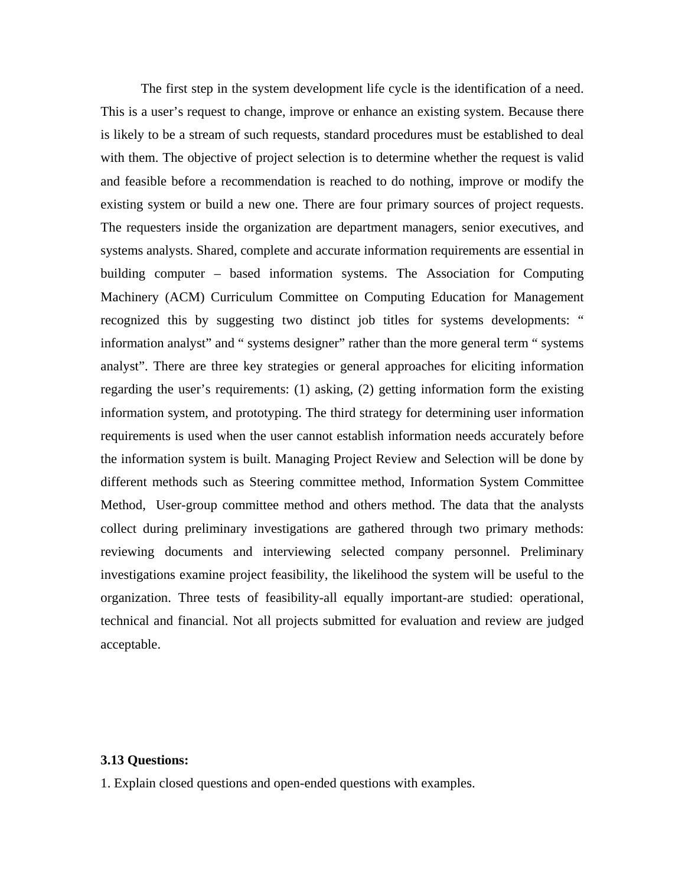The first step in the system development life cycle is the identification of a need. This is a user's request to change, improve or enhance an existing system. Because there is likely to be a stream of such requests, standard procedures must be established to deal with them. The objective of project selection is to determine whether the request is valid and feasible before a recommendation is reached to do nothing, improve or modify the existing system or build a new one. There are four primary sources of project requests. The requesters inside the organization are department managers, senior executives, and systems analysts. Shared, complete and accurate information requirements are essential in building computer – based information systems. The Association for Computing Machinery (ACM) Curriculum Committee on Computing Education for Management recognized this by suggesting two distinct job titles for systems developments: " information analyst" and " systems designer" rather than the more general term " systems analyst". There are three key strategies or general approaches for eliciting information regarding the user's requirements: (1) asking, (2) getting information form the existing information system, and prototyping. The third strategy for determining user information requirements is used when the user cannot establish information needs accurately before the information system is built. Managing Project Review and Selection will be done by different methods such as Steering committee method, Information System Committee Method, User-group committee method and others method. The data that the analysts collect during preliminary investigations are gathered through two primary methods: reviewing documents and interviewing selected company personnel. Preliminary investigations examine project feasibility, the likelihood the system will be useful to the organization. Three tests of feasibility-all equally important-are studied: operational, technical and financial. Not all projects submitted for evaluation and review are judged acceptable.

### **3.13 Questions:**

1. Explain closed questions and open-ended questions with examples.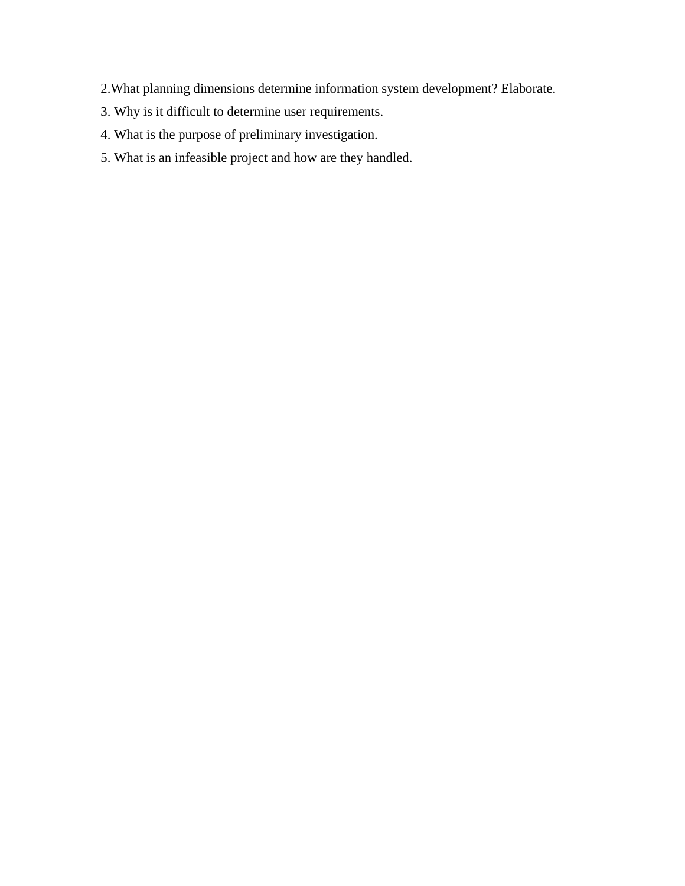- 2.What planning dimensions determine information system development? Elaborate.
- 3. Why is it difficult to determine user requirements.
- 4. What is the purpose of preliminary investigation.
- 5. What is an infeasible project and how are they handled.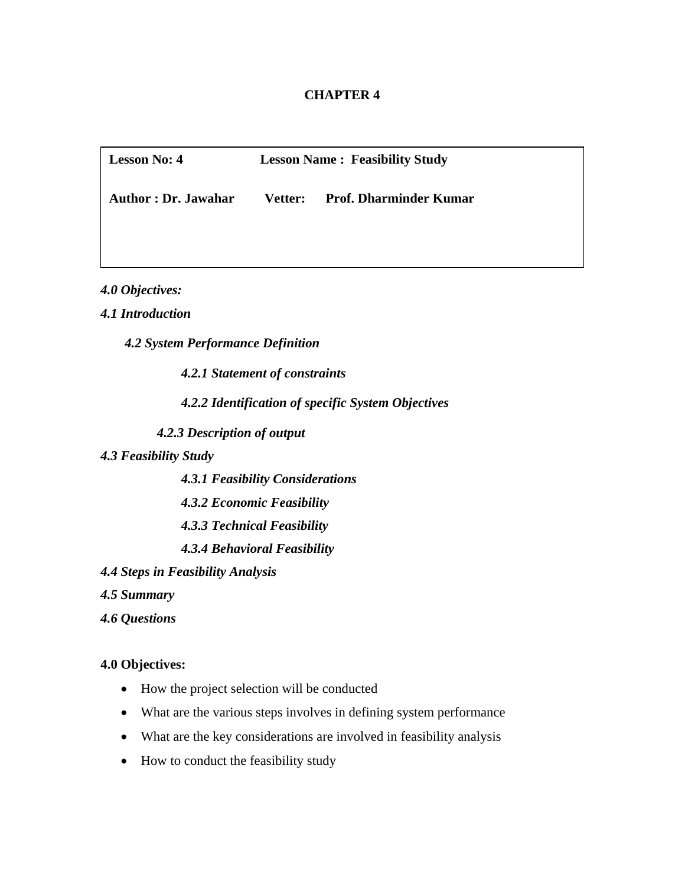# **CHAPTER 4**

| <b>Lesson No: 4</b> | <b>Lesson Name: Feasibility Study</b> |
|---------------------|---------------------------------------|
|                     |                                       |

**Author : Dr. Jawahar Vetter: Prof. Dharminder Kumar** 

*4.0 Objectives:* 

# *4.1 Introduction*

 *4.2 System Performance Definition* 

- *4.2.1 Statement of constraints*
- *4.2.2 Identification of specific System Objectives*
- *4.2.3 Description of output*

# *4.3 Feasibility Study*

- *4.3.1 Feasibility Considerations*
- *4.3.2 Economic Feasibility*
- *4.3.3 Technical Feasibility*
- *4.3.4 Behavioral Feasibility*
- *4.4 Steps in Feasibility Analysis*
- *4.5 Summary*
- *4.6 Questions*

### **4.0 Objectives:**

- How the project selection will be conducted
- What are the various steps involves in defining system performance
- What are the key considerations are involved in feasibility analysis
- How to conduct the feasibility study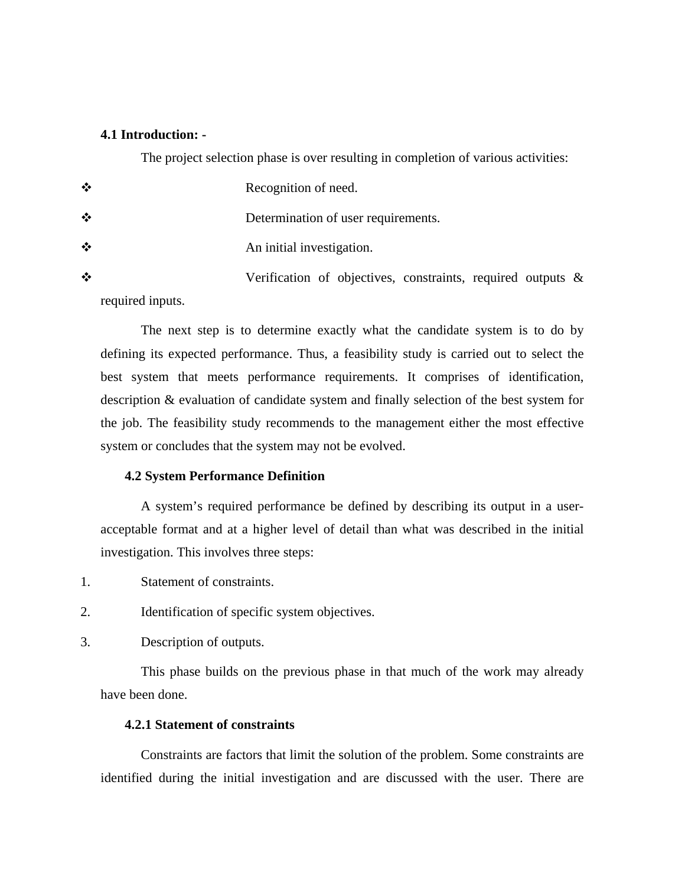### **4.1 Introduction: -**

The project selection phase is over resulting in completion of various activities:

| $\cdot$   | Recognition of need.                                           |  |  |
|-----------|----------------------------------------------------------------|--|--|
| $\cdot$   | Determination of user requirements.                            |  |  |
| $\bullet$ | An initial investigation.                                      |  |  |
| $\cdot$   | Verification of objectives, constraints, required outputs $\&$ |  |  |
|           |                                                                |  |  |

required inputs.

The next step is to determine exactly what the candidate system is to do by defining its expected performance. Thus, a feasibility study is carried out to select the best system that meets performance requirements. It comprises of identification, description & evaluation of candidate system and finally selection of the best system for the job. The feasibility study recommends to the management either the most effective system or concludes that the system may not be evolved.

### **4.2 System Performance Definition**

A system's required performance be defined by describing its output in a useracceptable format and at a higher level of detail than what was described in the initial investigation. This involves three steps:

- 1. Statement of constraints.
- 2. Identification of specific system objectives.
- 3. Description of outputs.

This phase builds on the previous phase in that much of the work may already have been done.

#### **4.2.1 Statement of constraints**

Constraints are factors that limit the solution of the problem. Some constraints are identified during the initial investigation and are discussed with the user. There are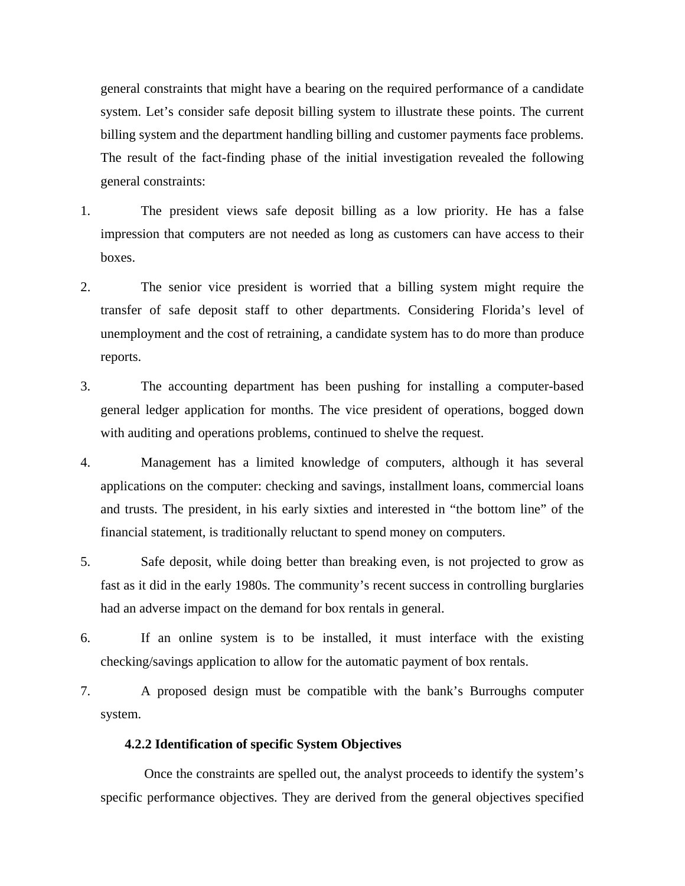general constraints that might have a bearing on the required performance of a candidate system. Let's consider safe deposit billing system to illustrate these points. The current billing system and the department handling billing and customer payments face problems. The result of the fact-finding phase of the initial investigation revealed the following general constraints:

- 1. The president views safe deposit billing as a low priority. He has a false impression that computers are not needed as long as customers can have access to their boxes.
- 2. The senior vice president is worried that a billing system might require the transfer of safe deposit staff to other departments. Considering Florida's level of unemployment and the cost of retraining, a candidate system has to do more than produce reports.
- 3. The accounting department has been pushing for installing a computer-based general ledger application for months. The vice president of operations, bogged down with auditing and operations problems, continued to shelve the request.
- 4. Management has a limited knowledge of computers, although it has several applications on the computer: checking and savings, installment loans, commercial loans and trusts. The president, in his early sixties and interested in "the bottom line" of the financial statement, is traditionally reluctant to spend money on computers.
- 5. Safe deposit, while doing better than breaking even, is not projected to grow as fast as it did in the early 1980s. The community's recent success in controlling burglaries had an adverse impact on the demand for box rentals in general.
- 6. If an online system is to be installed, it must interface with the existing checking/savings application to allow for the automatic payment of box rentals.
- 7. A proposed design must be compatible with the bank's Burroughs computer system.

### **4.2.2 Identification of specific System Objectives**

 Once the constraints are spelled out, the analyst proceeds to identify the system's specific performance objectives. They are derived from the general objectives specified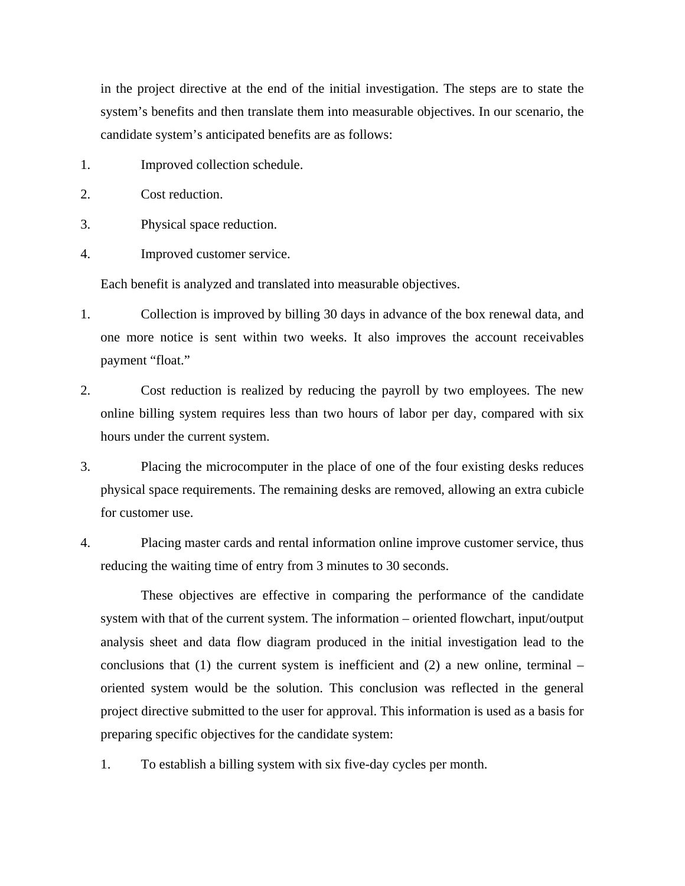in the project directive at the end of the initial investigation. The steps are to state the system's benefits and then translate them into measurable objectives. In our scenario, the candidate system's anticipated benefits are as follows:

- 1. Improved collection schedule.
- 2. Cost reduction.
- 3. Physical space reduction.
- 4. Improved customer service.

Each benefit is analyzed and translated into measurable objectives.

- 1. Collection is improved by billing 30 days in advance of the box renewal data, and one more notice is sent within two weeks. It also improves the account receivables payment "float."
- 2. Cost reduction is realized by reducing the payroll by two employees. The new online billing system requires less than two hours of labor per day, compared with six hours under the current system.
- 3. Placing the microcomputer in the place of one of the four existing desks reduces physical space requirements. The remaining desks are removed, allowing an extra cubicle for customer use.
- 4. Placing master cards and rental information online improve customer service, thus reducing the waiting time of entry from 3 minutes to 30 seconds.

These objectives are effective in comparing the performance of the candidate system with that of the current system. The information – oriented flowchart, input/output analysis sheet and data flow diagram produced in the initial investigation lead to the conclusions that (1) the current system is inefficient and (2) a new online, terminal  $$ oriented system would be the solution. This conclusion was reflected in the general project directive submitted to the user for approval. This information is used as a basis for preparing specific objectives for the candidate system:

1. To establish a billing system with six five-day cycles per month.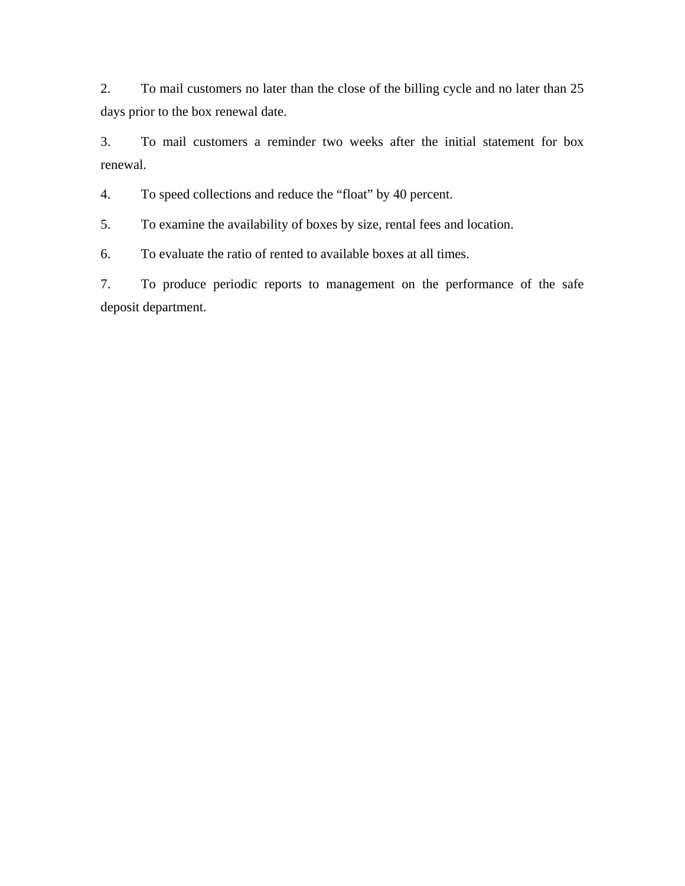2. To mail customers no later than the close of the billing cycle and no later than 25 days prior to the box renewal date.

3. To mail customers a reminder two weeks after the initial statement for box renewal.

4. To speed collections and reduce the "float" by 40 percent.

5. To examine the availability of boxes by size, rental fees and location.

6. To evaluate the ratio of rented to available boxes at all times.

7. To produce periodic reports to management on the performance of the safe deposit department.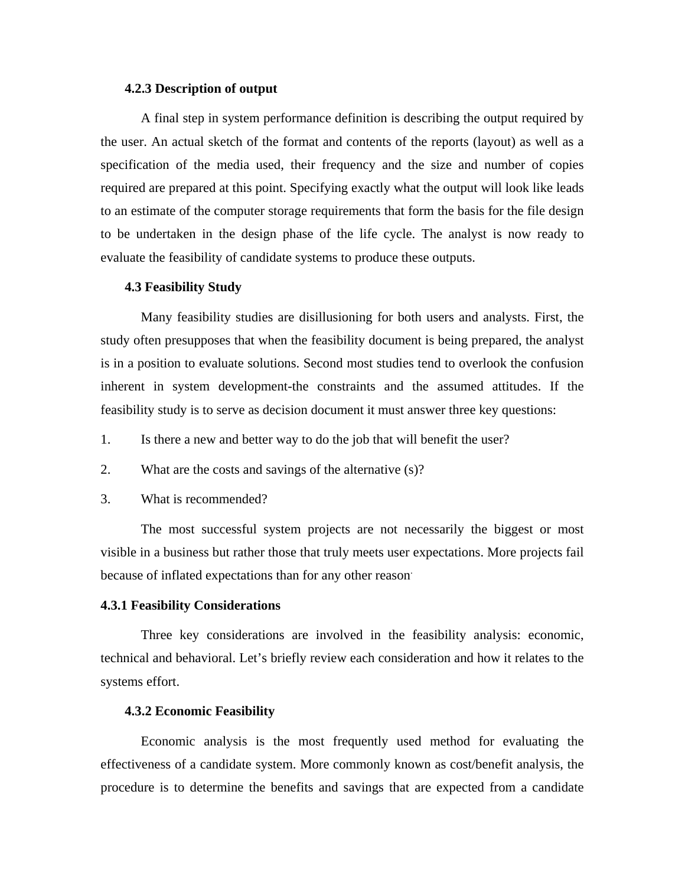### **4.2.3 Description of output**

A final step in system performance definition is describing the output required by the user. An actual sketch of the format and contents of the reports (layout) as well as a specification of the media used, their frequency and the size and number of copies required are prepared at this point. Specifying exactly what the output will look like leads to an estimate of the computer storage requirements that form the basis for the file design to be undertaken in the design phase of the life cycle. The analyst is now ready to evaluate the feasibility of candidate systems to produce these outputs.

#### **4.3 Feasibility Study**

Many feasibility studies are disillusioning for both users and analysts. First, the study often presupposes that when the feasibility document is being prepared, the analyst is in a position to evaluate solutions. Second most studies tend to overlook the confusion inherent in system development-the constraints and the assumed attitudes. If the feasibility study is to serve as decision document it must answer three key questions:

- 1. Is there a new and better way to do the job that will benefit the user?
- 2. What are the costs and savings of the alternative (s)?
- 3. What is recommended?

The most successful system projects are not necessarily the biggest or most visible in a business but rather those that truly meets user expectations. More projects fail because of inflated expectations than for any other reason.

### **4.3.1 Feasibility Considerations**

Three key considerations are involved in the feasibility analysis: economic, technical and behavioral. Let's briefly review each consideration and how it relates to the systems effort.

#### **4.3.2 Economic Feasibility**

Economic analysis is the most frequently used method for evaluating the effectiveness of a candidate system. More commonly known as cost/benefit analysis, the procedure is to determine the benefits and savings that are expected from a candidate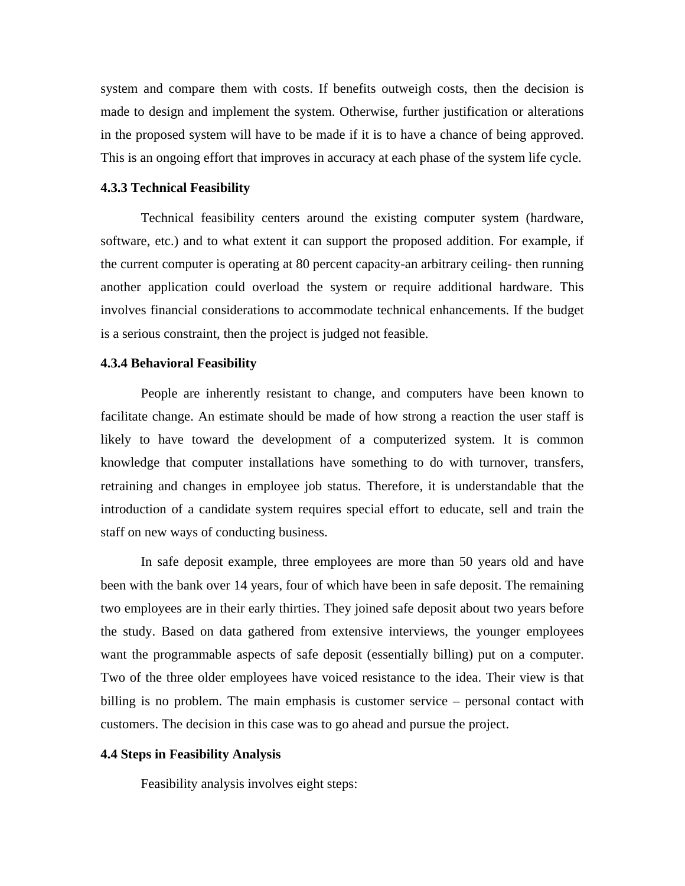system and compare them with costs. If benefits outweigh costs, then the decision is made to design and implement the system. Otherwise, further justification or alterations in the proposed system will have to be made if it is to have a chance of being approved. This is an ongoing effort that improves in accuracy at each phase of the system life cycle.

### **4.3.3 Technical Feasibility**

Technical feasibility centers around the existing computer system (hardware, software, etc.) and to what extent it can support the proposed addition. For example, if the current computer is operating at 80 percent capacity-an arbitrary ceiling- then running another application could overload the system or require additional hardware. This involves financial considerations to accommodate technical enhancements. If the budget is a serious constraint, then the project is judged not feasible.

#### **4.3.4 Behavioral Feasibility**

People are inherently resistant to change, and computers have been known to facilitate change. An estimate should be made of how strong a reaction the user staff is likely to have toward the development of a computerized system. It is common knowledge that computer installations have something to do with turnover, transfers, retraining and changes in employee job status. Therefore, it is understandable that the introduction of a candidate system requires special effort to educate, sell and train the staff on new ways of conducting business.

In safe deposit example, three employees are more than 50 years old and have been with the bank over 14 years, four of which have been in safe deposit. The remaining two employees are in their early thirties. They joined safe deposit about two years before the study. Based on data gathered from extensive interviews, the younger employees want the programmable aspects of safe deposit (essentially billing) put on a computer. Two of the three older employees have voiced resistance to the idea. Their view is that billing is no problem. The main emphasis is customer service – personal contact with customers. The decision in this case was to go ahead and pursue the project.

### **4.4 Steps in Feasibility Analysis**

Feasibility analysis involves eight steps: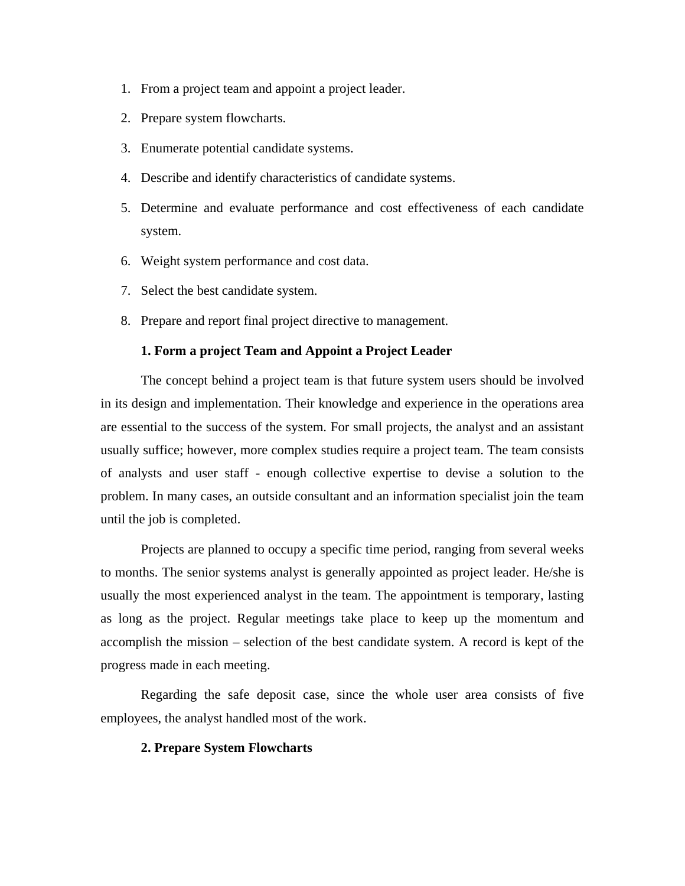- 1. From a project team and appoint a project leader.
- 2. Prepare system flowcharts.
- 3. Enumerate potential candidate systems.
- 4. Describe and identify characteristics of candidate systems.
- 5. Determine and evaluate performance and cost effectiveness of each candidate system.
- 6. Weight system performance and cost data.
- 7. Select the best candidate system.
- 8. Prepare and report final project directive to management.

### **1. Form a project Team and Appoint a Project Leader**

The concept behind a project team is that future system users should be involved in its design and implementation. Their knowledge and experience in the operations area are essential to the success of the system. For small projects, the analyst and an assistant usually suffice; however, more complex studies require a project team. The team consists of analysts and user staff - enough collective expertise to devise a solution to the problem. In many cases, an outside consultant and an information specialist join the team until the job is completed.

Projects are planned to occupy a specific time period, ranging from several weeks to months. The senior systems analyst is generally appointed as project leader. He/she is usually the most experienced analyst in the team. The appointment is temporary, lasting as long as the project. Regular meetings take place to keep up the momentum and accomplish the mission – selection of the best candidate system. A record is kept of the progress made in each meeting.

Regarding the safe deposit case, since the whole user area consists of five employees, the analyst handled most of the work.

#### **2. Prepare System Flowcharts**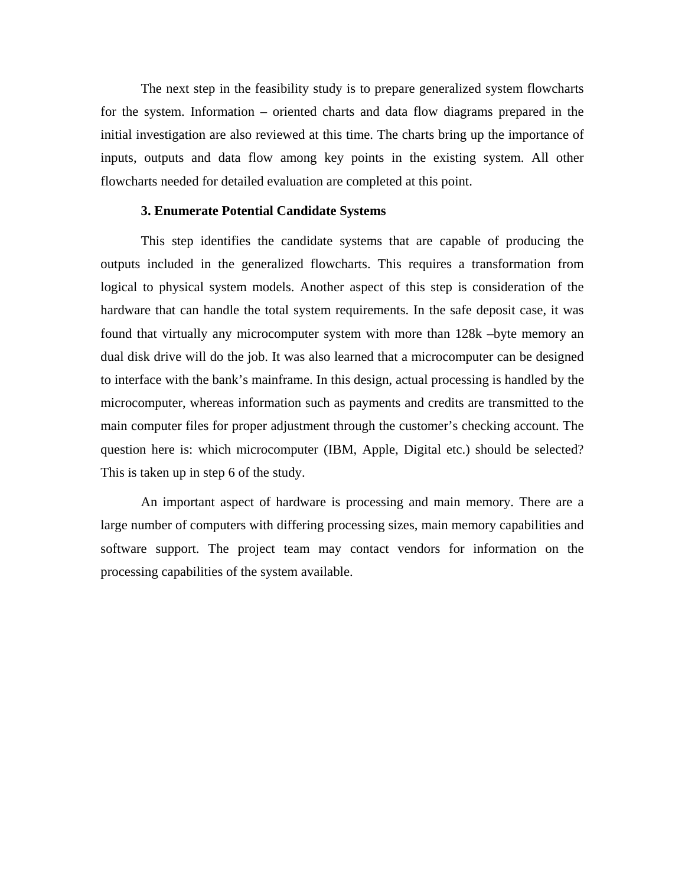The next step in the feasibility study is to prepare generalized system flowcharts for the system. Information – oriented charts and data flow diagrams prepared in the initial investigation are also reviewed at this time. The charts bring up the importance of inputs, outputs and data flow among key points in the existing system. All other flowcharts needed for detailed evaluation are completed at this point.

### **3. Enumerate Potential Candidate Systems**

This step identifies the candidate systems that are capable of producing the outputs included in the generalized flowcharts. This requires a transformation from logical to physical system models. Another aspect of this step is consideration of the hardware that can handle the total system requirements. In the safe deposit case, it was found that virtually any microcomputer system with more than 128k –byte memory an dual disk drive will do the job. It was also learned that a microcomputer can be designed to interface with the bank's mainframe. In this design, actual processing is handled by the microcomputer, whereas information such as payments and credits are transmitted to the main computer files for proper adjustment through the customer's checking account. The question here is: which microcomputer (IBM, Apple, Digital etc.) should be selected? This is taken up in step 6 of the study.

An important aspect of hardware is processing and main memory. There are a large number of computers with differing processing sizes, main memory capabilities and software support. The project team may contact vendors for information on the processing capabilities of the system available.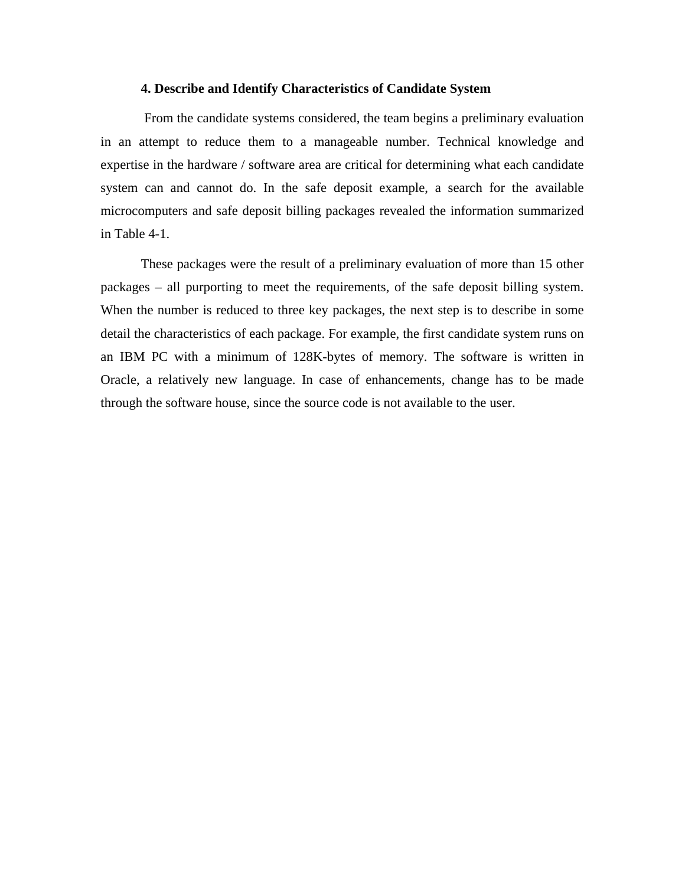#### **4. Describe and Identify Characteristics of Candidate System**

 From the candidate systems considered, the team begins a preliminary evaluation in an attempt to reduce them to a manageable number. Technical knowledge and expertise in the hardware / software area are critical for determining what each candidate system can and cannot do. In the safe deposit example, a search for the available microcomputers and safe deposit billing packages revealed the information summarized in Table 4-1.

These packages were the result of a preliminary evaluation of more than 15 other packages – all purporting to meet the requirements, of the safe deposit billing system. When the number is reduced to three key packages, the next step is to describe in some detail the characteristics of each package. For example, the first candidate system runs on an IBM PC with a minimum of 128K-bytes of memory. The software is written in Oracle, a relatively new language. In case of enhancements, change has to be made through the software house, since the source code is not available to the user.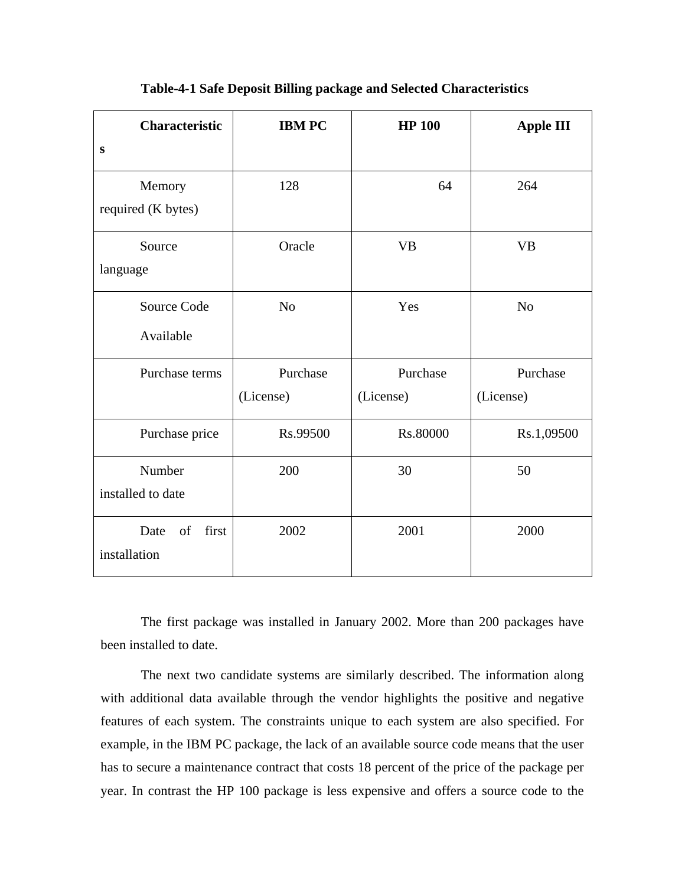| <b>Characteristic</b> | <b>IBM PC</b>  | <b>HP 100</b> | <b>Apple III</b> |
|-----------------------|----------------|---------------|------------------|
| $\mathbf{s}$          |                |               |                  |
| Memory                | 128            | 64            | 264              |
| required (K bytes)    |                |               |                  |
| Source                | Oracle         | <b>VB</b>     | <b>VB</b>        |
| language              |                |               |                  |
| Source Code           | N <sub>o</sub> | Yes           | N <sub>o</sub>   |
| Available             |                |               |                  |
| Purchase terms        | Purchase       | Purchase      | Purchase         |
|                       | (License)      | (License)     | (License)        |
| Purchase price        | Rs.99500       | Rs.80000      | Rs.1,09500       |
| Number                | 200            | 30            | 50               |
| installed to date     |                |               |                  |
| Date<br>of<br>first   | 2002           | 2001          | 2000             |
| installation          |                |               |                  |

### **Table-4-1 Safe Deposit Billing package and Selected Characteristics**

The first package was installed in January 2002. More than 200 packages have been installed to date.

The next two candidate systems are similarly described. The information along with additional data available through the vendor highlights the positive and negative features of each system. The constraints unique to each system are also specified. For example, in the IBM PC package, the lack of an available source code means that the user has to secure a maintenance contract that costs 18 percent of the price of the package per year. In contrast the HP 100 package is less expensive and offers a source code to the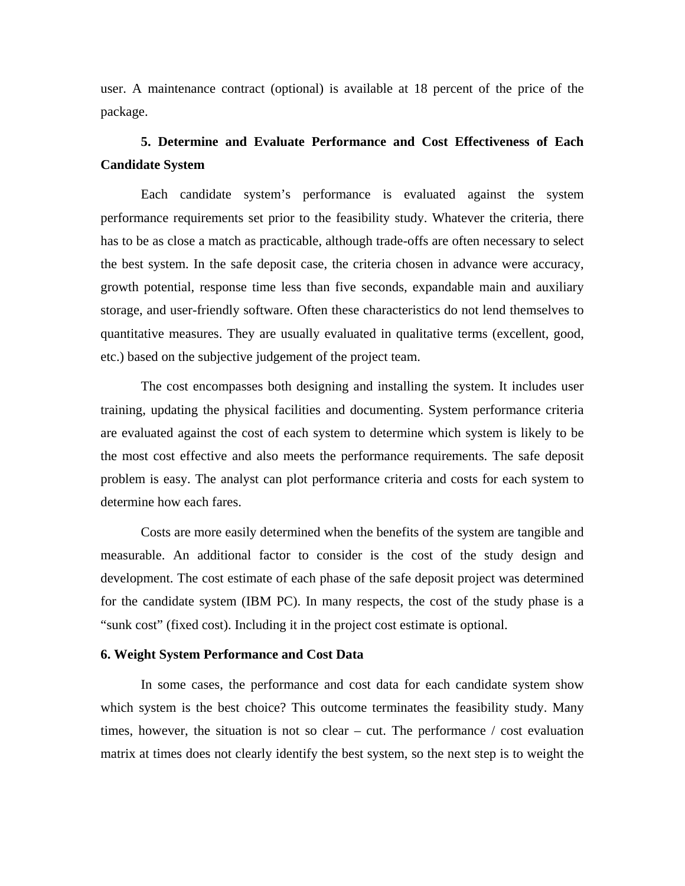user. A maintenance contract (optional) is available at 18 percent of the price of the package.

# **5. Determine and Evaluate Performance and Cost Effectiveness of Each Candidate System**

Each candidate system's performance is evaluated against the system performance requirements set prior to the feasibility study. Whatever the criteria, there has to be as close a match as practicable, although trade-offs are often necessary to select the best system. In the safe deposit case, the criteria chosen in advance were accuracy, growth potential, response time less than five seconds, expandable main and auxiliary storage, and user-friendly software. Often these characteristics do not lend themselves to quantitative measures. They are usually evaluated in qualitative terms (excellent, good, etc.) based on the subjective judgement of the project team.

The cost encompasses both designing and installing the system. It includes user training, updating the physical facilities and documenting. System performance criteria are evaluated against the cost of each system to determine which system is likely to be the most cost effective and also meets the performance requirements. The safe deposit problem is easy. The analyst can plot performance criteria and costs for each system to determine how each fares.

Costs are more easily determined when the benefits of the system are tangible and measurable. An additional factor to consider is the cost of the study design and development. The cost estimate of each phase of the safe deposit project was determined for the candidate system (IBM PC). In many respects, the cost of the study phase is a "sunk cost" (fixed cost). Including it in the project cost estimate is optional.

#### **6. Weight System Performance and Cost Data**

In some cases, the performance and cost data for each candidate system show which system is the best choice? This outcome terminates the feasibility study. Many times, however, the situation is not so clear  $-$  cut. The performance  $\ell$  cost evaluation matrix at times does not clearly identify the best system, so the next step is to weight the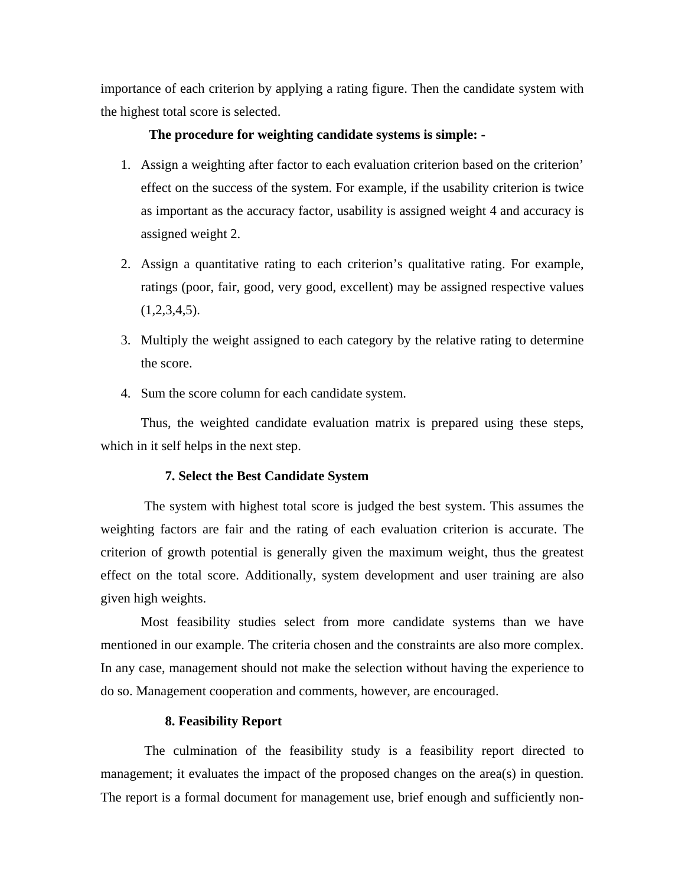importance of each criterion by applying a rating figure. Then the candidate system with the highest total score is selected.

### **The procedure for weighting candidate systems is simple: -**

- 1. Assign a weighting after factor to each evaluation criterion based on the criterion' effect on the success of the system. For example, if the usability criterion is twice as important as the accuracy factor, usability is assigned weight 4 and accuracy is assigned weight 2.
- 2. Assign a quantitative rating to each criterion's qualitative rating. For example, ratings (poor, fair, good, very good, excellent) may be assigned respective values  $(1,2,3,4,5)$ .
- 3. Multiply the weight assigned to each category by the relative rating to determine the score.
- 4. Sum the score column for each candidate system.

Thus, the weighted candidate evaluation matrix is prepared using these steps, which in it self helps in the next step.

### **7. Select the Best Candidate System**

 The system with highest total score is judged the best system. This assumes the weighting factors are fair and the rating of each evaluation criterion is accurate. The criterion of growth potential is generally given the maximum weight, thus the greatest effect on the total score. Additionally, system development and user training are also given high weights.

Most feasibility studies select from more candidate systems than we have mentioned in our example. The criteria chosen and the constraints are also more complex. In any case, management should not make the selection without having the experience to do so. Management cooperation and comments, however, are encouraged.

### **8. Feasibility Report**

 The culmination of the feasibility study is a feasibility report directed to management; it evaluates the impact of the proposed changes on the area(s) in question. The report is a formal document for management use, brief enough and sufficiently non-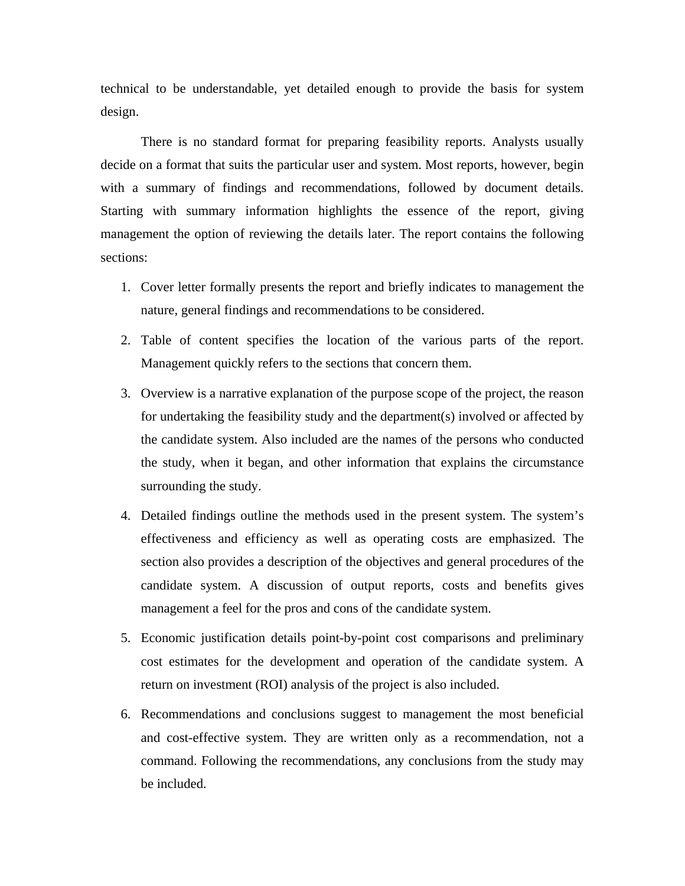technical to be understandable, yet detailed enough to provide the basis for system design.

There is no standard format for preparing feasibility reports. Analysts usually decide on a format that suits the particular user and system. Most reports, however, begin with a summary of findings and recommendations, followed by document details. Starting with summary information highlights the essence of the report, giving management the option of reviewing the details later. The report contains the following sections:

- 1. Cover letter formally presents the report and briefly indicates to management the nature, general findings and recommendations to be considered.
- 2. Table of content specifies the location of the various parts of the report. Management quickly refers to the sections that concern them.
- 3. Overview is a narrative explanation of the purpose scope of the project, the reason for undertaking the feasibility study and the department(s) involved or affected by the candidate system. Also included are the names of the persons who conducted the study, when it began, and other information that explains the circumstance surrounding the study.
- 4. Detailed findings outline the methods used in the present system. The system's effectiveness and efficiency as well as operating costs are emphasized. The section also provides a description of the objectives and general procedures of the candidate system. A discussion of output reports, costs and benefits gives management a feel for the pros and cons of the candidate system.
- 5. Economic justification details point-by-point cost comparisons and preliminary cost estimates for the development and operation of the candidate system. A return on investment (ROI) analysis of the project is also included.
- 6. Recommendations and conclusions suggest to management the most beneficial and cost-effective system. They are written only as a recommendation, not a command. Following the recommendations, any conclusions from the study may be included.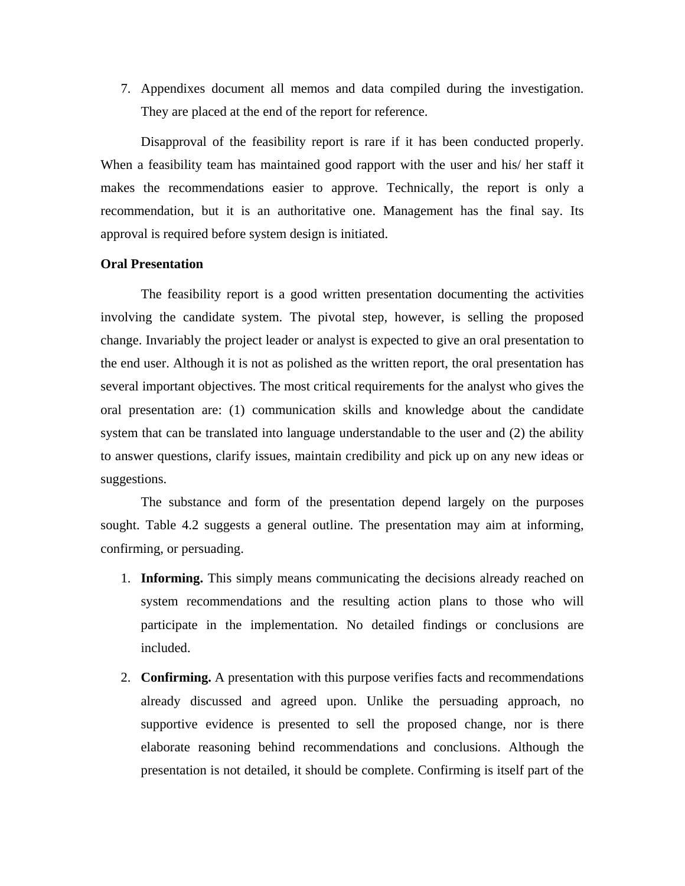7. Appendixes document all memos and data compiled during the investigation. They are placed at the end of the report for reference.

Disapproval of the feasibility report is rare if it has been conducted properly. When a feasibility team has maintained good rapport with the user and his/ her staff it makes the recommendations easier to approve. Technically, the report is only a recommendation, but it is an authoritative one. Management has the final say. Its approval is required before system design is initiated.

# **Oral Presentation**

The feasibility report is a good written presentation documenting the activities involving the candidate system. The pivotal step, however, is selling the proposed change. Invariably the project leader or analyst is expected to give an oral presentation to the end user. Although it is not as polished as the written report, the oral presentation has several important objectives. The most critical requirements for the analyst who gives the oral presentation are: (1) communication skills and knowledge about the candidate system that can be translated into language understandable to the user and (2) the ability to answer questions, clarify issues, maintain credibility and pick up on any new ideas or suggestions.

The substance and form of the presentation depend largely on the purposes sought. Table 4.2 suggests a general outline. The presentation may aim at informing, confirming, or persuading.

- 1. **Informing.** This simply means communicating the decisions already reached on system recommendations and the resulting action plans to those who will participate in the implementation. No detailed findings or conclusions are included.
- 2. **Confirming.** A presentation with this purpose verifies facts and recommendations already discussed and agreed upon. Unlike the persuading approach, no supportive evidence is presented to sell the proposed change, nor is there elaborate reasoning behind recommendations and conclusions. Although the presentation is not detailed, it should be complete. Confirming is itself part of the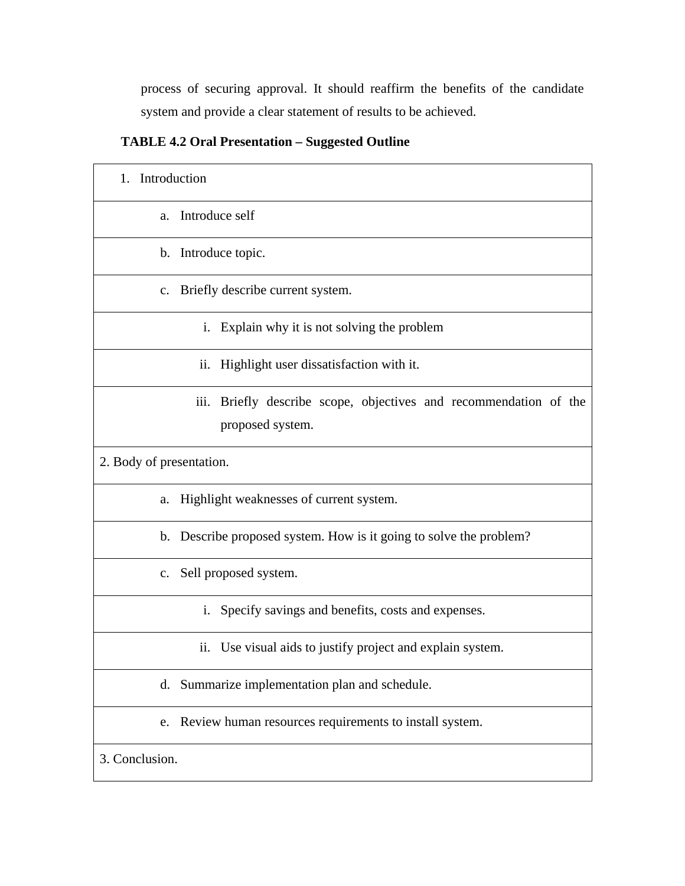process of securing approval. It should reaffirm the benefits of the candidate system and provide a clear statement of results to be achieved.

# **TABLE 4.2 Oral Presentation – Suggested Outline**

| 1. Introduction          |                                                                                          |  |  |  |  |  |
|--------------------------|------------------------------------------------------------------------------------------|--|--|--|--|--|
| a.                       | Introduce self                                                                           |  |  |  |  |  |
|                          | b. Introduce topic.                                                                      |  |  |  |  |  |
| c.                       | Briefly describe current system.                                                         |  |  |  |  |  |
|                          | i. Explain why it is not solving the problem                                             |  |  |  |  |  |
|                          | Highlight user dissatisfaction with it.<br>ii.                                           |  |  |  |  |  |
|                          | Briefly describe scope, objectives and recommendation of the<br>iii.<br>proposed system. |  |  |  |  |  |
| 2. Body of presentation. |                                                                                          |  |  |  |  |  |
| a.                       | Highlight weaknesses of current system.                                                  |  |  |  |  |  |
|                          | b. Describe proposed system. How is it going to solve the problem?                       |  |  |  |  |  |
| $c_{\cdot}$              | Sell proposed system.                                                                    |  |  |  |  |  |
|                          | Specify savings and benefits, costs and expenses.<br>i.                                  |  |  |  |  |  |
|                          | Use visual aids to justify project and explain system.<br>ii.                            |  |  |  |  |  |
| d.                       | Summarize implementation plan and schedule.                                              |  |  |  |  |  |
| e.                       | Review human resources requirements to install system.                                   |  |  |  |  |  |
|                          |                                                                                          |  |  |  |  |  |

3. Conclusion.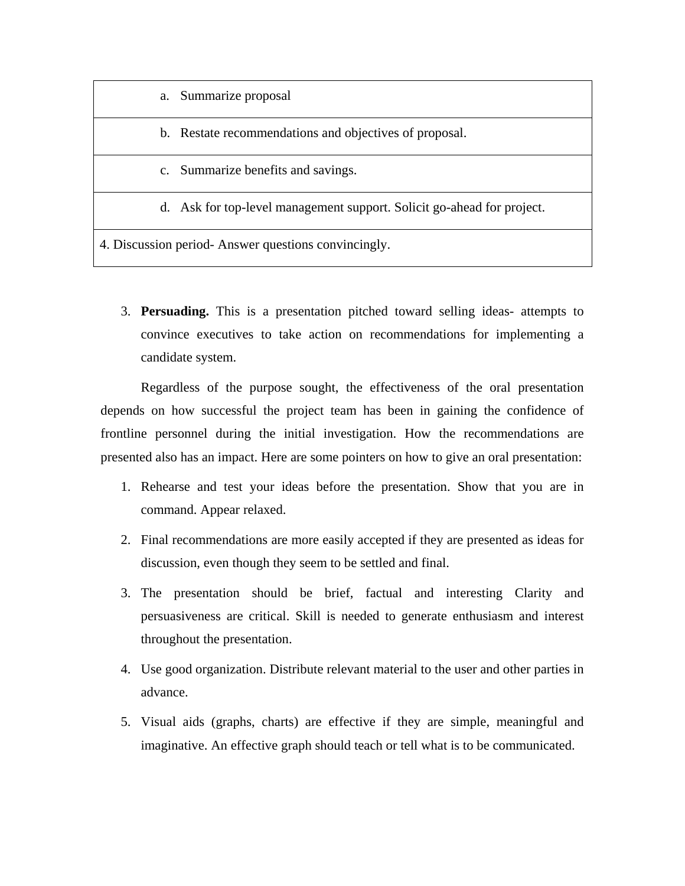a. Summarize proposal

b. Restate recommendations and objectives of proposal.

c. Summarize benefits and savings.

d. Ask for top-level management support. Solicit go-ahead for project.

4. Discussion period- Answer questions convincingly.

3. **Persuading.** This is a presentation pitched toward selling ideas- attempts to convince executives to take action on recommendations for implementing a candidate system.

Regardless of the purpose sought, the effectiveness of the oral presentation depends on how successful the project team has been in gaining the confidence of frontline personnel during the initial investigation. How the recommendations are presented also has an impact. Here are some pointers on how to give an oral presentation:

- 1. Rehearse and test your ideas before the presentation. Show that you are in command. Appear relaxed.
- 2. Final recommendations are more easily accepted if they are presented as ideas for discussion, even though they seem to be settled and final.
- 3. The presentation should be brief, factual and interesting Clarity and persuasiveness are critical. Skill is needed to generate enthusiasm and interest throughout the presentation.
- 4. Use good organization. Distribute relevant material to the user and other parties in advance.
- 5. Visual aids (graphs, charts) are effective if they are simple, meaningful and imaginative. An effective graph should teach or tell what is to be communicated.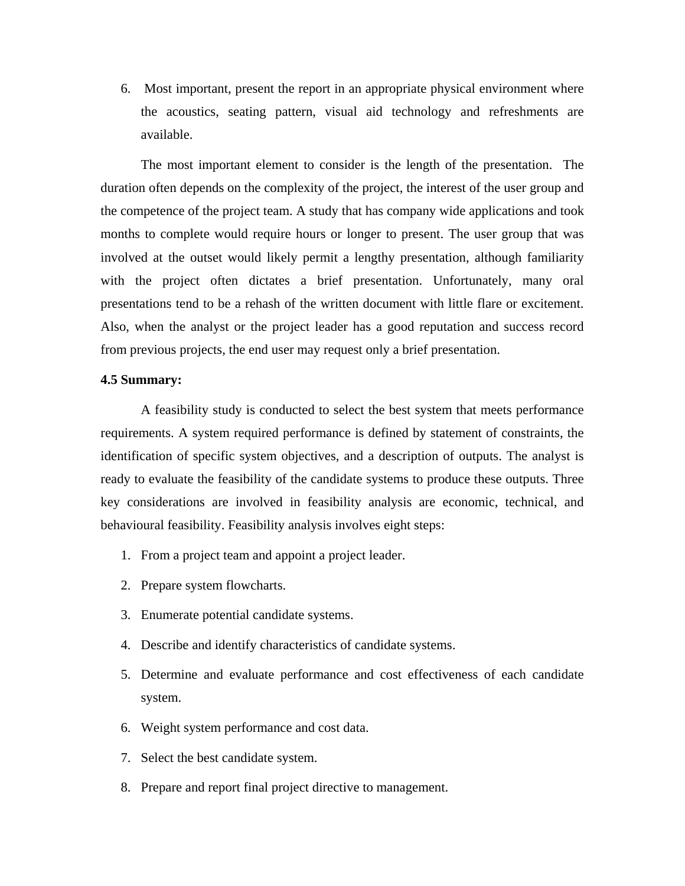6. Most important, present the report in an appropriate physical environment where the acoustics, seating pattern, visual aid technology and refreshments are available.

The most important element to consider is the length of the presentation. The duration often depends on the complexity of the project, the interest of the user group and the competence of the project team. A study that has company wide applications and took months to complete would require hours or longer to present. The user group that was involved at the outset would likely permit a lengthy presentation, although familiarity with the project often dictates a brief presentation. Unfortunately, many oral presentations tend to be a rehash of the written document with little flare or excitement. Also, when the analyst or the project leader has a good reputation and success record from previous projects, the end user may request only a brief presentation.

#### **4.5 Summary:**

 A feasibility study is conducted to select the best system that meets performance requirements. A system required performance is defined by statement of constraints, the identification of specific system objectives, and a description of outputs. The analyst is ready to evaluate the feasibility of the candidate systems to produce these outputs. Three key considerations are involved in feasibility analysis are economic, technical, and behavioural feasibility. Feasibility analysis involves eight steps:

- 1. From a project team and appoint a project leader.
- 2. Prepare system flowcharts.
- 3. Enumerate potential candidate systems.
- 4. Describe and identify characteristics of candidate systems.
- 5. Determine and evaluate performance and cost effectiveness of each candidate system.
- 6. Weight system performance and cost data.
- 7. Select the best candidate system.
- 8. Prepare and report final project directive to management.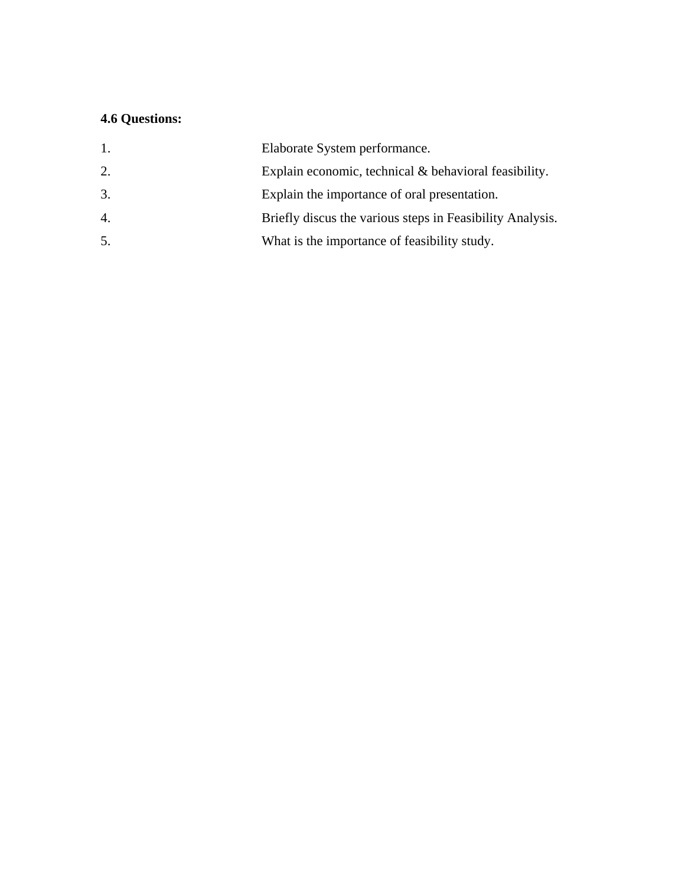# **4.6 Questions:**

| 1. | Elaborate System performance.                             |
|----|-----------------------------------------------------------|
| 2. | Explain economic, technical & behavioral feasibility.     |
| 3. | Explain the importance of oral presentation.              |
| 4. | Briefly discus the various steps in Feasibility Analysis. |
| 5. | What is the importance of feasibility study.              |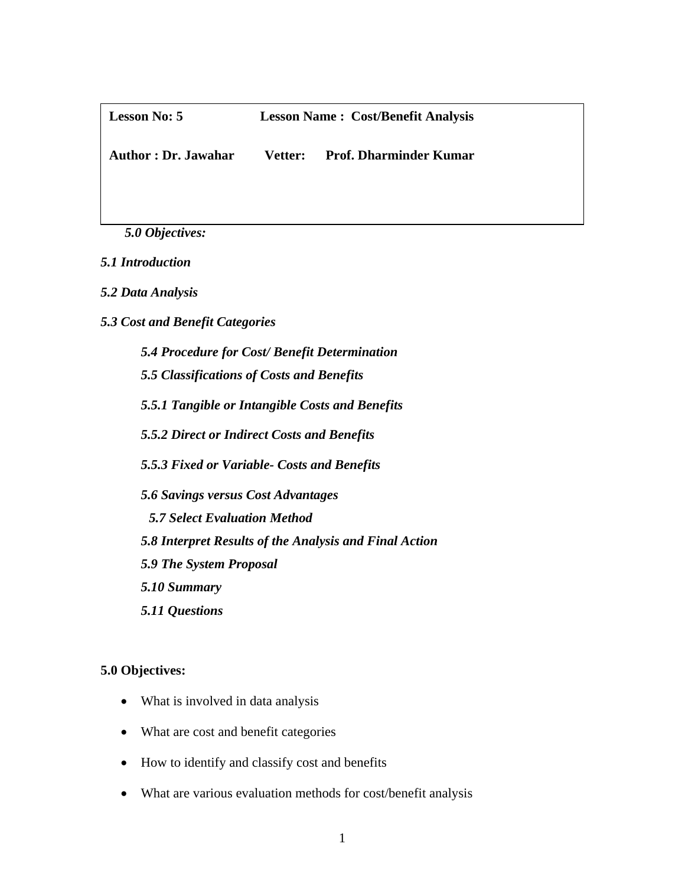**Author : Dr. Jawahar Vetter: Prof. Dharminder Kumar** 

 *5.0 Objectives:* 

- *5.1 Introduction*
- *5.2 Data Analysis*
- *5.3 Cost and Benefit Categories*

 *5.4 Procedure for Cost/ Benefit Determination 5.5 Classifications of Costs and Benefits 5.5.1 Tangible or Intangible Costs and Benefits 5.5.2 Direct or Indirect Costs and Benefits 5.5.3 Fixed or Variable- Costs and Benefits 5.6 Savings versus Cost Advantages 5.7 Select Evaluation Method 5.8 Interpret Results of the Analysis and Final Action 5.9 The System Proposal 5.10 Summary 5.11 Questions* 

# **5.0 Objectives:**

- What is involved in data analysis
- What are cost and benefit categories
- How to identify and classify cost and benefits
- What are various evaluation methods for cost/benefit analysis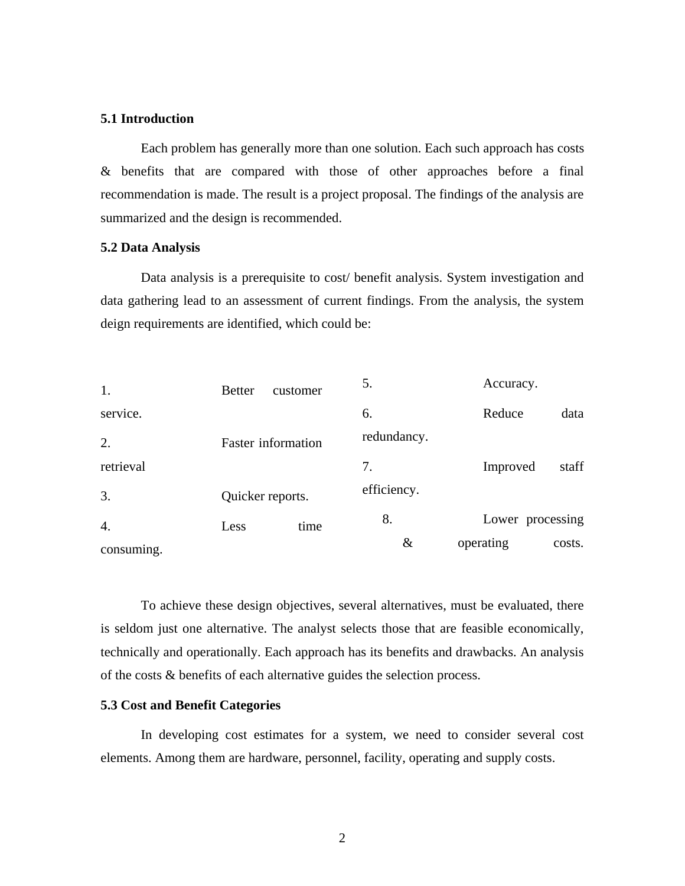## **5.1 Introduction**

Each problem has generally more than one solution. Each such approach has costs & benefits that are compared with those of other approaches before a final recommendation is made. The result is a project proposal. The findings of the analysis are summarized and the design is recommended.

#### **5.2 Data Analysis**

Data analysis is a prerequisite to cost/ benefit analysis. System investigation and data gathering lead to an assessment of current findings. From the analysis, the system deign requirements are identified, which could be:

| 1.         | <b>Better</b><br>customer | 5.          | Accuracy.           |
|------------|---------------------------|-------------|---------------------|
| service.   |                           | 6.          | Reduce<br>data      |
| 2.         | Faster information        | redundancy. |                     |
| retrieval  |                           | 7.          | Improved<br>staff   |
| 3.         | Quicker reports.          | efficiency. |                     |
| 4.         | time<br>Less              | 8.          | Lower processing    |
| consuming. |                           | $\&$        | operating<br>costs. |

To achieve these design objectives, several alternatives, must be evaluated, there is seldom just one alternative. The analyst selects those that are feasible economically, technically and operationally. Each approach has its benefits and drawbacks. An analysis of the costs & benefits of each alternative guides the selection process.

#### **5.3 Cost and Benefit Categories**

In developing cost estimates for a system, we need to consider several cost elements. Among them are hardware, personnel, facility, operating and supply costs.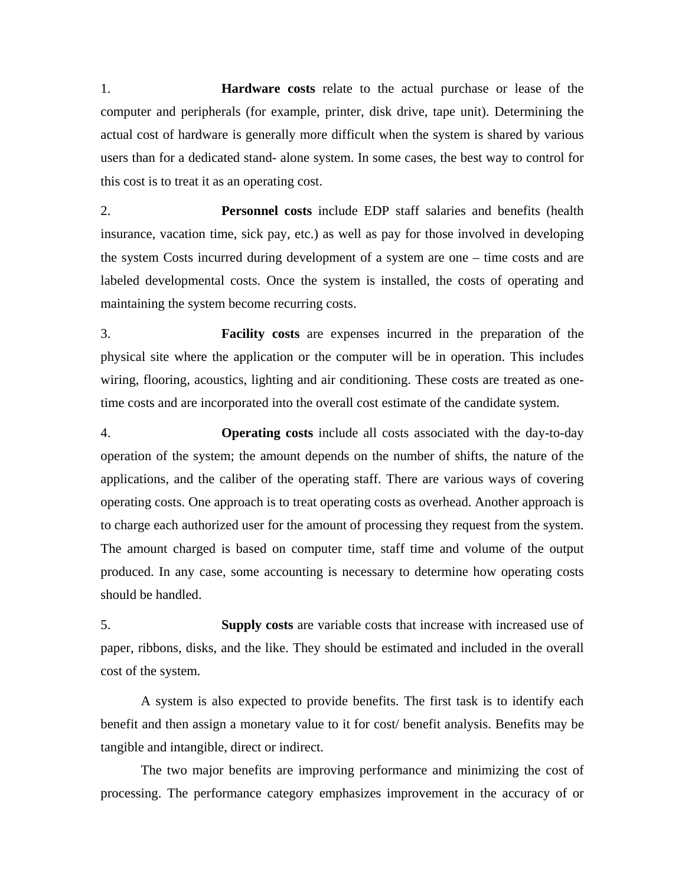1. **Hardware costs** relate to the actual purchase or lease of the computer and peripherals (for example, printer, disk drive, tape unit). Determining the actual cost of hardware is generally more difficult when the system is shared by various users than for a dedicated stand- alone system. In some cases, the best way to control for this cost is to treat it as an operating cost.

2. **Personnel costs** include EDP staff salaries and benefits (health insurance, vacation time, sick pay, etc.) as well as pay for those involved in developing the system Costs incurred during development of a system are one – time costs and are labeled developmental costs. Once the system is installed, the costs of operating and maintaining the system become recurring costs.

3. **Facility costs** are expenses incurred in the preparation of the physical site where the application or the computer will be in operation. This includes wiring, flooring, acoustics, lighting and air conditioning. These costs are treated as onetime costs and are incorporated into the overall cost estimate of the candidate system.

4. **Operating costs** include all costs associated with the day-to-day operation of the system; the amount depends on the number of shifts, the nature of the applications, and the caliber of the operating staff. There are various ways of covering operating costs. One approach is to treat operating costs as overhead. Another approach is to charge each authorized user for the amount of processing they request from the system. The amount charged is based on computer time, staff time and volume of the output produced. In any case, some accounting is necessary to determine how operating costs should be handled.

5. **Supply costs** are variable costs that increase with increased use of paper, ribbons, disks, and the like. They should be estimated and included in the overall cost of the system.

A system is also expected to provide benefits. The first task is to identify each benefit and then assign a monetary value to it for cost/ benefit analysis. Benefits may be tangible and intangible, direct or indirect.

The two major benefits are improving performance and minimizing the cost of processing. The performance category emphasizes improvement in the accuracy of or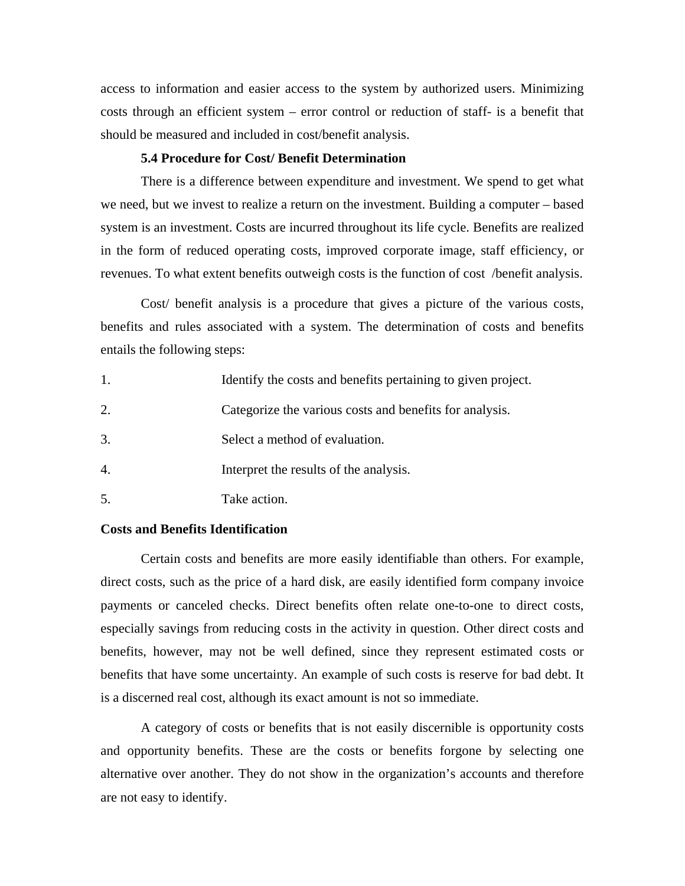access to information and easier access to the system by authorized users. Minimizing costs through an efficient system – error control or reduction of staff- is a benefit that should be measured and included in cost/benefit analysis.

# **5.4 Procedure for Cost/ Benefit Determination**

There is a difference between expenditure and investment. We spend to get what we need, but we invest to realize a return on the investment. Building a computer – based system is an investment. Costs are incurred throughout its life cycle. Benefits are realized in the form of reduced operating costs, improved corporate image, staff efficiency, or revenues. To what extent benefits outweigh costs is the function of cost /benefit analysis.

Cost/ benefit analysis is a procedure that gives a picture of the various costs, benefits and rules associated with a system. The determination of costs and benefits entails the following steps:

| 1.               | Identify the costs and benefits pertaining to given project. |
|------------------|--------------------------------------------------------------|
| 2.               | Categorize the various costs and benefits for analysis.      |
| 3.               | Select a method of evaluation.                               |
| $\overline{4}$ . | Interpret the results of the analysis.                       |
| 5.               | Take action.                                                 |

# **Costs and Benefits Identification**

Certain costs and benefits are more easily identifiable than others. For example, direct costs, such as the price of a hard disk, are easily identified form company invoice payments or canceled checks. Direct benefits often relate one-to-one to direct costs, especially savings from reducing costs in the activity in question. Other direct costs and benefits, however, may not be well defined, since they represent estimated costs or benefits that have some uncertainty. An example of such costs is reserve for bad debt. It is a discerned real cost, although its exact amount is not so immediate.

A category of costs or benefits that is not easily discernible is opportunity costs and opportunity benefits. These are the costs or benefits forgone by selecting one alternative over another. They do not show in the organization's accounts and therefore are not easy to identify.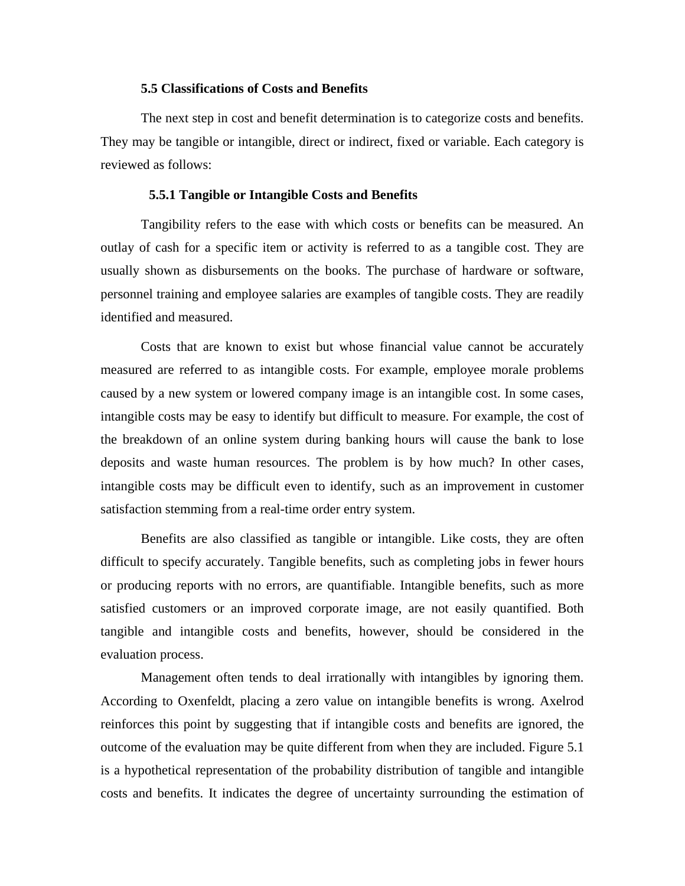# **5.5 Classifications of Costs and Benefits**

The next step in cost and benefit determination is to categorize costs and benefits. They may be tangible or intangible, direct or indirect, fixed or variable. Each category is reviewed as follows:

#### **5.5.1 Tangible or Intangible Costs and Benefits**

Tangibility refers to the ease with which costs or benefits can be measured. An outlay of cash for a specific item or activity is referred to as a tangible cost. They are usually shown as disbursements on the books. The purchase of hardware or software, personnel training and employee salaries are examples of tangible costs. They are readily identified and measured.

Costs that are known to exist but whose financial value cannot be accurately measured are referred to as intangible costs. For example, employee morale problems caused by a new system or lowered company image is an intangible cost. In some cases, intangible costs may be easy to identify but difficult to measure. For example, the cost of the breakdown of an online system during banking hours will cause the bank to lose deposits and waste human resources. The problem is by how much? In other cases, intangible costs may be difficult even to identify, such as an improvement in customer satisfaction stemming from a real-time order entry system.

Benefits are also classified as tangible or intangible. Like costs, they are often difficult to specify accurately. Tangible benefits, such as completing jobs in fewer hours or producing reports with no errors, are quantifiable. Intangible benefits, such as more satisfied customers or an improved corporate image, are not easily quantified. Both tangible and intangible costs and benefits, however, should be considered in the evaluation process.

Management often tends to deal irrationally with intangibles by ignoring them. According to Oxenfeldt, placing a zero value on intangible benefits is wrong. Axelrod reinforces this point by suggesting that if intangible costs and benefits are ignored, the outcome of the evaluation may be quite different from when they are included. Figure 5.1 is a hypothetical representation of the probability distribution of tangible and intangible costs and benefits. It indicates the degree of uncertainty surrounding the estimation of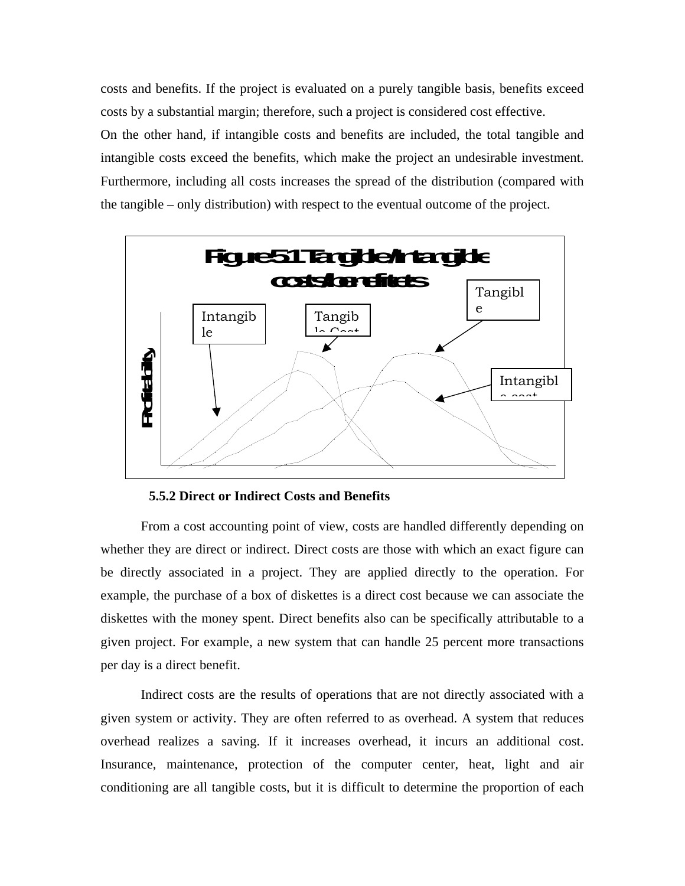costs and benefits. If the project is evaluated on a purely tangible basis, benefits exceed costs by a substantial margin; therefore, such a project is considered cost effective. On the other hand, if intangible costs and benefits are included, the total tangible and intangible costs exceed the benefits, which make the project an undesirable investment. Furthermore, including all costs increases the spread of the distribution (compared with the tangible – only distribution) with respect to the eventual outcome of the project.



 **5.5.2 Direct or Indirect Costs and Benefits** 

From a cost accounting point of view, costs are handled differently depending on whether they are direct or indirect. Direct costs are those with which an exact figure can be directly associated in a project. They are applied directly to the operation. For example, the purchase of a box of diskettes is a direct cost because we can associate the diskettes with the money spent. Direct benefits also can be specifically attributable to a given project. For example, a new system that can handle 25 percent more transactions per day is a direct benefit.

Indirect costs are the results of operations that are not directly associated with a given system or activity. They are often referred to as overhead. A system that reduces overhead realizes a saving. If it increases overhead, it incurs an additional cost. Insurance, maintenance, protection of the computer center, heat, light and air conditioning are all tangible costs, but it is difficult to determine the proportion of each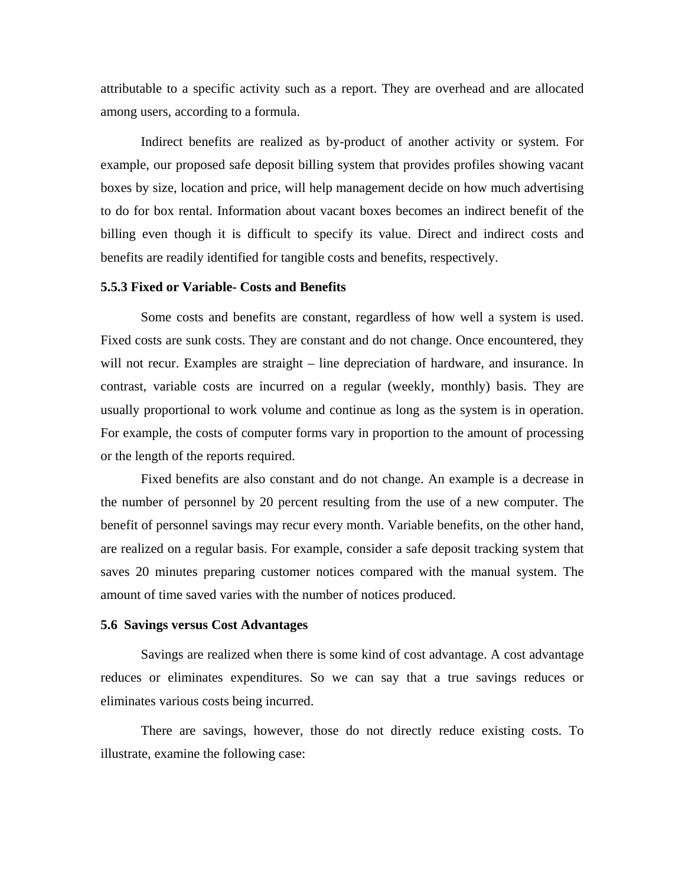attributable to a specific activity such as a report. They are overhead and are allocated among users, according to a formula.

Indirect benefits are realized as by-product of another activity or system. For example, our proposed safe deposit billing system that provides profiles showing vacant boxes by size, location and price, will help management decide on how much advertising to do for box rental. Information about vacant boxes becomes an indirect benefit of the billing even though it is difficult to specify its value. Direct and indirect costs and benefits are readily identified for tangible costs and benefits, respectively.

## **5.5.3 Fixed or Variable- Costs and Benefits**

Some costs and benefits are constant, regardless of how well a system is used. Fixed costs are sunk costs. They are constant and do not change. Once encountered, they will not recur. Examples are straight – line depreciation of hardware, and insurance. In contrast, variable costs are incurred on a regular (weekly, monthly) basis. They are usually proportional to work volume and continue as long as the system is in operation. For example, the costs of computer forms vary in proportion to the amount of processing or the length of the reports required.

Fixed benefits are also constant and do not change. An example is a decrease in the number of personnel by 20 percent resulting from the use of a new computer. The benefit of personnel savings may recur every month. Variable benefits, on the other hand, are realized on a regular basis. For example, consider a safe deposit tracking system that saves 20 minutes preparing customer notices compared with the manual system. The amount of time saved varies with the number of notices produced.

# **5.6 Savings versus Cost Advantages**

Savings are realized when there is some kind of cost advantage. A cost advantage reduces or eliminates expenditures. So we can say that a true savings reduces or eliminates various costs being incurred.

There are savings, however, those do not directly reduce existing costs. To illustrate, examine the following case: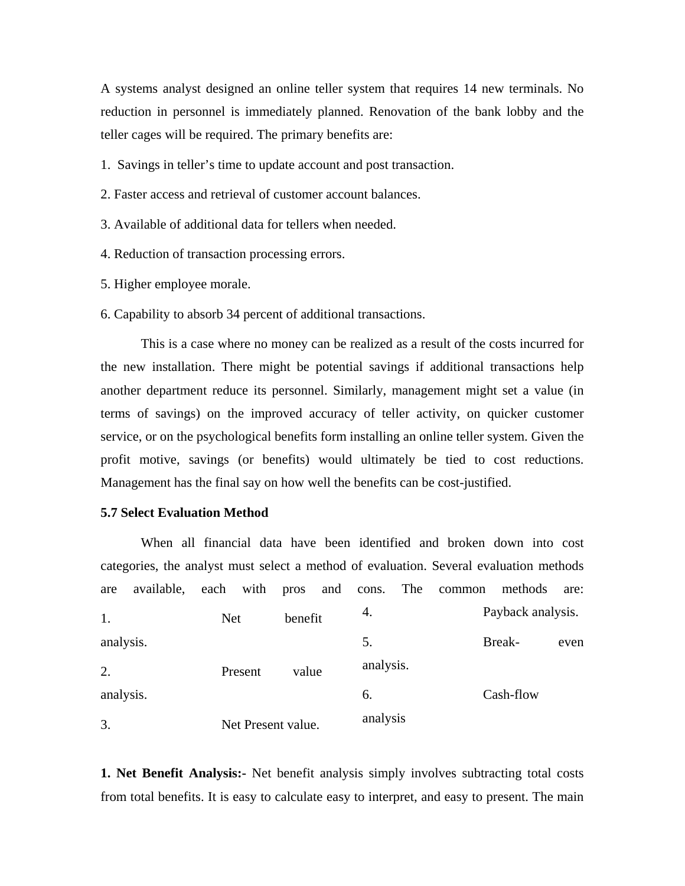A systems analyst designed an online teller system that requires 14 new terminals. No reduction in personnel is immediately planned. Renovation of the bank lobby and the teller cages will be required. The primary benefits are:

- 1. Savings in teller's time to update account and post transaction.
- 2. Faster access and retrieval of customer account balances.
- 3. Available of additional data for tellers when needed.
- 4. Reduction of transaction processing errors.
- 5. Higher employee morale.
- 6. Capability to absorb 34 percent of additional transactions.

This is a case where no money can be realized as a result of the costs incurred for the new installation. There might be potential savings if additional transactions help another department reduce its personnel. Similarly, management might set a value (in terms of savings) on the improved accuracy of teller activity, on quicker customer service, or on the psychological benefits form installing an online teller system. Given the profit motive, savings (or benefits) would ultimately be tied to cost reductions. Management has the final say on how well the benefits can be cost-justified.

# **5.7 Select Evaluation Method**

|                                                                                        | When all financial data have been identified and broken down into cost |                    |  |         |  |                    |        |                   |      |
|----------------------------------------------------------------------------------------|------------------------------------------------------------------------|--------------------|--|---------|--|--------------------|--------|-------------------|------|
| categories, the analyst must select a method of evaluation. Several evaluation methods |                                                                        |                    |  |         |  |                    |        |                   |      |
| are                                                                                    | available, each with                                                   |                    |  |         |  | pros and cons. The | common | methods           | are: |
| 1.                                                                                     |                                                                        | <b>Net</b>         |  | benefit |  | 4.                 |        | Payback analysis. |      |
| analysis.                                                                              |                                                                        |                    |  |         |  | 5.                 |        | Break-            | even |
| 2.                                                                                     |                                                                        | Present            |  | value   |  | analysis.          |        |                   |      |
| analysis.                                                                              |                                                                        |                    |  |         |  | 6.                 |        | Cash-flow         |      |
| 3.                                                                                     |                                                                        | Net Present value. |  |         |  | analysis           |        |                   |      |

**1. Net Benefit Analysis:-** Net benefit analysis simply involves subtracting total costs from total benefits. It is easy to calculate easy to interpret, and easy to present. The main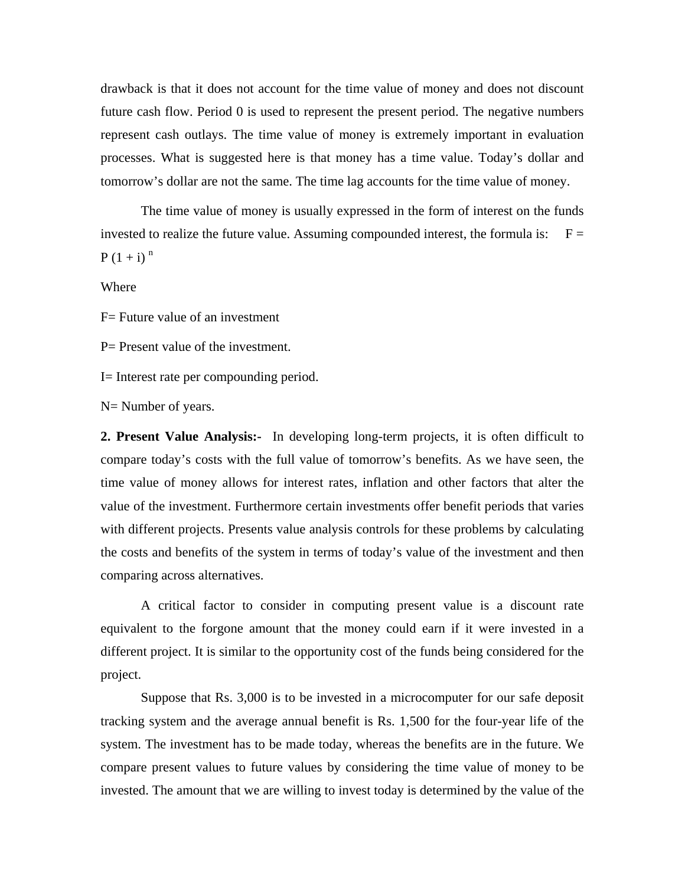drawback is that it does not account for the time value of money and does not discount future cash flow. Period 0 is used to represent the present period. The negative numbers represent cash outlays. The time value of money is extremely important in evaluation processes. What is suggested here is that money has a time value. Today's dollar and tomorrow's dollar are not the same. The time lag accounts for the time value of money.

The time value of money is usually expressed in the form of interest on the funds invested to realize the future value. Assuming compounded interest, the formula is:  $F =$  $P(1 + i)^{n}$ 

#### Where

 $F=$  Future value of an investment

P= Present value of the investment.

I= Interest rate per compounding period.

N = Number of years.

**2. Present Value Analysis:-** In developing long-term projects, it is often difficult to compare today's costs with the full value of tomorrow's benefits. As we have seen, the time value of money allows for interest rates, inflation and other factors that alter the value of the investment. Furthermore certain investments offer benefit periods that varies with different projects. Presents value analysis controls for these problems by calculating the costs and benefits of the system in terms of today's value of the investment and then comparing across alternatives.

A critical factor to consider in computing present value is a discount rate equivalent to the forgone amount that the money could earn if it were invested in a different project. It is similar to the opportunity cost of the funds being considered for the project.

Suppose that Rs. 3,000 is to be invested in a microcomputer for our safe deposit tracking system and the average annual benefit is Rs. 1,500 for the four-year life of the system. The investment has to be made today, whereas the benefits are in the future. We compare present values to future values by considering the time value of money to be invested. The amount that we are willing to invest today is determined by the value of the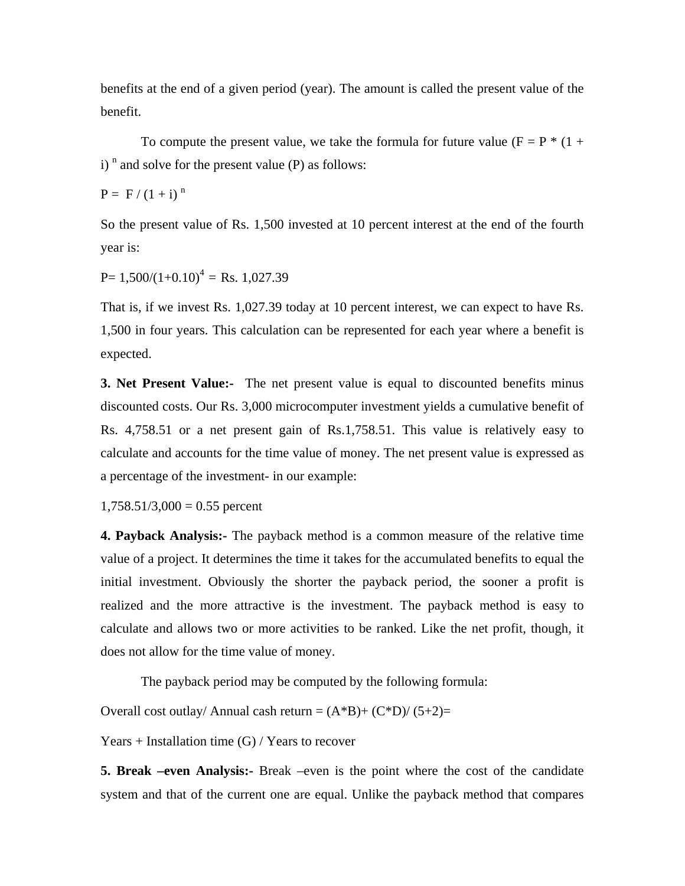benefits at the end of a given period (year). The amount is called the present value of the benefit.

To compute the present value, we take the formula for future value ( $F = P * (1 +$ i)<sup>n</sup> and solve for the present value (P) as follows:

$$
P = F / (1 + i)^{n}
$$

So the present value of Rs. 1,500 invested at 10 percent interest at the end of the fourth year is:

$$
P=1,500/(1+0.10)^4 = Rs. 1,027.39
$$

That is, if we invest Rs. 1,027.39 today at 10 percent interest, we can expect to have Rs. 1,500 in four years. This calculation can be represented for each year where a benefit is expected.

**3. Net Present Value:-** The net present value is equal to discounted benefits minus discounted costs. Our Rs. 3,000 microcomputer investment yields a cumulative benefit of Rs. 4,758.51 or a net present gain of Rs.1,758.51. This value is relatively easy to calculate and accounts for the time value of money. The net present value is expressed as a percentage of the investment- in our example:

 $1,758.51/3,000 = 0.55$  percent

**4. Payback Analysis:-** The payback method is a common measure of the relative time value of a project. It determines the time it takes for the accumulated benefits to equal the initial investment. Obviously the shorter the payback period, the sooner a profit is realized and the more attractive is the investment. The payback method is easy to calculate and allows two or more activities to be ranked. Like the net profit, though, it does not allow for the time value of money.

The payback period may be computed by the following formula:

Overall cost outlay/ Annual cash return =  $(A*B)+(C*D)/(5+2)=$ 

Years  $+$  Installation time (G) / Years to recover

**5. Break –even Analysis:-** Break –even is the point where the cost of the candidate system and that of the current one are equal. Unlike the payback method that compares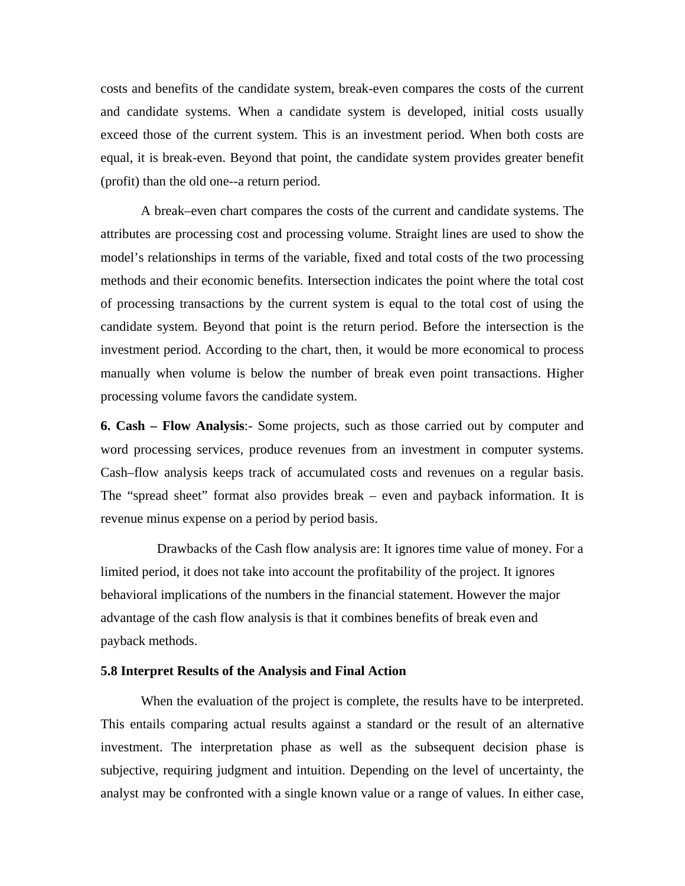costs and benefits of the candidate system, break-even compares the costs of the current and candidate systems. When a candidate system is developed, initial costs usually exceed those of the current system. This is an investment period. When both costs are equal, it is break-even. Beyond that point, the candidate system provides greater benefit (profit) than the old one--a return period.

A break–even chart compares the costs of the current and candidate systems. The attributes are processing cost and processing volume. Straight lines are used to show the model's relationships in terms of the variable, fixed and total costs of the two processing methods and their economic benefits. Intersection indicates the point where the total cost of processing transactions by the current system is equal to the total cost of using the candidate system. Beyond that point is the return period. Before the intersection is the investment period. According to the chart, then, it would be more economical to process manually when volume is below the number of break even point transactions. Higher processing volume favors the candidate system.

**6. Cash – Flow Analysis**:- Some projects, such as those carried out by computer and word processing services, produce revenues from an investment in computer systems. Cash–flow analysis keeps track of accumulated costs and revenues on a regular basis. The "spread sheet" format also provides break – even and payback information. It is revenue minus expense on a period by period basis.

 Drawbacks of the Cash flow analysis are: It ignores time value of money. For a limited period, it does not take into account the profitability of the project. It ignores behavioral implications of the numbers in the financial statement. However the major advantage of the cash flow analysis is that it combines benefits of break even and payback methods.

# **5.8 Interpret Results of the Analysis and Final Action**

When the evaluation of the project is complete, the results have to be interpreted. This entails comparing actual results against a standard or the result of an alternative investment. The interpretation phase as well as the subsequent decision phase is subjective, requiring judgment and intuition. Depending on the level of uncertainty, the analyst may be confronted with a single known value or a range of values. In either case,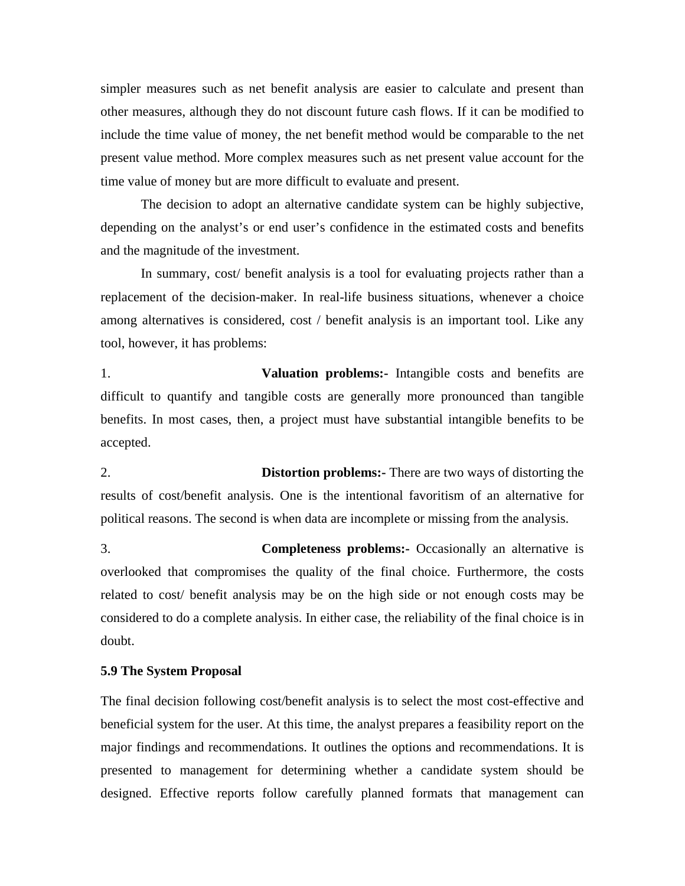simpler measures such as net benefit analysis are easier to calculate and present than other measures, although they do not discount future cash flows. If it can be modified to include the time value of money, the net benefit method would be comparable to the net present value method. More complex measures such as net present value account for the time value of money but are more difficult to evaluate and present.

The decision to adopt an alternative candidate system can be highly subjective, depending on the analyst's or end user's confidence in the estimated costs and benefits and the magnitude of the investment.

In summary, cost/ benefit analysis is a tool for evaluating projects rather than a replacement of the decision-maker. In real-life business situations, whenever a choice among alternatives is considered, cost / benefit analysis is an important tool. Like any tool, however, it has problems:

1. **Valuation problems:-** Intangible costs and benefits are difficult to quantify and tangible costs are generally more pronounced than tangible benefits. In most cases, then, a project must have substantial intangible benefits to be accepted.

2. **Distortion problems:-** There are two ways of distorting the results of cost/benefit analysis. One is the intentional favoritism of an alternative for political reasons. The second is when data are incomplete or missing from the analysis.

3. **Completeness problems:-** Occasionally an alternative is overlooked that compromises the quality of the final choice. Furthermore, the costs related to cost/ benefit analysis may be on the high side or not enough costs may be considered to do a complete analysis. In either case, the reliability of the final choice is in doubt.

### **5.9 The System Proposal**

The final decision following cost/benefit analysis is to select the most cost-effective and beneficial system for the user. At this time, the analyst prepares a feasibility report on the major findings and recommendations. It outlines the options and recommendations. It is presented to management for determining whether a candidate system should be designed. Effective reports follow carefully planned formats that management can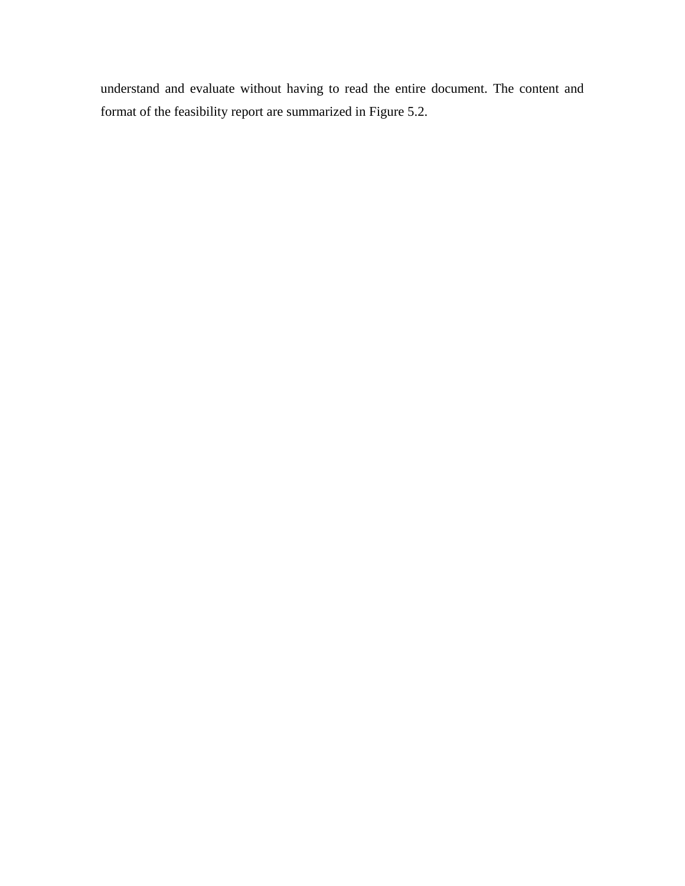understand and evaluate without having to read the entire document. The content and format of the feasibility report are summarized in Figure 5.2.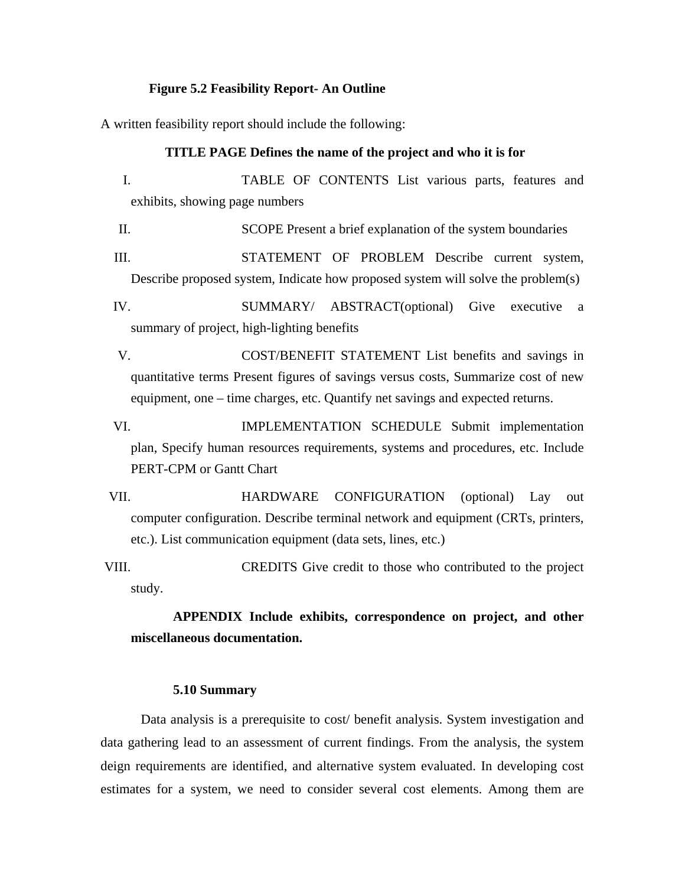#### **Figure 5.2 Feasibility Report- An Outline**

A written feasibility report should include the following:

#### **TITLE PAGE Defines the name of the project and who it is for**

I. TABLE OF CONTENTS List various parts, features and exhibits, showing page numbers

II. SCOPE Present a brief explanation of the system boundaries

III. STATEMENT OF PROBLEM Describe current system, Describe proposed system, Indicate how proposed system will solve the problem(s)

IV. SUMMARY/ ABSTRACT(optional) Give executive a summary of project, high-lighting benefits

V. COST/BENEFIT STATEMENT List benefits and savings in quantitative terms Present figures of savings versus costs, Summarize cost of new equipment, one – time charges, etc. Quantify net savings and expected returns.

VI. IMPLEMENTATION SCHEDULE Submit implementation plan, Specify human resources requirements, systems and procedures, etc. Include PERT-CPM or Gantt Chart

VII. HARDWARE CONFIGURATION (optional) Lay out computer configuration. Describe terminal network and equipment (CRTs, printers, etc.). List communication equipment (data sets, lines, etc.)

VIII. CREDITS Give credit to those who contributed to the project study.

 **APPENDIX Include exhibits, correspondence on project, and other miscellaneous documentation.** 

# **5.10 Summary**

Data analysis is a prerequisite to cost/ benefit analysis. System investigation and data gathering lead to an assessment of current findings. From the analysis, the system deign requirements are identified, and alternative system evaluated. In developing cost estimates for a system, we need to consider several cost elements. Among them are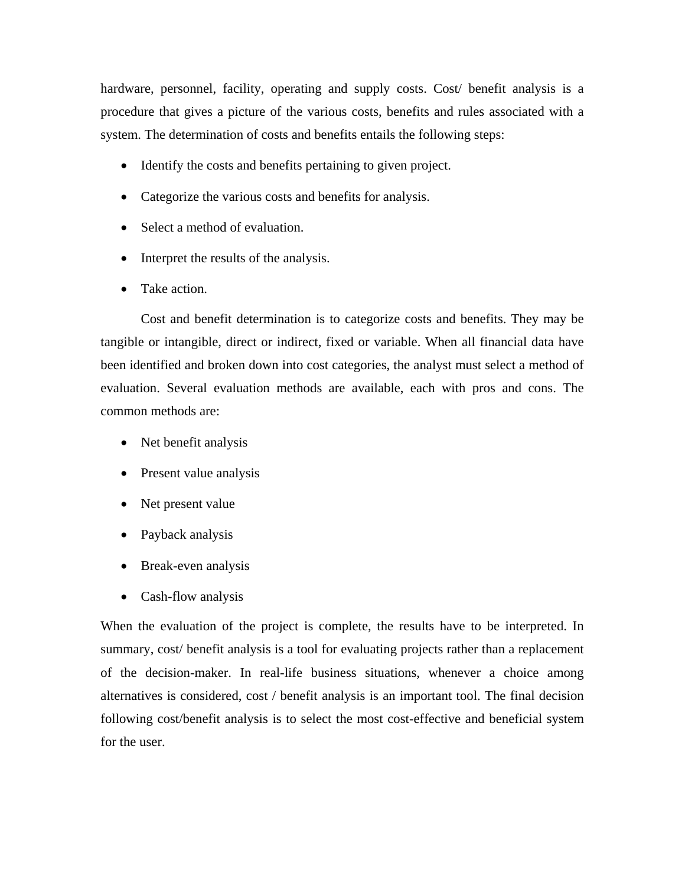hardware, personnel, facility, operating and supply costs. Cost/ benefit analysis is a procedure that gives a picture of the various costs, benefits and rules associated with a system. The determination of costs and benefits entails the following steps:

- Identify the costs and benefits pertaining to given project.
- Categorize the various costs and benefits for analysis.
- Select a method of evaluation.
- Interpret the results of the analysis.
- Take action.

Cost and benefit determination is to categorize costs and benefits. They may be tangible or intangible, direct or indirect, fixed or variable. When all financial data have been identified and broken down into cost categories, the analyst must select a method of evaluation. Several evaluation methods are available, each with pros and cons. The common methods are:

- Net benefit analysis
- Present value analysis
- Net present value
- Payback analysis
- Break-even analysis
- Cash-flow analysis

When the evaluation of the project is complete, the results have to be interpreted. In summary, cost/ benefit analysis is a tool for evaluating projects rather than a replacement of the decision-maker. In real-life business situations, whenever a choice among alternatives is considered, cost / benefit analysis is an important tool. The final decision following cost/benefit analysis is to select the most cost-effective and beneficial system for the user.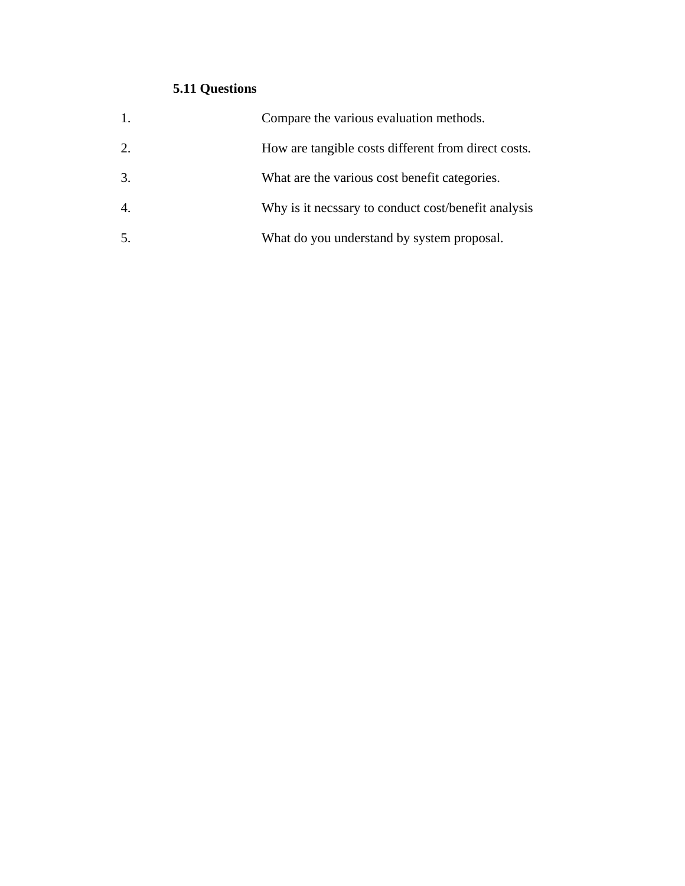# **5.11 Questions**

| 1. | Compare the various evaluation methods.             |
|----|-----------------------------------------------------|
| 2. | How are tangible costs different from direct costs. |
| 3. | What are the various cost benefit categories.       |
| 4. | Why is it necssary to conduct cost/benefit analysis |
| 5. | What do you understand by system proposal.          |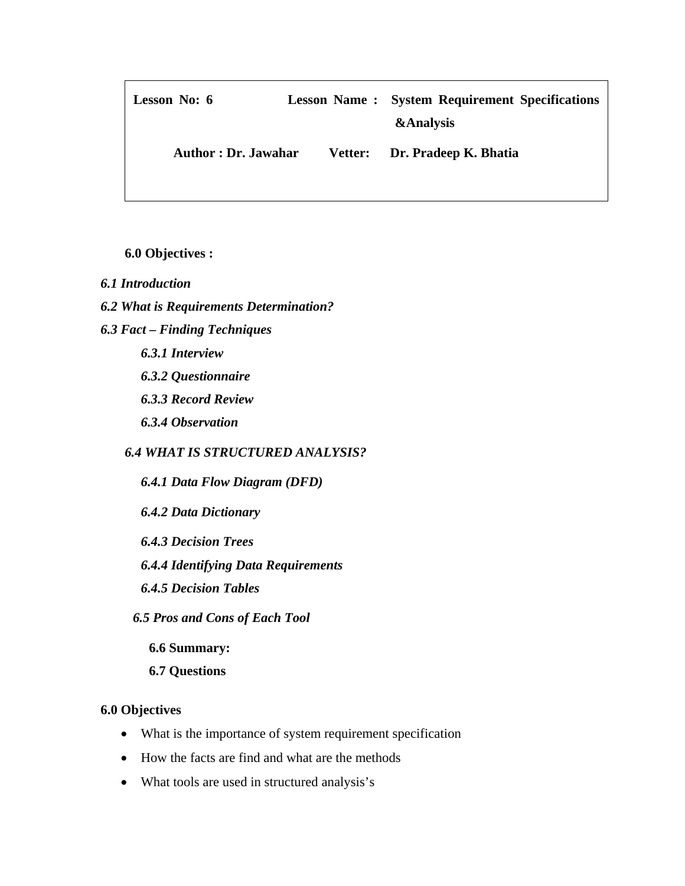| <b>Lesson No: 6</b>        | <b>Lesson Name : System Requirement Specifications</b> |
|----------------------------|--------------------------------------------------------|
|                            | <b>&amp;Analysis</b>                                   |
| <b>Author: Dr. Jawahar</b> | Vetter: Dr. Pradeep K. Bhatia                          |

 **6.0 Objectives :** 

*6.1 Introduction* 

- *6.2 What is Requirements Determination?*
- *6.3 Fact Finding Techniques* 
	- *6.3.1 Interview*
	- *6.3.2 Questionnaire*
	- *6.3.3 Record Review*
	- *6.3.4 Observation*

# *6.4 WHAT IS STRUCTURED ANALYSIS?*

 *6.4.1 Data Flow Diagram (DFD) 6.4.2 Data Dictionary* 

 *6.4.3 Decision Trees* 

 *6.4.4 Identifying Data Requirements* 

 *6.4.5 Decision Tables* 

 *6.5 Pros and Cons of Each Tool* 

 **6.6 Summary:** 

 **6.7 Questions** 

# **6.0 Objectives**

- What is the importance of system requirement specification
- How the facts are find and what are the methods
- What tools are used in structured analysis's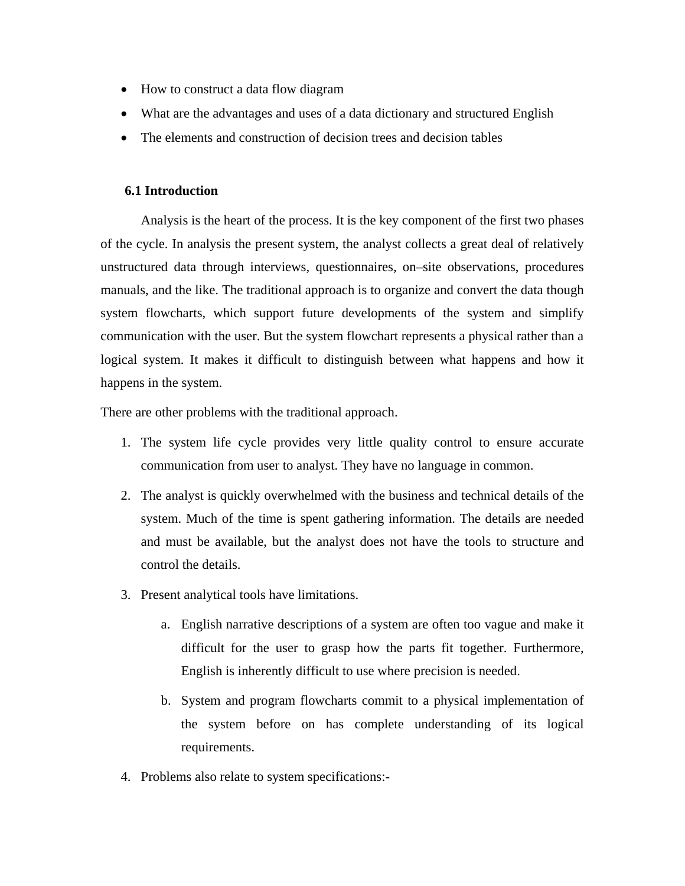- How to construct a data flow diagram
- What are the advantages and uses of a data dictionary and structured English
- The elements and construction of decision trees and decision tables

# **6.1 Introduction**

Analysis is the heart of the process. It is the key component of the first two phases of the cycle. In analysis the present system, the analyst collects a great deal of relatively unstructured data through interviews, questionnaires, on–site observations, procedures manuals, and the like. The traditional approach is to organize and convert the data though system flowcharts, which support future developments of the system and simplify communication with the user. But the system flowchart represents a physical rather than a logical system. It makes it difficult to distinguish between what happens and how it happens in the system.

There are other problems with the traditional approach.

- 1. The system life cycle provides very little quality control to ensure accurate communication from user to analyst. They have no language in common.
- 2. The analyst is quickly overwhelmed with the business and technical details of the system. Much of the time is spent gathering information. The details are needed and must be available, but the analyst does not have the tools to structure and control the details.
- 3. Present analytical tools have limitations.
	- a. English narrative descriptions of a system are often too vague and make it difficult for the user to grasp how the parts fit together. Furthermore, English is inherently difficult to use where precision is needed.
	- b. System and program flowcharts commit to a physical implementation of the system before on has complete understanding of its logical requirements.
- 4. Problems also relate to system specifications:-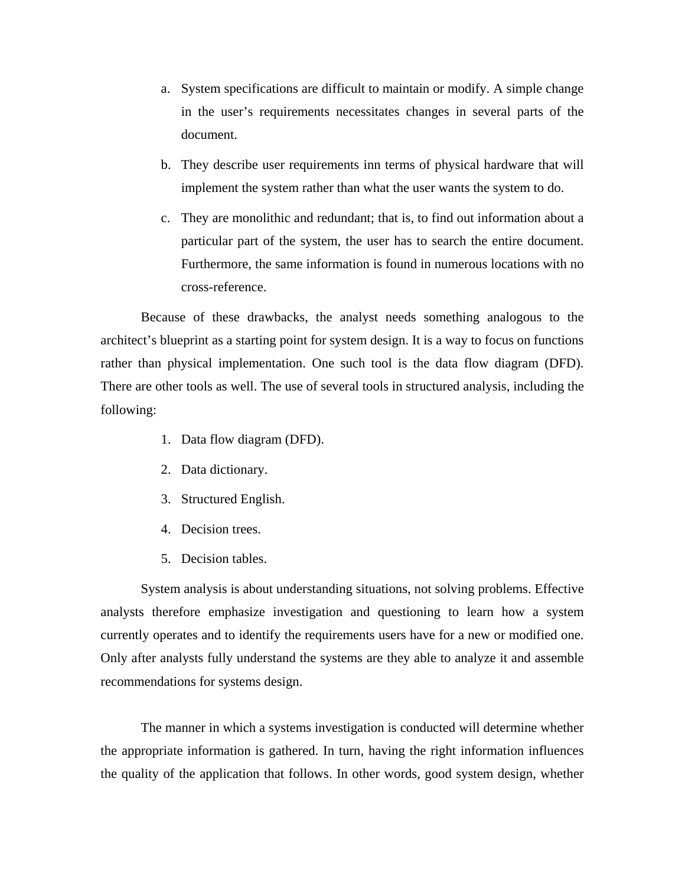- a. System specifications are difficult to maintain or modify. A simple change in the user's requirements necessitates changes in several parts of the document.
- b. They describe user requirements inn terms of physical hardware that will implement the system rather than what the user wants the system to do.
- c. They are monolithic and redundant; that is, to find out information about a particular part of the system, the user has to search the entire document. Furthermore, the same information is found in numerous locations with no cross-reference.

Because of these drawbacks, the analyst needs something analogous to the architect's blueprint as a starting point for system design. It is a way to focus on functions rather than physical implementation. One such tool is the data flow diagram (DFD). There are other tools as well. The use of several tools in structured analysis, including the following:

- 1. Data flow diagram (DFD).
- 2. Data dictionary.
- 3. Structured English.
- 4. Decision trees.
- 5. Decision tables.

System analysis is about understanding situations, not solving problems. Effective analysts therefore emphasize investigation and questioning to learn how a system currently operates and to identify the requirements users have for a new or modified one. Only after analysts fully understand the systems are they able to analyze it and assemble recommendations for systems design.

 The manner in which a systems investigation is conducted will determine whether the appropriate information is gathered. In turn, having the right information influences the quality of the application that follows. In other words, good system design, whether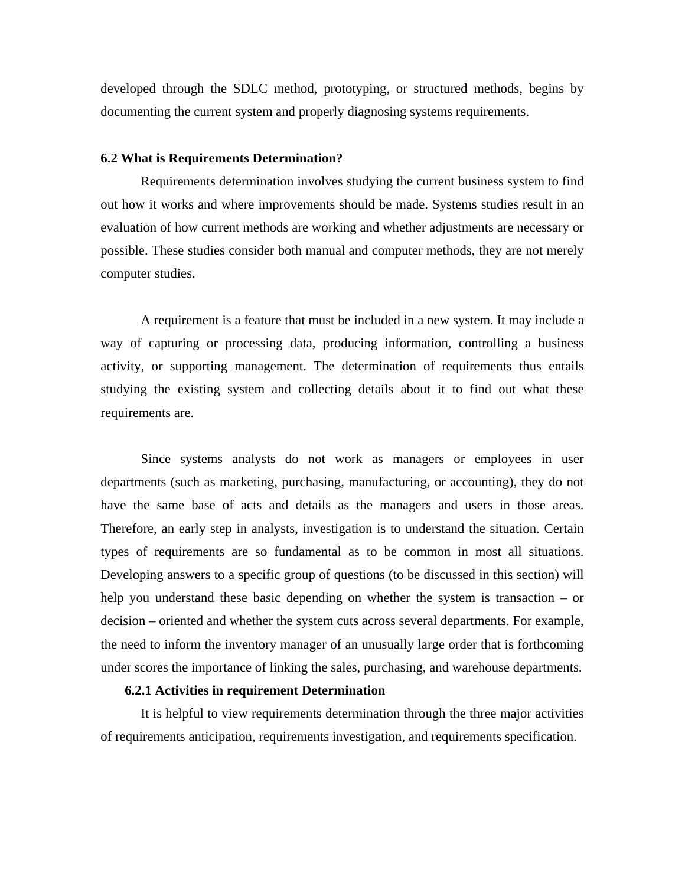developed through the SDLC method, prototyping, or structured methods, begins by documenting the current system and properly diagnosing systems requirements.

#### **6.2 What is Requirements Determination?**

 Requirements determination involves studying the current business system to find out how it works and where improvements should be made. Systems studies result in an evaluation of how current methods are working and whether adjustments are necessary or possible. These studies consider both manual and computer methods, they are not merely computer studies.

 A requirement is a feature that must be included in a new system. It may include a way of capturing or processing data, producing information, controlling a business activity, or supporting management. The determination of requirements thus entails studying the existing system and collecting details about it to find out what these requirements are.

 Since systems analysts do not work as managers or employees in user departments (such as marketing, purchasing, manufacturing, or accounting), they do not have the same base of acts and details as the managers and users in those areas. Therefore, an early step in analysts, investigation is to understand the situation. Certain types of requirements are so fundamental as to be common in most all situations. Developing answers to a specific group of questions (to be discussed in this section) will help you understand these basic depending on whether the system is transaction – or decision – oriented and whether the system cuts across several departments. For example, the need to inform the inventory manager of an unusually large order that is forthcoming under scores the importance of linking the sales, purchasing, and warehouse departments.

# **6.2.1 Activities in requirement Determination**

 It is helpful to view requirements determination through the three major activities of requirements anticipation, requirements investigation, and requirements specification.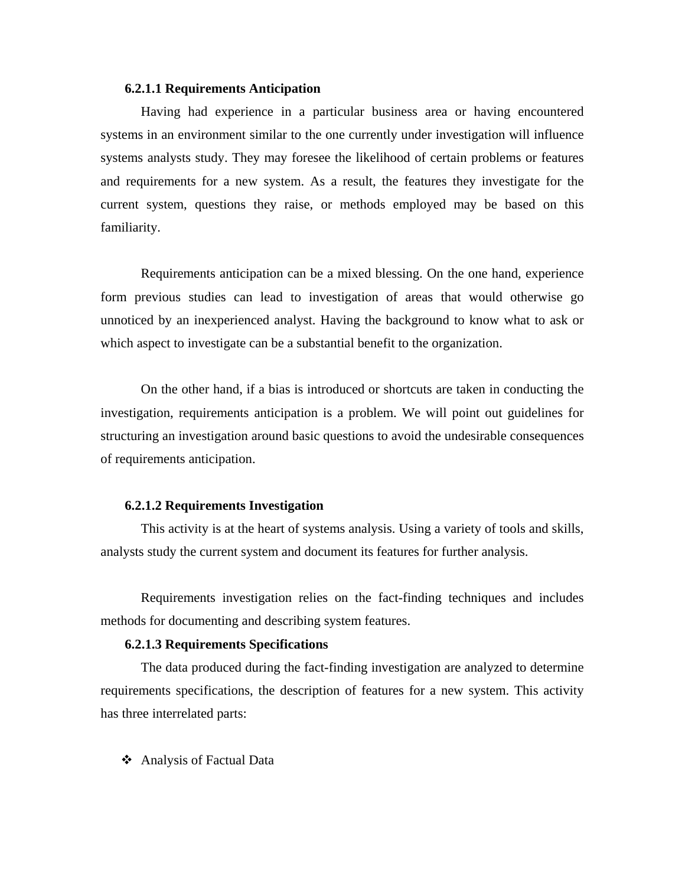#### **6.2.1.1 Requirements Anticipation**

 Having had experience in a particular business area or having encountered systems in an environment similar to the one currently under investigation will influence systems analysts study. They may foresee the likelihood of certain problems or features and requirements for a new system. As a result, the features they investigate for the current system, questions they raise, or methods employed may be based on this familiarity.

 Requirements anticipation can be a mixed blessing. On the one hand, experience form previous studies can lead to investigation of areas that would otherwise go unnoticed by an inexperienced analyst. Having the background to know what to ask or which aspect to investigate can be a substantial benefit to the organization.

 On the other hand, if a bias is introduced or shortcuts are taken in conducting the investigation, requirements anticipation is a problem. We will point out guidelines for structuring an investigation around basic questions to avoid the undesirable consequences of requirements anticipation.

# **6.2.1.2 Requirements Investigation**

 This activity is at the heart of systems analysis. Using a variety of tools and skills, analysts study the current system and document its features for further analysis.

 Requirements investigation relies on the fact-finding techniques and includes methods for documenting and describing system features.

#### **6.2.1.3 Requirements Specifications**

 The data produced during the fact-finding investigation are analyzed to determine requirements specifications, the description of features for a new system. This activity has three interrelated parts:

Analysis of Factual Data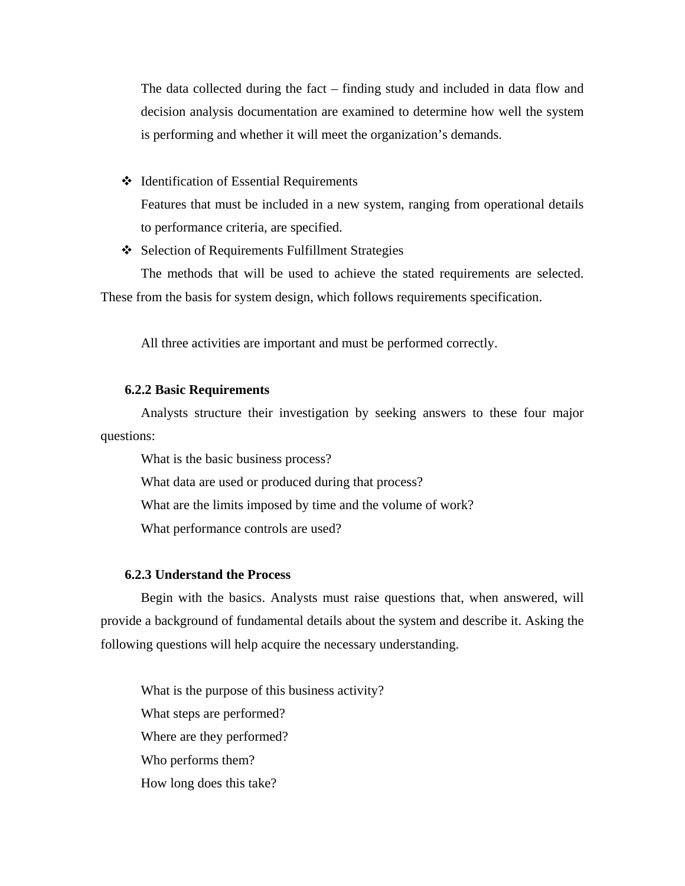The data collected during the fact – finding study and included in data flow and decision analysis documentation are examined to determine how well the system is performing and whether it will meet the organization's demands.

- Identification of Essential Requirements Features that must be included in a new system, ranging from operational details to performance criteria, are specified.
- ❖ Selection of Requirements Fulfillment Strategies

The methods that will be used to achieve the stated requirements are selected. These from the basis for system design, which follows requirements specification.

All three activities are important and must be performed correctly.

# **6.2.2 Basic Requirements**

 Analysts structure their investigation by seeking answers to these four major questions:

 What is the basic business process? What data are used or produced during that process? What are the limits imposed by time and the volume of work? What performance controls are used?

# **6.2.3 Understand the Process**

Begin with the basics. Analysts must raise questions that, when answered, will provide a background of fundamental details about the system and describe it. Asking the following questions will help acquire the necessary understanding.

 What is the purpose of this business activity? What steps are performed? Where are they performed? Who performs them? How long does this take?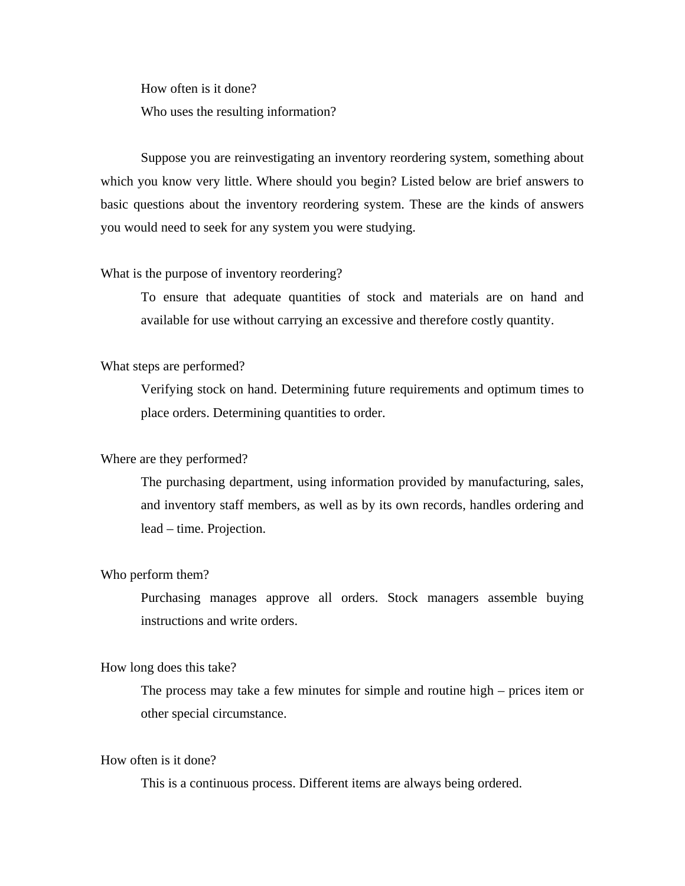How often is it done? Who uses the resulting information?

 Suppose you are reinvestigating an inventory reordering system, something about which you know very little. Where should you begin? Listed below are brief answers to basic questions about the inventory reordering system. These are the kinds of answers you would need to seek for any system you were studying.

## What is the purpose of inventory reordering?

To ensure that adequate quantities of stock and materials are on hand and available for use without carrying an excessive and therefore costly quantity.

# What steps are performed?

Verifying stock on hand. Determining future requirements and optimum times to place orders. Determining quantities to order.

# Where are they performed?

The purchasing department, using information provided by manufacturing, sales, and inventory staff members, as well as by its own records, handles ordering and lead – time. Projection.

# Who perform them?

Purchasing manages approve all orders. Stock managers assemble buying instructions and write orders.

# How long does this take?

The process may take a few minutes for simple and routine high – prices item or other special circumstance.

# How often is it done?

This is a continuous process. Different items are always being ordered.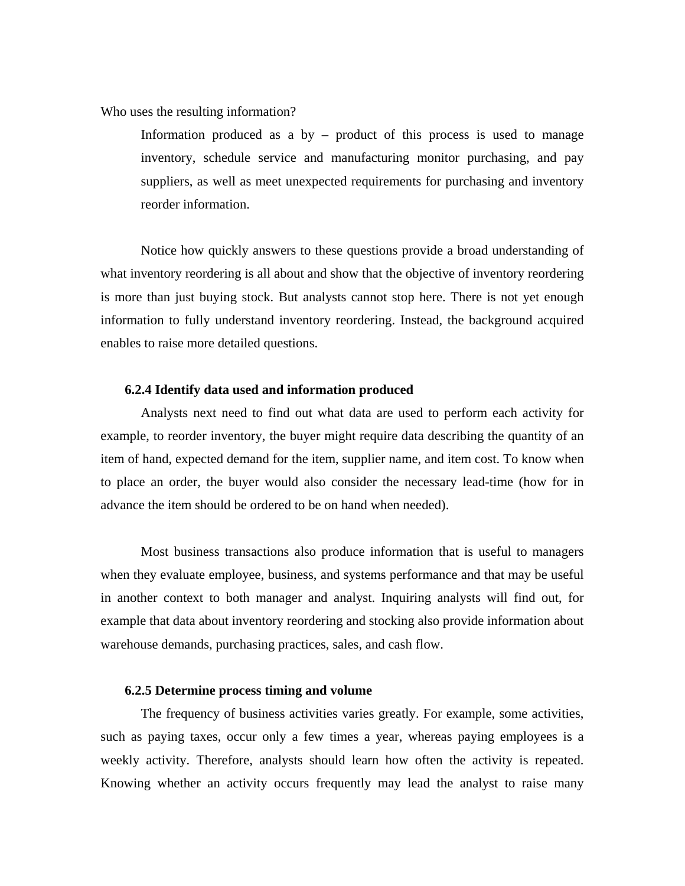Who uses the resulting information?

Information produced as a by  $-$  product of this process is used to manage inventory, schedule service and manufacturing monitor purchasing, and pay suppliers, as well as meet unexpected requirements for purchasing and inventory reorder information.

 Notice how quickly answers to these questions provide a broad understanding of what inventory reordering is all about and show that the objective of inventory reordering is more than just buying stock. But analysts cannot stop here. There is not yet enough information to fully understand inventory reordering. Instead, the background acquired enables to raise more detailed questions.

# **6.2.4 Identify data used and information produced**

 Analysts next need to find out what data are used to perform each activity for example, to reorder inventory, the buyer might require data describing the quantity of an item of hand, expected demand for the item, supplier name, and item cost. To know when to place an order, the buyer would also consider the necessary lead-time (how for in advance the item should be ordered to be on hand when needed).

 Most business transactions also produce information that is useful to managers when they evaluate employee, business, and systems performance and that may be useful in another context to both manager and analyst. Inquiring analysts will find out, for example that data about inventory reordering and stocking also provide information about warehouse demands, purchasing practices, sales, and cash flow.

# **6.2.5 Determine process timing and volume**

 The frequency of business activities varies greatly. For example, some activities, such as paying taxes, occur only a few times a year, whereas paying employees is a weekly activity. Therefore, analysts should learn how often the activity is repeated. Knowing whether an activity occurs frequently may lead the analyst to raise many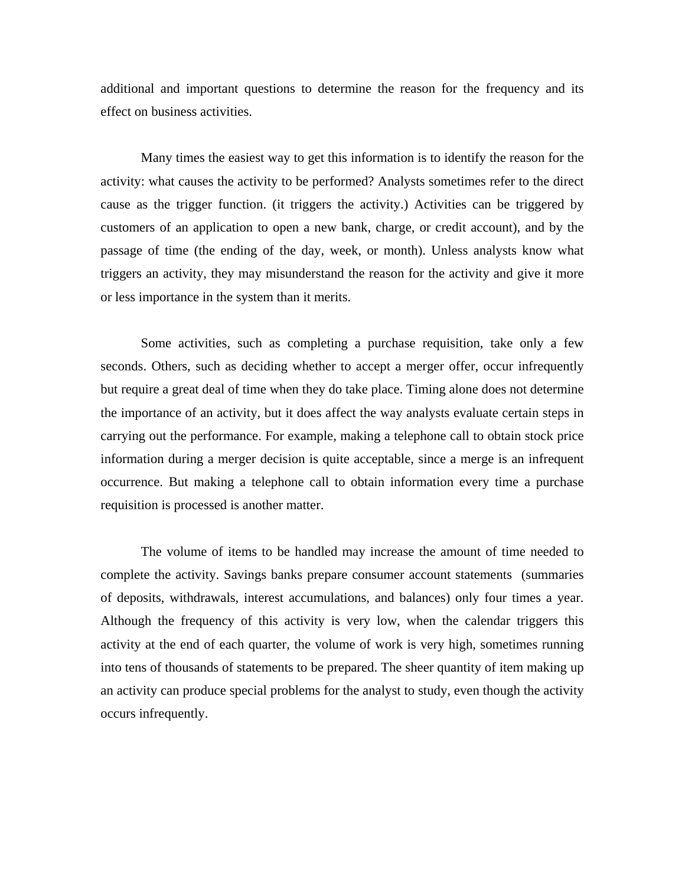additional and important questions to determine the reason for the frequency and its effect on business activities.

 Many times the easiest way to get this information is to identify the reason for the activity: what causes the activity to be performed? Analysts sometimes refer to the direct cause as the trigger function. (it triggers the activity.) Activities can be triggered by customers of an application to open a new bank, charge, or credit account), and by the passage of time (the ending of the day, week, or month). Unless analysts know what triggers an activity, they may misunderstand the reason for the activity and give it more or less importance in the system than it merits.

 Some activities, such as completing a purchase requisition, take only a few seconds. Others, such as deciding whether to accept a merger offer, occur infrequently but require a great deal of time when they do take place. Timing alone does not determine the importance of an activity, but it does affect the way analysts evaluate certain steps in carrying out the performance. For example, making a telephone call to obtain stock price information during a merger decision is quite acceptable, since a merge is an infrequent occurrence. But making a telephone call to obtain information every time a purchase requisition is processed is another matter.

 The volume of items to be handled may increase the amount of time needed to complete the activity. Savings banks prepare consumer account statements (summaries of deposits, withdrawals, interest accumulations, and balances) only four times a year. Although the frequency of this activity is very low, when the calendar triggers this activity at the end of each quarter, the volume of work is very high, sometimes running into tens of thousands of statements to be prepared. The sheer quantity of item making up an activity can produce special problems for the analyst to study, even though the activity occurs infrequently.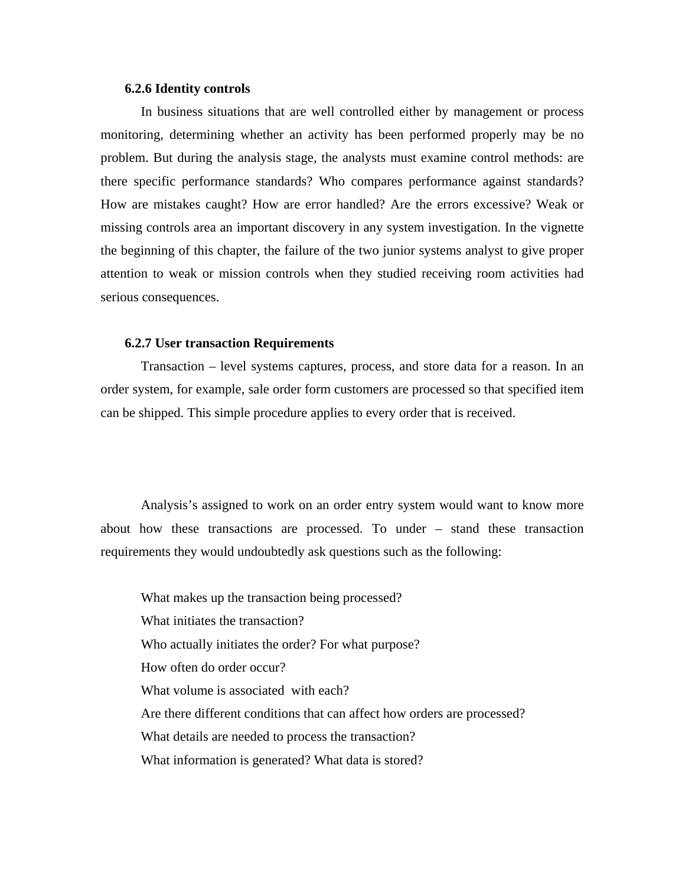#### **6.2.6 Identity controls**

 In business situations that are well controlled either by management or process monitoring, determining whether an activity has been performed properly may be no problem. But during the analysis stage, the analysts must examine control methods: are there specific performance standards? Who compares performance against standards? How are mistakes caught? How are error handled? Are the errors excessive? Weak or missing controls area an important discovery in any system investigation. In the vignette the beginning of this chapter, the failure of the two junior systems analyst to give proper attention to weak or mission controls when they studied receiving room activities had serious consequences.

#### **6.2.7 User transaction Requirements**

 Transaction – level systems captures, process, and store data for a reason. In an order system, for example, sale order form customers are processed so that specified item can be shipped. This simple procedure applies to every order that is received.

Analysis's assigned to work on an order entry system would want to know more about how these transactions are processed. To under – stand these transaction requirements they would undoubtedly ask questions such as the following:

What makes up the transaction being processed? What initiates the transaction? Who actually initiates the order? For what purpose? How often do order occur? What volume is associated with each? Are there different conditions that can affect how orders are processed? What details are needed to process the transaction? What information is generated? What data is stored?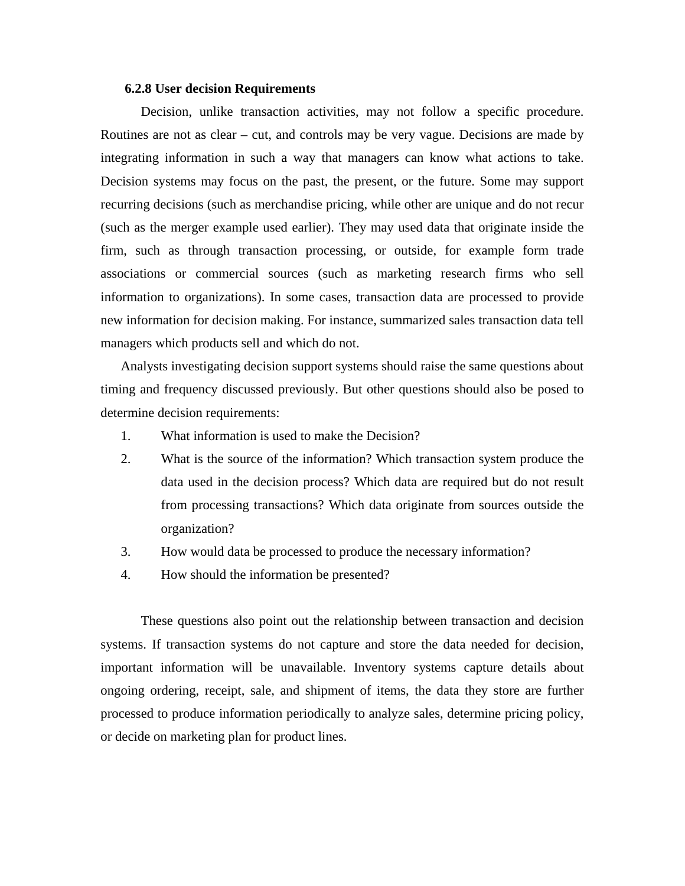#### **6.2.8 User decision Requirements**

 Decision, unlike transaction activities, may not follow a specific procedure. Routines are not as clear – cut, and controls may be very vague. Decisions are made by integrating information in such a way that managers can know what actions to take. Decision systems may focus on the past, the present, or the future. Some may support recurring decisions (such as merchandise pricing, while other are unique and do not recur (such as the merger example used earlier). They may used data that originate inside the firm, such as through transaction processing, or outside, for example form trade associations or commercial sources (such as marketing research firms who sell information to organizations). In some cases, transaction data are processed to provide new information for decision making. For instance, summarized sales transaction data tell managers which products sell and which do not.

Analysts investigating decision support systems should raise the same questions about timing and frequency discussed previously. But other questions should also be posed to determine decision requirements:

- 1. What information is used to make the Decision?
- 2. What is the source of the information? Which transaction system produce the data used in the decision process? Which data are required but do not result from processing transactions? Which data originate from sources outside the organization?
- 3. How would data be processed to produce the necessary information?
- 4. How should the information be presented?

These questions also point out the relationship between transaction and decision systems. If transaction systems do not capture and store the data needed for decision, important information will be unavailable. Inventory systems capture details about ongoing ordering, receipt, sale, and shipment of items, the data they store are further processed to produce information periodically to analyze sales, determine pricing policy, or decide on marketing plan for product lines.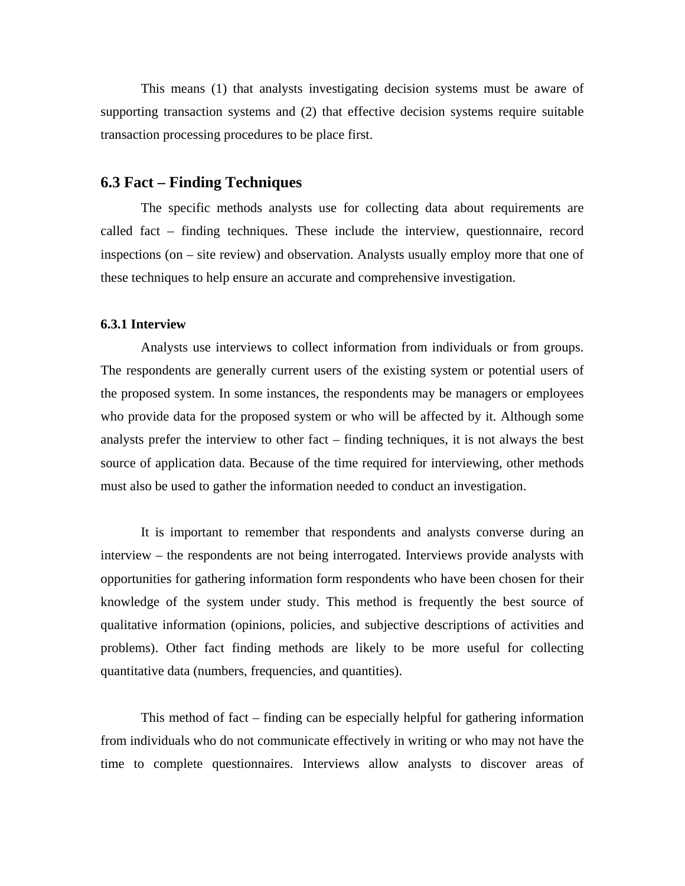This means (1) that analysts investigating decision systems must be aware of supporting transaction systems and (2) that effective decision systems require suitable transaction processing procedures to be place first.

# **6.3 Fact – Finding Techniques**

 The specific methods analysts use for collecting data about requirements are called fact – finding techniques. These include the interview, questionnaire, record inspections (on – site review) and observation. Analysts usually employ more that one of these techniques to help ensure an accurate and comprehensive investigation.

#### **6.3.1 Interview**

 Analysts use interviews to collect information from individuals or from groups. The respondents are generally current users of the existing system or potential users of the proposed system. In some instances, the respondents may be managers or employees who provide data for the proposed system or who will be affected by it. Although some analysts prefer the interview to other fact – finding techniques, it is not always the best source of application data. Because of the time required for interviewing, other methods must also be used to gather the information needed to conduct an investigation.

 It is important to remember that respondents and analysts converse during an interview – the respondents are not being interrogated. Interviews provide analysts with opportunities for gathering information form respondents who have been chosen for their knowledge of the system under study. This method is frequently the best source of qualitative information (opinions, policies, and subjective descriptions of activities and problems). Other fact finding methods are likely to be more useful for collecting quantitative data (numbers, frequencies, and quantities).

 This method of fact – finding can be especially helpful for gathering information from individuals who do not communicate effectively in writing or who may not have the time to complete questionnaires. Interviews allow analysts to discover areas of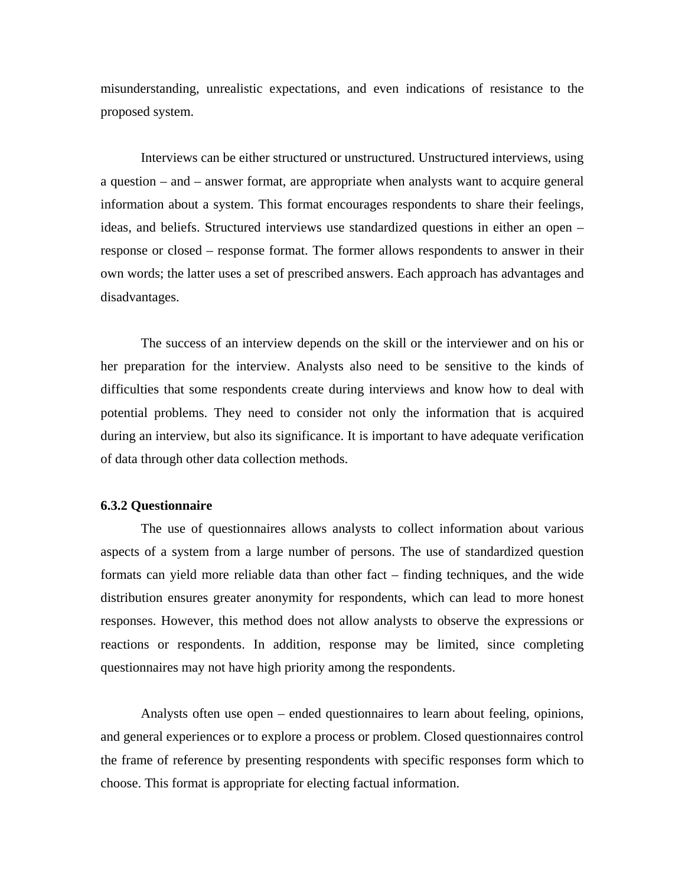misunderstanding, unrealistic expectations, and even indications of resistance to the proposed system.

 Interviews can be either structured or unstructured. Unstructured interviews, using a question – and – answer format, are appropriate when analysts want to acquire general information about a system. This format encourages respondents to share their feelings, ideas, and beliefs. Structured interviews use standardized questions in either an open – response or closed – response format. The former allows respondents to answer in their own words; the latter uses a set of prescribed answers. Each approach has advantages and disadvantages.

 The success of an interview depends on the skill or the interviewer and on his or her preparation for the interview. Analysts also need to be sensitive to the kinds of difficulties that some respondents create during interviews and know how to deal with potential problems. They need to consider not only the information that is acquired during an interview, but also its significance. It is important to have adequate verification of data through other data collection methods.

# **6.3.2 Questionnaire**

 The use of questionnaires allows analysts to collect information about various aspects of a system from a large number of persons. The use of standardized question formats can yield more reliable data than other fact – finding techniques, and the wide distribution ensures greater anonymity for respondents, which can lead to more honest responses. However, this method does not allow analysts to observe the expressions or reactions or respondents. In addition, response may be limited, since completing questionnaires may not have high priority among the respondents.

 Analysts often use open – ended questionnaires to learn about feeling, opinions, and general experiences or to explore a process or problem. Closed questionnaires control the frame of reference by presenting respondents with specific responses form which to choose. This format is appropriate for electing factual information.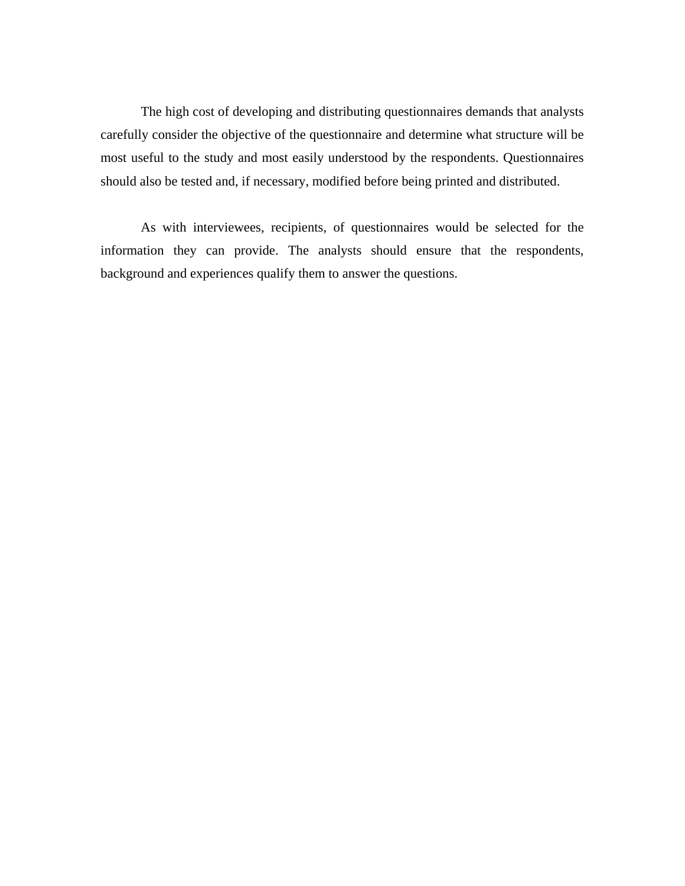The high cost of developing and distributing questionnaires demands that analysts carefully consider the objective of the questionnaire and determine what structure will be most useful to the study and most easily understood by the respondents. Questionnaires should also be tested and, if necessary, modified before being printed and distributed.

 As with interviewees, recipients, of questionnaires would be selected for the information they can provide. The analysts should ensure that the respondents, background and experiences qualify them to answer the questions.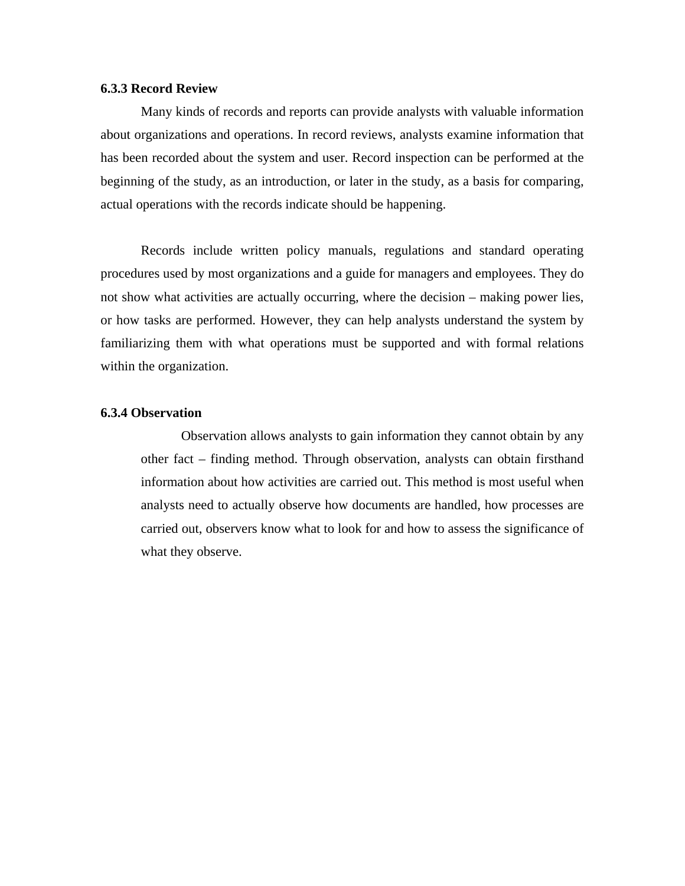## **6.3.3 Record Review**

 Many kinds of records and reports can provide analysts with valuable information about organizations and operations. In record reviews, analysts examine information that has been recorded about the system and user. Record inspection can be performed at the beginning of the study, as an introduction, or later in the study, as a basis for comparing, actual operations with the records indicate should be happening.

 Records include written policy manuals, regulations and standard operating procedures used by most organizations and a guide for managers and employees. They do not show what activities are actually occurring, where the decision – making power lies, or how tasks are performed. However, they can help analysts understand the system by familiarizing them with what operations must be supported and with formal relations within the organization.

## **6.3.4 Observation**

 Observation allows analysts to gain information they cannot obtain by any other fact – finding method. Through observation, analysts can obtain firsthand information about how activities are carried out. This method is most useful when analysts need to actually observe how documents are handled, how processes are carried out, observers know what to look for and how to assess the significance of what they observe.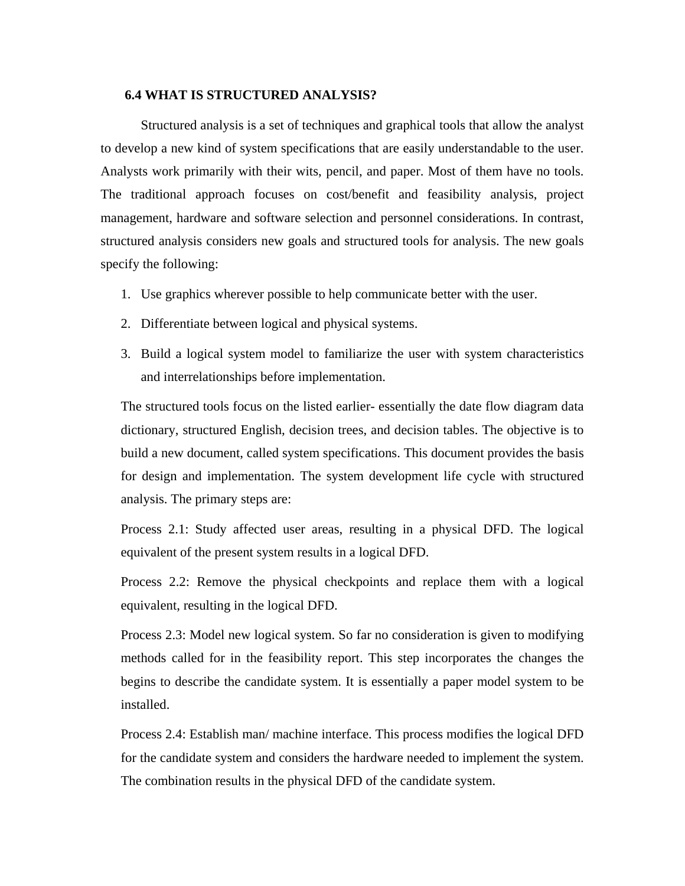### **6.4 WHAT IS STRUCTURED ANALYSIS?**

Structured analysis is a set of techniques and graphical tools that allow the analyst to develop a new kind of system specifications that are easily understandable to the user. Analysts work primarily with their wits, pencil, and paper. Most of them have no tools. The traditional approach focuses on cost/benefit and feasibility analysis, project management, hardware and software selection and personnel considerations. In contrast, structured analysis considers new goals and structured tools for analysis. The new goals specify the following:

- 1. Use graphics wherever possible to help communicate better with the user.
- 2. Differentiate between logical and physical systems.
- 3. Build a logical system model to familiarize the user with system characteristics and interrelationships before implementation.

The structured tools focus on the listed earlier- essentially the date flow diagram data dictionary, structured English, decision trees, and decision tables. The objective is to build a new document, called system specifications. This document provides the basis for design and implementation. The system development life cycle with structured analysis. The primary steps are:

Process 2.1: Study affected user areas, resulting in a physical DFD. The logical equivalent of the present system results in a logical DFD.

Process 2.2: Remove the physical checkpoints and replace them with a logical equivalent, resulting in the logical DFD.

Process 2.3: Model new logical system. So far no consideration is given to modifying methods called for in the feasibility report. This step incorporates the changes the begins to describe the candidate system. It is essentially a paper model system to be installed.

Process 2.4: Establish man/ machine interface. This process modifies the logical DFD for the candidate system and considers the hardware needed to implement the system. The combination results in the physical DFD of the candidate system.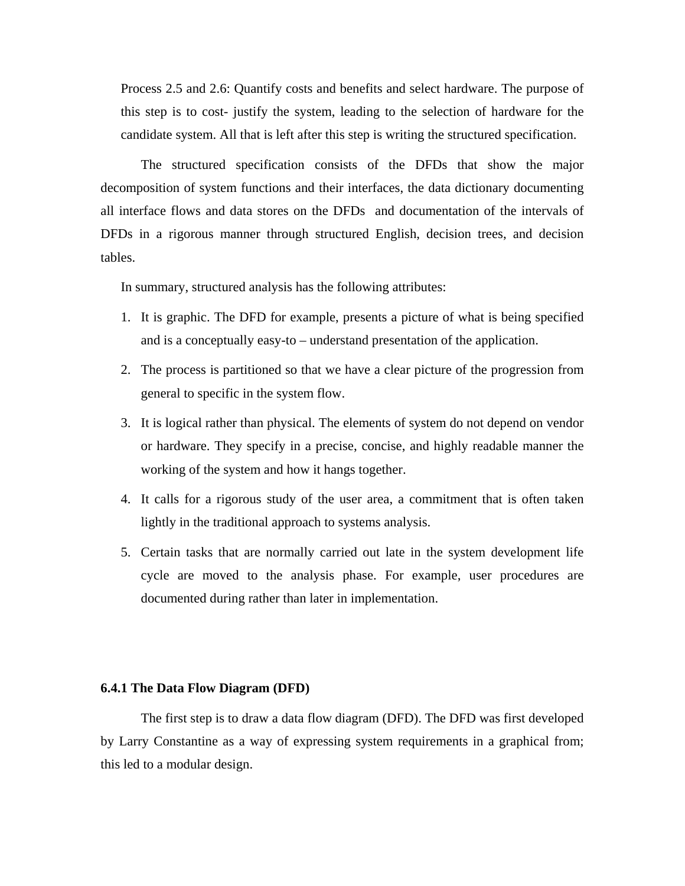Process 2.5 and 2.6: Quantify costs and benefits and select hardware. The purpose of this step is to cost- justify the system, leading to the selection of hardware for the candidate system. All that is left after this step is writing the structured specification.

The structured specification consists of the DFDs that show the major decomposition of system functions and their interfaces, the data dictionary documenting all interface flows and data stores on the DFDs and documentation of the intervals of DFDs in a rigorous manner through structured English, decision trees, and decision tables.

In summary, structured analysis has the following attributes:

- 1. It is graphic. The DFD for example, presents a picture of what is being specified and is a conceptually easy-to – understand presentation of the application.
- 2. The process is partitioned so that we have a clear picture of the progression from general to specific in the system flow.
- 3. It is logical rather than physical. The elements of system do not depend on vendor or hardware. They specify in a precise, concise, and highly readable manner the working of the system and how it hangs together.
- 4. It calls for a rigorous study of the user area, a commitment that is often taken lightly in the traditional approach to systems analysis.
- 5. Certain tasks that are normally carried out late in the system development life cycle are moved to the analysis phase. For example, user procedures are documented during rather than later in implementation.

### **6.4.1 The Data Flow Diagram (DFD)**

The first step is to draw a data flow diagram (DFD). The DFD was first developed by Larry Constantine as a way of expressing system requirements in a graphical from; this led to a modular design.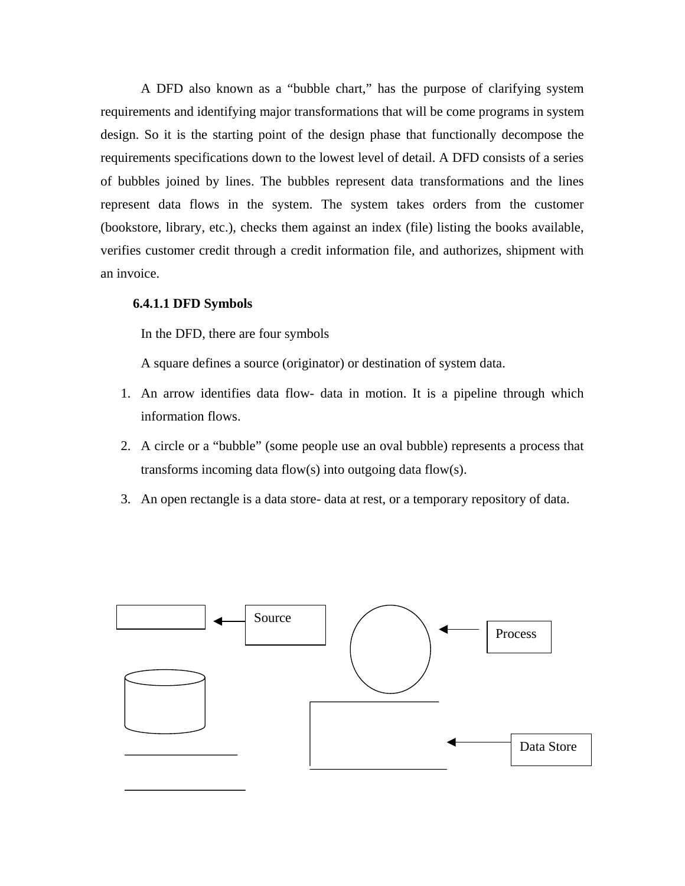A DFD also known as a "bubble chart," has the purpose of clarifying system requirements and identifying major transformations that will be come programs in system design. So it is the starting point of the design phase that functionally decompose the requirements specifications down to the lowest level of detail. A DFD consists of a series of bubbles joined by lines. The bubbles represent data transformations and the lines represent data flows in the system. The system takes orders from the customer (bookstore, library, etc.), checks them against an index (file) listing the books available, verifies customer credit through a credit information file, and authorizes, shipment with an invoice.

## **6.4.1.1 DFD Symbols**

In the DFD, there are four symbols

A square defines a source (originator) or destination of system data.

- 1. An arrow identifies data flow- data in motion. It is a pipeline through which information flows.
- 2. A circle or a "bubble" (some people use an oval bubble) represents a process that transforms incoming data flow(s) into outgoing data flow(s).
- 3. An open rectangle is a data store- data at rest, or a temporary repository of data.

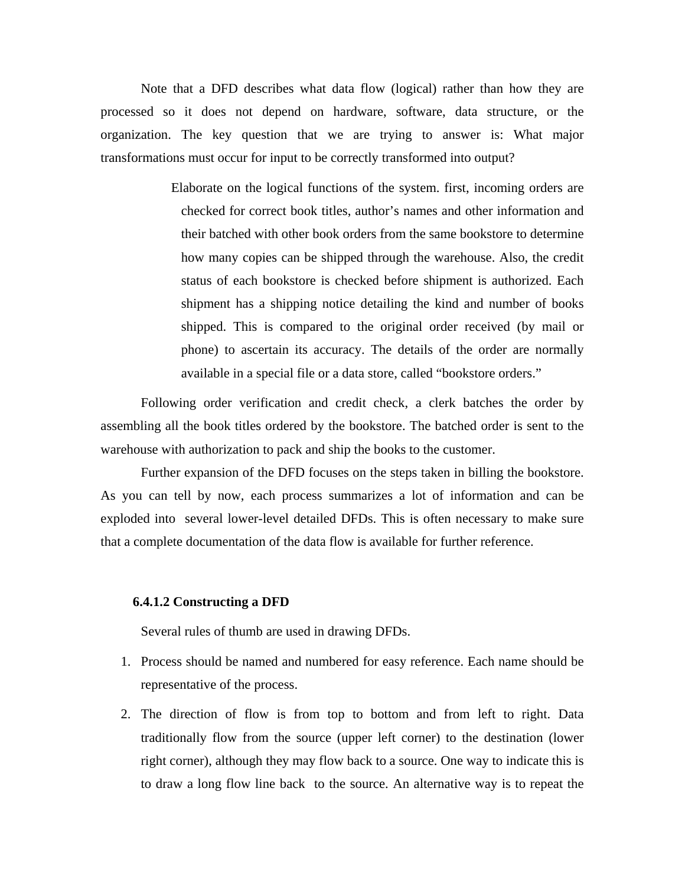Note that a DFD describes what data flow (logical) rather than how they are processed so it does not depend on hardware, software, data structure, or the organization. The key question that we are trying to answer is: What major transformations must occur for input to be correctly transformed into output?

> Elaborate on the logical functions of the system. first, incoming orders are checked for correct book titles, author's names and other information and their batched with other book orders from the same bookstore to determine how many copies can be shipped through the warehouse. Also, the credit status of each bookstore is checked before shipment is authorized. Each shipment has a shipping notice detailing the kind and number of books shipped. This is compared to the original order received (by mail or phone) to ascertain its accuracy. The details of the order are normally available in a special file or a data store, called "bookstore orders."

Following order verification and credit check, a clerk batches the order by assembling all the book titles ordered by the bookstore. The batched order is sent to the warehouse with authorization to pack and ship the books to the customer.

Further expansion of the DFD focuses on the steps taken in billing the bookstore. As you can tell by now, each process summarizes a lot of information and can be exploded into several lower-level detailed DFDs. This is often necessary to make sure that a complete documentation of the data flow is available for further reference.

### **6.4.1.2 Constructing a DFD**

Several rules of thumb are used in drawing DFDs.

- 1. Process should be named and numbered for easy reference. Each name should be representative of the process.
- 2. The direction of flow is from top to bottom and from left to right. Data traditionally flow from the source (upper left corner) to the destination (lower right corner), although they may flow back to a source. One way to indicate this is to draw a long flow line back to the source. An alternative way is to repeat the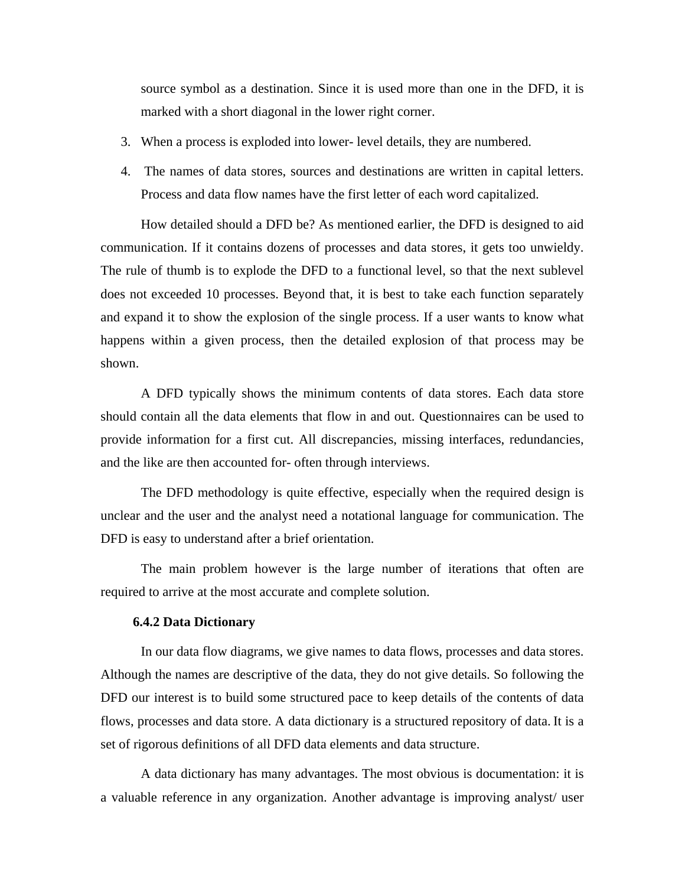source symbol as a destination. Since it is used more than one in the DFD, it is marked with a short diagonal in the lower right corner.

- 3. When a process is exploded into lower- level details, they are numbered.
- 4. The names of data stores, sources and destinations are written in capital letters. Process and data flow names have the first letter of each word capitalized.

How detailed should a DFD be? As mentioned earlier, the DFD is designed to aid communication. If it contains dozens of processes and data stores, it gets too unwieldy. The rule of thumb is to explode the DFD to a functional level, so that the next sublevel does not exceeded 10 processes. Beyond that, it is best to take each function separately and expand it to show the explosion of the single process. If a user wants to know what happens within a given process, then the detailed explosion of that process may be shown.

A DFD typically shows the minimum contents of data stores. Each data store should contain all the data elements that flow in and out. Questionnaires can be used to provide information for a first cut. All discrepancies, missing interfaces, redundancies, and the like are then accounted for- often through interviews.

The DFD methodology is quite effective, especially when the required design is unclear and the user and the analyst need a notational language for communication. The DFD is easy to understand after a brief orientation.

The main problem however is the large number of iterations that often are required to arrive at the most accurate and complete solution.

### **6.4.2 Data Dictionary**

In our data flow diagrams, we give names to data flows, processes and data stores. Although the names are descriptive of the data, they do not give details. So following the DFD our interest is to build some structured pace to keep details of the contents of data flows, processes and data store. A data dictionary is a structured repository of data. It is a set of rigorous definitions of all DFD data elements and data structure.

A data dictionary has many advantages. The most obvious is documentation: it is a valuable reference in any organization. Another advantage is improving analyst/ user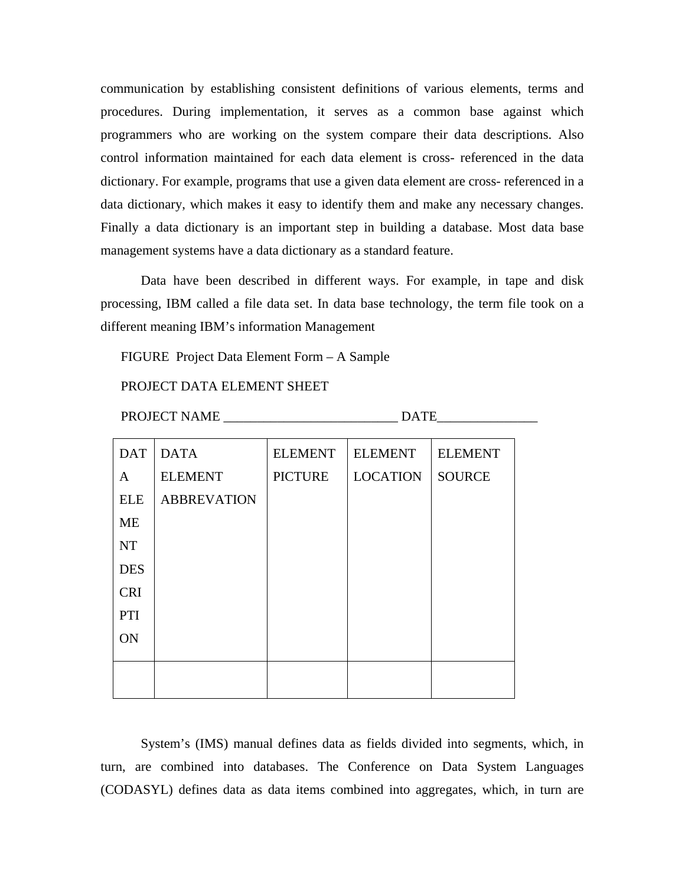communication by establishing consistent definitions of various elements, terms and procedures. During implementation, it serves as a common base against which programmers who are working on the system compare their data descriptions. Also control information maintained for each data element is cross- referenced in the data dictionary. For example, programs that use a given data element are cross- referenced in a data dictionary, which makes it easy to identify them and make any necessary changes. Finally a data dictionary is an important step in building a database. Most data base management systems have a data dictionary as a standard feature.

Data have been described in different ways. For example, in tape and disk processing, IBM called a file data set. In data base technology, the term file took on a different meaning IBM's information Management

FIGURE Project Data Element Form – A Sample

PROJECT DATA ELEMENT SHEET

PROJECT NAME \_\_\_\_\_\_\_\_\_\_\_\_\_\_\_\_\_\_\_\_\_\_\_\_\_\_ DATE\_\_\_\_\_\_\_\_\_\_\_\_\_\_\_

| <b>DAT</b> | <b>DATA</b>        | <b>ELEMENT</b> | <b>ELEMENT</b>  | <b>ELEMENT</b> |
|------------|--------------------|----------------|-----------------|----------------|
| A          | <b>ELEMENT</b>     | <b>PICTURE</b> | <b>LOCATION</b> | <b>SOURCE</b>  |
| <b>ELE</b> | <b>ABBREVATION</b> |                |                 |                |
| ME         |                    |                |                 |                |
| <b>NT</b>  |                    |                |                 |                |
| <b>DES</b> |                    |                |                 |                |
| <b>CRI</b> |                    |                |                 |                |
| PTI        |                    |                |                 |                |
| ON         |                    |                |                 |                |
|            |                    |                |                 |                |
|            |                    |                |                 |                |

System's (IMS) manual defines data as fields divided into segments, which, in turn, are combined into databases. The Conference on Data System Languages (CODASYL) defines data as data items combined into aggregates, which, in turn are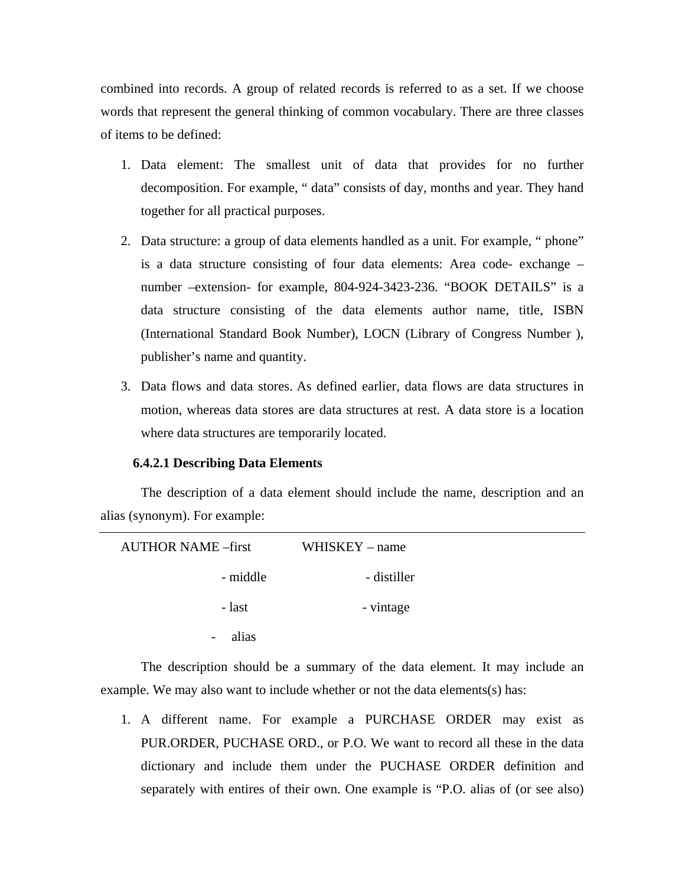combined into records. A group of related records is referred to as a set. If we choose words that represent the general thinking of common vocabulary. There are three classes of items to be defined:

- 1. Data element: The smallest unit of data that provides for no further decomposition. For example, " data" consists of day, months and year. They hand together for all practical purposes.
- 2. Data structure: a group of data elements handled as a unit. For example, " phone" is a data structure consisting of four data elements: Area code- exchange – number –extension- for example, 804-924-3423-236. "BOOK DETAILS" is a data structure consisting of the data elements author name, title, ISBN (International Standard Book Number), LOCN (Library of Congress Number ), publisher's name and quantity.
- 3. Data flows and data stores. As defined earlier, data flows are data structures in motion, whereas data stores are data structures at rest. A data store is a location where data structures are temporarily located.

### **6.4.2.1 Describing Data Elements**

The description of a data element should include the name, description and an alias (synonym). For example:

| <b>AUTHOR NAME-first</b> | $WHISKEY - name$ |
|--------------------------|------------------|
| - middle                 | - distiller      |
| - last                   | - vintage        |
| alias                    |                  |

The description should be a summary of the data element. It may include an example. We may also want to include whether or not the data elements(s) has:

1. A different name. For example a PURCHASE ORDER may exist as PUR.ORDER, PUCHASE ORD., or P.O. We want to record all these in the data dictionary and include them under the PUCHASE ORDER definition and separately with entires of their own. One example is "P.O. alias of (or see also)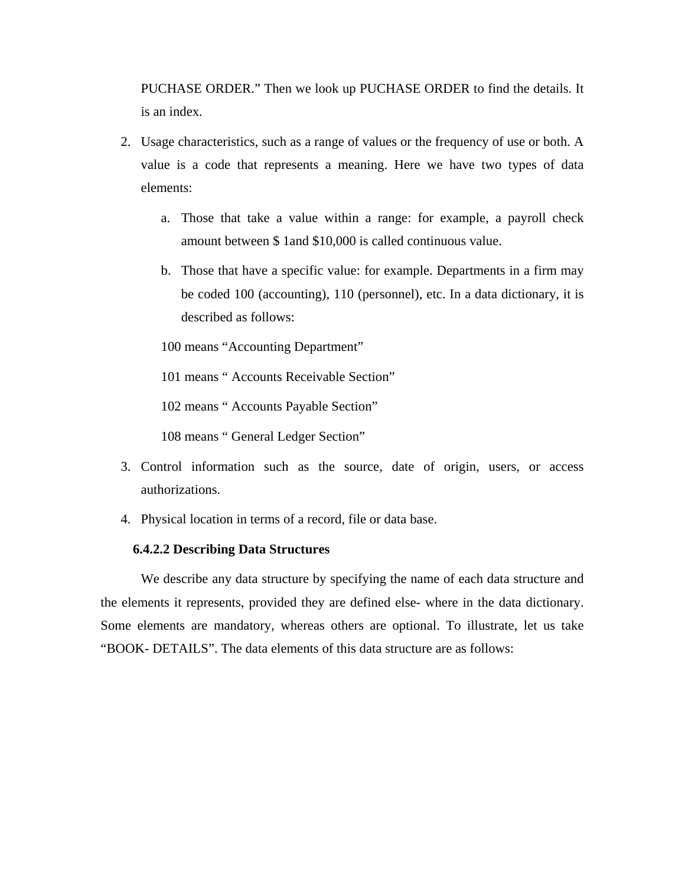PUCHASE ORDER." Then we look up PUCHASE ORDER to find the details. It is an index.

- 2. Usage characteristics, such as a range of values or the frequency of use or both. A value is a code that represents a meaning. Here we have two types of data elements:
	- a. Those that take a value within a range: for example, a payroll check amount between \$ 1and \$10,000 is called continuous value.
	- b. Those that have a specific value: for example. Departments in a firm may be coded 100 (accounting), 110 (personnel), etc. In a data dictionary, it is described as follows:
	- 100 means "Accounting Department"
	- 101 means " Accounts Receivable Section"

102 means " Accounts Payable Section"

108 means " General Ledger Section"

- 3. Control information such as the source, date of origin, users, or access authorizations.
- 4. Physical location in terms of a record, file or data base.

### **6.4.2.2 Describing Data Structures**

We describe any data structure by specifying the name of each data structure and the elements it represents, provided they are defined else- where in the data dictionary. Some elements are mandatory, whereas others are optional. To illustrate, let us take "BOOK- DETAILS". The data elements of this data structure are as follows: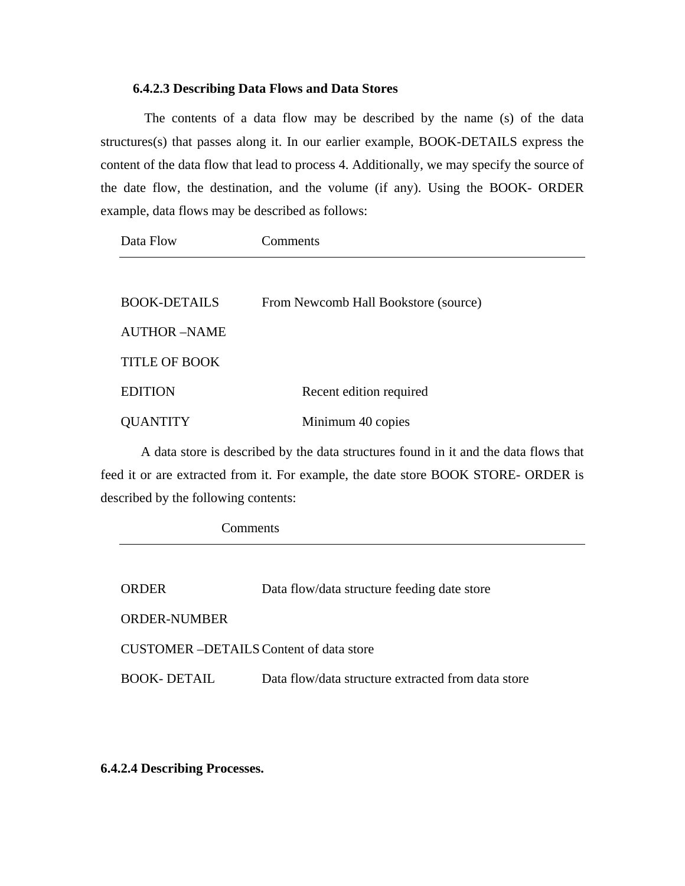## **6.4.2.3 Describing Data Flows and Data Stores**

 The contents of a data flow may be described by the name (s) of the data structures(s) that passes along it. In our earlier example, BOOK-DETAILS express the content of the data flow that lead to process 4. Additionally, we may specify the source of the date flow, the destination, and the volume (if any). Using the BOOK- ORDER example, data flows may be described as follows:

| Data Flow            | Comments                             |
|----------------------|--------------------------------------|
|                      |                                      |
| <b>BOOK-DETAILS</b>  | From Newcomb Hall Bookstore (source) |
| <b>AUTHOR-NAME</b>   |                                      |
| <b>TITLE OF BOOK</b> |                                      |
| <b>EDITION</b>       | Recent edition required              |
| <b>OUANTITY</b>      | Minimum 40 copies                    |

A data store is described by the data structures found in it and the data flows that feed it or are extracted from it. For example, the date store BOOK STORE- ORDER is described by the following contents:

**Comments** 

| <b>ORDER</b>                                  | Data flow/data structure feeding date store        |  |  |  |  |
|-----------------------------------------------|----------------------------------------------------|--|--|--|--|
| <b>ORDER-NUMBER</b>                           |                                                    |  |  |  |  |
| <b>CUSTOMER-DETAILS Content of data store</b> |                                                    |  |  |  |  |
| BOOK- DETAIL                                  | Data flow/data structure extracted from data store |  |  |  |  |

**6.4.2.4 Describing Processes.**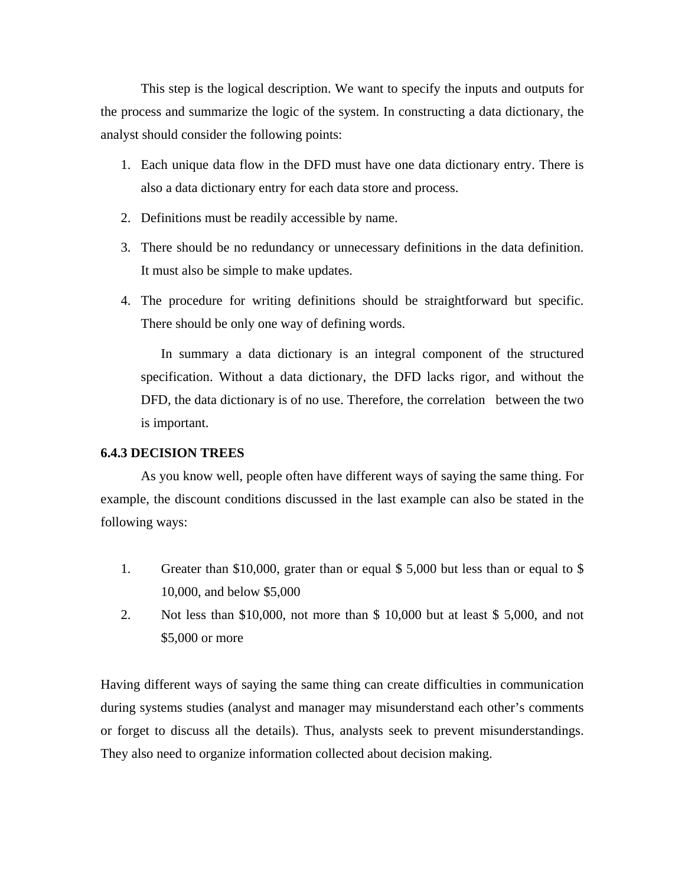This step is the logical description. We want to specify the inputs and outputs for the process and summarize the logic of the system. In constructing a data dictionary, the analyst should consider the following points:

- 1. Each unique data flow in the DFD must have one data dictionary entry. There is also a data dictionary entry for each data store and process.
- 2. Definitions must be readily accessible by name.
- 3. There should be no redundancy or unnecessary definitions in the data definition. It must also be simple to make updates.
- 4. The procedure for writing definitions should be straightforward but specific. There should be only one way of defining words.

In summary a data dictionary is an integral component of the structured specification. Without a data dictionary, the DFD lacks rigor, and without the DFD, the data dictionary is of no use. Therefore, the correlation between the two is important.

### **6.4.3 DECISION TREES**

 As you know well, people often have different ways of saying the same thing. For example, the discount conditions discussed in the last example can also be stated in the following ways:

- 1. Greater than \$10,000, grater than or equal \$ 5,000 but less than or equal to \$ 10,000, and below \$5,000
- 2. Not less than \$10,000, not more than \$ 10,000 but at least \$ 5,000, and not \$5,000 or more

Having different ways of saying the same thing can create difficulties in communication during systems studies (analyst and manager may misunderstand each other's comments or forget to discuss all the details). Thus, analysts seek to prevent misunderstandings. They also need to organize information collected about decision making.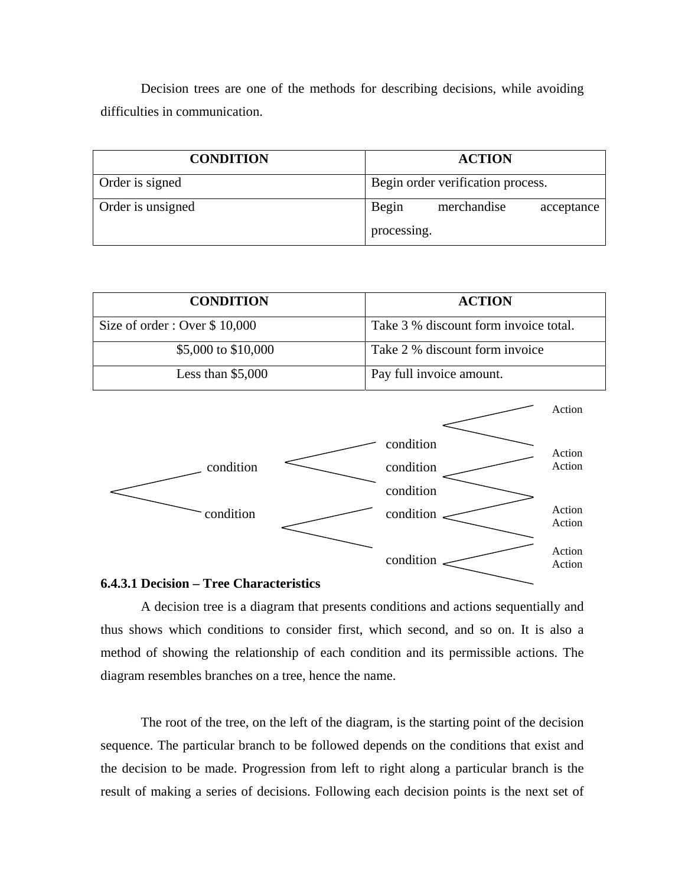Decision trees are one of the methods for describing decisions, while avoiding difficulties in communication.

| <b>CONDITION</b>  | <b>ACTION</b>                      |  |  |  |
|-------------------|------------------------------------|--|--|--|
| Order is signed   | Begin order verification process.  |  |  |  |
| Order is unsigned | merchandise<br>Begin<br>acceptance |  |  |  |
|                   | processing.                        |  |  |  |

| <b>CONDITION</b>             | <b>ACTION</b>                         |  |  |  |
|------------------------------|---------------------------------------|--|--|--|
| Size of order: Over \$10,000 | Take 3 % discount form invoice total. |  |  |  |
| \$5,000 to \$10,000          | Take 2 % discount form invoice        |  |  |  |
| Less than $$5,000$           | Pay full invoice amount.              |  |  |  |
|                              | Action                                |  |  |  |
|                              | condition<br>$\Lambda$ of $\Lambda$   |  |  |  |



**6.4.3.1 Decision – Tree Characteristics** 

 A decision tree is a diagram that presents conditions and actions sequentially and thus shows which conditions to consider first, which second, and so on. It is also a method of showing the relationship of each condition and its permissible actions. The diagram resembles branches on a tree, hence the name.

 The root of the tree, on the left of the diagram, is the starting point of the decision sequence. The particular branch to be followed depends on the conditions that exist and the decision to be made. Progression from left to right along a particular branch is the result of making a series of decisions. Following each decision points is the next set of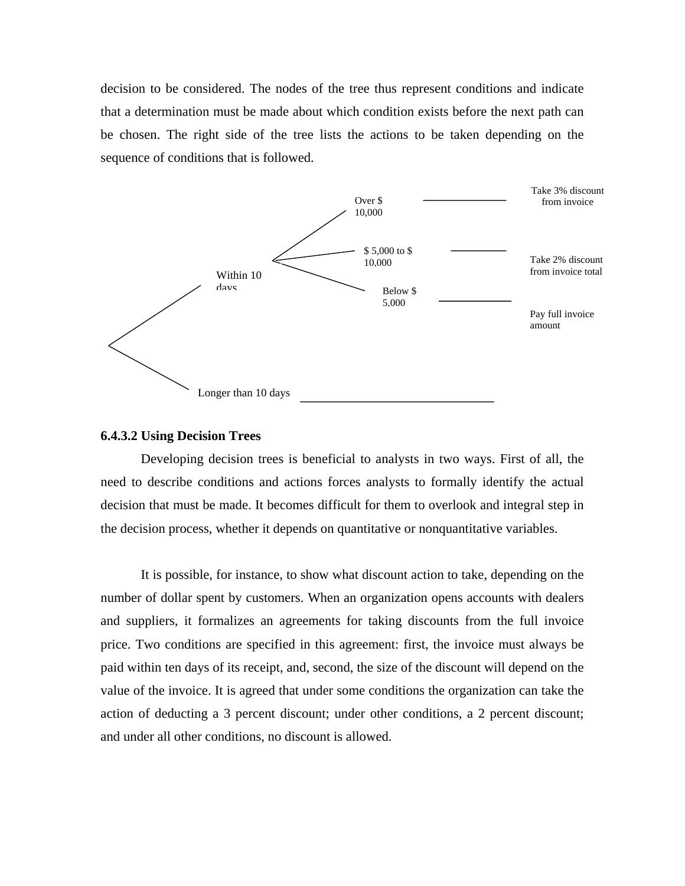decision to be considered. The nodes of the tree thus represent conditions and indicate that a determination must be made about which condition exists before the next path can be chosen. The right side of the tree lists the actions to be taken depending on the sequence of conditions that is followed.



### **6.4.3.2 Using Decision Trees**

 Developing decision trees is beneficial to analysts in two ways. First of all, the need to describe conditions and actions forces analysts to formally identify the actual decision that must be made. It becomes difficult for them to overlook and integral step in the decision process, whether it depends on quantitative or nonquantitative variables.

 It is possible, for instance, to show what discount action to take, depending on the number of dollar spent by customers. When an organization opens accounts with dealers and suppliers, it formalizes an agreements for taking discounts from the full invoice price. Two conditions are specified in this agreement: first, the invoice must always be paid within ten days of its receipt, and, second, the size of the discount will depend on the value of the invoice. It is agreed that under some conditions the organization can take the action of deducting a 3 percent discount; under other conditions, a 2 percent discount; and under all other conditions, no discount is allowed.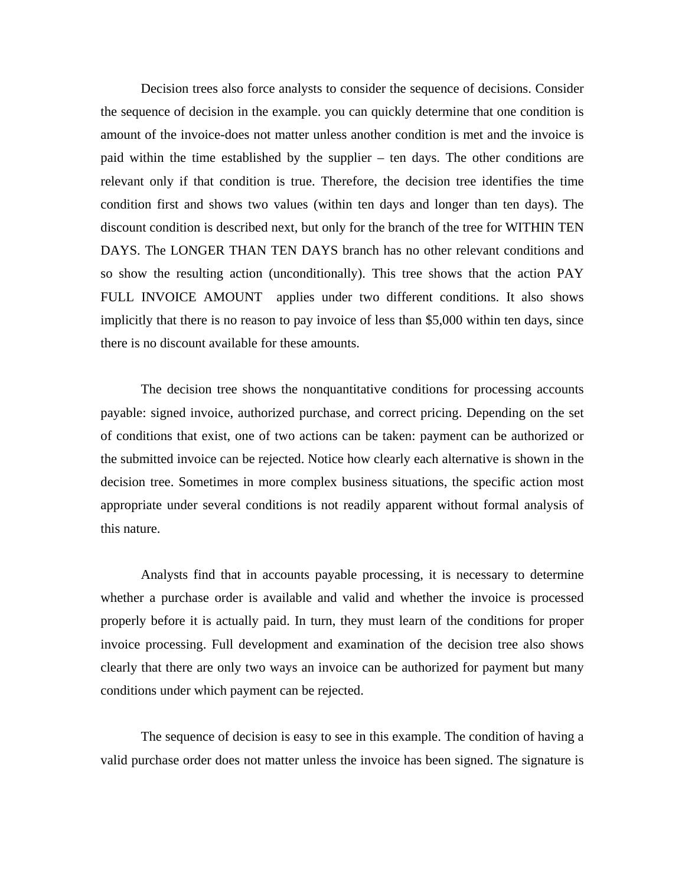Decision trees also force analysts to consider the sequence of decisions. Consider the sequence of decision in the example. you can quickly determine that one condition is amount of the invoice-does not matter unless another condition is met and the invoice is paid within the time established by the supplier – ten days. The other conditions are relevant only if that condition is true. Therefore, the decision tree identifies the time condition first and shows two values (within ten days and longer than ten days). The discount condition is described next, but only for the branch of the tree for WITHIN TEN DAYS. The LONGER THAN TEN DAYS branch has no other relevant conditions and so show the resulting action (unconditionally). This tree shows that the action PAY FULL INVOICE AMOUNT applies under two different conditions. It also shows implicitly that there is no reason to pay invoice of less than \$5,000 within ten days, since there is no discount available for these amounts.

 The decision tree shows the nonquantitative conditions for processing accounts payable: signed invoice, authorized purchase, and correct pricing. Depending on the set of conditions that exist, one of two actions can be taken: payment can be authorized or the submitted invoice can be rejected. Notice how clearly each alternative is shown in the decision tree. Sometimes in more complex business situations, the specific action most appropriate under several conditions is not readily apparent without formal analysis of this nature.

 Analysts find that in accounts payable processing, it is necessary to determine whether a purchase order is available and valid and whether the invoice is processed properly before it is actually paid. In turn, they must learn of the conditions for proper invoice processing. Full development and examination of the decision tree also shows clearly that there are only two ways an invoice can be authorized for payment but many conditions under which payment can be rejected.

 The sequence of decision is easy to see in this example. The condition of having a valid purchase order does not matter unless the invoice has been signed. The signature is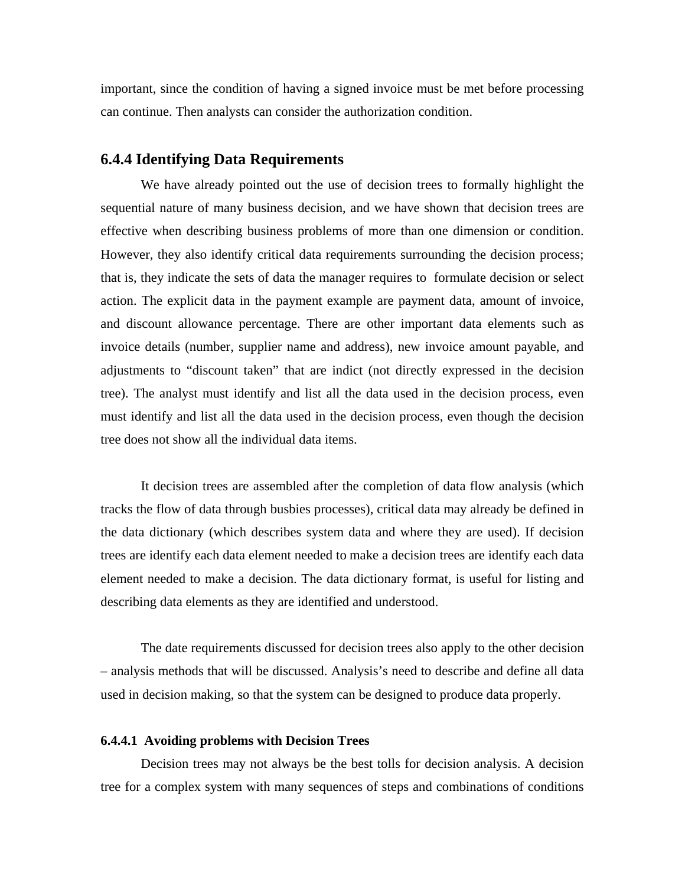important, since the condition of having a signed invoice must be met before processing can continue. Then analysts can consider the authorization condition.

## **6.4.4 Identifying Data Requirements**

 We have already pointed out the use of decision trees to formally highlight the sequential nature of many business decision, and we have shown that decision trees are effective when describing business problems of more than one dimension or condition. However, they also identify critical data requirements surrounding the decision process; that is, they indicate the sets of data the manager requires to formulate decision or select action. The explicit data in the payment example are payment data, amount of invoice, and discount allowance percentage. There are other important data elements such as invoice details (number, supplier name and address), new invoice amount payable, and adjustments to "discount taken" that are indict (not directly expressed in the decision tree). The analyst must identify and list all the data used in the decision process, even must identify and list all the data used in the decision process, even though the decision tree does not show all the individual data items.

 It decision trees are assembled after the completion of data flow analysis (which tracks the flow of data through busbies processes), critical data may already be defined in the data dictionary (which describes system data and where they are used). If decision trees are identify each data element needed to make a decision trees are identify each data element needed to make a decision. The data dictionary format, is useful for listing and describing data elements as they are identified and understood.

 The date requirements discussed for decision trees also apply to the other decision – analysis methods that will be discussed. Analysis's need to describe and define all data used in decision making, so that the system can be designed to produce data properly.

## **6.4.4.1 Avoiding problems with Decision Trees**

 Decision trees may not always be the best tolls for decision analysis. A decision tree for a complex system with many sequences of steps and combinations of conditions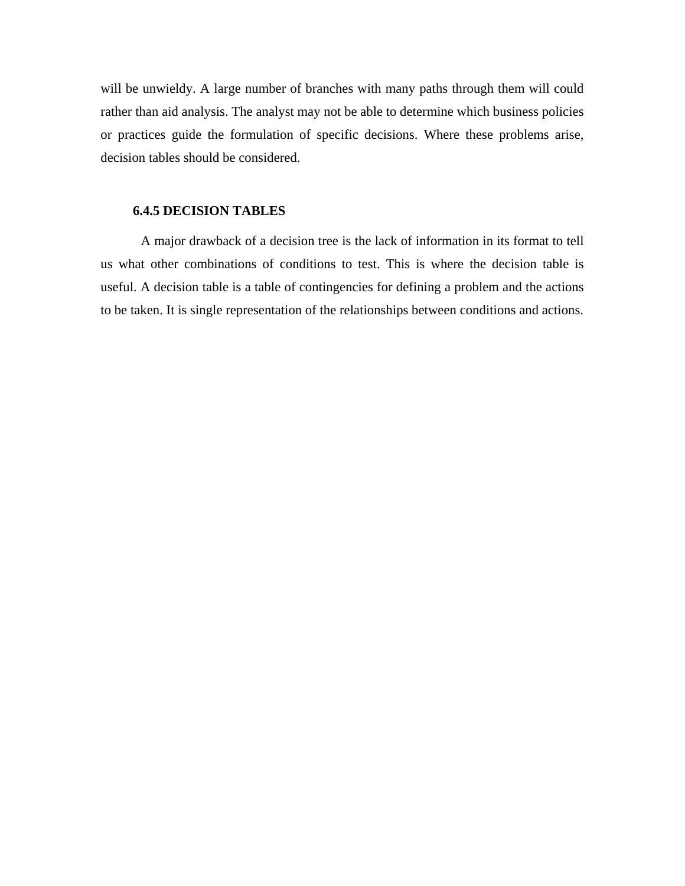will be unwieldy. A large number of branches with many paths through them will could rather than aid analysis. The analyst may not be able to determine which business policies or practices guide the formulation of specific decisions. Where these problems arise, decision tables should be considered.

## **6.4.5 DECISION TABLES**

A major drawback of a decision tree is the lack of information in its format to tell us what other combinations of conditions to test. This is where the decision table is useful. A decision table is a table of contingencies for defining a problem and the actions to be taken. It is single representation of the relationships between conditions and actions.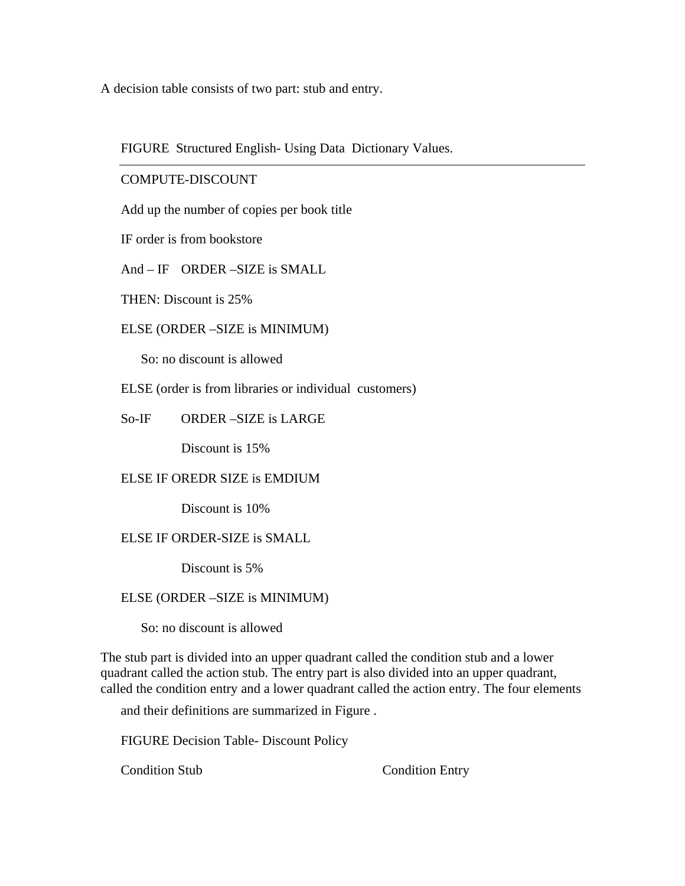A decision table consists of two part: stub and entry.

FIGURE Structured English- Using Data Dictionary Values.

## COMPUTE-DISCOUNT

Add up the number of copies per book title

IF order is from bookstore

And – IF ORDER –SIZE is SMALL

THEN: Discount is 25%

## ELSE (ORDER –SIZE is MINIMUM)

So: no discount is allowed

ELSE (order is from libraries or individual customers)

So-IF ORDER –SIZE is LARGE

Discount is 15%

## ELSE IF OREDR SIZE is EMDIUM

Discount is 10%

## ELSE IF ORDER-SIZE is SMALL

Discount is 5%

## ELSE (ORDER –SIZE is MINIMUM)

So: no discount is allowed

The stub part is divided into an upper quadrant called the condition stub and a lower quadrant called the action stub. The entry part is also divided into an upper quadrant, called the condition entry and a lower quadrant called the action entry. The four elements

and their definitions are summarized in Figure .

FIGURE Decision Table- Discount Policy

Condition Stub Condition Entry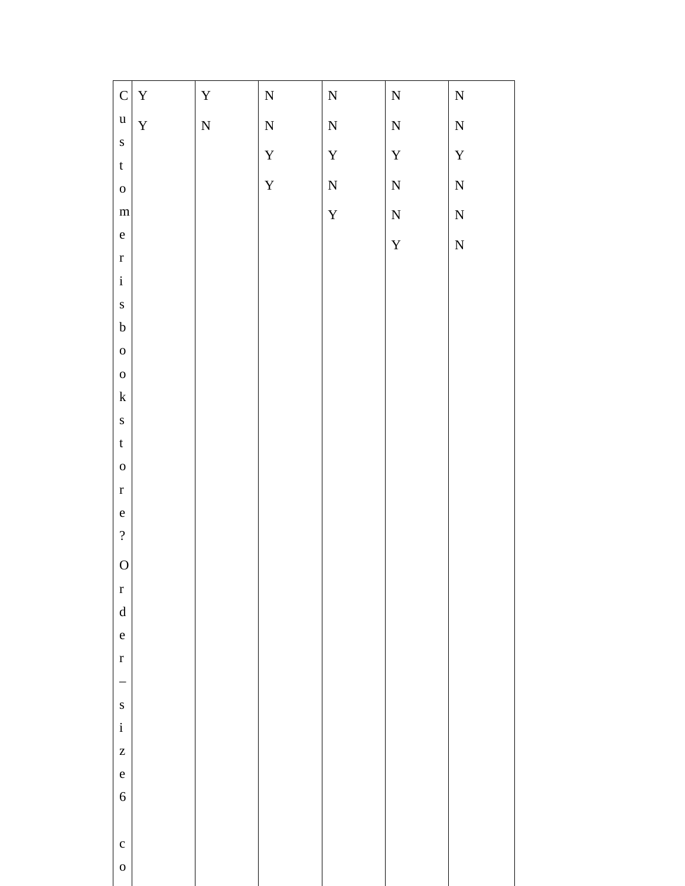| $\mathsf{C}$             | $\mathbf Y$ | $\mathbf Y$             | $\overline{\mathsf{N}}$ | $\mathbf N$             | $\mathbf N$             | $\mathbf N$             |
|--------------------------|-------------|-------------------------|-------------------------|-------------------------|-------------------------|-------------------------|
| $\mathbf u$              |             |                         |                         |                         |                         |                         |
| $\mathbf S$              | $\mathbf Y$ | $\overline{\mathbf{N}}$ | $\overline{\rm N}$      | $\overline{\mathsf{N}}$ | $\overline{\mathbf{N}}$ | $\overline{\mathsf{N}}$ |
| $\mathbf t$              |             |                         | $\mathbf Y$             | $\mathbf Y$             | Y                       | Y                       |
| $\mathbf{o}$             |             |                         | $\mathbf Y$             | $\overline{\mathsf{N}}$ | $\overline{\mathbf{N}}$ | $\overline{\mathsf{N}}$ |
| ${\bf m}$                |             |                         |                         | $\mathbf Y$             | $\overline{\mathsf{N}}$ | $\mathbf N$             |
| $\mathbf e$              |             |                         |                         |                         | $\overline{Y}$          | $\overline{\mathsf{N}}$ |
| $\bf r$                  |             |                         |                         |                         |                         |                         |
| $\mathbf i$              |             |                         |                         |                         |                         |                         |
| ${\bf S}$                |             |                         |                         |                         |                         |                         |
| $\mathbf b$              |             |                         |                         |                         |                         |                         |
| $\mathbf{o}$             |             |                         |                         |                         |                         |                         |
| $\mathbf{o}$             |             |                         |                         |                         |                         |                         |
| ${\bf k}$                |             |                         |                         |                         |                         |                         |
| ${\bf S}$                |             |                         |                         |                         |                         |                         |
| $\mathbf t$              |             |                         |                         |                         |                         |                         |
| $\mathbf{o}$             |             |                         |                         |                         |                         |                         |
| $\bf r$                  |             |                         |                         |                         |                         |                         |
| $\mathbf e$              |             |                         |                         |                         |                         |                         |
| $\overline{?}$           |             |                         |                         |                         |                         |                         |
| $\mathbf O$              |             |                         |                         |                         |                         |                         |
| $\mathbf{r}$             |             |                         |                         |                         |                         |                         |
| ${\bf d}$                |             |                         |                         |                         |                         |                         |
| $\mathbf e$              |             |                         |                         |                         |                         |                         |
| $\mathbf r$              |             |                         |                         |                         |                         |                         |
| $\overline{\phantom{0}}$ |             |                         |                         |                         |                         |                         |
| $\mathbf S$              |             |                         |                         |                         |                         |                         |
| $\mathbf i$              |             |                         |                         |                         |                         |                         |
| $\mathbf{Z}$             |             |                         |                         |                         |                         |                         |
| $\mathbf e$              |             |                         |                         |                         |                         |                         |
| $\overline{6}$           |             |                         |                         |                         |                         |                         |
|                          |             |                         |                         |                         |                         |                         |
| $\mathbf{C}$             |             |                         |                         |                         |                         |                         |
| $\mathbf{o}$             |             |                         |                         |                         |                         |                         |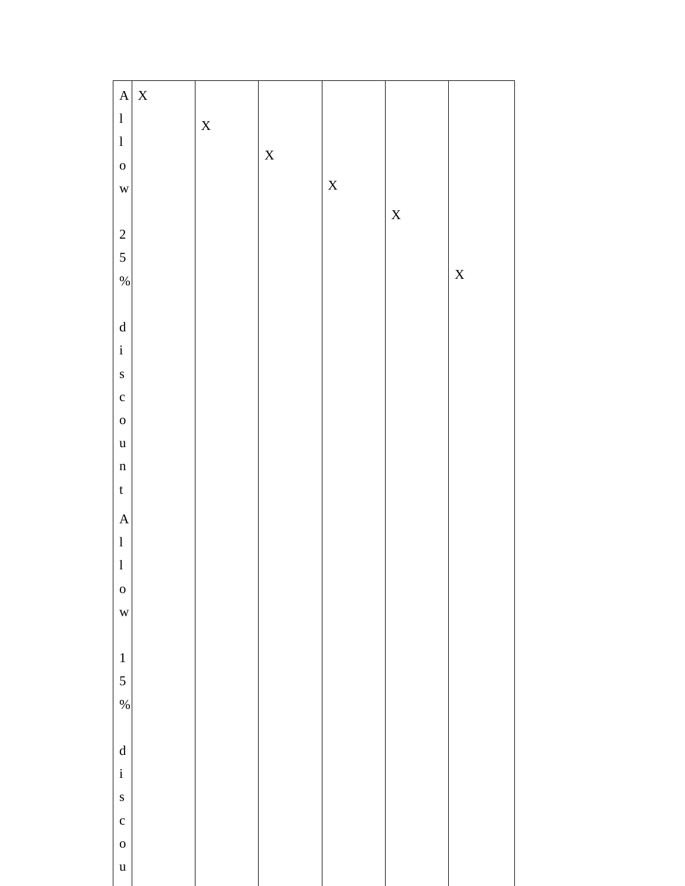|                  | $A \, \mid X$ |             |             |             |             |             |
|------------------|---------------|-------------|-------------|-------------|-------------|-------------|
| $\mathbf{1}$     |               | $\mathbf X$ |             |             |             |             |
| $\boldsymbol{1}$ |               |             |             |             |             |             |
| $\mathbf{o}$     |               |             | $\mathbf X$ |             |             |             |
| $\mathbf W$      |               |             |             | $\mathbf X$ |             |             |
|                  |               |             |             |             | $\mathbf X$ |             |
| $\sqrt{2}$       |               |             |             |             |             |             |
| $\overline{5}$   |               |             |             |             |             |             |
| $\%$             |               |             |             |             |             | $\mathbf X$ |
|                  |               |             |             |             |             |             |
| ${\bf d}$        |               |             |             |             |             |             |
| $\mathbf{i}$     |               |             |             |             |             |             |
| $\mathbf S$      |               |             |             |             |             |             |
| $\mathbf{c}$     |               |             |             |             |             |             |
| $\mathbf{o}$     |               |             |             |             |             |             |
| $\mathbf u$      |               |             |             |             |             |             |
| $\mathbf n$      |               |             |             |             |             |             |
| $\mathbf t$      |               |             |             |             |             |             |
| $\boldsymbol{A}$ |               |             |             |             |             |             |
| $\bf{l}$         |               |             |             |             |             |             |
| $\bf{l}$         |               |             |             |             |             |             |
| $\mathbf{o}$     |               |             |             |             |             |             |
| W                |               |             |             |             |             |             |
|                  |               |             |             |             |             |             |
| $\,1\,$          |               |             |             |             |             |             |
| 5                |               |             |             |             |             |             |
| $\%$             |               |             |             |             |             |             |
|                  |               |             |             |             |             |             |
| $\rm d$          |               |             |             |             |             |             |
| $\rm i$          |               |             |             |             |             |             |
| $\mathbf S$      |               |             |             |             |             |             |
| $\mathbf{c}$     |               |             |             |             |             |             |
| $\mathbf{o}$     |               |             |             |             |             |             |
| $\mathbf{u}%$    |               |             |             |             |             |             |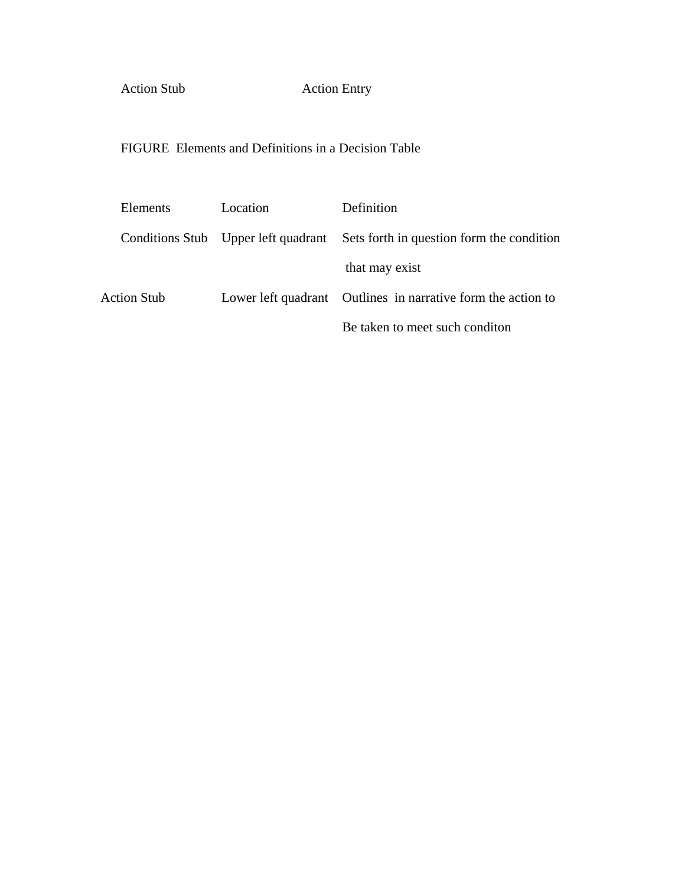# Action Stub Action Entry

FIGURE Elements and Definitions in a Decision Table

| <b>Elements</b>    | Location                            | Definition                                                   |
|--------------------|-------------------------------------|--------------------------------------------------------------|
|                    | Conditions Stub Upper left quadrant | Sets forth in question form the condition                    |
|                    |                                     | that may exist                                               |
| <b>Action Stub</b> |                                     | Lower left quadrant Outlines in narrative form the action to |
|                    |                                     | Be taken to meet such conditon                               |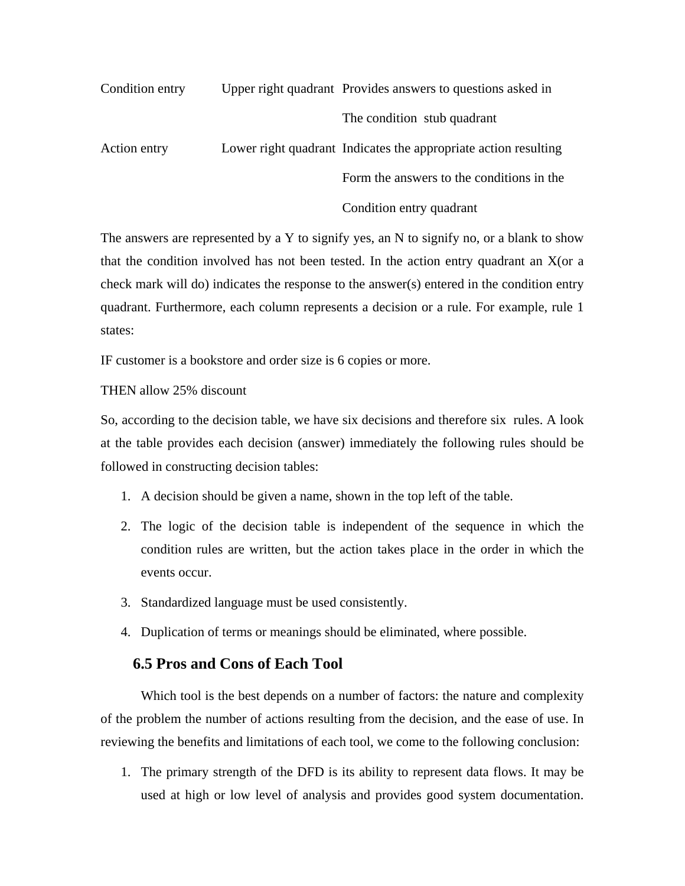| Condition entry | Upper right quadrant Provides answers to questions asked in     |
|-----------------|-----------------------------------------------------------------|
|                 | The condition stub quadrant                                     |
| Action entry    | Lower right quadrant Indicates the appropriate action resulting |
|                 | Form the answers to the conditions in the                       |
|                 | Condition entry quadrant                                        |

The answers are represented by a Y to signify yes, an N to signify no, or a blank to show that the condition involved has not been tested. In the action entry quadrant an  $X$ (or a check mark will do) indicates the response to the answer(s) entered in the condition entry quadrant. Furthermore, each column represents a decision or a rule. For example, rule 1 states:

IF customer is a bookstore and order size is 6 copies or more.

## THEN allow 25% discount

So, according to the decision table, we have six decisions and therefore six rules. A look at the table provides each decision (answer) immediately the following rules should be followed in constructing decision tables:

- 1. A decision should be given a name, shown in the top left of the table.
- 2. The logic of the decision table is independent of the sequence in which the condition rules are written, but the action takes place in the order in which the events occur.
- 3. Standardized language must be used consistently.
- 4. Duplication of terms or meanings should be eliminated, where possible.

# **6.5 Pros and Cons of Each Tool**

Which tool is the best depends on a number of factors: the nature and complexity of the problem the number of actions resulting from the decision, and the ease of use. In reviewing the benefits and limitations of each tool, we come to the following conclusion:

1. The primary strength of the DFD is its ability to represent data flows. It may be used at high or low level of analysis and provides good system documentation.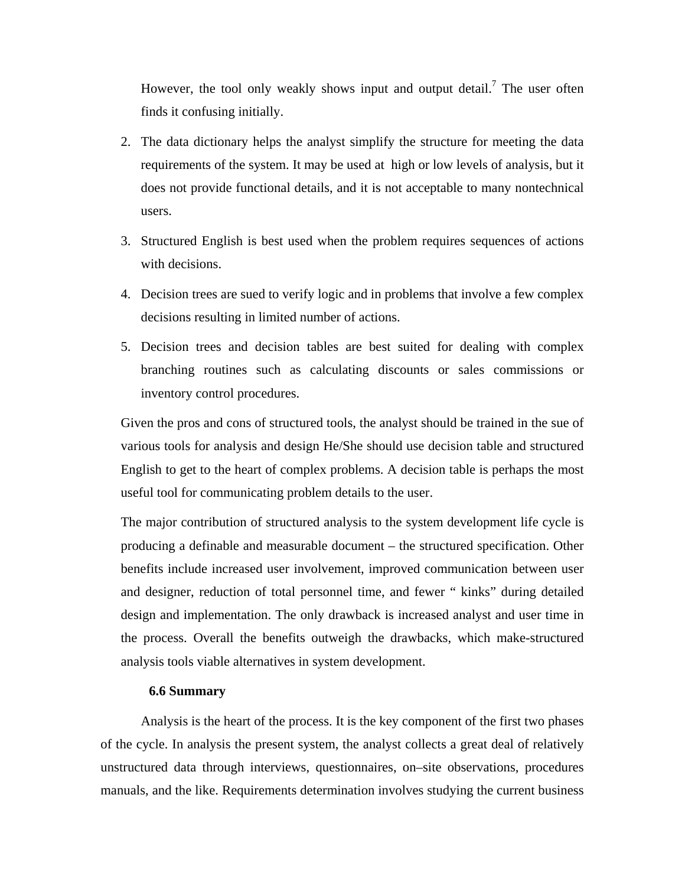However, the tool only weakly shows input and output detail.<sup>7</sup> The user often finds it confusing initially.

- 2. The data dictionary helps the analyst simplify the structure for meeting the data requirements of the system. It may be used at high or low levels of analysis, but it does not provide functional details, and it is not acceptable to many nontechnical users.
- 3. Structured English is best used when the problem requires sequences of actions with decisions.
- 4. Decision trees are sued to verify logic and in problems that involve a few complex decisions resulting in limited number of actions.
- 5. Decision trees and decision tables are best suited for dealing with complex branching routines such as calculating discounts or sales commissions or inventory control procedures.

Given the pros and cons of structured tools, the analyst should be trained in the sue of various tools for analysis and design He/She should use decision table and structured English to get to the heart of complex problems. A decision table is perhaps the most useful tool for communicating problem details to the user.

The major contribution of structured analysis to the system development life cycle is producing a definable and measurable document – the structured specification. Other benefits include increased user involvement, improved communication between user and designer, reduction of total personnel time, and fewer " kinks" during detailed design and implementation. The only drawback is increased analyst and user time in the process. Overall the benefits outweigh the drawbacks, which make-structured analysis tools viable alternatives in system development.

## **6.6 Summary**

Analysis is the heart of the process. It is the key component of the first two phases of the cycle. In analysis the present system, the analyst collects a great deal of relatively unstructured data through interviews, questionnaires, on–site observations, procedures manuals, and the like. Requirements determination involves studying the current business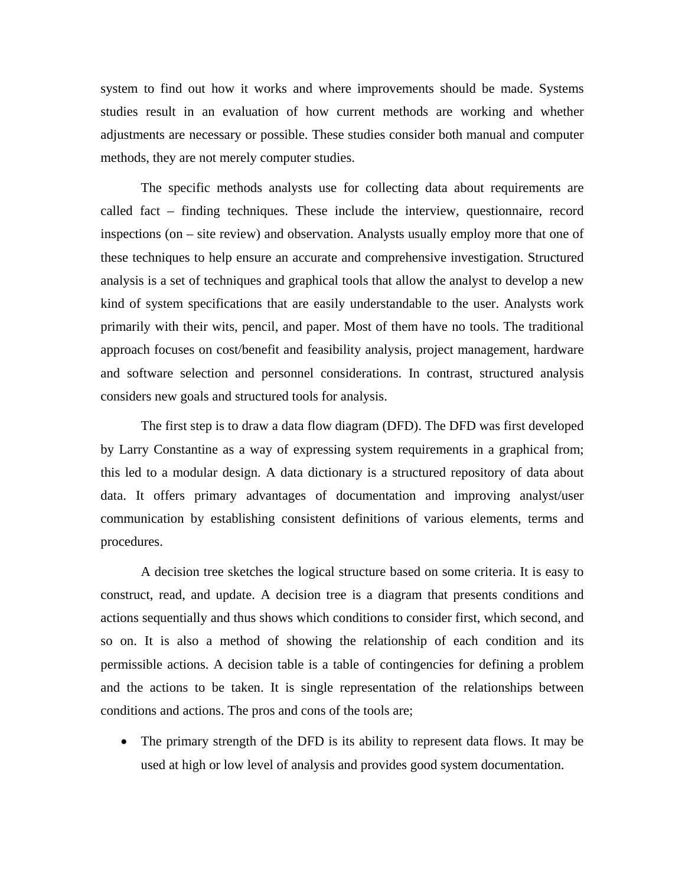system to find out how it works and where improvements should be made. Systems studies result in an evaluation of how current methods are working and whether adjustments are necessary or possible. These studies consider both manual and computer methods, they are not merely computer studies.

The specific methods analysts use for collecting data about requirements are called fact – finding techniques. These include the interview, questionnaire, record inspections (on – site review) and observation. Analysts usually employ more that one of these techniques to help ensure an accurate and comprehensive investigation. Structured analysis is a set of techniques and graphical tools that allow the analyst to develop a new kind of system specifications that are easily understandable to the user. Analysts work primarily with their wits, pencil, and paper. Most of them have no tools. The traditional approach focuses on cost/benefit and feasibility analysis, project management, hardware and software selection and personnel considerations. In contrast, structured analysis considers new goals and structured tools for analysis.

The first step is to draw a data flow diagram (DFD). The DFD was first developed by Larry Constantine as a way of expressing system requirements in a graphical from; this led to a modular design. A data dictionary is a structured repository of data about data. It offers primary advantages of documentation and improving analyst/user communication by establishing consistent definitions of various elements, terms and procedures.

A decision tree sketches the logical structure based on some criteria. It is easy to construct, read, and update. A decision tree is a diagram that presents conditions and actions sequentially and thus shows which conditions to consider first, which second, and so on. It is also a method of showing the relationship of each condition and its permissible actions. A decision table is a table of contingencies for defining a problem and the actions to be taken. It is single representation of the relationships between conditions and actions. The pros and cons of the tools are;

• The primary strength of the DFD is its ability to represent data flows. It may be used at high or low level of analysis and provides good system documentation.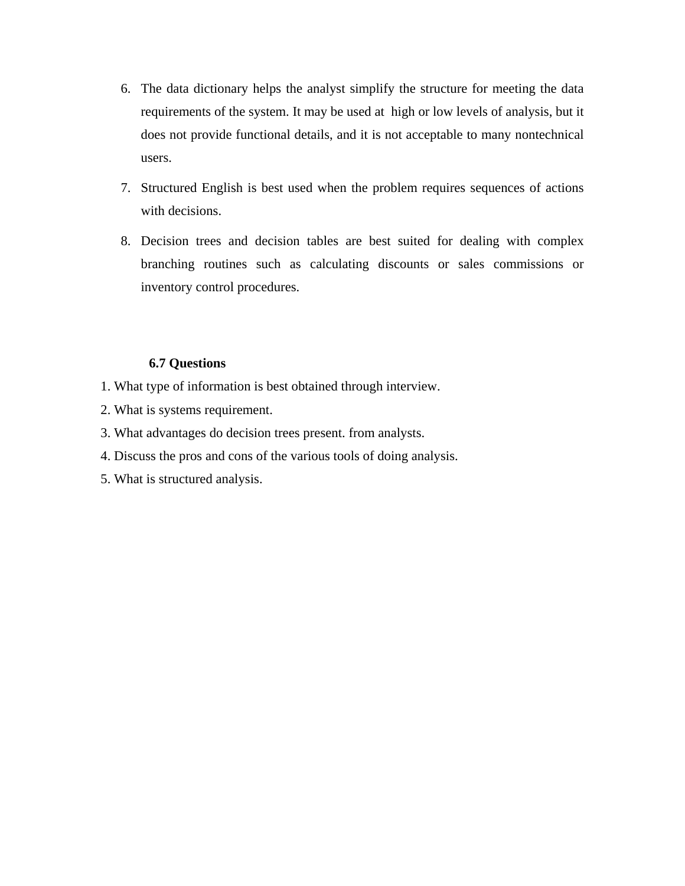- 6. The data dictionary helps the analyst simplify the structure for meeting the data requirements of the system. It may be used at high or low levels of analysis, but it does not provide functional details, and it is not acceptable to many nontechnical users.
- 7. Structured English is best used when the problem requires sequences of actions with decisions.
- 8. Decision trees and decision tables are best suited for dealing with complex branching routines such as calculating discounts or sales commissions or inventory control procedures.

## **6.7 Questions**

- 1. What type of information is best obtained through interview.
- 2. What is systems requirement.
- 3. What advantages do decision trees present. from analysts.
- 4. Discuss the pros and cons of the various tools of doing analysis.
- 5. What is structured analysis.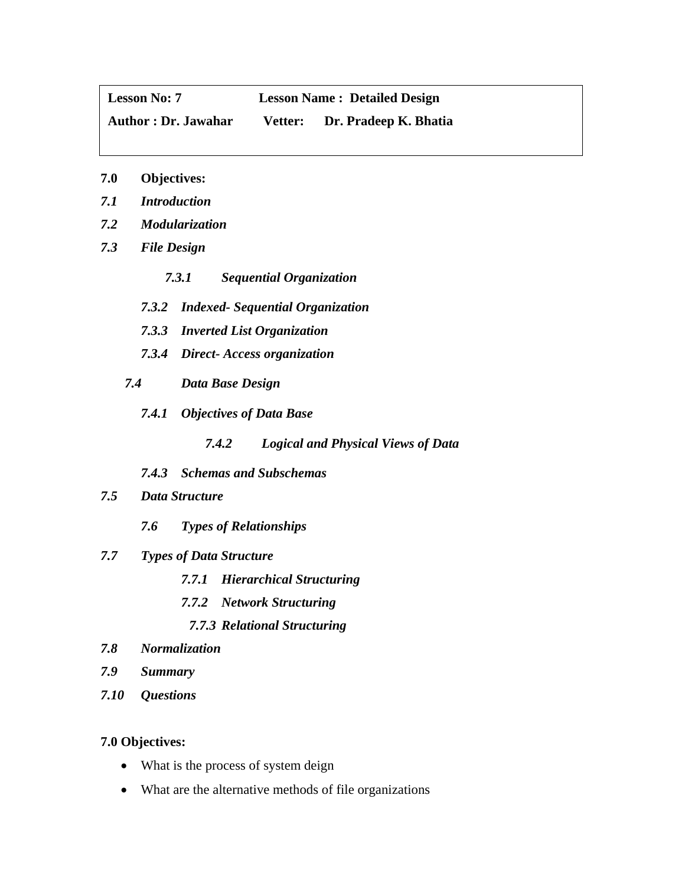**Author : Dr. Jawahar Vetter: Dr. Pradeep K. Bhatia** 

- **7.0 Objectives:**
- *7.1 Introduction*
- *7.2 Modularization*
- *7.3 File Design* 
	- *7.3.1 Sequential Organization*
	- *7.3.2 Indexed- Sequential Organization*
	- *7.3.3 Inverted List Organization*
	- *7.3.4 Direct- Access organization*
	- *7.4 Data Base Design* 
		- *7.4.1 Objectives of Data Base* 
			- *7.4.2 Logical and Physical Views of Data*
		- *7.4.3 Schemas and Subschemas*
- *7.5 Data Structure* 
	- *7.6 Types of Relationships*
- *7.7 Types of Data Structure* 
	- *7.7.1 Hierarchical Structuring*
	- *7.7.2 Network Structuring*
	- *7.7.3 Relational Structuring*
- *7.8 Normalization*
- *7.9 Summary*
- *7.10 Questions*

## **7.0 Objectives:**

- What is the process of system deign
- What are the alternative methods of file organizations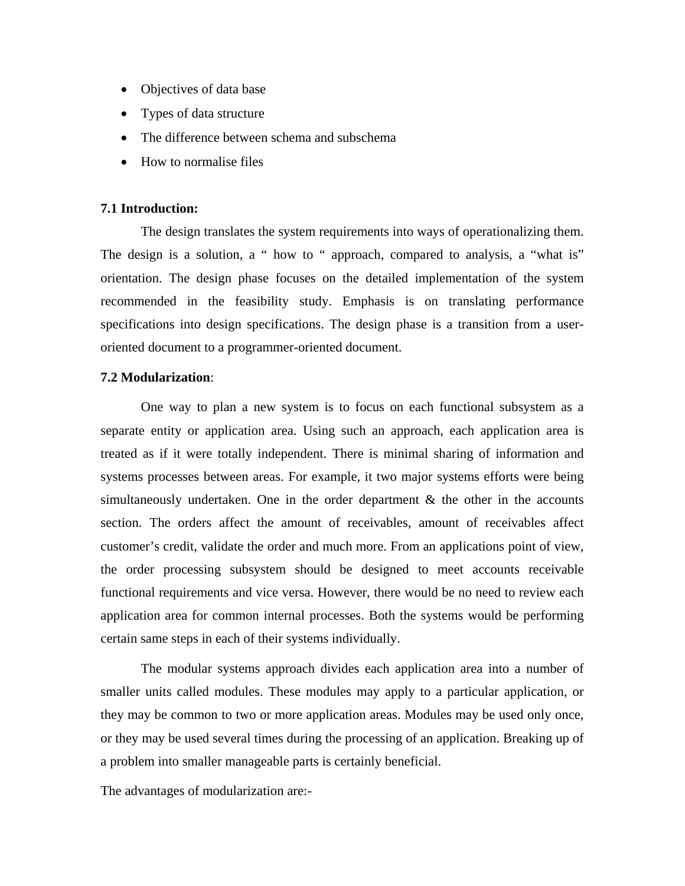- Objectives of data base
- Types of data structure
- The difference between schema and subschema
- How to normalise files

### **7.1 Introduction:**

The design translates the system requirements into ways of operationalizing them. The design is a solution, a " how to " approach, compared to analysis, a "what is" orientation. The design phase focuses on the detailed implementation of the system recommended in the feasibility study. Emphasis is on translating performance specifications into design specifications. The design phase is a transition from a useroriented document to a programmer-oriented document.

### **7.2 Modularization**:

One way to plan a new system is to focus on each functional subsystem as a separate entity or application area. Using such an approach, each application area is treated as if it were totally independent. There is minimal sharing of information and systems processes between areas. For example, it two major systems efforts were being simultaneously undertaken. One in the order department  $\&$  the other in the accounts section. The orders affect the amount of receivables, amount of receivables affect customer's credit, validate the order and much more. From an applications point of view, the order processing subsystem should be designed to meet accounts receivable functional requirements and vice versa. However, there would be no need to review each application area for common internal processes. Both the systems would be performing certain same steps in each of their systems individually.

The modular systems approach divides each application area into a number of smaller units called modules. These modules may apply to a particular application, or they may be common to two or more application areas. Modules may be used only once, or they may be used several times during the processing of an application. Breaking up of a problem into smaller manageable parts is certainly beneficial.

The advantages of modularization are:-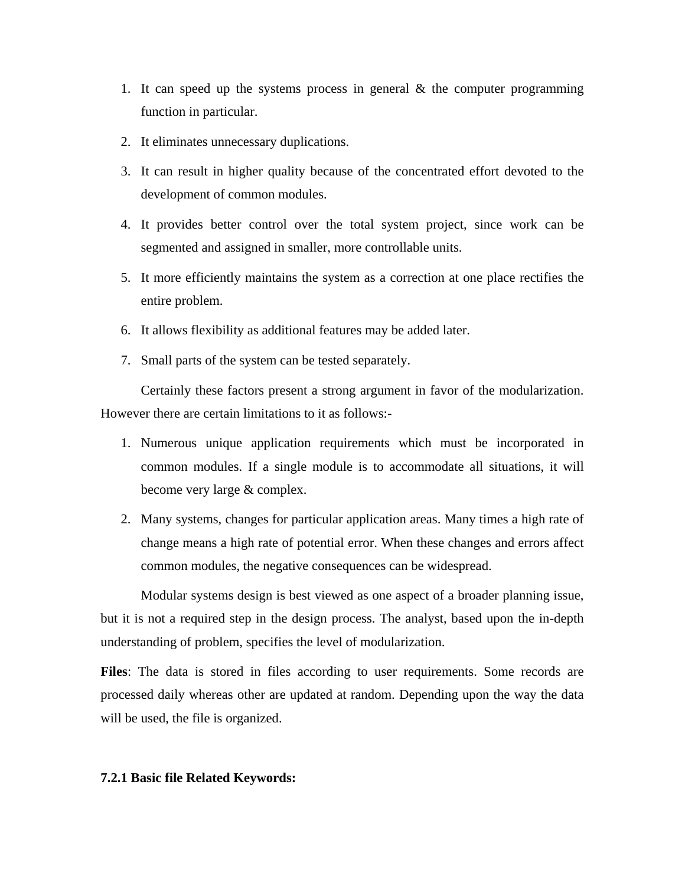- 1. It can speed up the systems process in general  $\&$  the computer programming function in particular.
- 2. It eliminates unnecessary duplications.
- 3. It can result in higher quality because of the concentrated effort devoted to the development of common modules.
- 4. It provides better control over the total system project, since work can be segmented and assigned in smaller, more controllable units.
- 5. It more efficiently maintains the system as a correction at one place rectifies the entire problem.
- 6. It allows flexibility as additional features may be added later.
- 7. Small parts of the system can be tested separately.

Certainly these factors present a strong argument in favor of the modularization. However there are certain limitations to it as follows:-

- 1. Numerous unique application requirements which must be incorporated in common modules. If a single module is to accommodate all situations, it will become very large & complex.
- 2. Many systems, changes for particular application areas. Many times a high rate of change means a high rate of potential error. When these changes and errors affect common modules, the negative consequences can be widespread.

Modular systems design is best viewed as one aspect of a broader planning issue, but it is not a required step in the design process. The analyst, based upon the in-depth understanding of problem, specifies the level of modularization.

**Files**: The data is stored in files according to user requirements. Some records are processed daily whereas other are updated at random. Depending upon the way the data will be used, the file is organized.

## **7.2.1 Basic file Related Keywords:**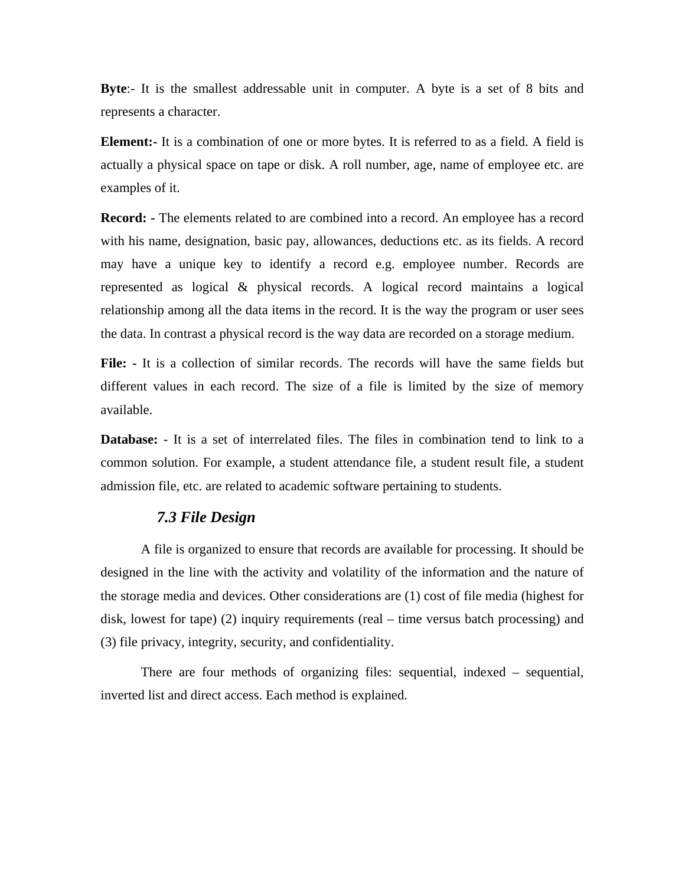**Byte**:- It is the smallest addressable unit in computer. A byte is a set of 8 bits and represents a character.

**Element:-** It is a combination of one or more bytes. It is referred to as a field. A field is actually a physical space on tape or disk. A roll number, age, name of employee etc. are examples of it.

**Record: -** The elements related to are combined into a record. An employee has a record with his name, designation, basic pay, allowances, deductions etc. as its fields. A record may have a unique key to identify a record e.g. employee number. Records are represented as logical & physical records. A logical record maintains a logical relationship among all the data items in the record. It is the way the program or user sees the data. In contrast a physical record is the way data are recorded on a storage medium.

File: - It is a collection of similar records. The records will have the same fields but different values in each record. The size of a file is limited by the size of memory available.

**Database:** - It is a set of interrelated files. The files in combination tend to link to a common solution. For example, a student attendance file, a student result file, a student admission file, etc. are related to academic software pertaining to students.

## *7.3 File Design*

A file is organized to ensure that records are available for processing. It should be designed in the line with the activity and volatility of the information and the nature of the storage media and devices. Other considerations are (1) cost of file media (highest for disk, lowest for tape) (2) inquiry requirements (real – time versus batch processing) and (3) file privacy, integrity, security, and confidentiality.

There are four methods of organizing files: sequential, indexed – sequential, inverted list and direct access. Each method is explained.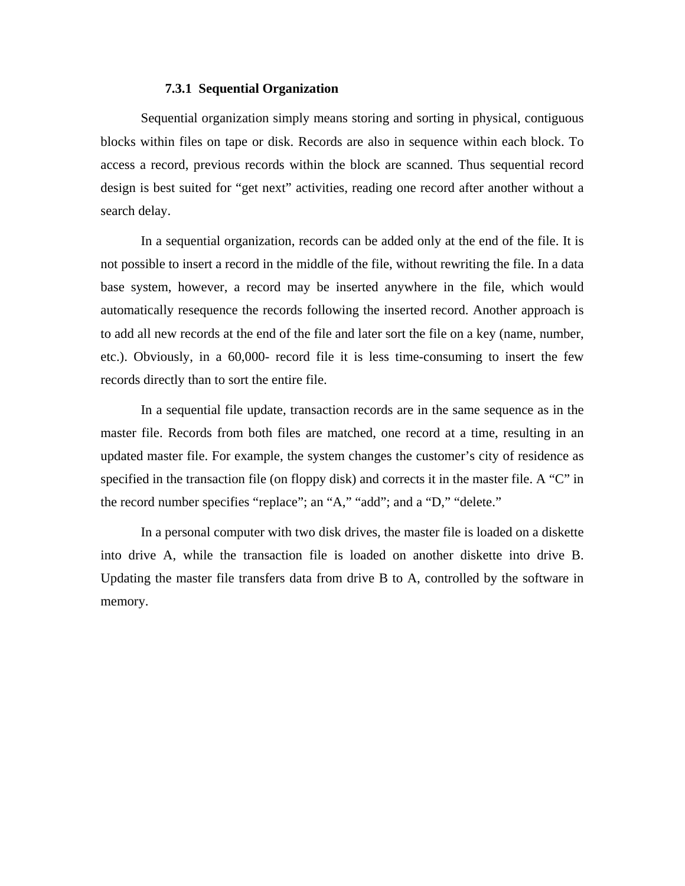## **7.3.1 Sequential Organization**

Sequential organization simply means storing and sorting in physical, contiguous blocks within files on tape or disk. Records are also in sequence within each block. To access a record, previous records within the block are scanned. Thus sequential record design is best suited for "get next" activities, reading one record after another without a search delay.

In a sequential organization, records can be added only at the end of the file. It is not possible to insert a record in the middle of the file, without rewriting the file. In a data base system, however, a record may be inserted anywhere in the file, which would automatically resequence the records following the inserted record. Another approach is to add all new records at the end of the file and later sort the file on a key (name, number, etc.). Obviously, in a 60,000- record file it is less time-consuming to insert the few records directly than to sort the entire file.

In a sequential file update, transaction records are in the same sequence as in the master file. Records from both files are matched, one record at a time, resulting in an updated master file. For example, the system changes the customer's city of residence as specified in the transaction file (on floppy disk) and corrects it in the master file. A "C" in the record number specifies "replace"; an "A," "add"; and a "D," "delete."

In a personal computer with two disk drives, the master file is loaded on a diskette into drive A, while the transaction file is loaded on another diskette into drive B. Updating the master file transfers data from drive B to A, controlled by the software in memory.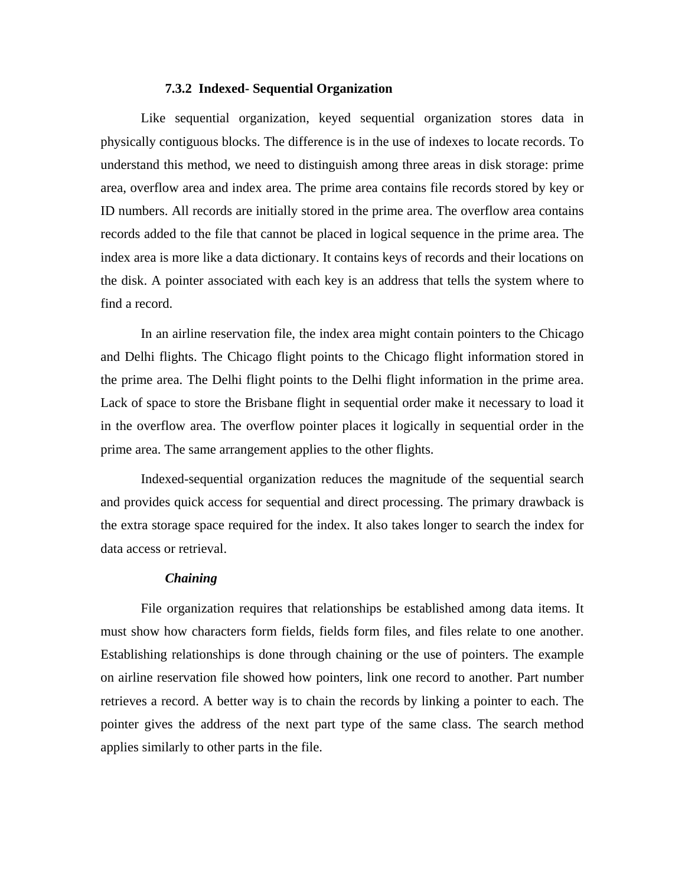### **7.3.2 Indexed- Sequential Organization**

Like sequential organization, keyed sequential organization stores data in physically contiguous blocks. The difference is in the use of indexes to locate records. To understand this method, we need to distinguish among three areas in disk storage: prime area, overflow area and index area. The prime area contains file records stored by key or ID numbers. All records are initially stored in the prime area. The overflow area contains records added to the file that cannot be placed in logical sequence in the prime area. The index area is more like a data dictionary. It contains keys of records and their locations on the disk. A pointer associated with each key is an address that tells the system where to find a record.

In an airline reservation file, the index area might contain pointers to the Chicago and Delhi flights. The Chicago flight points to the Chicago flight information stored in the prime area. The Delhi flight points to the Delhi flight information in the prime area. Lack of space to store the Brisbane flight in sequential order make it necessary to load it in the overflow area. The overflow pointer places it logically in sequential order in the prime area. The same arrangement applies to the other flights.

Indexed-sequential organization reduces the magnitude of the sequential search and provides quick access for sequential and direct processing. The primary drawback is the extra storage space required for the index. It also takes longer to search the index for data access or retrieval.

## *Chaining*

File organization requires that relationships be established among data items. It must show how characters form fields, fields form files, and files relate to one another. Establishing relationships is done through chaining or the use of pointers. The example on airline reservation file showed how pointers, link one record to another. Part number retrieves a record. A better way is to chain the records by linking a pointer to each. The pointer gives the address of the next part type of the same class. The search method applies similarly to other parts in the file.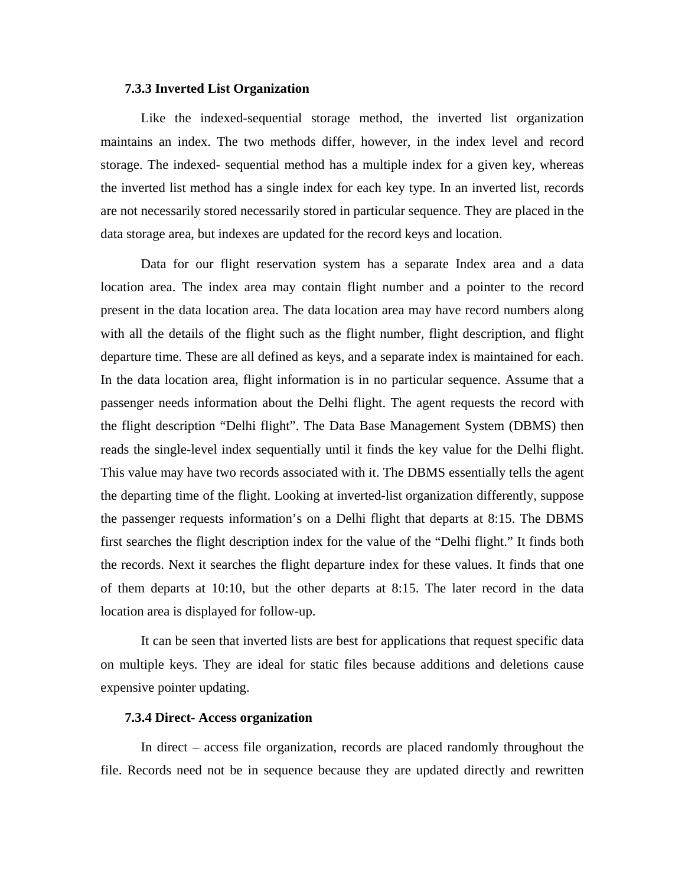### **7.3.3 Inverted List Organization**

Like the indexed-sequential storage method, the inverted list organization maintains an index. The two methods differ, however, in the index level and record storage. The indexed- sequential method has a multiple index for a given key, whereas the inverted list method has a single index for each key type. In an inverted list, records are not necessarily stored necessarily stored in particular sequence. They are placed in the data storage area, but indexes are updated for the record keys and location.

Data for our flight reservation system has a separate Index area and a data location area. The index area may contain flight number and a pointer to the record present in the data location area. The data location area may have record numbers along with all the details of the flight such as the flight number, flight description, and flight departure time. These are all defined as keys, and a separate index is maintained for each. In the data location area, flight information is in no particular sequence. Assume that a passenger needs information about the Delhi flight. The agent requests the record with the flight description "Delhi flight". The Data Base Management System (DBMS) then reads the single-level index sequentially until it finds the key value for the Delhi flight. This value may have two records associated with it. The DBMS essentially tells the agent the departing time of the flight. Looking at inverted-list organization differently, suppose the passenger requests information's on a Delhi flight that departs at 8:15. The DBMS first searches the flight description index for the value of the "Delhi flight." It finds both the records. Next it searches the flight departure index for these values. It finds that one of them departs at 10:10, but the other departs at 8:15. The later record in the data location area is displayed for follow-up.

It can be seen that inverted lists are best for applications that request specific data on multiple keys. They are ideal for static files because additions and deletions cause expensive pointer updating.

### **7.3.4 Direct- Access organization**

In direct – access file organization, records are placed randomly throughout the file. Records need not be in sequence because they are updated directly and rewritten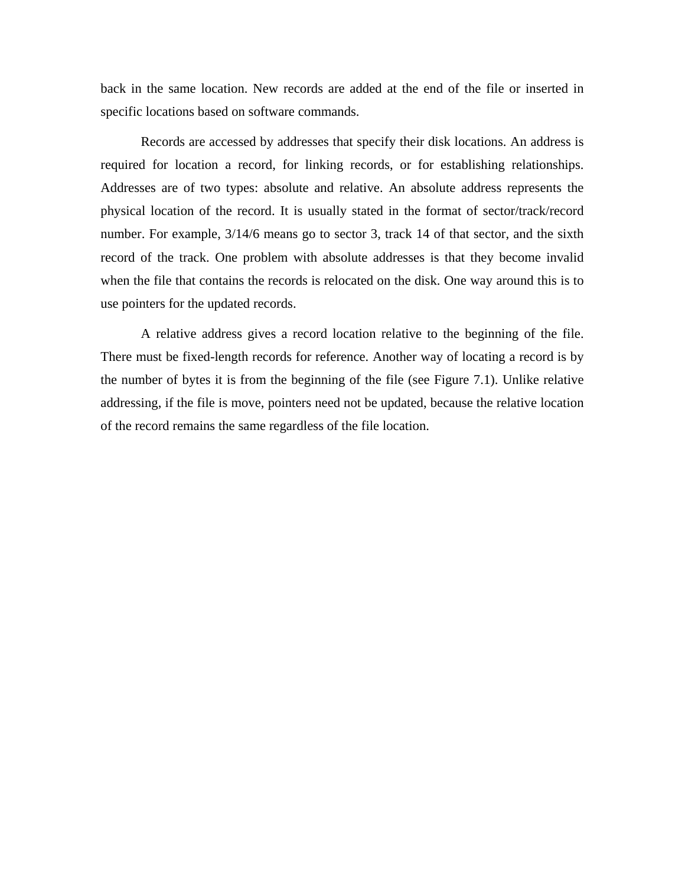back in the same location. New records are added at the end of the file or inserted in specific locations based on software commands.

Records are accessed by addresses that specify their disk locations. An address is required for location a record, for linking records, or for establishing relationships. Addresses are of two types: absolute and relative. An absolute address represents the physical location of the record. It is usually stated in the format of sector/track/record number. For example,  $3/14/6$  means go to sector 3, track 14 of that sector, and the sixth record of the track. One problem with absolute addresses is that they become invalid when the file that contains the records is relocated on the disk. One way around this is to use pointers for the updated records.

A relative address gives a record location relative to the beginning of the file. There must be fixed-length records for reference. Another way of locating a record is by the number of bytes it is from the beginning of the file (see Figure 7.1). Unlike relative addressing, if the file is move, pointers need not be updated, because the relative location of the record remains the same regardless of the file location.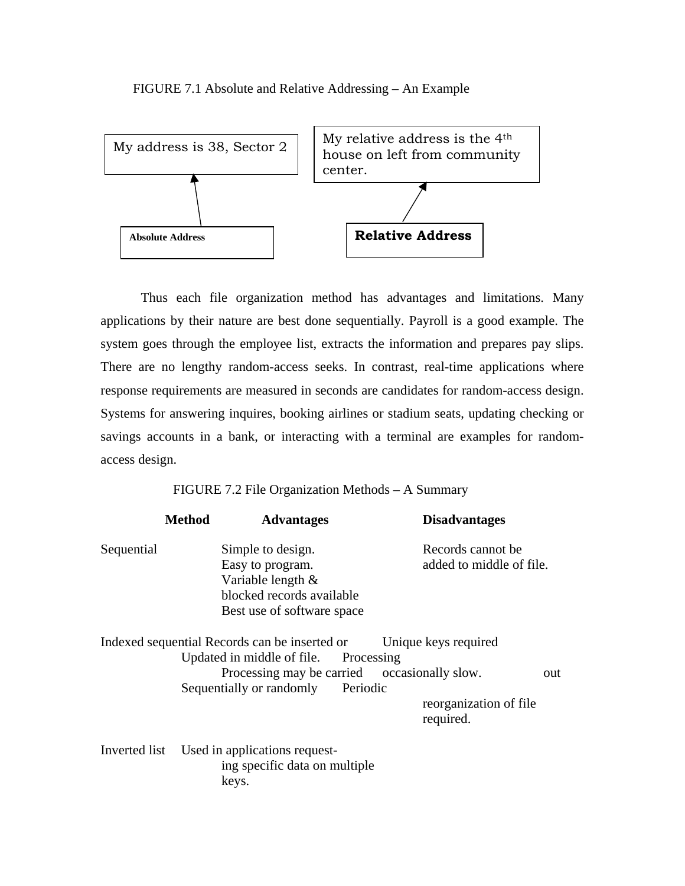



Thus each file organization method has advantages and limitations. Many applications by their nature are best done sequentially. Payroll is a good example. The system goes through the employee list, extracts the information and prepares pay slips. There are no lengthy random-access seeks. In contrast, real-time applications where response requirements are measured in seconds are candidates for random-access design. Systems for answering inquires, booking airlines or stadium seats, updating checking or savings accounts in a bank, or interacting with a terminal are examples for randomaccess design.

FIGURE 7.2 File Organization Methods – A Summary

|                                                                                                                                     | Method | <b>Advantages</b>                                                                                                                                                           |                                               |  | <b>Disadvantages</b>                                        |     |
|-------------------------------------------------------------------------------------------------------------------------------------|--------|-----------------------------------------------------------------------------------------------------------------------------------------------------------------------------|-----------------------------------------------|--|-------------------------------------------------------------|-----|
| Sequential<br>Simple to design.<br>Easy to program.<br>Variable length &<br>blocked records available<br>Best use of software space |        |                                                                                                                                                                             | Records cannot be<br>added to middle of file. |  |                                                             |     |
|                                                                                                                                     |        | Indexed sequential Records can be inserted or<br>Updated in middle of file. Processing<br>Processing may be carried occasionally slow.<br>Sequentially or randomly Periodic |                                               |  | Unique keys required<br>reorganization of file<br>required. | out |
| Inverted list                                                                                                                       |        | Used in applications request-<br>ing specific data on multiple<br>keys.                                                                                                     |                                               |  |                                                             |     |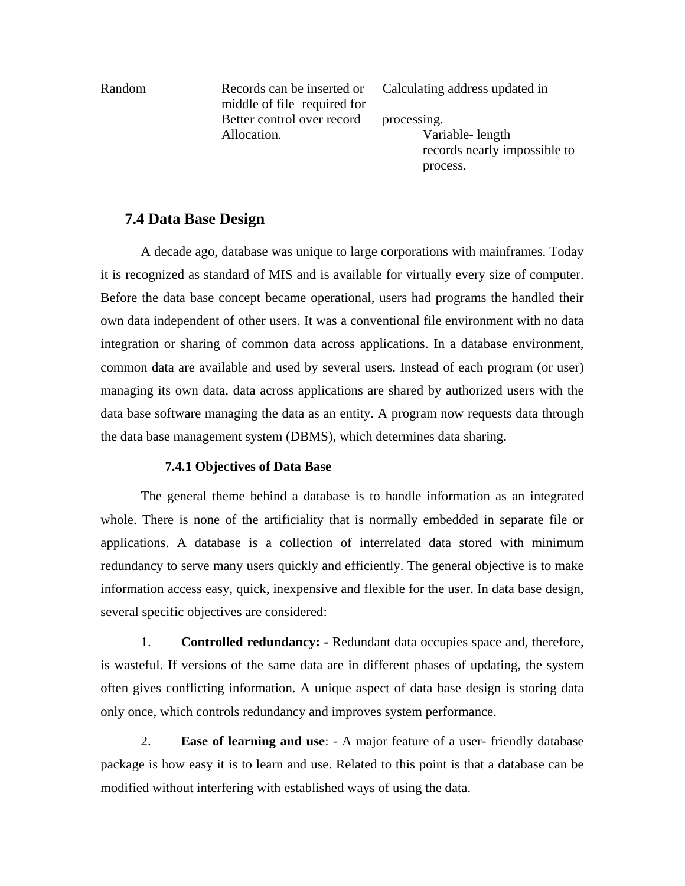| Random | Records can be inserted or<br>middle of file required for | Calculating address updated in                                             |
|--------|-----------------------------------------------------------|----------------------------------------------------------------------------|
|        | Better control over record<br>Allocation.                 | processing.<br>Variable-length<br>records nearly impossible to<br>process. |
|        |                                                           |                                                                            |

# **7.4 Data Base Design**

A decade ago, database was unique to large corporations with mainframes. Today it is recognized as standard of MIS and is available for virtually every size of computer. Before the data base concept became operational, users had programs the handled their own data independent of other users. It was a conventional file environment with no data integration or sharing of common data across applications. In a database environment, common data are available and used by several users. Instead of each program (or user) managing its own data, data across applications are shared by authorized users with the data base software managing the data as an entity. A program now requests data through the data base management system (DBMS), which determines data sharing.

## **7.4.1 Objectives of Data Base**

The general theme behind a database is to handle information as an integrated whole. There is none of the artificiality that is normally embedded in separate file or applications. A database is a collection of interrelated data stored with minimum redundancy to serve many users quickly and efficiently. The general objective is to make information access easy, quick, inexpensive and flexible for the user. In data base design, several specific objectives are considered:

1. **Controlled redundancy: -** Redundant data occupies space and, therefore, is wasteful. If versions of the same data are in different phases of updating, the system often gives conflicting information. A unique aspect of data base design is storing data only once, which controls redundancy and improves system performance.

2. **Ease of learning and use**: - A major feature of a user- friendly database package is how easy it is to learn and use. Related to this point is that a database can be modified without interfering with established ways of using the data.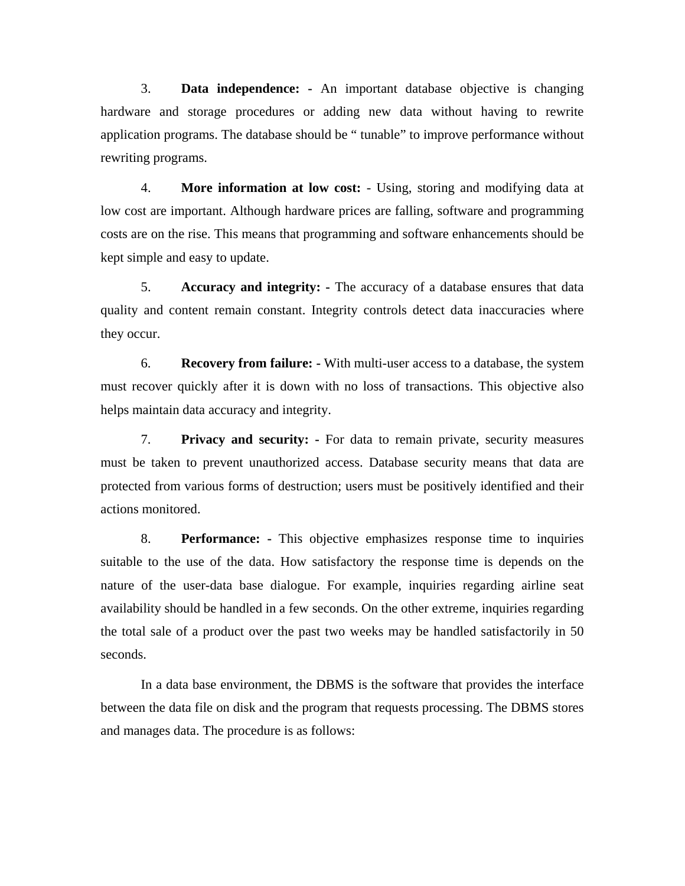3. **Data independence: -** An important database objective is changing hardware and storage procedures or adding new data without having to rewrite application programs. The database should be " tunable" to improve performance without rewriting programs.

4. **More information at low cost:** - Using, storing and modifying data at low cost are important. Although hardware prices are falling, software and programming costs are on the rise. This means that programming and software enhancements should be kept simple and easy to update.

5. **Accuracy and integrity: -** The accuracy of a database ensures that data quality and content remain constant. Integrity controls detect data inaccuracies where they occur.

6. **Recovery from failure: -** With multi-user access to a database, the system must recover quickly after it is down with no loss of transactions. This objective also helps maintain data accuracy and integrity.

7. **Privacy and security: -** For data to remain private, security measures must be taken to prevent unauthorized access. Database security means that data are protected from various forms of destruction; users must be positively identified and their actions monitored.

8. **Performance: -** This objective emphasizes response time to inquiries suitable to the use of the data. How satisfactory the response time is depends on the nature of the user-data base dialogue. For example, inquiries regarding airline seat availability should be handled in a few seconds. On the other extreme, inquiries regarding the total sale of a product over the past two weeks may be handled satisfactorily in 50 seconds.

In a data base environment, the DBMS is the software that provides the interface between the data file on disk and the program that requests processing. The DBMS stores and manages data. The procedure is as follows: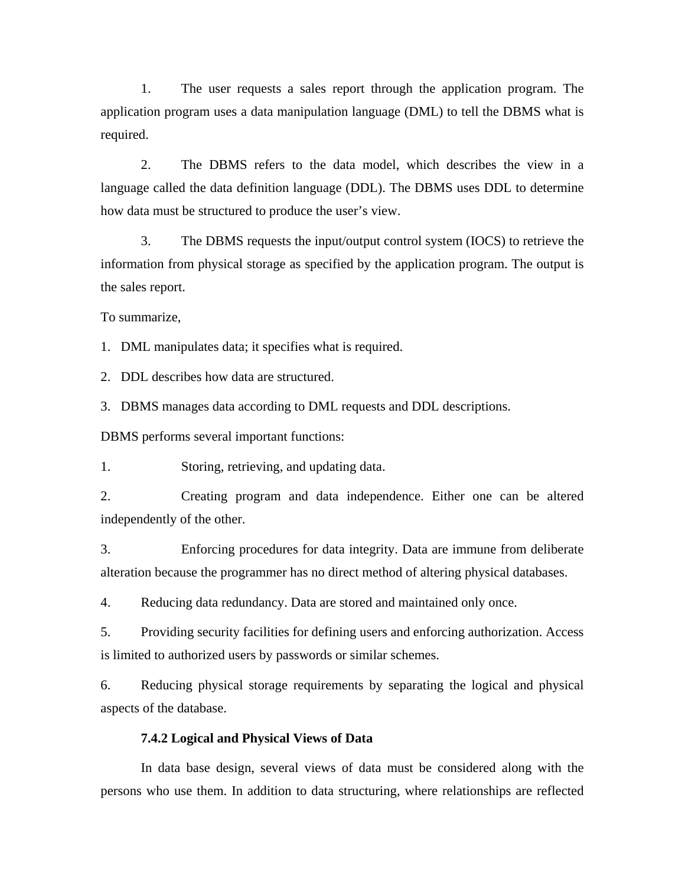1. The user requests a sales report through the application program. The application program uses a data manipulation language (DML) to tell the DBMS what is required.

2. The DBMS refers to the data model, which describes the view in a language called the data definition language (DDL). The DBMS uses DDL to determine how data must be structured to produce the user's view.

3. The DBMS requests the input/output control system (IOCS) to retrieve the information from physical storage as specified by the application program. The output is the sales report.

To summarize,

1. DML manipulates data; it specifies what is required.

2. DDL describes how data are structured.

3. DBMS manages data according to DML requests and DDL descriptions.

DBMS performs several important functions:

1. Storing, retrieving, and updating data.

2. Creating program and data independence. Either one can be altered independently of the other.

3. Enforcing procedures for data integrity. Data are immune from deliberate alteration because the programmer has no direct method of altering physical databases.

4. Reducing data redundancy. Data are stored and maintained only once.

5. Providing security facilities for defining users and enforcing authorization. Access is limited to authorized users by passwords or similar schemes.

6. Reducing physical storage requirements by separating the logical and physical aspects of the database.

## **7.4.2 Logical and Physical Views of Data**

In data base design, several views of data must be considered along with the persons who use them. In addition to data structuring, where relationships are reflected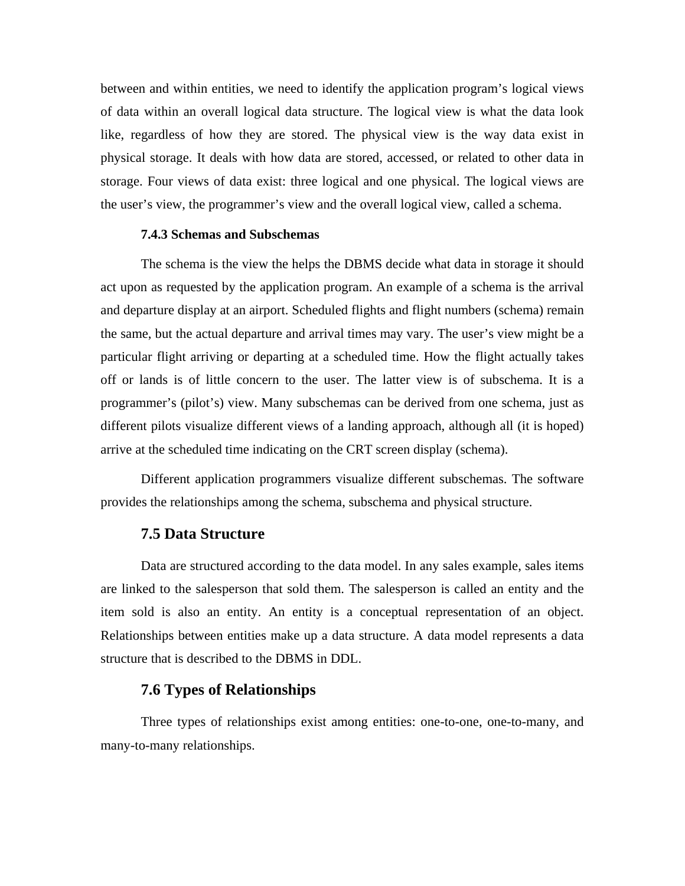between and within entities, we need to identify the application program's logical views of data within an overall logical data structure. The logical view is what the data look like, regardless of how they are stored. The physical view is the way data exist in physical storage. It deals with how data are stored, accessed, or related to other data in storage. Four views of data exist: three logical and one physical. The logical views are the user's view, the programmer's view and the overall logical view, called a schema.

# **7.4.3 Schemas and Subschemas**

The schema is the view the helps the DBMS decide what data in storage it should act upon as requested by the application program. An example of a schema is the arrival and departure display at an airport. Scheduled flights and flight numbers (schema) remain the same, but the actual departure and arrival times may vary. The user's view might be a particular flight arriving or departing at a scheduled time. How the flight actually takes off or lands is of little concern to the user. The latter view is of subschema. It is a programmer's (pilot's) view. Many subschemas can be derived from one schema, just as different pilots visualize different views of a landing approach, although all (it is hoped) arrive at the scheduled time indicating on the CRT screen display (schema).

Different application programmers visualize different subschemas. The software provides the relationships among the schema, subschema and physical structure.

# **7.5 Data Structure**

Data are structured according to the data model. In any sales example, sales items are linked to the salesperson that sold them. The salesperson is called an entity and the item sold is also an entity. An entity is a conceptual representation of an object. Relationships between entities make up a data structure. A data model represents a data structure that is described to the DBMS in DDL.

# **7.6 Types of Relationships**

Three types of relationships exist among entities: one-to-one, one-to-many, and many-to-many relationships.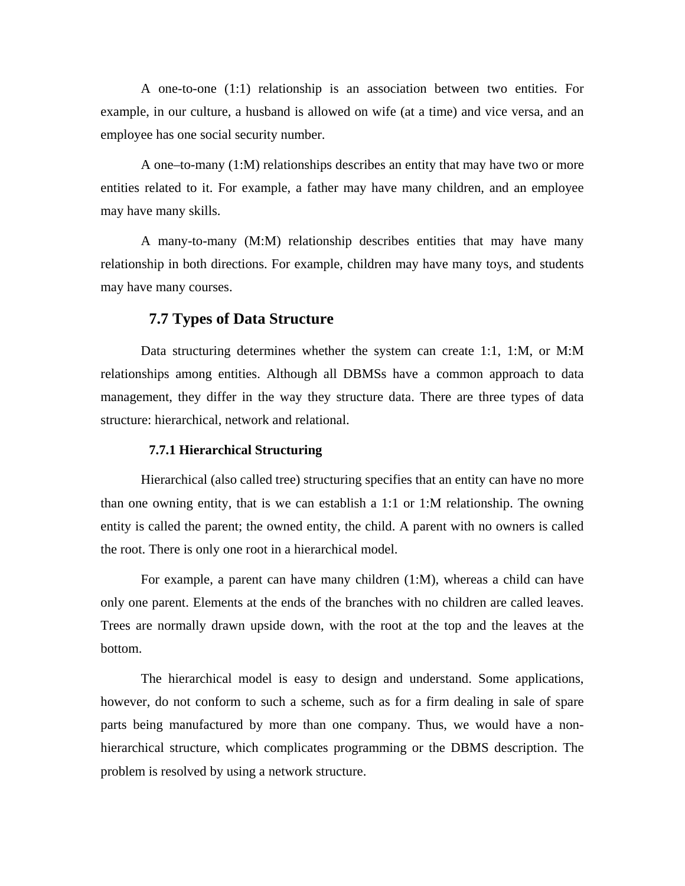A one-to-one (1:1) relationship is an association between two entities. For example, in our culture, a husband is allowed on wife (at a time) and vice versa, and an employee has one social security number.

A one–to-many (1:M) relationships describes an entity that may have two or more entities related to it. For example, a father may have many children, and an employee may have many skills.

A many-to-many (M:M) relationship describes entities that may have many relationship in both directions. For example, children may have many toys, and students may have many courses.

# **7.7 Types of Data Structure**

Data structuring determines whether the system can create 1:1, 1:M, or M:M relationships among entities. Although all DBMSs have a common approach to data management, they differ in the way they structure data. There are three types of data structure: hierarchical, network and relational.

#### **7.7.1 Hierarchical Structuring**

Hierarchical (also called tree) structuring specifies that an entity can have no more than one owning entity, that is we can establish a 1:1 or 1:M relationship. The owning entity is called the parent; the owned entity, the child. A parent with no owners is called the root. There is only one root in a hierarchical model.

For example, a parent can have many children (1:M), whereas a child can have only one parent. Elements at the ends of the branches with no children are called leaves. Trees are normally drawn upside down, with the root at the top and the leaves at the bottom.

The hierarchical model is easy to design and understand. Some applications, however, do not conform to such a scheme, such as for a firm dealing in sale of spare parts being manufactured by more than one company. Thus, we would have a nonhierarchical structure, which complicates programming or the DBMS description. The problem is resolved by using a network structure.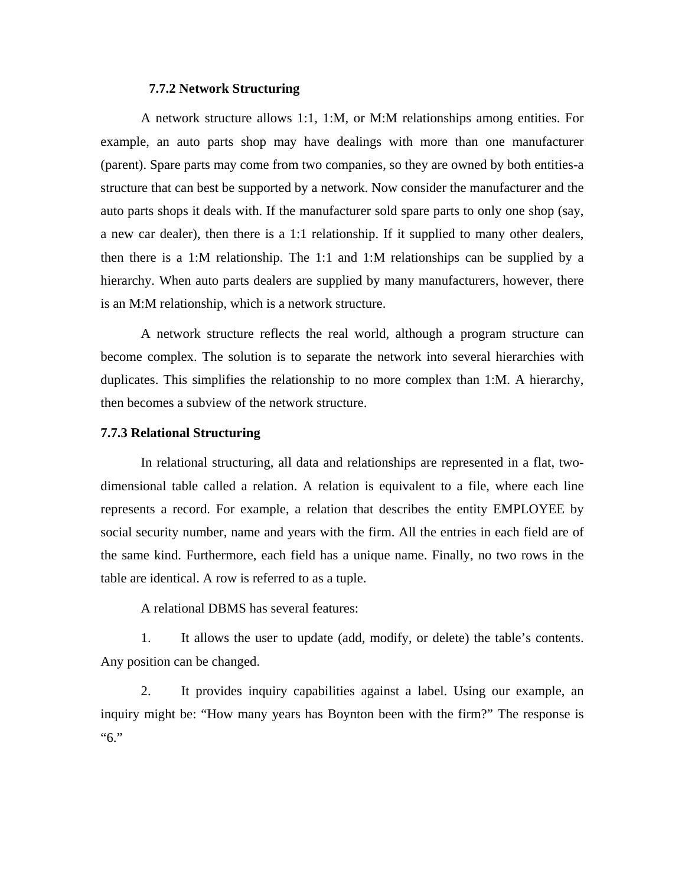## **7.7.2 Network Structuring**

A network structure allows 1:1, 1:M, or M:M relationships among entities. For example, an auto parts shop may have dealings with more than one manufacturer (parent). Spare parts may come from two companies, so they are owned by both entities-a structure that can best be supported by a network. Now consider the manufacturer and the auto parts shops it deals with. If the manufacturer sold spare parts to only one shop (say, a new car dealer), then there is a 1:1 relationship. If it supplied to many other dealers, then there is a 1:M relationship. The 1:1 and 1:M relationships can be supplied by a hierarchy. When auto parts dealers are supplied by many manufacturers, however, there is an M:M relationship, which is a network structure.

A network structure reflects the real world, although a program structure can become complex. The solution is to separate the network into several hierarchies with duplicates. This simplifies the relationship to no more complex than 1:M. A hierarchy, then becomes a subview of the network structure.

#### **7.7.3 Relational Structuring**

In relational structuring, all data and relationships are represented in a flat, twodimensional table called a relation. A relation is equivalent to a file, where each line represents a record. For example, a relation that describes the entity EMPLOYEE by social security number, name and years with the firm. All the entries in each field are of the same kind. Furthermore, each field has a unique name. Finally, no two rows in the table are identical. A row is referred to as a tuple.

A relational DBMS has several features:

1. It allows the user to update (add, modify, or delete) the table's contents. Any position can be changed.

2. It provides inquiry capabilities against a label. Using our example, an inquiry might be: "How many years has Boynton been with the firm?" The response is "6."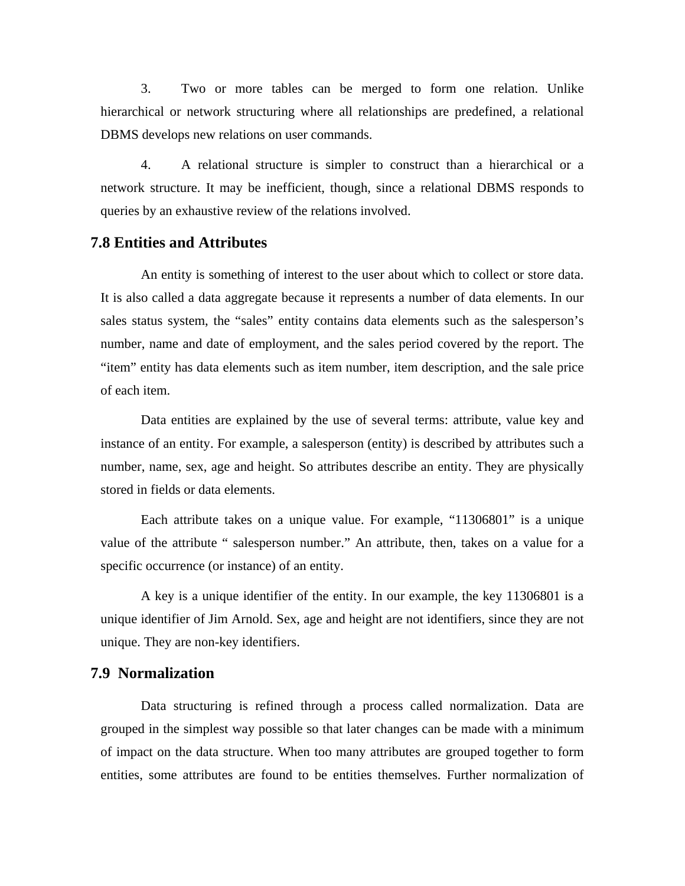3. Two or more tables can be merged to form one relation. Unlike hierarchical or network structuring where all relationships are predefined, a relational DBMS develops new relations on user commands.

4. A relational structure is simpler to construct than a hierarchical or a network structure. It may be inefficient, though, since a relational DBMS responds to queries by an exhaustive review of the relations involved.

# **7.8 Entities and Attributes**

An entity is something of interest to the user about which to collect or store data. It is also called a data aggregate because it represents a number of data elements. In our sales status system, the "sales" entity contains data elements such as the salesperson's number, name and date of employment, and the sales period covered by the report. The "item" entity has data elements such as item number, item description, and the sale price of each item.

Data entities are explained by the use of several terms: attribute, value key and instance of an entity. For example, a salesperson (entity) is described by attributes such a number, name, sex, age and height. So attributes describe an entity. They are physically stored in fields or data elements.

Each attribute takes on a unique value. For example, "11306801" is a unique value of the attribute " salesperson number." An attribute, then, takes on a value for a specific occurrence (or instance) of an entity.

A key is a unique identifier of the entity. In our example, the key 11306801 is a unique identifier of Jim Arnold. Sex, age and height are not identifiers, since they are not unique. They are non-key identifiers.

# **7.9 Normalization**

Data structuring is refined through a process called normalization. Data are grouped in the simplest way possible so that later changes can be made with a minimum of impact on the data structure. When too many attributes are grouped together to form entities, some attributes are found to be entities themselves. Further normalization of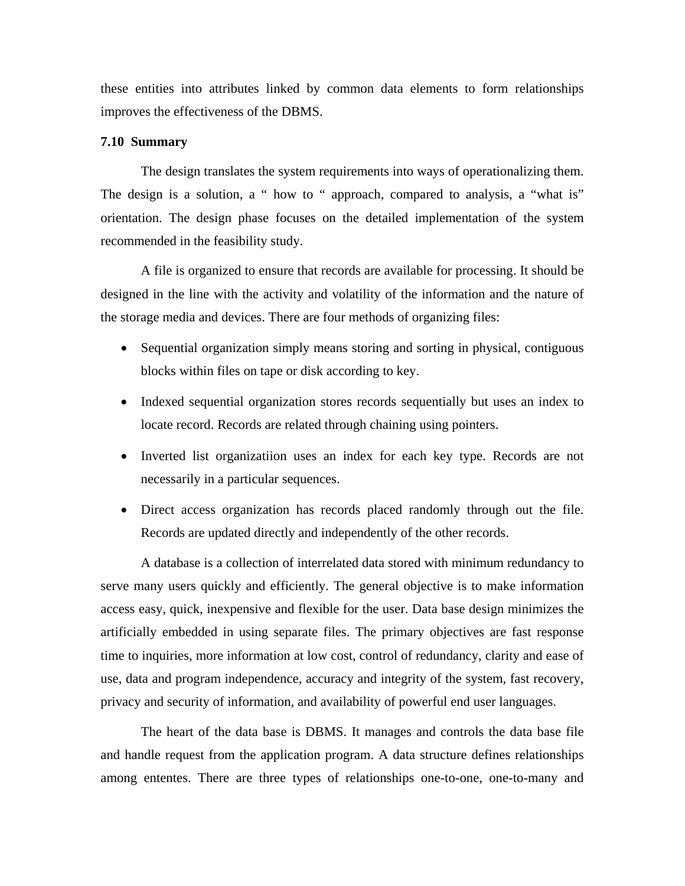these entities into attributes linked by common data elements to form relationships improves the effectiveness of the DBMS.

## **7.10 Summary**

The design translates the system requirements into ways of operationalizing them. The design is a solution, a " how to " approach, compared to analysis, a "what is" orientation. The design phase focuses on the detailed implementation of the system recommended in the feasibility study.

A file is organized to ensure that records are available for processing. It should be designed in the line with the activity and volatility of the information and the nature of the storage media and devices. There are four methods of organizing files:

- Sequential organization simply means storing and sorting in physical, contiguous blocks within files on tape or disk according to key.
- Indexed sequential organization stores records sequentially but uses an index to locate record. Records are related through chaining using pointers.
- Inverted list organizatiion uses an index for each key type. Records are not necessarily in a particular sequences.
- Direct access organization has records placed randomly through out the file. Records are updated directly and independently of the other records.

A database is a collection of interrelated data stored with minimum redundancy to serve many users quickly and efficiently. The general objective is to make information access easy, quick, inexpensive and flexible for the user. Data base design minimizes the artificially embedded in using separate files. The primary objectives are fast response time to inquiries, more information at low cost, control of redundancy, clarity and ease of use, data and program independence, accuracy and integrity of the system, fast recovery, privacy and security of information, and availability of powerful end user languages.

The heart of the data base is DBMS. It manages and controls the data base file and handle request from the application program. A data structure defines relationships among ententes. There are three types of relationships one-to-one, one-to-many and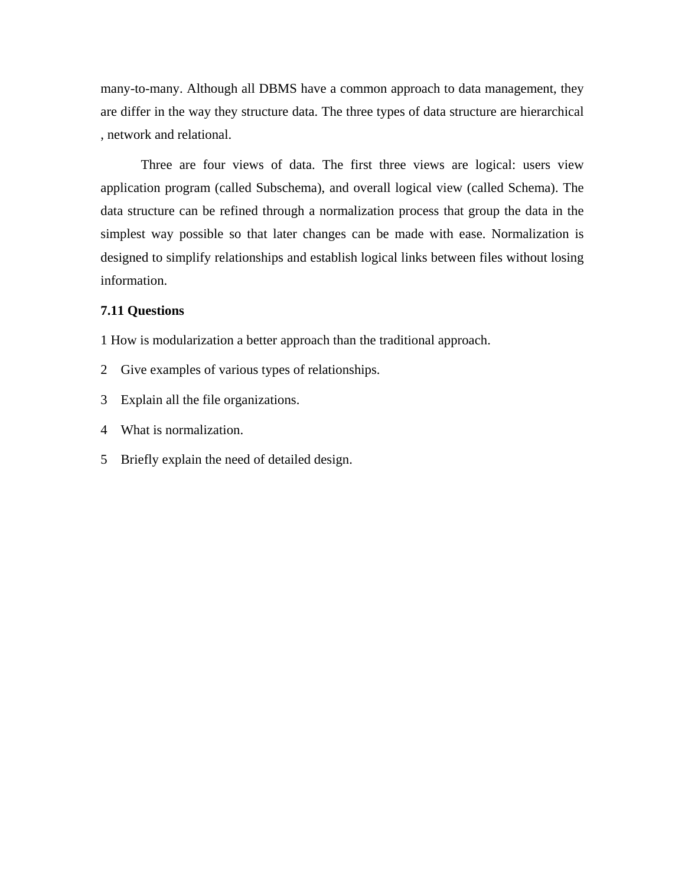many-to-many. Although all DBMS have a common approach to data management, they are differ in the way they structure data. The three types of data structure are hierarchical , network and relational.

Three are four views of data. The first three views are logical: users view application program (called Subschema), and overall logical view (called Schema). The data structure can be refined through a normalization process that group the data in the simplest way possible so that later changes can be made with ease. Normalization is designed to simplify relationships and establish logical links between files without losing information.

## **7.11 Questions**

1 How is modularization a better approach than the traditional approach.

- 2 Give examples of various types of relationships.
- 3 Explain all the file organizations.
- 4 What is normalization.
- 5 Briefly explain the need of detailed design.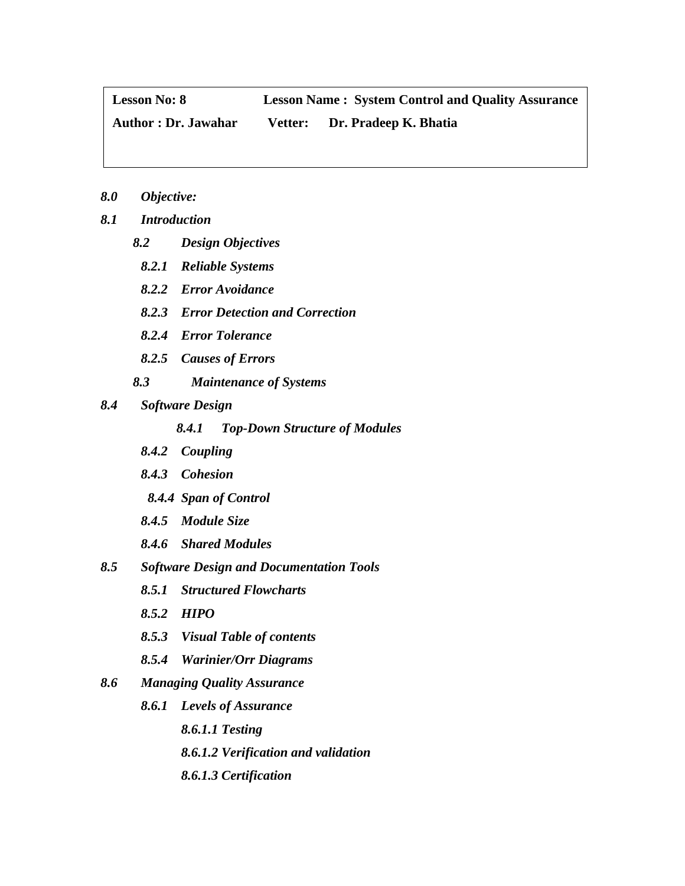**Author : Dr. Jawahar Vetter: Dr. Pradeep K. Bhatia** 

*8.0 Objective:* 

# *8.1 Introduction*

- *8.2 Design Objectives* 
	- *8.2.1 Reliable Systems*
	- *8.2.2 Error Avoidance*
	- *8.2.3 Error Detection and Correction*
	- *8.2.4 Error Tolerance*
	- *8.2.5 Causes of Errors*
- *8.3 Maintenance of Systems*

## *8.4 Software Design*

- *8.4.1 Top-Down Structure of Modules*
- *8.4.2 Coupling*
- *8.4.3 Cohesion*
- *8.4.4 Span of Control*
- *8.4.5 Module Size*
- *8.4.6 Shared Modules*
- *8.5 Software Design and Documentation Tools* 
	- *8.5.1 Structured Flowcharts*
	- *8.5.2 HIPO*
	- *8.5.3 Visual Table of contents*
	- *8.5.4 Warinier/Orr Diagrams*
- *8.6 Managing Quality Assurance* 
	- *8.6.1 Levels of Assurance* 
		- *8.6.1.1 Testing*
		- *8.6.1.2 Verification and validation*
		- *8.6.1.3 Certification*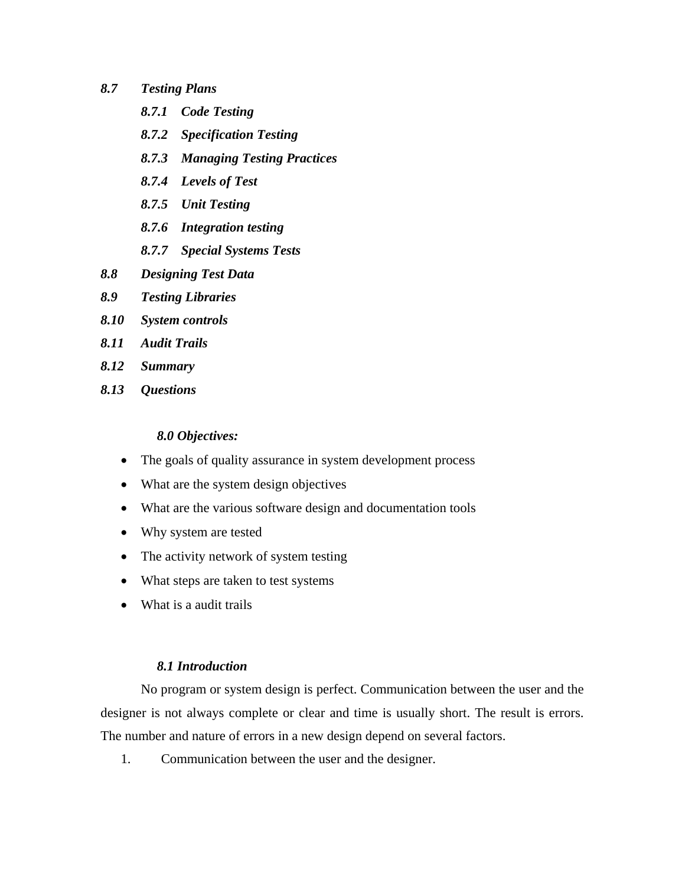# *8.7 Testing Plans*

- *8.7.1 Code Testing*
- *8.7.2 Specification Testing*
- *8.7.3 Managing Testing Practices*
- *8.7.4 Levels of Test*
- *8.7.5 Unit Testing*
- *8.7.6 Integration testing*
- *8.7.7 Special Systems Tests*
- *8.8 Designing Test Data*
- *8.9 Testing Libraries*
- *8.10 System controls*
- *8.11 Audit Trails*
- *8.12 Summary*
- *8.13 Questions*

## *8.0 Objectives:*

- The goals of quality assurance in system development process
- What are the system design objectives
- What are the various software design and documentation tools
- Why system are tested
- The activity network of system testing
- What steps are taken to test systems
- What is a audit trails

# *8.1 Introduction*

No program or system design is perfect. Communication between the user and the designer is not always complete or clear and time is usually short. The result is errors. The number and nature of errors in a new design depend on several factors.

1. Communication between the user and the designer.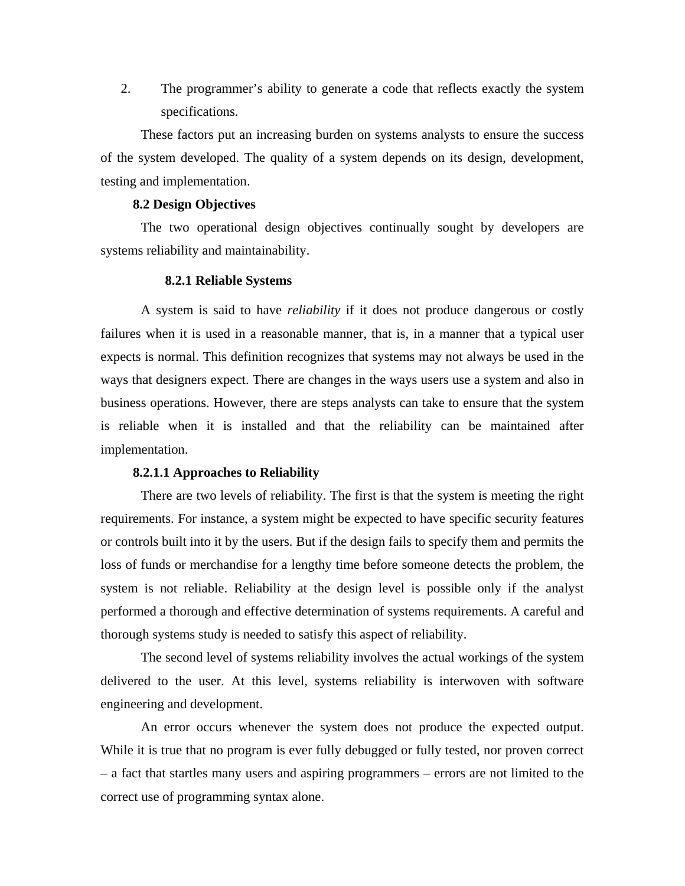2. The programmer's ability to generate a code that reflects exactly the system specifications.

These factors put an increasing burden on systems analysts to ensure the success of the system developed. The quality of a system depends on its design, development, testing and implementation.

## **8.2 Design Objectives**

 The two operational design objectives continually sought by developers are systems reliability and maintainability.

#### **8.2.1 Reliable Systems**

A system is said to have *reliability* if it does not produce dangerous or costly failures when it is used in a reasonable manner, that is, in a manner that a typical user expects is normal. This definition recognizes that systems may not always be used in the ways that designers expect. There are changes in the ways users use a system and also in business operations. However, there are steps analysts can take to ensure that the system is reliable when it is installed and that the reliability can be maintained after implementation.

#### **8.2.1.1 Approaches to Reliability**

 There are two levels of reliability. The first is that the system is meeting the right requirements. For instance, a system might be expected to have specific security features or controls built into it by the users. But if the design fails to specify them and permits the loss of funds or merchandise for a lengthy time before someone detects the problem, the system is not reliable. Reliability at the design level is possible only if the analyst performed a thorough and effective determination of systems requirements. A careful and thorough systems study is needed to satisfy this aspect of reliability.

 The second level of systems reliability involves the actual workings of the system delivered to the user. At this level, systems reliability is interwoven with software engineering and development.

 An error occurs whenever the system does not produce the expected output. While it is true that no program is ever fully debugged or fully tested, nor proven correct – a fact that startles many users and aspiring programmers – errors are not limited to the correct use of programming syntax alone.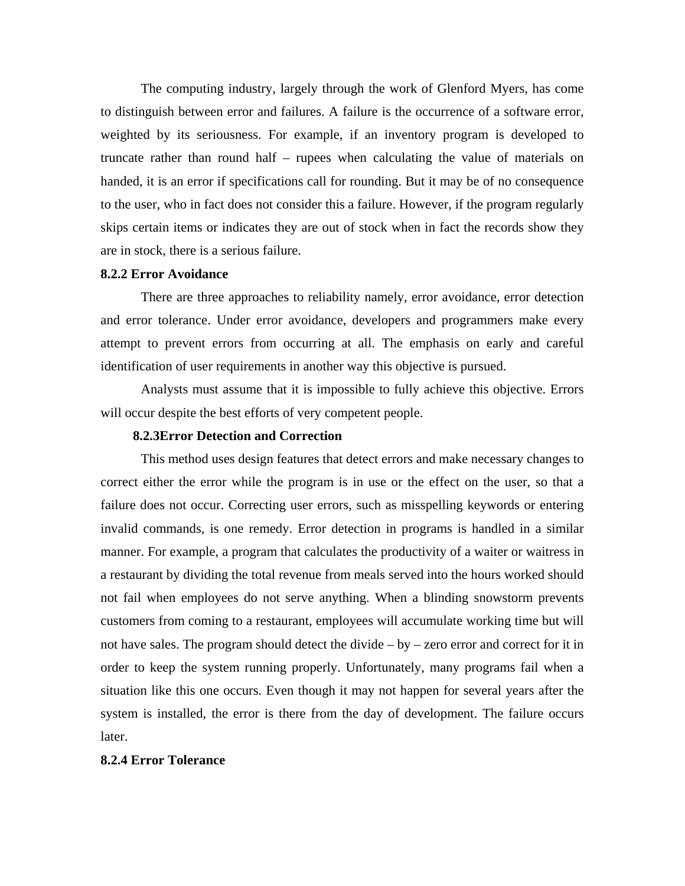The computing industry, largely through the work of Glenford Myers, has come to distinguish between error and failures. A failure is the occurrence of a software error, weighted by its seriousness. For example, if an inventory program is developed to truncate rather than round half – rupees when calculating the value of materials on handed, it is an error if specifications call for rounding. But it may be of no consequence to the user, who in fact does not consider this a failure. However, if the program regularly skips certain items or indicates they are out of stock when in fact the records show they are in stock, there is a serious failure.

#### **8.2.2 Error Avoidance**

 There are three approaches to reliability namely, error avoidance, error detection and error tolerance. Under error avoidance, developers and programmers make every attempt to prevent errors from occurring at all. The emphasis on early and careful identification of user requirements in another way this objective is pursued.

 Analysts must assume that it is impossible to fully achieve this objective. Errors will occur despite the best efforts of very competent people.

#### **8.2.3Error Detection and Correction**

 This method uses design features that detect errors and make necessary changes to correct either the error while the program is in use or the effect on the user, so that a failure does not occur. Correcting user errors, such as misspelling keywords or entering invalid commands, is one remedy. Error detection in programs is handled in a similar manner. For example, a program that calculates the productivity of a waiter or waitress in a restaurant by dividing the total revenue from meals served into the hours worked should not fail when employees do not serve anything. When a blinding snowstorm prevents customers from coming to a restaurant, employees will accumulate working time but will not have sales. The program should detect the divide – by – zero error and correct for it in order to keep the system running properly. Unfortunately, many programs fail when a situation like this one occurs. Even though it may not happen for several years after the system is installed, the error is there from the day of development. The failure occurs later.

#### **8.2.4 Error Tolerance**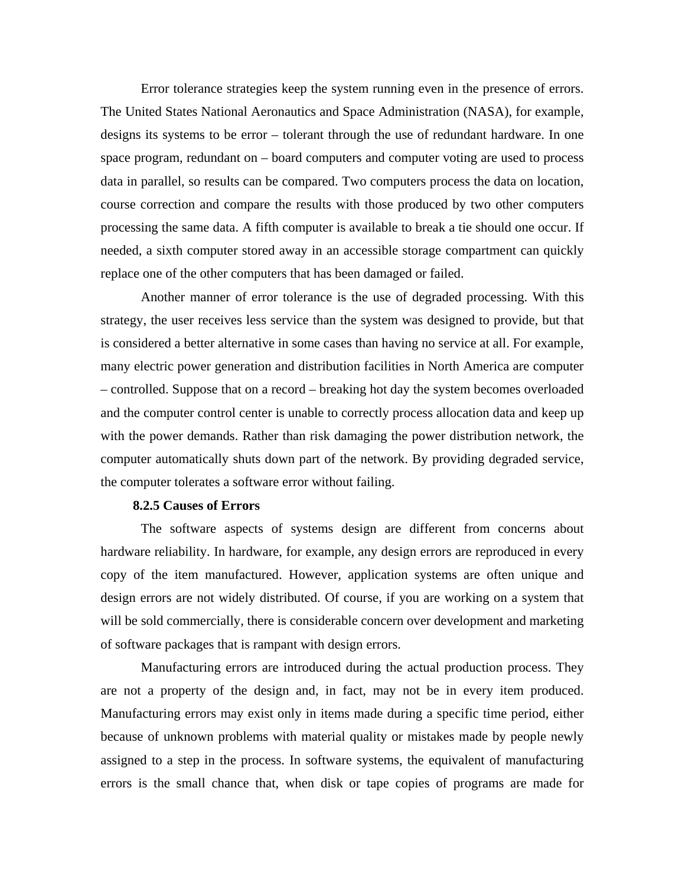Error tolerance strategies keep the system running even in the presence of errors. The United States National Aeronautics and Space Administration (NASA), for example, designs its systems to be error – tolerant through the use of redundant hardware. In one space program, redundant on – board computers and computer voting are used to process data in parallel, so results can be compared. Two computers process the data on location, course correction and compare the results with those produced by two other computers processing the same data. A fifth computer is available to break a tie should one occur. If needed, a sixth computer stored away in an accessible storage compartment can quickly replace one of the other computers that has been damaged or failed.

 Another manner of error tolerance is the use of degraded processing. With this strategy, the user receives less service than the system was designed to provide, but that is considered a better alternative in some cases than having no service at all. For example, many electric power generation and distribution facilities in North America are computer – controlled. Suppose that on a record – breaking hot day the system becomes overloaded and the computer control center is unable to correctly process allocation data and keep up with the power demands. Rather than risk damaging the power distribution network, the computer automatically shuts down part of the network. By providing degraded service, the computer tolerates a software error without failing.

#### **8.2.5 Causes of Errors**

The software aspects of systems design are different from concerns about hardware reliability. In hardware, for example, any design errors are reproduced in every copy of the item manufactured. However, application systems are often unique and design errors are not widely distributed. Of course, if you are working on a system that will be sold commercially, there is considerable concern over development and marketing of software packages that is rampant with design errors.

 Manufacturing errors are introduced during the actual production process. They are not a property of the design and, in fact, may not be in every item produced. Manufacturing errors may exist only in items made during a specific time period, either because of unknown problems with material quality or mistakes made by people newly assigned to a step in the process. In software systems, the equivalent of manufacturing errors is the small chance that, when disk or tape copies of programs are made for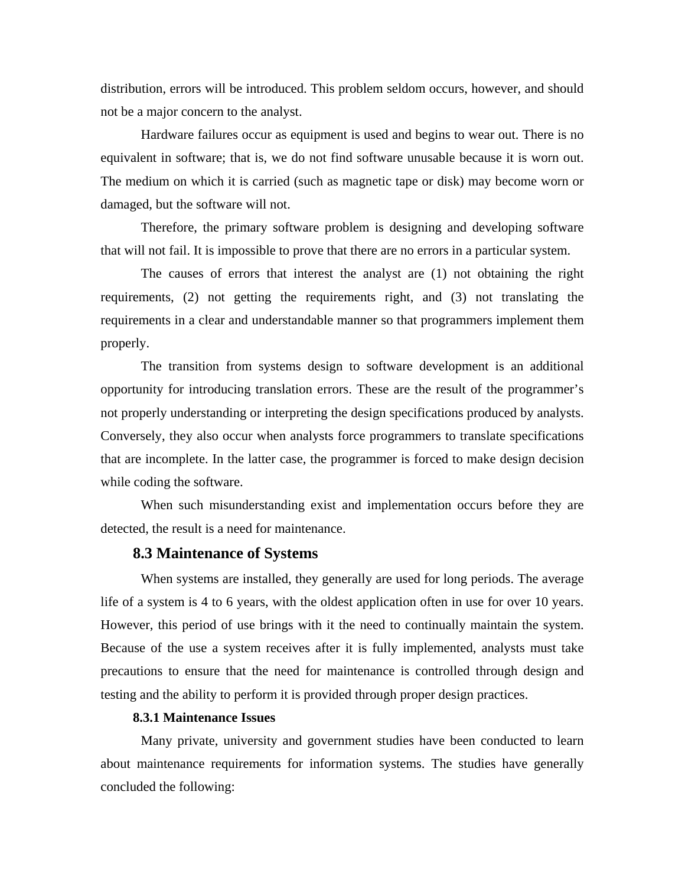distribution, errors will be introduced. This problem seldom occurs, however, and should not be a major concern to the analyst.

 Hardware failures occur as equipment is used and begins to wear out. There is no equivalent in software; that is, we do not find software unusable because it is worn out. The medium on which it is carried (such as magnetic tape or disk) may become worn or damaged, but the software will not.

 Therefore, the primary software problem is designing and developing software that will not fail. It is impossible to prove that there are no errors in a particular system.

 The causes of errors that interest the analyst are (1) not obtaining the right requirements, (2) not getting the requirements right, and (3) not translating the requirements in a clear and understandable manner so that programmers implement them properly.

 The transition from systems design to software development is an additional opportunity for introducing translation errors. These are the result of the programmer's not properly understanding or interpreting the design specifications produced by analysts. Conversely, they also occur when analysts force programmers to translate specifications that are incomplete. In the latter case, the programmer is forced to make design decision while coding the software.

 When such misunderstanding exist and implementation occurs before they are detected, the result is a need for maintenance.

# **8.3 Maintenance of Systems**

 When systems are installed, they generally are used for long periods. The average life of a system is 4 to 6 years, with the oldest application often in use for over 10 years. However, this period of use brings with it the need to continually maintain the system. Because of the use a system receives after it is fully implemented, analysts must take precautions to ensure that the need for maintenance is controlled through design and testing and the ability to perform it is provided through proper design practices.

#### **8.3.1 Maintenance Issues**

Many private, university and government studies have been conducted to learn about maintenance requirements for information systems. The studies have generally concluded the following: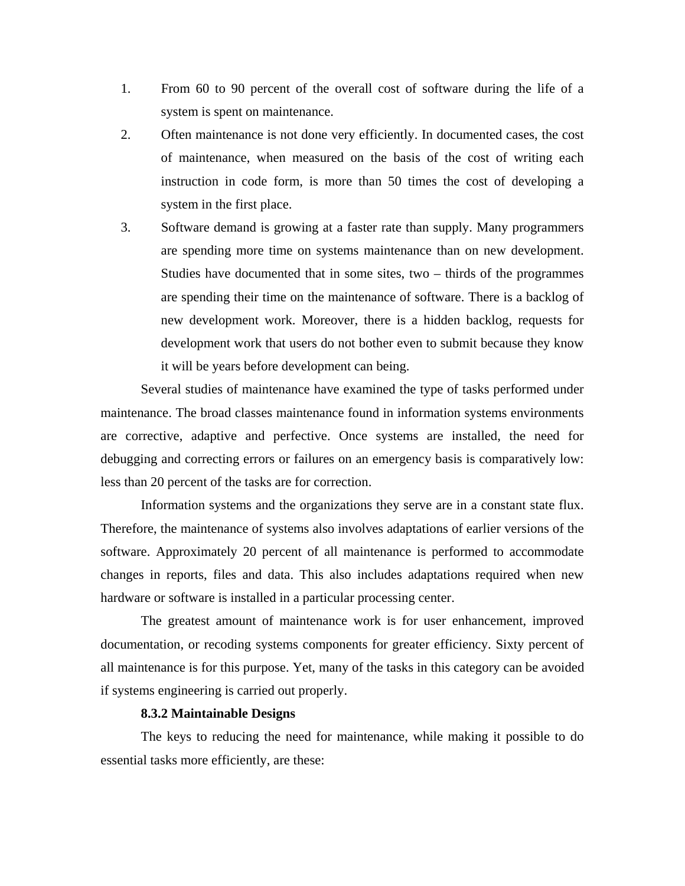- 1. From 60 to 90 percent of the overall cost of software during the life of a system is spent on maintenance.
- 2. Often maintenance is not done very efficiently. In documented cases, the cost of maintenance, when measured on the basis of the cost of writing each instruction in code form, is more than 50 times the cost of developing a system in the first place.
- 3. Software demand is growing at a faster rate than supply. Many programmers are spending more time on systems maintenance than on new development. Studies have documented that in some sites, two – thirds of the programmes are spending their time on the maintenance of software. There is a backlog of new development work. Moreover, there is a hidden backlog, requests for development work that users do not bother even to submit because they know it will be years before development can being.

Several studies of maintenance have examined the type of tasks performed under maintenance. The broad classes maintenance found in information systems environments are corrective, adaptive and perfective. Once systems are installed, the need for debugging and correcting errors or failures on an emergency basis is comparatively low: less than 20 percent of the tasks are for correction.

 Information systems and the organizations they serve are in a constant state flux. Therefore, the maintenance of systems also involves adaptations of earlier versions of the software. Approximately 20 percent of all maintenance is performed to accommodate changes in reports, files and data. This also includes adaptations required when new hardware or software is installed in a particular processing center.

 The greatest amount of maintenance work is for user enhancement, improved documentation, or recoding systems components for greater efficiency. Sixty percent of all maintenance is for this purpose. Yet, many of the tasks in this category can be avoided if systems engineering is carried out properly.

## **8.3.2 Maintainable Designs**

The keys to reducing the need for maintenance, while making it possible to do essential tasks more efficiently, are these: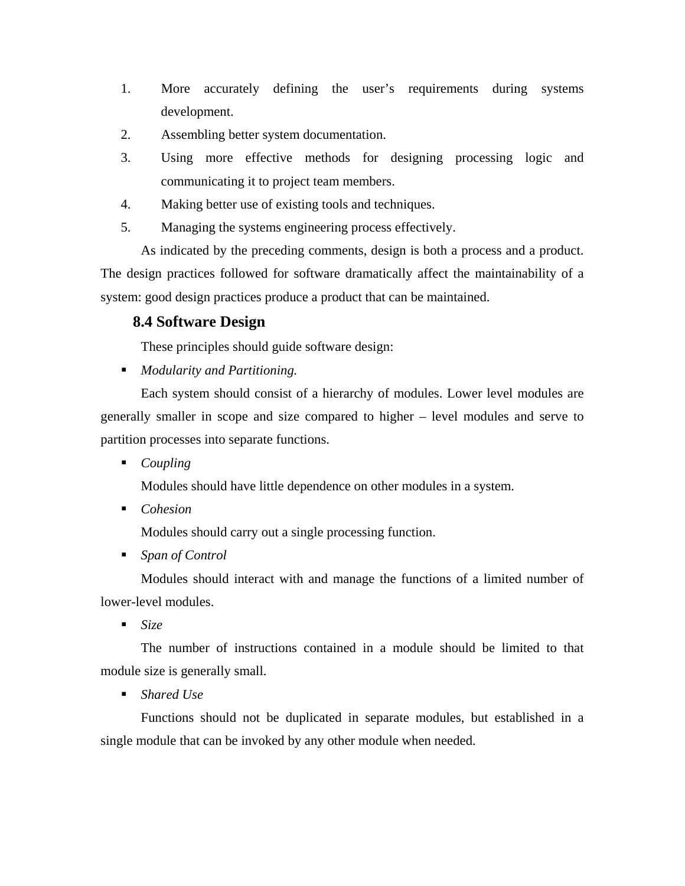- 1. More accurately defining the user's requirements during systems development.
- 2. Assembling better system documentation.
- 3. Using more effective methods for designing processing logic and communicating it to project team members.
- 4. Making better use of existing tools and techniques.
- 5. Managing the systems engineering process effectively.

As indicated by the preceding comments, design is both a process and a product. The design practices followed for software dramatically affect the maintainability of a system: good design practices produce a product that can be maintained.

# **8.4 Software Design**

These principles should guide software design:

*Modularity and Partitioning.* 

Each system should consist of a hierarchy of modules. Lower level modules are generally smaller in scope and size compared to higher – level modules and serve to partition processes into separate functions.

*Coupling* 

Modules should have little dependence on other modules in a system.

*Cohesion* 

Modules should carry out a single processing function.

*Span of Control* 

Modules should interact with and manage the functions of a limited number of lower-level modules.

*Size* 

The number of instructions contained in a module should be limited to that module size is generally small.

*Shared Use* 

Functions should not be duplicated in separate modules, but established in a single module that can be invoked by any other module when needed.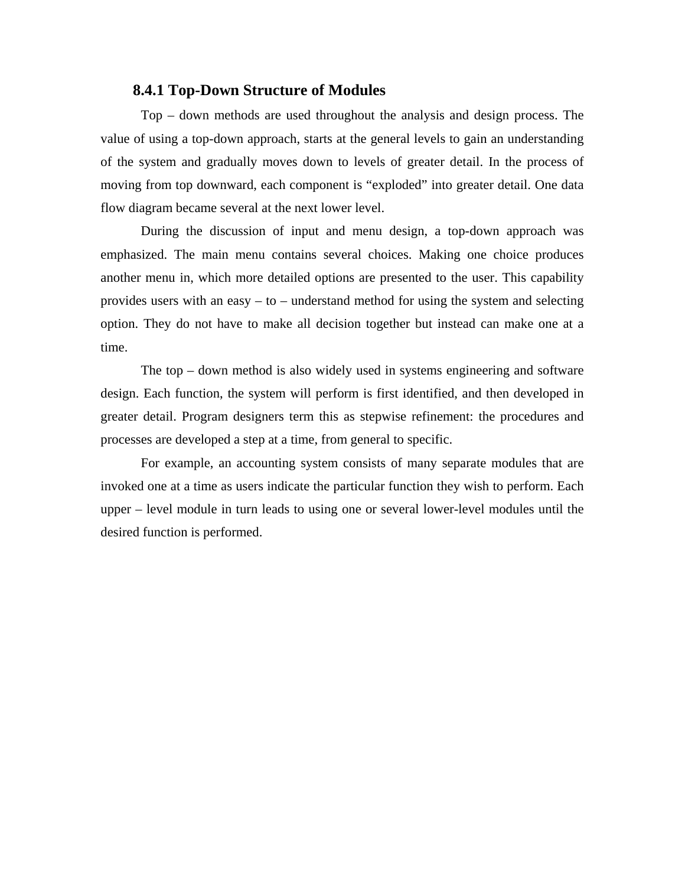## **8.4.1 Top-Down Structure of Modules**

 Top – down methods are used throughout the analysis and design process. The value of using a top-down approach, starts at the general levels to gain an understanding of the system and gradually moves down to levels of greater detail. In the process of moving from top downward, each component is "exploded" into greater detail. One data flow diagram became several at the next lower level.

 During the discussion of input and menu design, a top-down approach was emphasized. The main menu contains several choices. Making one choice produces another menu in, which more detailed options are presented to the user. This capability provides users with an easy  $-$  to  $-$  understand method for using the system and selecting option. They do not have to make all decision together but instead can make one at a time.

 The top – down method is also widely used in systems engineering and software design. Each function, the system will perform is first identified, and then developed in greater detail. Program designers term this as stepwise refinement: the procedures and processes are developed a step at a time, from general to specific.

 For example, an accounting system consists of many separate modules that are invoked one at a time as users indicate the particular function they wish to perform. Each upper – level module in turn leads to using one or several lower-level modules until the desired function is performed.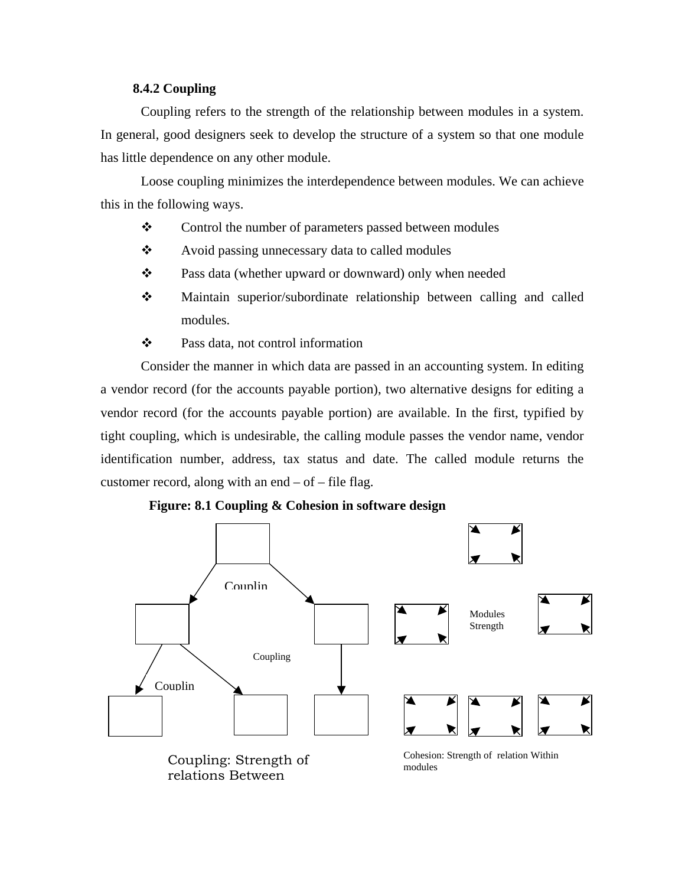## **8.4.2 Coupling**

Coupling refers to the strength of the relationship between modules in a system. In general, good designers seek to develop the structure of a system so that one module has little dependence on any other module.

 Loose coupling minimizes the interdependence between modules. We can achieve this in the following ways.

- ❖ Control the number of parameters passed between modules
- Avoid passing unnecessary data to called modules
- Pass data (whether upward or downward) only when needed
- Maintain superior/subordinate relationship between calling and called modules.
- Pass data, not control information

Consider the manner in which data are passed in an accounting system. In editing a vendor record (for the accounts payable portion), two alternative designs for editing a vendor record (for the accounts payable portion) are available. In the first, typified by tight coupling, which is undesirable, the calling module passes the vendor name, vendor identification number, address, tax status and date. The called module returns the customer record, along with an end  $-$  of  $-$  file flag.

 **Figure: 8.1 Coupling & Cohesion in software design** 

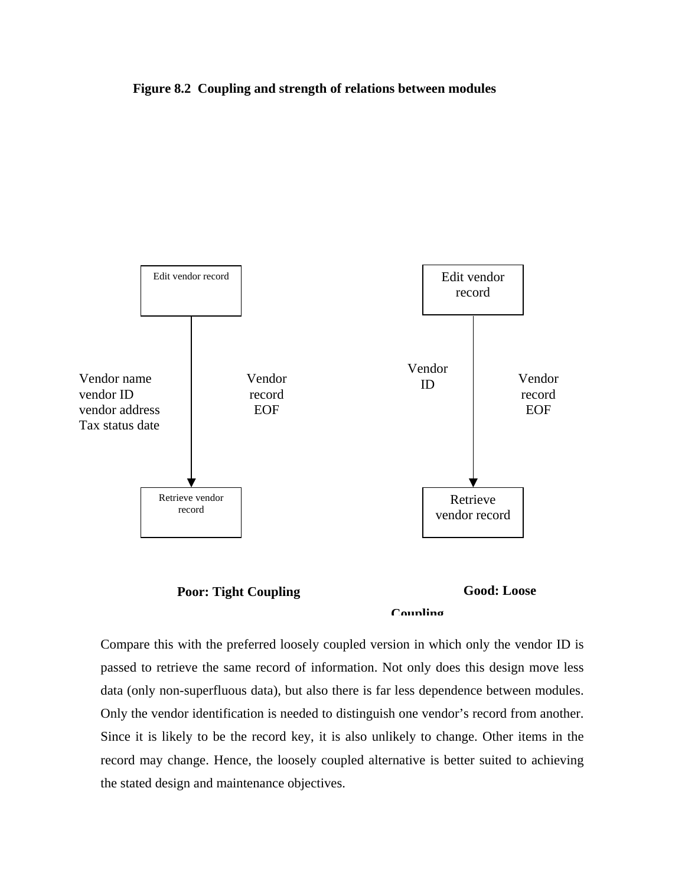**Figure 8.2 Coupling and strength of relations between modules** 



Compare this with the preferred loosely coupled version in which only the vendor ID is passed to retrieve the same record of information. Not only does this design move less data (only non-superfluous data), but also there is far less dependence between modules. Only the vendor identification is needed to distinguish one vendor's record from another. Since it is likely to be the record key, it is also unlikely to change. Other items in the record may change. Hence, the loosely coupled alternative is better suited to achieving the stated design and maintenance objectives.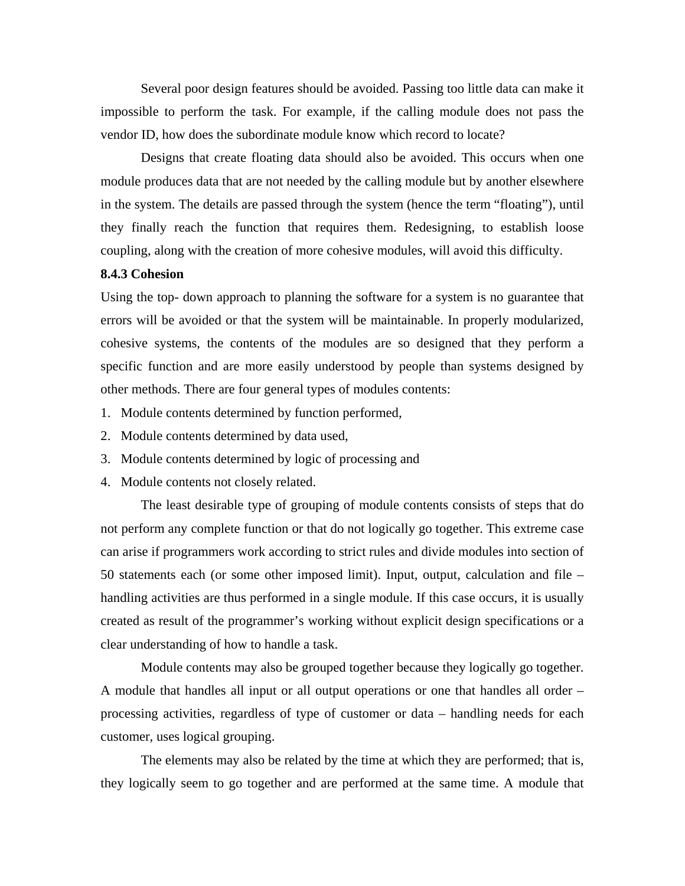Several poor design features should be avoided. Passing too little data can make it impossible to perform the task. For example, if the calling module does not pass the vendor ID, how does the subordinate module know which record to locate?

Designs that create floating data should also be avoided. This occurs when one module produces data that are not needed by the calling module but by another elsewhere in the system. The details are passed through the system (hence the term "floating"), until they finally reach the function that requires them. Redesigning, to establish loose coupling, along with the creation of more cohesive modules, will avoid this difficulty.

## **8.4.3 Cohesion**

Using the top- down approach to planning the software for a system is no guarantee that errors will be avoided or that the system will be maintainable. In properly modularized, cohesive systems, the contents of the modules are so designed that they perform a specific function and are more easily understood by people than systems designed by other methods. There are four general types of modules contents:

- 1. Module contents determined by function performed,
- 2. Module contents determined by data used,
- 3. Module contents determined by logic of processing and
- 4. Module contents not closely related.

 The least desirable type of grouping of module contents consists of steps that do not perform any complete function or that do not logically go together. This extreme case can arise if programmers work according to strict rules and divide modules into section of 50 statements each (or some other imposed limit). Input, output, calculation and file – handling activities are thus performed in a single module. If this case occurs, it is usually created as result of the programmer's working without explicit design specifications or a clear understanding of how to handle a task.

 Module contents may also be grouped together because they logically go together. A module that handles all input or all output operations or one that handles all order – processing activities, regardless of type of customer or data – handling needs for each customer, uses logical grouping.

 The elements may also be related by the time at which they are performed; that is, they logically seem to go together and are performed at the same time. A module that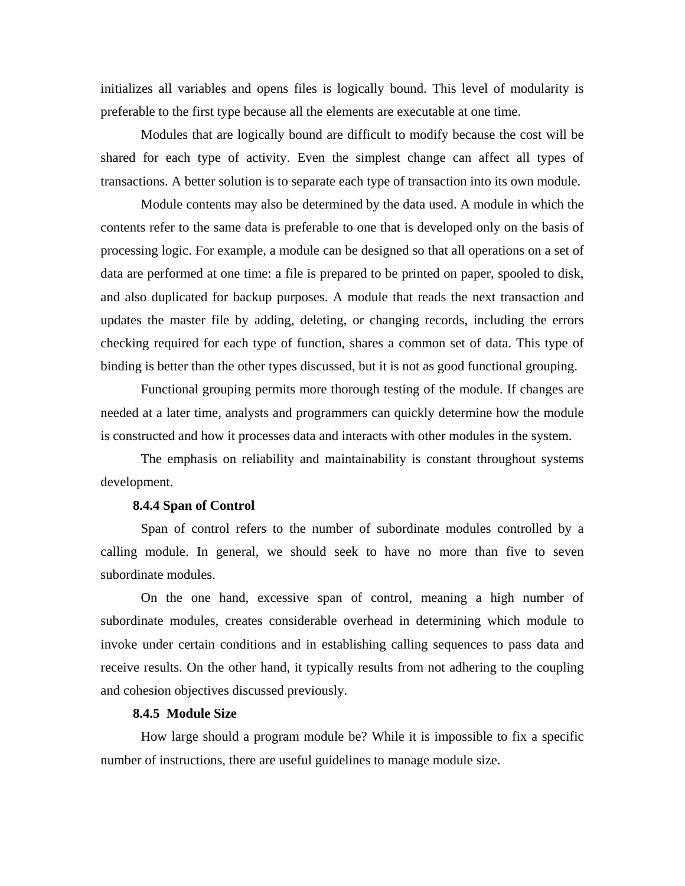initializes all variables and opens files is logically bound. This level of modularity is preferable to the first type because all the elements are executable at one time.

 Modules that are logically bound are difficult to modify because the cost will be shared for each type of activity. Even the simplest change can affect all types of transactions. A better solution is to separate each type of transaction into its own module.

 Module contents may also be determined by the data used. A module in which the contents refer to the same data is preferable to one that is developed only on the basis of processing logic. For example, a module can be designed so that all operations on a set of data are performed at one time: a file is prepared to be printed on paper, spooled to disk, and also duplicated for backup purposes. A module that reads the next transaction and updates the master file by adding, deleting, or changing records, including the errors checking required for each type of function, shares a common set of data. This type of binding is better than the other types discussed, but it is not as good functional grouping.

 Functional grouping permits more thorough testing of the module. If changes are needed at a later time, analysts and programmers can quickly determine how the module is constructed and how it processes data and interacts with other modules in the system.

 The emphasis on reliability and maintainability is constant throughout systems development.

#### **8.4.4 Span of Control**

 Span of control refers to the number of subordinate modules controlled by a calling module. In general, we should seek to have no more than five to seven subordinate modules.

 On the one hand, excessive span of control, meaning a high number of subordinate modules, creates considerable overhead in determining which module to invoke under certain conditions and in establishing calling sequences to pass data and receive results. On the other hand, it typically results from not adhering to the coupling and cohesion objectives discussed previously.

## **8.4.5 Module Size**

 How large should a program module be? While it is impossible to fix a specific number of instructions, there are useful guidelines to manage module size.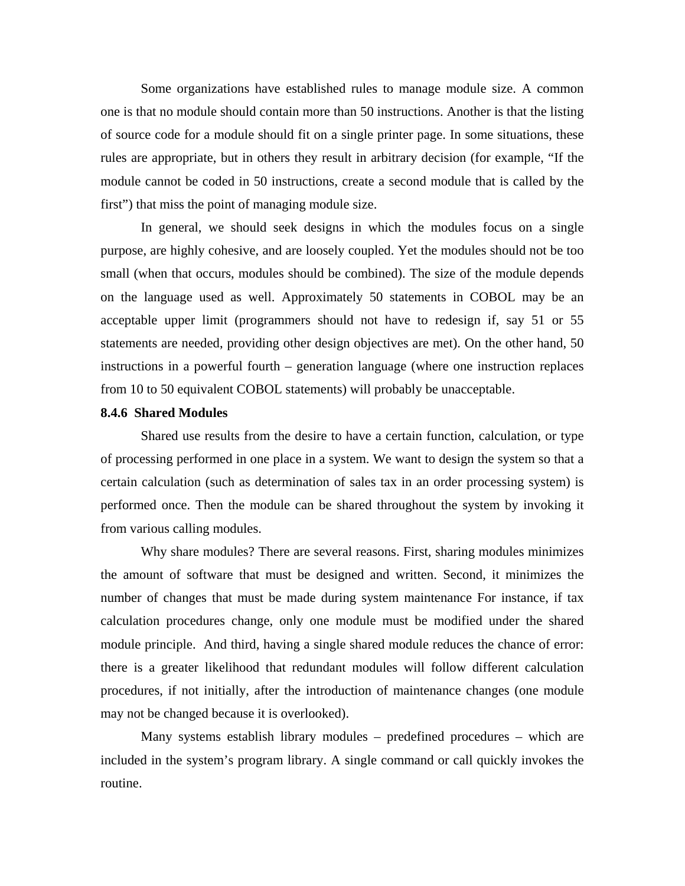Some organizations have established rules to manage module size. A common one is that no module should contain more than 50 instructions. Another is that the listing of source code for a module should fit on a single printer page. In some situations, these rules are appropriate, but in others they result in arbitrary decision (for example, "If the module cannot be coded in 50 instructions, create a second module that is called by the first") that miss the point of managing module size.

 In general, we should seek designs in which the modules focus on a single purpose, are highly cohesive, and are loosely coupled. Yet the modules should not be too small (when that occurs, modules should be combined). The size of the module depends on the language used as well. Approximately 50 statements in COBOL may be an acceptable upper limit (programmers should not have to redesign if, say 51 or 55 statements are needed, providing other design objectives are met). On the other hand, 50 instructions in a powerful fourth – generation language (where one instruction replaces from 10 to 50 equivalent COBOL statements) will probably be unacceptable.

## **8.4.6 Shared Modules**

 Shared use results from the desire to have a certain function, calculation, or type of processing performed in one place in a system. We want to design the system so that a certain calculation (such as determination of sales tax in an order processing system) is performed once. Then the module can be shared throughout the system by invoking it from various calling modules.

 Why share modules? There are several reasons. First, sharing modules minimizes the amount of software that must be designed and written. Second, it minimizes the number of changes that must be made during system maintenance For instance, if tax calculation procedures change, only one module must be modified under the shared module principle. And third, having a single shared module reduces the chance of error: there is a greater likelihood that redundant modules will follow different calculation procedures, if not initially, after the introduction of maintenance changes (one module may not be changed because it is overlooked).

 Many systems establish library modules – predefined procedures – which are included in the system's program library. A single command or call quickly invokes the routine.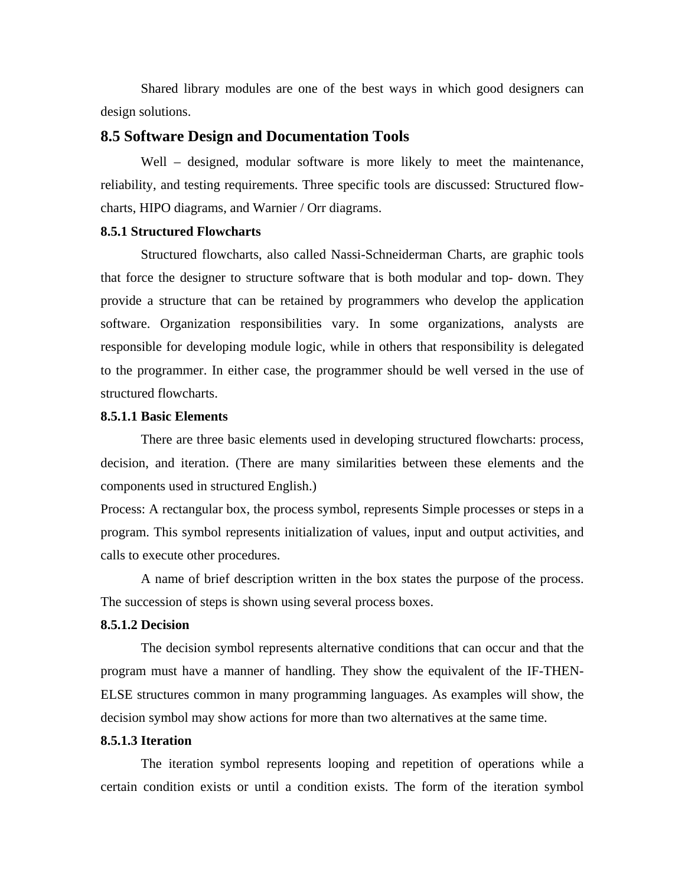Shared library modules are one of the best ways in which good designers can design solutions.

# **8.5 Software Design and Documentation Tools**

 Well – designed, modular software is more likely to meet the maintenance, reliability, and testing requirements. Three specific tools are discussed: Structured flowcharts, HIPO diagrams, and Warnier / Orr diagrams.

#### **8.5.1 Structured Flowcharts**

 Structured flowcharts, also called Nassi-Schneiderman Charts, are graphic tools that force the designer to structure software that is both modular and top- down. They provide a structure that can be retained by programmers who develop the application software. Organization responsibilities vary. In some organizations, analysts are responsible for developing module logic, while in others that responsibility is delegated to the programmer. In either case, the programmer should be well versed in the use of structured flowcharts.

#### **8.5.1.1 Basic Elements**

 There are three basic elements used in developing structured flowcharts: process, decision, and iteration. (There are many similarities between these elements and the components used in structured English.)

Process: A rectangular box, the process symbol, represents Simple processes or steps in a program. This symbol represents initialization of values, input and output activities, and calls to execute other procedures.

 A name of brief description written in the box states the purpose of the process. The succession of steps is shown using several process boxes.

## **8.5.1.2 Decision**

 The decision symbol represents alternative conditions that can occur and that the program must have a manner of handling. They show the equivalent of the IF-THEN-ELSE structures common in many programming languages. As examples will show, the decision symbol may show actions for more than two alternatives at the same time.

## **8.5.1.3 Iteration**

 The iteration symbol represents looping and repetition of operations while a certain condition exists or until a condition exists. The form of the iteration symbol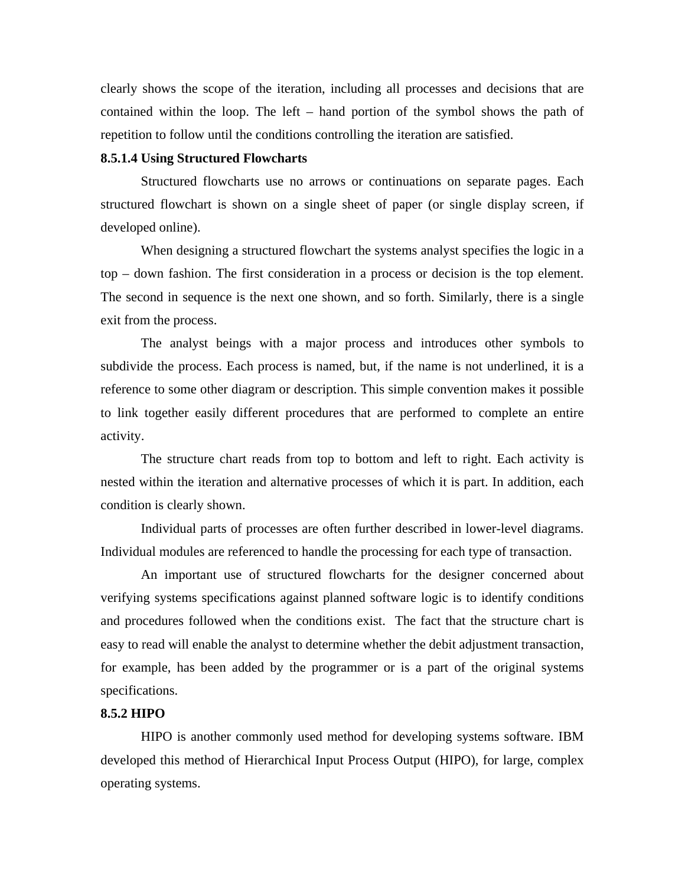clearly shows the scope of the iteration, including all processes and decisions that are contained within the loop. The left – hand portion of the symbol shows the path of repetition to follow until the conditions controlling the iteration are satisfied.

#### **8.5.1.4 Using Structured Flowcharts**

 Structured flowcharts use no arrows or continuations on separate pages. Each structured flowchart is shown on a single sheet of paper (or single display screen, if developed online).

 When designing a structured flowchart the systems analyst specifies the logic in a top – down fashion. The first consideration in a process or decision is the top element. The second in sequence is the next one shown, and so forth. Similarly, there is a single exit from the process.

 The analyst beings with a major process and introduces other symbols to subdivide the process. Each process is named, but, if the name is not underlined, it is a reference to some other diagram or description. This simple convention makes it possible to link together easily different procedures that are performed to complete an entire activity.

 The structure chart reads from top to bottom and left to right. Each activity is nested within the iteration and alternative processes of which it is part. In addition, each condition is clearly shown.

 Individual parts of processes are often further described in lower-level diagrams. Individual modules are referenced to handle the processing for each type of transaction.

 An important use of structured flowcharts for the designer concerned about verifying systems specifications against planned software logic is to identify conditions and procedures followed when the conditions exist. The fact that the structure chart is easy to read will enable the analyst to determine whether the debit adjustment transaction, for example, has been added by the programmer or is a part of the original systems specifications.

## **8.5.2 HIPO**

 HIPO is another commonly used method for developing systems software. IBM developed this method of Hierarchical Input Process Output (HIPO), for large, complex operating systems.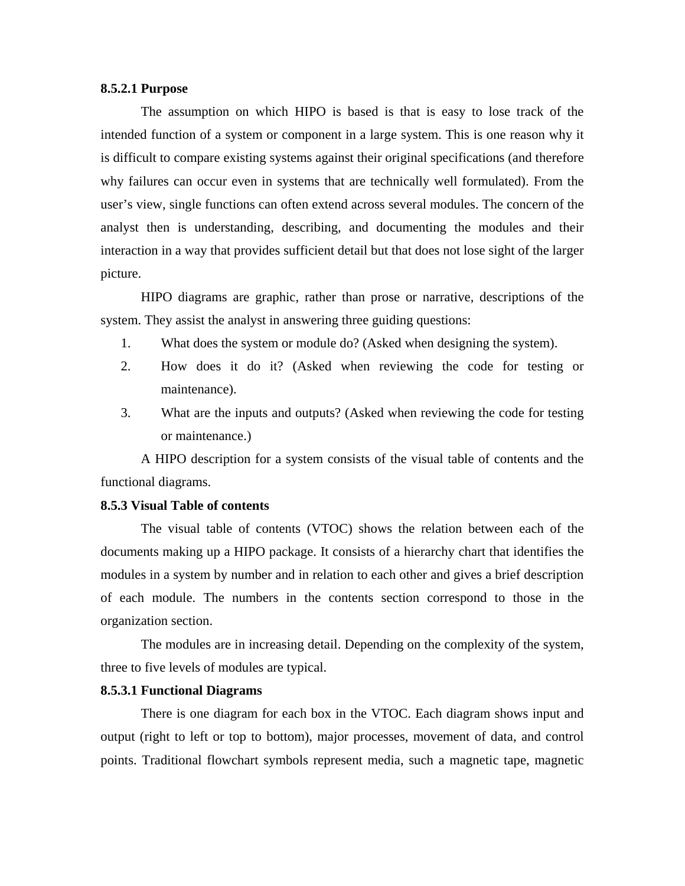#### **8.5.2.1 Purpose**

 The assumption on which HIPO is based is that is easy to lose track of the intended function of a system or component in a large system. This is one reason why it is difficult to compare existing systems against their original specifications (and therefore why failures can occur even in systems that are technically well formulated). From the user's view, single functions can often extend across several modules. The concern of the analyst then is understanding, describing, and documenting the modules and their interaction in a way that provides sufficient detail but that does not lose sight of the larger picture.

 HIPO diagrams are graphic, rather than prose or narrative, descriptions of the system. They assist the analyst in answering three guiding questions:

- 1. What does the system or module do? (Asked when designing the system).
- 2. How does it do it? (Asked when reviewing the code for testing or maintenance).
- 3. What are the inputs and outputs? (Asked when reviewing the code for testing or maintenance.)

A HIPO description for a system consists of the visual table of contents and the functional diagrams.

## **8.5.3 Visual Table of contents**

 The visual table of contents (VTOC) shows the relation between each of the documents making up a HIPO package. It consists of a hierarchy chart that identifies the modules in a system by number and in relation to each other and gives a brief description of each module. The numbers in the contents section correspond to those in the organization section.

 The modules are in increasing detail. Depending on the complexity of the system, three to five levels of modules are typical.

#### **8.5.3.1 Functional Diagrams**

 There is one diagram for each box in the VTOC. Each diagram shows input and output (right to left or top to bottom), major processes, movement of data, and control points. Traditional flowchart symbols represent media, such a magnetic tape, magnetic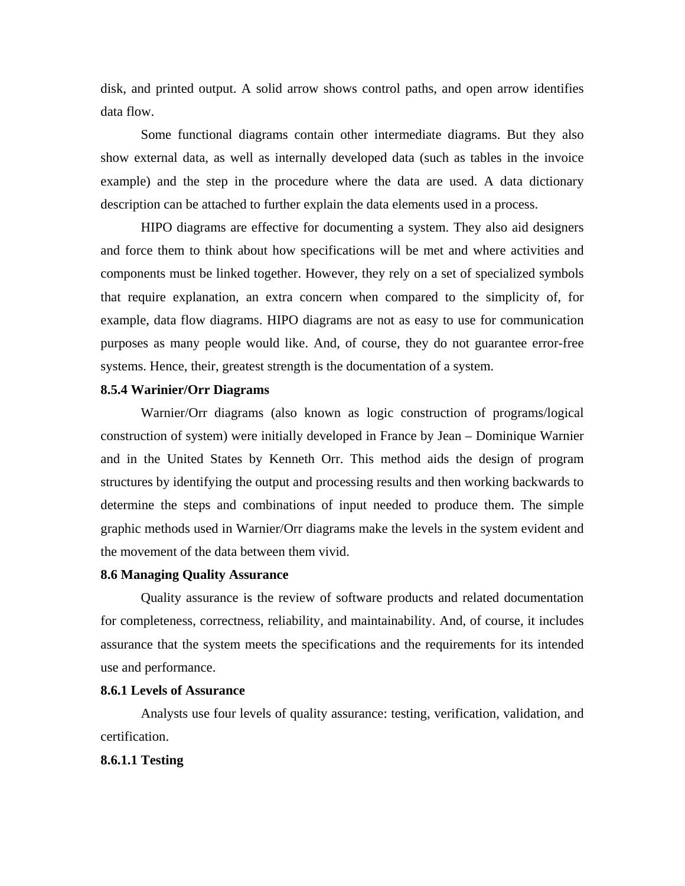disk, and printed output. A solid arrow shows control paths, and open arrow identifies data flow.

 Some functional diagrams contain other intermediate diagrams. But they also show external data, as well as internally developed data (such as tables in the invoice example) and the step in the procedure where the data are used. A data dictionary description can be attached to further explain the data elements used in a process.

 HIPO diagrams are effective for documenting a system. They also aid designers and force them to think about how specifications will be met and where activities and components must be linked together. However, they rely on a set of specialized symbols that require explanation, an extra concern when compared to the simplicity of, for example, data flow diagrams. HIPO diagrams are not as easy to use for communication purposes as many people would like. And, of course, they do not guarantee error-free systems. Hence, their, greatest strength is the documentation of a system.

## **8.5.4 Warinier/Orr Diagrams**

Warnier/Orr diagrams (also known as logic construction of programs/logical construction of system) were initially developed in France by Jean – Dominique Warnier and in the United States by Kenneth Orr. This method aids the design of program structures by identifying the output and processing results and then working backwards to determine the steps and combinations of input needed to produce them. The simple graphic methods used in Warnier/Orr diagrams make the levels in the system evident and the movement of the data between them vivid.

# **8.6 Managing Quality Assurance**

 Quality assurance is the review of software products and related documentation for completeness, correctness, reliability, and maintainability. And, of course, it includes assurance that the system meets the specifications and the requirements for its intended use and performance.

# **8.6.1 Levels of Assurance**

 Analysts use four levels of quality assurance: testing, verification, validation, and certification.

#### **8.6.1.1 Testing**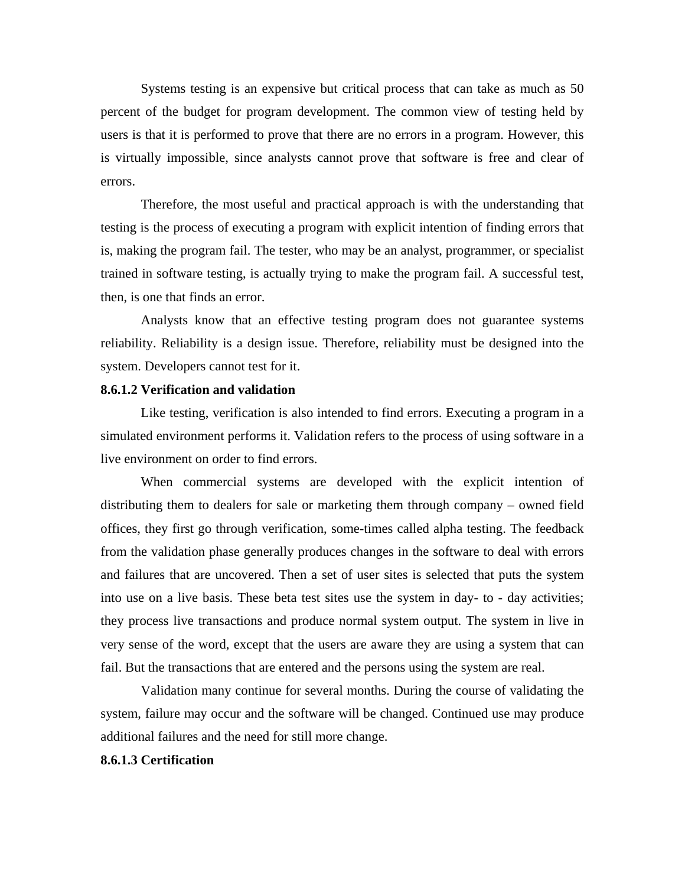Systems testing is an expensive but critical process that can take as much as 50 percent of the budget for program development. The common view of testing held by users is that it is performed to prove that there are no errors in a program. However, this is virtually impossible, since analysts cannot prove that software is free and clear of errors.

 Therefore, the most useful and practical approach is with the understanding that testing is the process of executing a program with explicit intention of finding errors that is, making the program fail. The tester, who may be an analyst, programmer, or specialist trained in software testing, is actually trying to make the program fail. A successful test, then, is one that finds an error.

 Analysts know that an effective testing program does not guarantee systems reliability. Reliability is a design issue. Therefore, reliability must be designed into the system. Developers cannot test for it.

## **8.6.1.2 Verification and validation**

 Like testing, verification is also intended to find errors. Executing a program in a simulated environment performs it. Validation refers to the process of using software in a live environment on order to find errors.

 When commercial systems are developed with the explicit intention of distributing them to dealers for sale or marketing them through company – owned field offices, they first go through verification, some-times called alpha testing. The feedback from the validation phase generally produces changes in the software to deal with errors and failures that are uncovered. Then a set of user sites is selected that puts the system into use on a live basis. These beta test sites use the system in day- to - day activities; they process live transactions and produce normal system output. The system in live in very sense of the word, except that the users are aware they are using a system that can fail. But the transactions that are entered and the persons using the system are real.

 Validation many continue for several months. During the course of validating the system, failure may occur and the software will be changed. Continued use may produce additional failures and the need for still more change.

#### **8.6.1.3 Certification**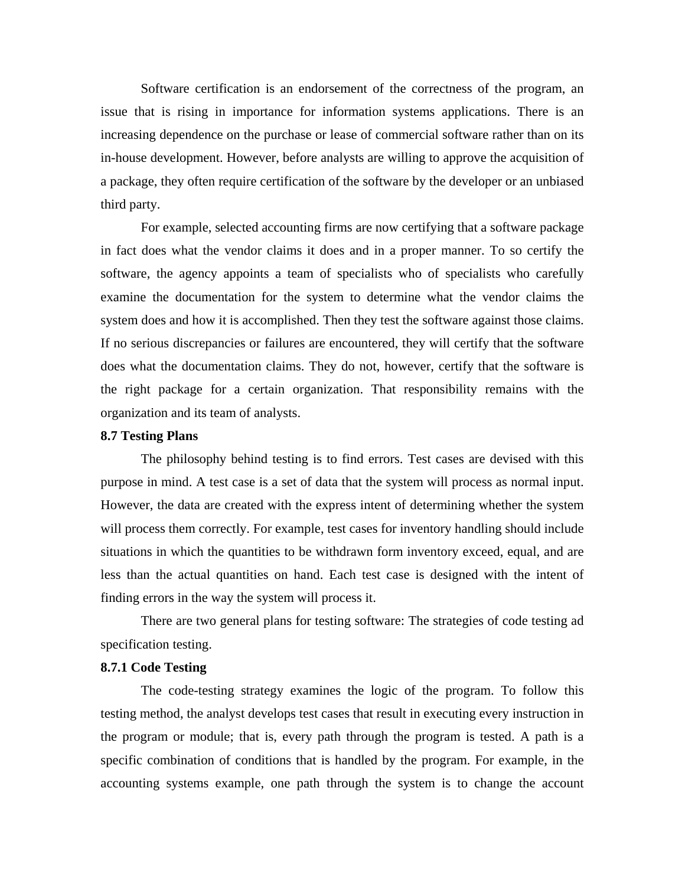Software certification is an endorsement of the correctness of the program, an issue that is rising in importance for information systems applications. There is an increasing dependence on the purchase or lease of commercial software rather than on its in-house development. However, before analysts are willing to approve the acquisition of a package, they often require certification of the software by the developer or an unbiased third party.

 For example, selected accounting firms are now certifying that a software package in fact does what the vendor claims it does and in a proper manner. To so certify the software, the agency appoints a team of specialists who of specialists who carefully examine the documentation for the system to determine what the vendor claims the system does and how it is accomplished. Then they test the software against those claims. If no serious discrepancies or failures are encountered, they will certify that the software does what the documentation claims. They do not, however, certify that the software is the right package for a certain organization. That responsibility remains with the organization and its team of analysts.

#### **8.7 Testing Plans**

 The philosophy behind testing is to find errors. Test cases are devised with this purpose in mind. A test case is a set of data that the system will process as normal input. However, the data are created with the express intent of determining whether the system will process them correctly. For example, test cases for inventory handling should include situations in which the quantities to be withdrawn form inventory exceed, equal, and are less than the actual quantities on hand. Each test case is designed with the intent of finding errors in the way the system will process it.

 There are two general plans for testing software: The strategies of code testing ad specification testing.

## **8.7.1 Code Testing**

 The code-testing strategy examines the logic of the program. To follow this testing method, the analyst develops test cases that result in executing every instruction in the program or module; that is, every path through the program is tested. A path is a specific combination of conditions that is handled by the program. For example, in the accounting systems example, one path through the system is to change the account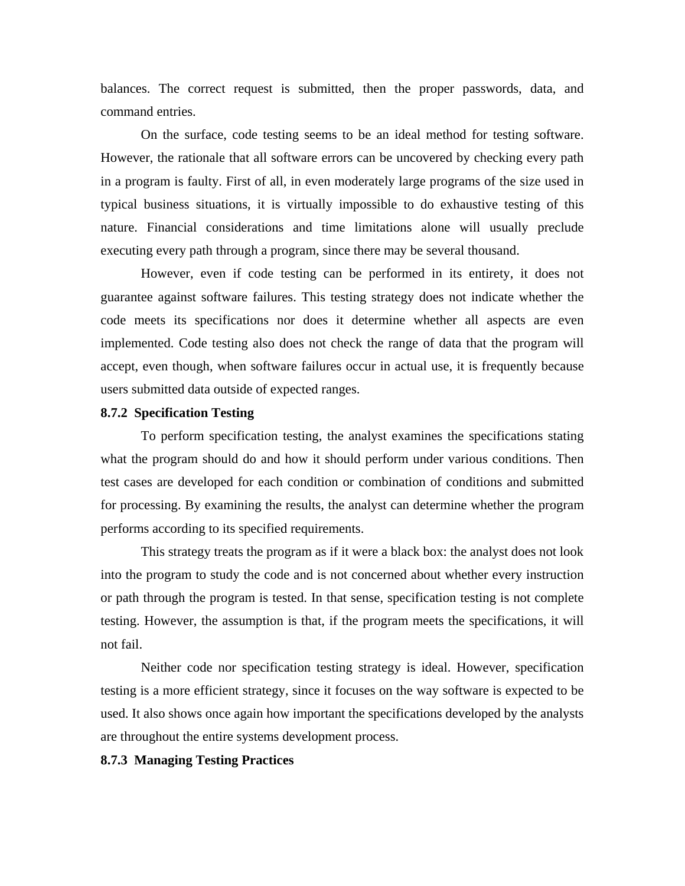balances. The correct request is submitted, then the proper passwords, data, and command entries.

 On the surface, code testing seems to be an ideal method for testing software. However, the rationale that all software errors can be uncovered by checking every path in a program is faulty. First of all, in even moderately large programs of the size used in typical business situations, it is virtually impossible to do exhaustive testing of this nature. Financial considerations and time limitations alone will usually preclude executing every path through a program, since there may be several thousand.

 However, even if code testing can be performed in its entirety, it does not guarantee against software failures. This testing strategy does not indicate whether the code meets its specifications nor does it determine whether all aspects are even implemented. Code testing also does not check the range of data that the program will accept, even though, when software failures occur in actual use, it is frequently because users submitted data outside of expected ranges.

## **8.7.2 Specification Testing**

 To perform specification testing, the analyst examines the specifications stating what the program should do and how it should perform under various conditions. Then test cases are developed for each condition or combination of conditions and submitted for processing. By examining the results, the analyst can determine whether the program performs according to its specified requirements.

 This strategy treats the program as if it were a black box: the analyst does not look into the program to study the code and is not concerned about whether every instruction or path through the program is tested. In that sense, specification testing is not complete testing. However, the assumption is that, if the program meets the specifications, it will not fail.

 Neither code nor specification testing strategy is ideal. However, specification testing is a more efficient strategy, since it focuses on the way software is expected to be used. It also shows once again how important the specifications developed by the analysts are throughout the entire systems development process.

#### **8.7.3 Managing Testing Practices**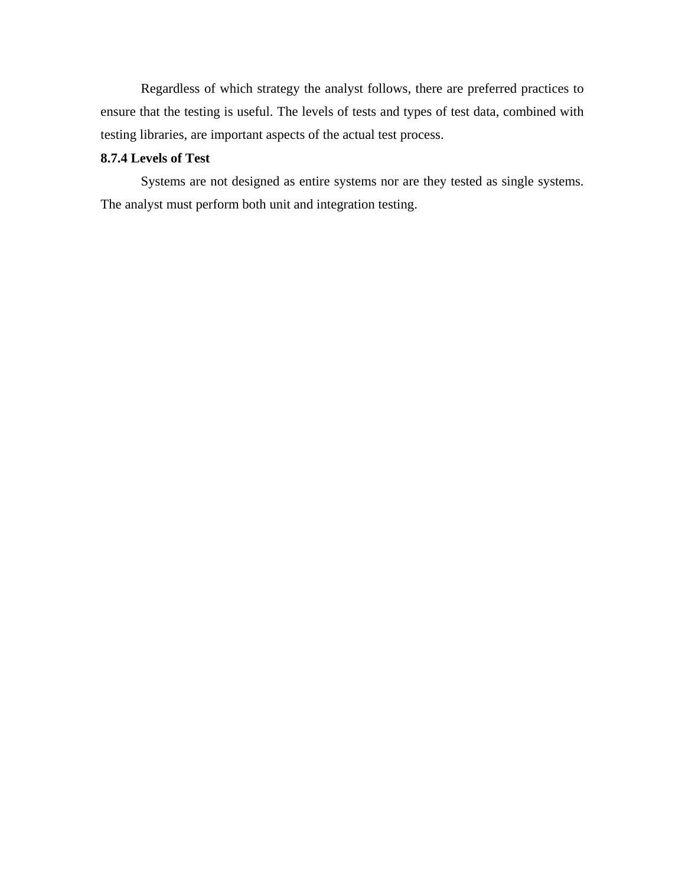Regardless of which strategy the analyst follows, there are preferred practices to ensure that the testing is useful. The levels of tests and types of test data, combined with testing libraries, are important aspects of the actual test process.

# **8.7.4 Levels of Test**

 Systems are not designed as entire systems nor are they tested as single systems. The analyst must perform both unit and integration testing.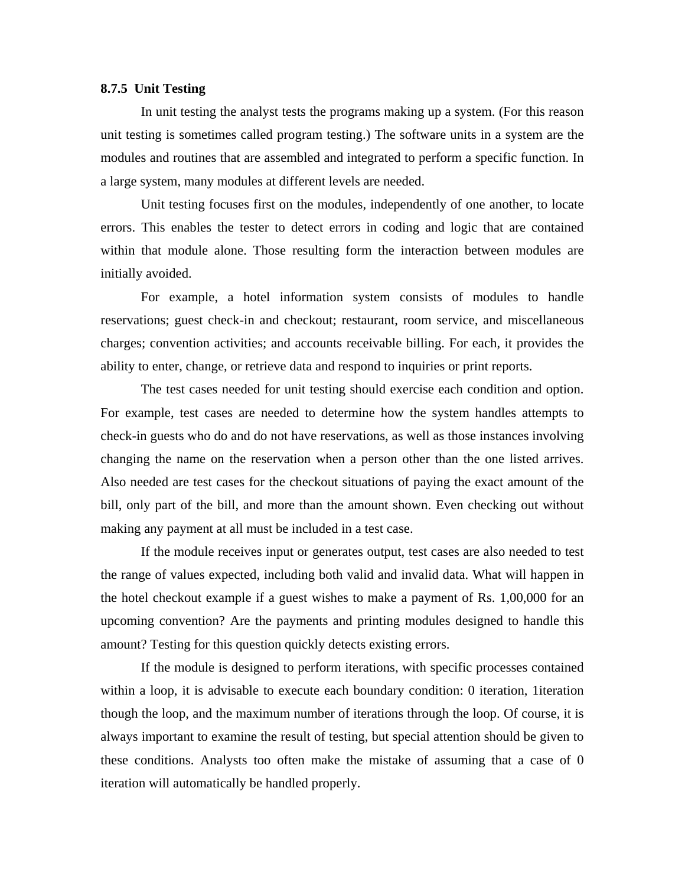## **8.7.5 Unit Testing**

 In unit testing the analyst tests the programs making up a system. (For this reason unit testing is sometimes called program testing.) The software units in a system are the modules and routines that are assembled and integrated to perform a specific function. In a large system, many modules at different levels are needed.

 Unit testing focuses first on the modules, independently of one another, to locate errors. This enables the tester to detect errors in coding and logic that are contained within that module alone. Those resulting form the interaction between modules are initially avoided.

 For example, a hotel information system consists of modules to handle reservations; guest check-in and checkout; restaurant, room service, and miscellaneous charges; convention activities; and accounts receivable billing. For each, it provides the ability to enter, change, or retrieve data and respond to inquiries or print reports.

 The test cases needed for unit testing should exercise each condition and option. For example, test cases are needed to determine how the system handles attempts to check-in guests who do and do not have reservations, as well as those instances involving changing the name on the reservation when a person other than the one listed arrives. Also needed are test cases for the checkout situations of paying the exact amount of the bill, only part of the bill, and more than the amount shown. Even checking out without making any payment at all must be included in a test case.

 If the module receives input or generates output, test cases are also needed to test the range of values expected, including both valid and invalid data. What will happen in the hotel checkout example if a guest wishes to make a payment of Rs. 1,00,000 for an upcoming convention? Are the payments and printing modules designed to handle this amount? Testing for this question quickly detects existing errors.

 If the module is designed to perform iterations, with specific processes contained within a loop, it is advisable to execute each boundary condition: 0 iteration, 1iteration though the loop, and the maximum number of iterations through the loop. Of course, it is always important to examine the result of testing, but special attention should be given to these conditions. Analysts too often make the mistake of assuming that a case of 0 iteration will automatically be handled properly.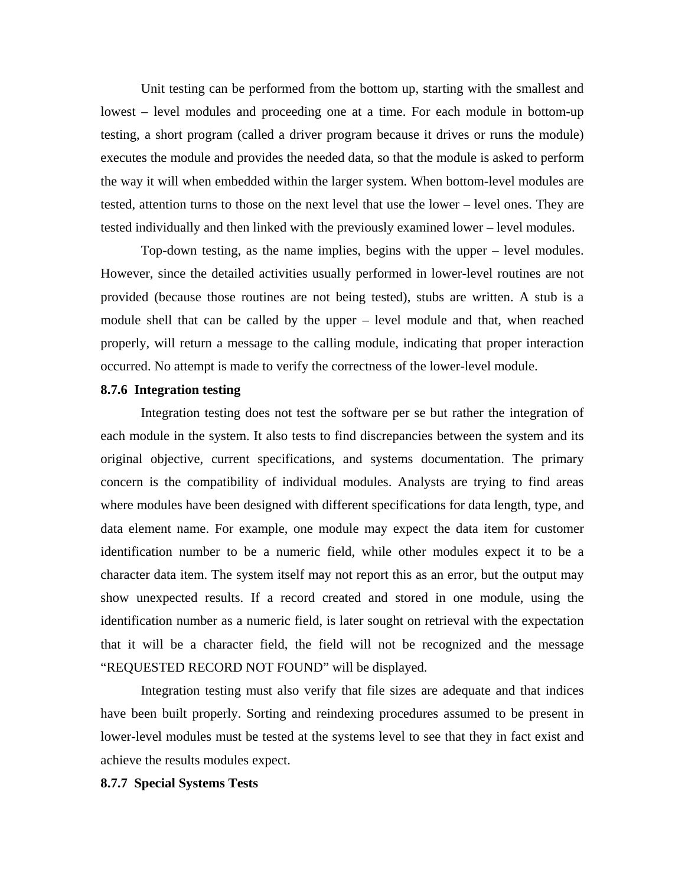Unit testing can be performed from the bottom up, starting with the smallest and lowest – level modules and proceeding one at a time. For each module in bottom-up testing, a short program (called a driver program because it drives or runs the module) executes the module and provides the needed data, so that the module is asked to perform the way it will when embedded within the larger system. When bottom-level modules are tested, attention turns to those on the next level that use the lower – level ones. They are tested individually and then linked with the previously examined lower – level modules.

 Top-down testing, as the name implies, begins with the upper – level modules. However, since the detailed activities usually performed in lower-level routines are not provided (because those routines are not being tested), stubs are written. A stub is a module shell that can be called by the upper – level module and that, when reached properly, will return a message to the calling module, indicating that proper interaction occurred. No attempt is made to verify the correctness of the lower-level module.

## **8.7.6 Integration testing**

 Integration testing does not test the software per se but rather the integration of each module in the system. It also tests to find discrepancies between the system and its original objective, current specifications, and systems documentation. The primary concern is the compatibility of individual modules. Analysts are trying to find areas where modules have been designed with different specifications for data length, type, and data element name. For example, one module may expect the data item for customer identification number to be a numeric field, while other modules expect it to be a character data item. The system itself may not report this as an error, but the output may show unexpected results. If a record created and stored in one module, using the identification number as a numeric field, is later sought on retrieval with the expectation that it will be a character field, the field will not be recognized and the message "REQUESTED RECORD NOT FOUND" will be displayed.

 Integration testing must also verify that file sizes are adequate and that indices have been built properly. Sorting and reindexing procedures assumed to be present in lower-level modules must be tested at the systems level to see that they in fact exist and achieve the results modules expect.

#### **8.7.7 Special Systems Tests**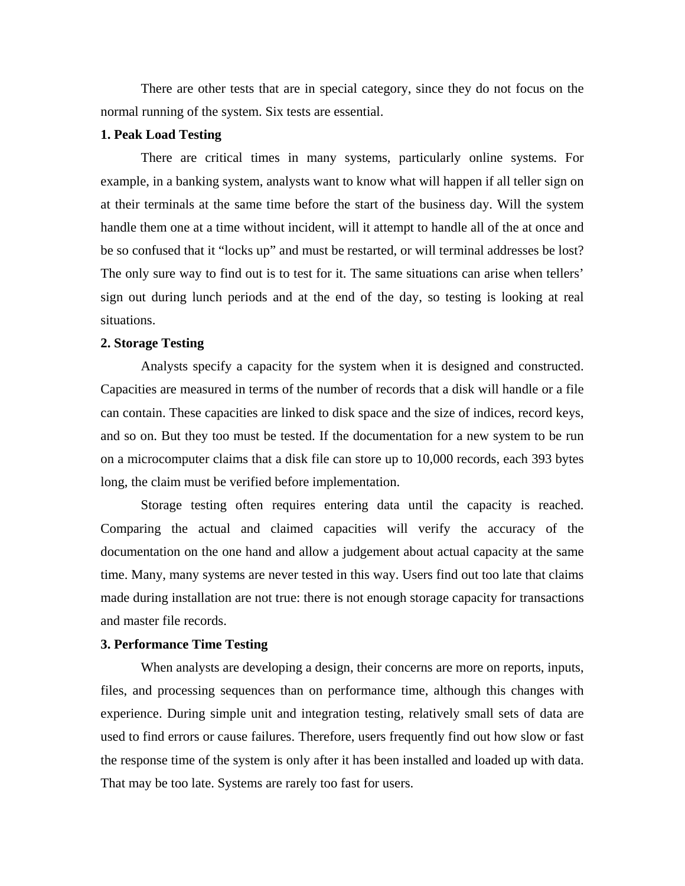There are other tests that are in special category, since they do not focus on the normal running of the system. Six tests are essential.

## **1. Peak Load Testing**

 There are critical times in many systems, particularly online systems. For example, in a banking system, analysts want to know what will happen if all teller sign on at their terminals at the same time before the start of the business day. Will the system handle them one at a time without incident, will it attempt to handle all of the at once and be so confused that it "locks up" and must be restarted, or will terminal addresses be lost? The only sure way to find out is to test for it. The same situations can arise when tellers' sign out during lunch periods and at the end of the day, so testing is looking at real situations.

#### **2. Storage Testing**

 Analysts specify a capacity for the system when it is designed and constructed. Capacities are measured in terms of the number of records that a disk will handle or a file can contain. These capacities are linked to disk space and the size of indices, record keys, and so on. But they too must be tested. If the documentation for a new system to be run on a microcomputer claims that a disk file can store up to 10,000 records, each 393 bytes long, the claim must be verified before implementation.

 Storage testing often requires entering data until the capacity is reached. Comparing the actual and claimed capacities will verify the accuracy of the documentation on the one hand and allow a judgement about actual capacity at the same time. Many, many systems are never tested in this way. Users find out too late that claims made during installation are not true: there is not enough storage capacity for transactions and master file records.

#### **3. Performance Time Testing**

When analysts are developing a design, their concerns are more on reports, inputs, files, and processing sequences than on performance time, although this changes with experience. During simple unit and integration testing, relatively small sets of data are used to find errors or cause failures. Therefore, users frequently find out how slow or fast the response time of the system is only after it has been installed and loaded up with data. That may be too late. Systems are rarely too fast for users.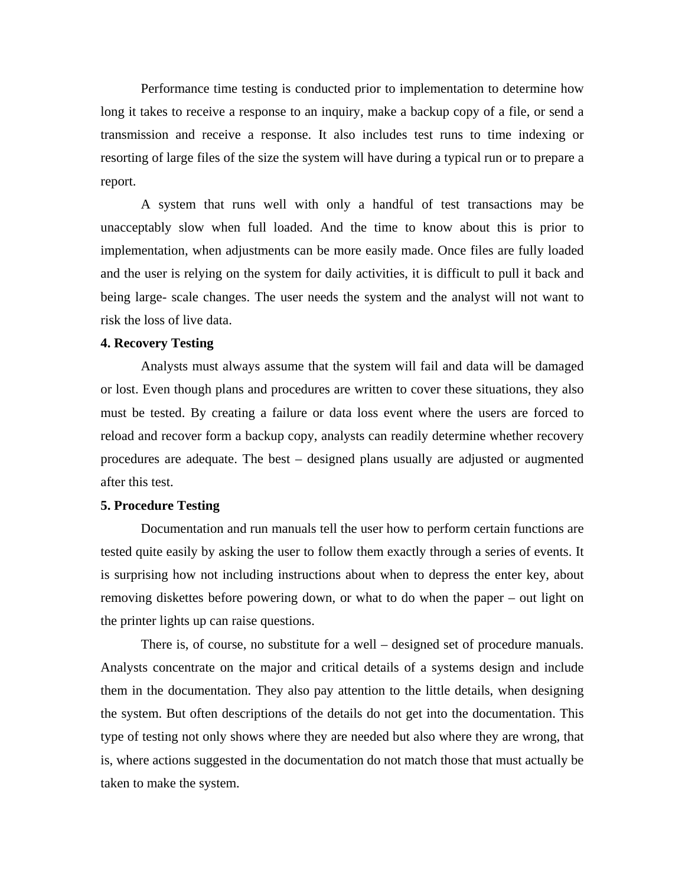Performance time testing is conducted prior to implementation to determine how long it takes to receive a response to an inquiry, make a backup copy of a file, or send a transmission and receive a response. It also includes test runs to time indexing or resorting of large files of the size the system will have during a typical run or to prepare a report.

 A system that runs well with only a handful of test transactions may be unacceptably slow when full loaded. And the time to know about this is prior to implementation, when adjustments can be more easily made. Once files are fully loaded and the user is relying on the system for daily activities, it is difficult to pull it back and being large- scale changes. The user needs the system and the analyst will not want to risk the loss of live data.

#### **4. Recovery Testing**

 Analysts must always assume that the system will fail and data will be damaged or lost. Even though plans and procedures are written to cover these situations, they also must be tested. By creating a failure or data loss event where the users are forced to reload and recover form a backup copy, analysts can readily determine whether recovery procedures are adequate. The best – designed plans usually are adjusted or augmented after this test.

#### **5. Procedure Testing**

 Documentation and run manuals tell the user how to perform certain functions are tested quite easily by asking the user to follow them exactly through a series of events. It is surprising how not including instructions about when to depress the enter key, about removing diskettes before powering down, or what to do when the paper – out light on the printer lights up can raise questions.

 There is, of course, no substitute for a well – designed set of procedure manuals. Analysts concentrate on the major and critical details of a systems design and include them in the documentation. They also pay attention to the little details, when designing the system. But often descriptions of the details do not get into the documentation. This type of testing not only shows where they are needed but also where they are wrong, that is, where actions suggested in the documentation do not match those that must actually be taken to make the system.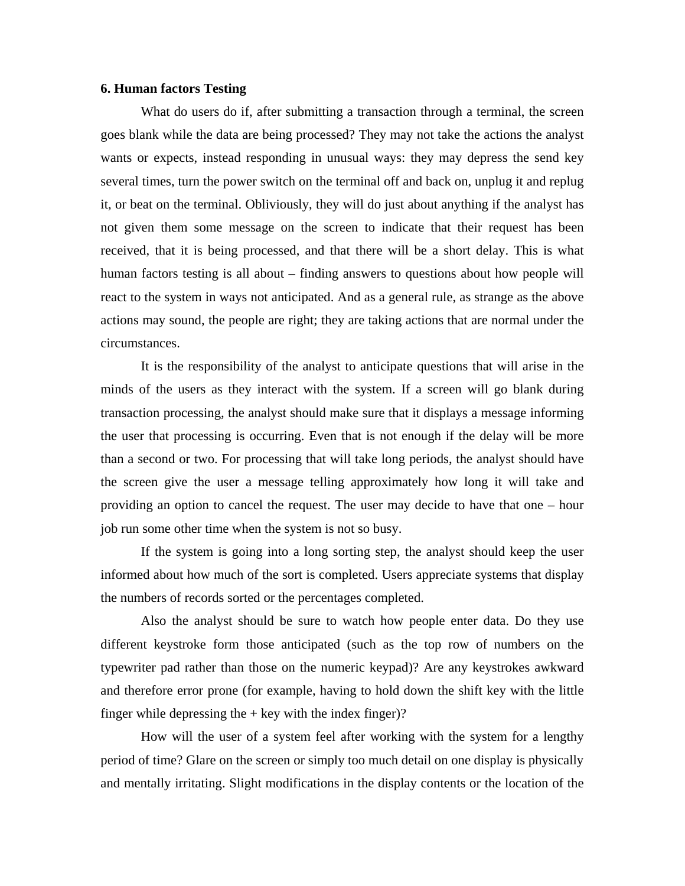#### **6. Human factors Testing**

 What do users do if, after submitting a transaction through a terminal, the screen goes blank while the data are being processed? They may not take the actions the analyst wants or expects, instead responding in unusual ways: they may depress the send key several times, turn the power switch on the terminal off and back on, unplug it and replug it, or beat on the terminal. Obliviously, they will do just about anything if the analyst has not given them some message on the screen to indicate that their request has been received, that it is being processed, and that there will be a short delay. This is what human factors testing is all about – finding answers to questions about how people will react to the system in ways not anticipated. And as a general rule, as strange as the above actions may sound, the people are right; they are taking actions that are normal under the circumstances.

 It is the responsibility of the analyst to anticipate questions that will arise in the minds of the users as they interact with the system. If a screen will go blank during transaction processing, the analyst should make sure that it displays a message informing the user that processing is occurring. Even that is not enough if the delay will be more than a second or two. For processing that will take long periods, the analyst should have the screen give the user a message telling approximately how long it will take and providing an option to cancel the request. The user may decide to have that one – hour job run some other time when the system is not so busy.

 If the system is going into a long sorting step, the analyst should keep the user informed about how much of the sort is completed. Users appreciate systems that display the numbers of records sorted or the percentages completed.

 Also the analyst should be sure to watch how people enter data. Do they use different keystroke form those anticipated (such as the top row of numbers on the typewriter pad rather than those on the numeric keypad)? Are any keystrokes awkward and therefore error prone (for example, having to hold down the shift key with the little finger while depressing the  $+$  key with the index finger)?

 How will the user of a system feel after working with the system for a lengthy period of time? Glare on the screen or simply too much detail on one display is physically and mentally irritating. Slight modifications in the display contents or the location of the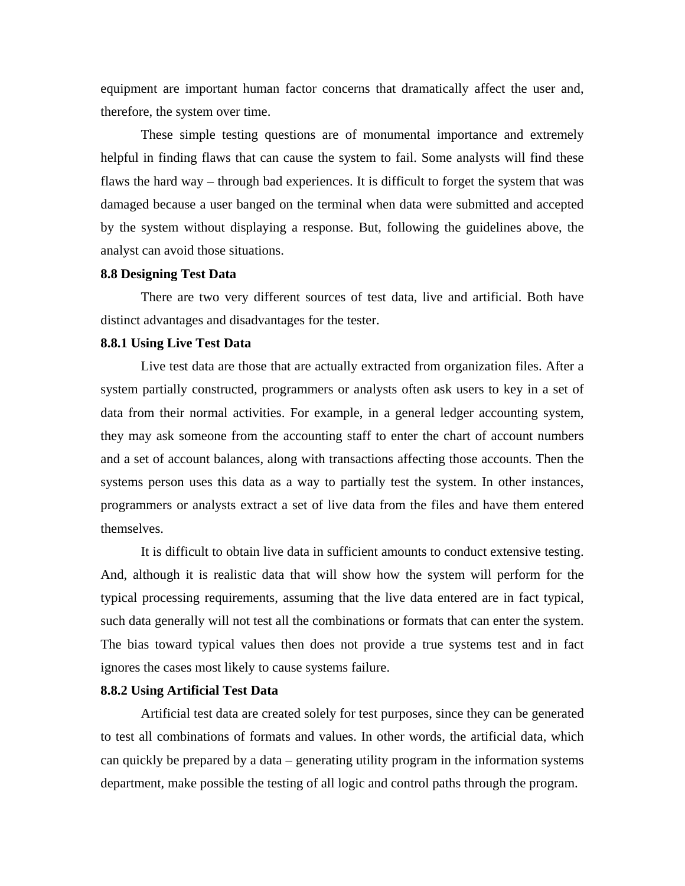equipment are important human factor concerns that dramatically affect the user and, therefore, the system over time.

 These simple testing questions are of monumental importance and extremely helpful in finding flaws that can cause the system to fail. Some analysts will find these flaws the hard way – through bad experiences. It is difficult to forget the system that was damaged because a user banged on the terminal when data were submitted and accepted by the system without displaying a response. But, following the guidelines above, the analyst can avoid those situations.

#### **8.8 Designing Test Data**

 There are two very different sources of test data, live and artificial. Both have distinct advantages and disadvantages for the tester.

## **8.8.1 Using Live Test Data**

 Live test data are those that are actually extracted from organization files. After a system partially constructed, programmers or analysts often ask users to key in a set of data from their normal activities. For example, in a general ledger accounting system, they may ask someone from the accounting staff to enter the chart of account numbers and a set of account balances, along with transactions affecting those accounts. Then the systems person uses this data as a way to partially test the system. In other instances, programmers or analysts extract a set of live data from the files and have them entered themselves.

 It is difficult to obtain live data in sufficient amounts to conduct extensive testing. And, although it is realistic data that will show how the system will perform for the typical processing requirements, assuming that the live data entered are in fact typical, such data generally will not test all the combinations or formats that can enter the system. The bias toward typical values then does not provide a true systems test and in fact ignores the cases most likely to cause systems failure.

#### **8.8.2 Using Artificial Test Data**

Artificial test data are created solely for test purposes, since they can be generated to test all combinations of formats and values. In other words, the artificial data, which can quickly be prepared by a data – generating utility program in the information systems department, make possible the testing of all logic and control paths through the program.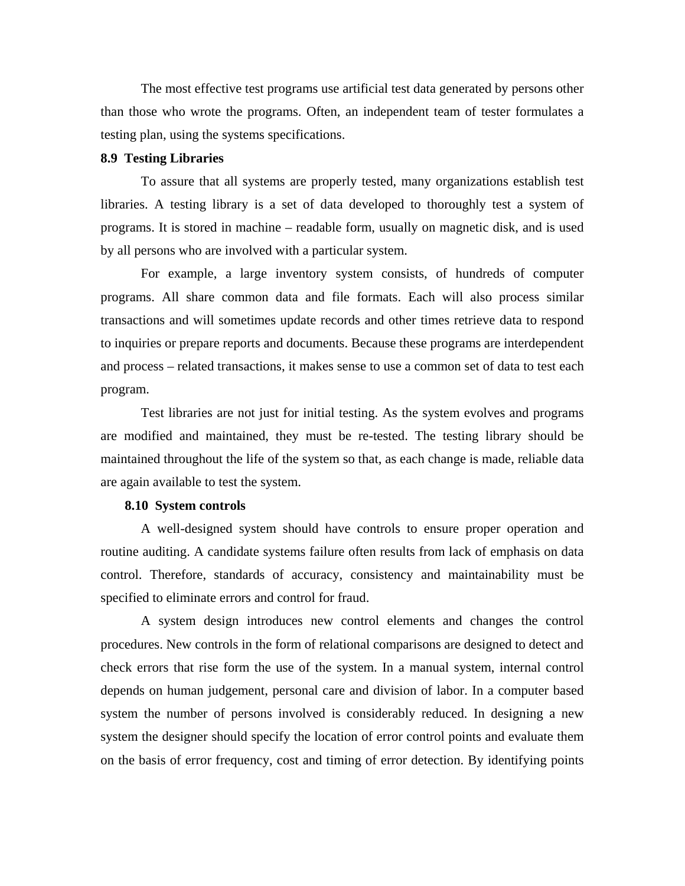The most effective test programs use artificial test data generated by persons other than those who wrote the programs. Often, an independent team of tester formulates a testing plan, using the systems specifications.

#### **8.9 Testing Libraries**

 To assure that all systems are properly tested, many organizations establish test libraries. A testing library is a set of data developed to thoroughly test a system of programs. It is stored in machine – readable form, usually on magnetic disk, and is used by all persons who are involved with a particular system.

 For example, a large inventory system consists, of hundreds of computer programs. All share common data and file formats. Each will also process similar transactions and will sometimes update records and other times retrieve data to respond to inquiries or prepare reports and documents. Because these programs are interdependent and process – related transactions, it makes sense to use a common set of data to test each program.

 Test libraries are not just for initial testing. As the system evolves and programs are modified and maintained, they must be re-tested. The testing library should be maintained throughout the life of the system so that, as each change is made, reliable data are again available to test the system.

#### **8.10 System controls**

 A well-designed system should have controls to ensure proper operation and routine auditing. A candidate systems failure often results from lack of emphasis on data control. Therefore, standards of accuracy, consistency and maintainability must be specified to eliminate errors and control for fraud.

 A system design introduces new control elements and changes the control procedures. New controls in the form of relational comparisons are designed to detect and check errors that rise form the use of the system. In a manual system, internal control depends on human judgement, personal care and division of labor. In a computer based system the number of persons involved is considerably reduced. In designing a new system the designer should specify the location of error control points and evaluate them on the basis of error frequency, cost and timing of error detection. By identifying points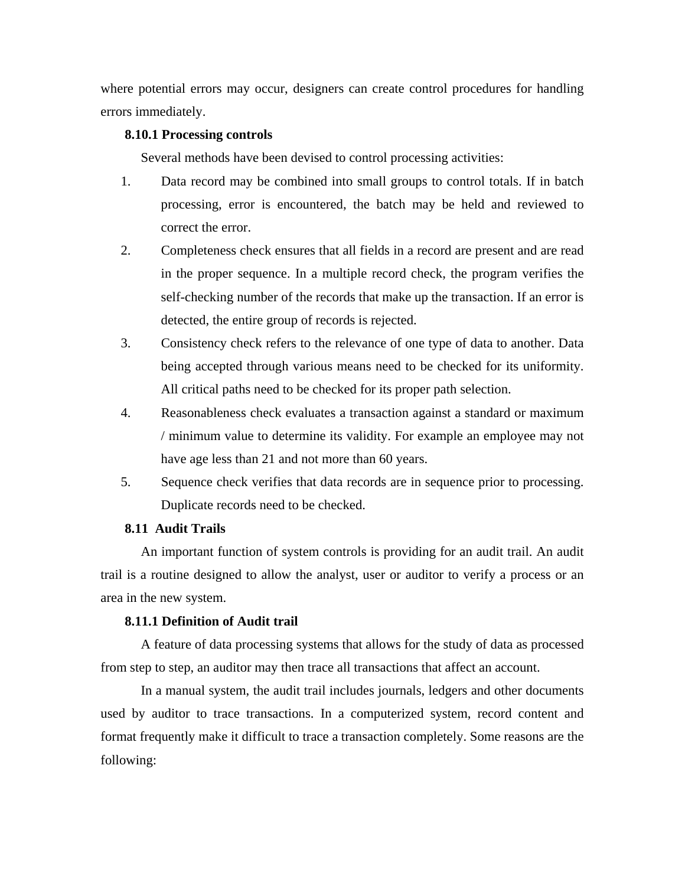where potential errors may occur, designers can create control procedures for handling errors immediately.

## **8.10.1 Processing controls**

Several methods have been devised to control processing activities:

- 1. Data record may be combined into small groups to control totals. If in batch processing, error is encountered, the batch may be held and reviewed to correct the error.
- 2. Completeness check ensures that all fields in a record are present and are read in the proper sequence. In a multiple record check, the program verifies the self-checking number of the records that make up the transaction. If an error is detected, the entire group of records is rejected.
- 3. Consistency check refers to the relevance of one type of data to another. Data being accepted through various means need to be checked for its uniformity. All critical paths need to be checked for its proper path selection.
- 4. Reasonableness check evaluates a transaction against a standard or maximum / minimum value to determine its validity. For example an employee may not have age less than 21 and not more than 60 years.
- 5. Sequence check verifies that data records are in sequence prior to processing. Duplicate records need to be checked.

## **8.11 Audit Trails**

An important function of system controls is providing for an audit trail. An audit trail is a routine designed to allow the analyst, user or auditor to verify a process or an area in the new system.

## **8.11.1 Definition of Audit trail**

 A feature of data processing systems that allows for the study of data as processed from step to step, an auditor may then trace all transactions that affect an account.

 In a manual system, the audit trail includes journals, ledgers and other documents used by auditor to trace transactions. In a computerized system, record content and format frequently make it difficult to trace a transaction completely. Some reasons are the following: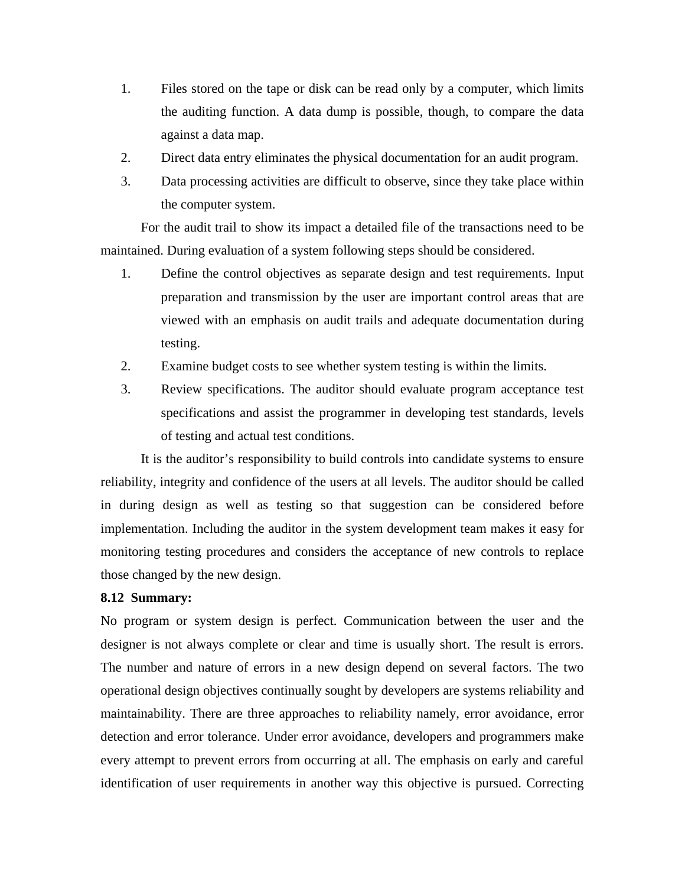- 1. Files stored on the tape or disk can be read only by a computer, which limits the auditing function. A data dump is possible, though, to compare the data against a data map.
- 2. Direct data entry eliminates the physical documentation for an audit program.
- 3. Data processing activities are difficult to observe, since they take place within the computer system.

For the audit trail to show its impact a detailed file of the transactions need to be maintained. During evaluation of a system following steps should be considered.

- 1. Define the control objectives as separate design and test requirements. Input preparation and transmission by the user are important control areas that are viewed with an emphasis on audit trails and adequate documentation during testing.
- 2. Examine budget costs to see whether system testing is within the limits.
- 3. Review specifications. The auditor should evaluate program acceptance test specifications and assist the programmer in developing test standards, levels of testing and actual test conditions.

It is the auditor's responsibility to build controls into candidate systems to ensure reliability, integrity and confidence of the users at all levels. The auditor should be called in during design as well as testing so that suggestion can be considered before implementation. Including the auditor in the system development team makes it easy for monitoring testing procedures and considers the acceptance of new controls to replace those changed by the new design.

## **8.12 Summary:**

No program or system design is perfect. Communication between the user and the designer is not always complete or clear and time is usually short. The result is errors. The number and nature of errors in a new design depend on several factors. The two operational design objectives continually sought by developers are systems reliability and maintainability. There are three approaches to reliability namely, error avoidance, error detection and error tolerance. Under error avoidance, developers and programmers make every attempt to prevent errors from occurring at all. The emphasis on early and careful identification of user requirements in another way this objective is pursued. Correcting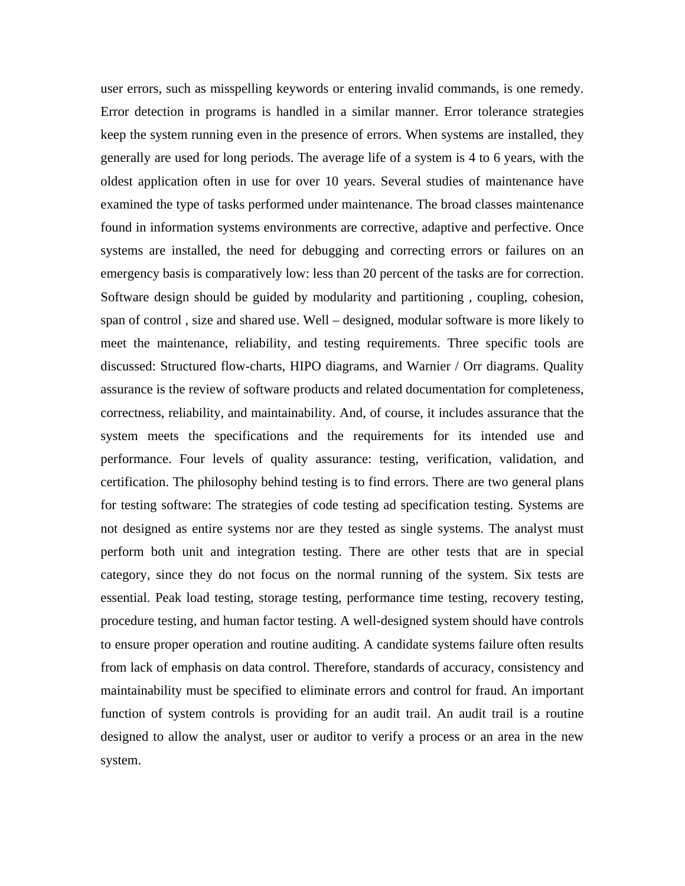user errors, such as misspelling keywords or entering invalid commands, is one remedy. Error detection in programs is handled in a similar manner. Error tolerance strategies keep the system running even in the presence of errors. When systems are installed, they generally are used for long periods. The average life of a system is 4 to 6 years, with the oldest application often in use for over 10 years. Several studies of maintenance have examined the type of tasks performed under maintenance. The broad classes maintenance found in information systems environments are corrective, adaptive and perfective. Once systems are installed, the need for debugging and correcting errors or failures on an emergency basis is comparatively low: less than 20 percent of the tasks are for correction. Software design should be guided by modularity and partitioning , coupling, cohesion, span of control , size and shared use. Well – designed, modular software is more likely to meet the maintenance, reliability, and testing requirements. Three specific tools are discussed: Structured flow-charts, HIPO diagrams, and Warnier / Orr diagrams. Quality assurance is the review of software products and related documentation for completeness, correctness, reliability, and maintainability. And, of course, it includes assurance that the system meets the specifications and the requirements for its intended use and performance. Four levels of quality assurance: testing, verification, validation, and certification. The philosophy behind testing is to find errors. There are two general plans for testing software: The strategies of code testing ad specification testing. Systems are not designed as entire systems nor are they tested as single systems. The analyst must perform both unit and integration testing. There are other tests that are in special category, since they do not focus on the normal running of the system. Six tests are essential. Peak load testing, storage testing, performance time testing, recovery testing, procedure testing, and human factor testing. A well-designed system should have controls to ensure proper operation and routine auditing. A candidate systems failure often results from lack of emphasis on data control. Therefore, standards of accuracy, consistency and maintainability must be specified to eliminate errors and control for fraud. An important function of system controls is providing for an audit trail. An audit trail is a routine designed to allow the analyst, user or auditor to verify a process or an area in the new system.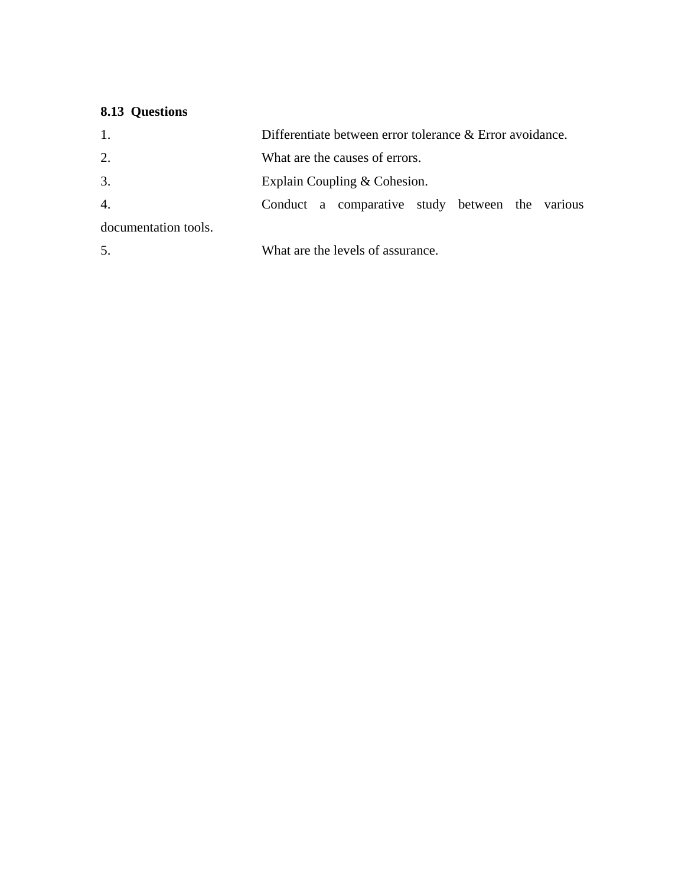# **8.13 Questions**

| 1.                   | Differentiate between error tolerance & Error avoidance. |  |  |  |
|----------------------|----------------------------------------------------------|--|--|--|
| 2.                   | What are the causes of errors.                           |  |  |  |
| 3.                   | Explain Coupling & Cohesion.                             |  |  |  |
| 4.                   | Conduct a comparative study between the various          |  |  |  |
| documentation tools. |                                                          |  |  |  |
| 5.                   | What are the levels of assurance.                        |  |  |  |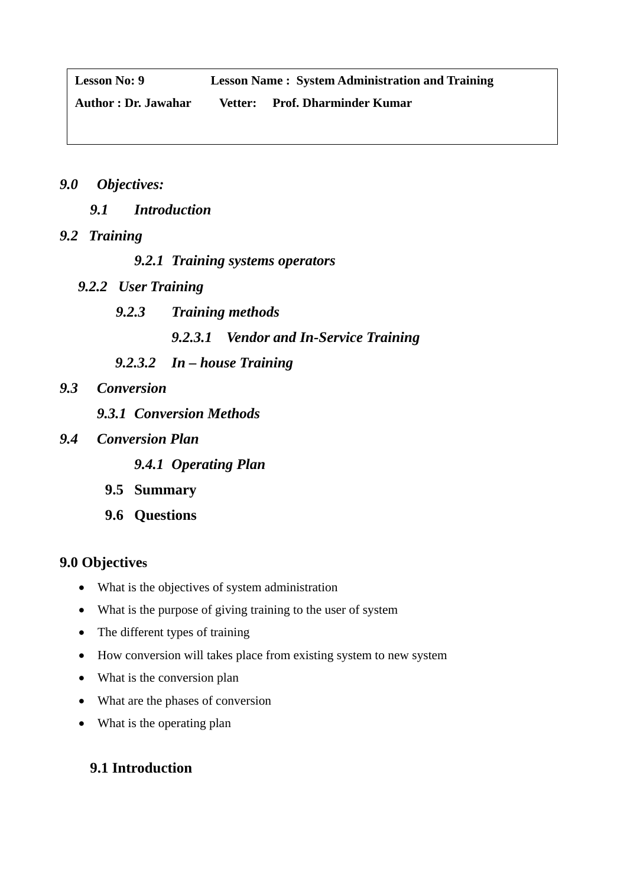*9.0 Objectives:* 

 *9.1 Introduction* 

# *9.2 Training*

 *9.2.1 Training systems operators* 

# *9.2.2 User Training*

- *9.2.3 Training methods* 
	- *9.2.3.1 Vendor and In-Service Training*
- *9.2.3.2 In house Training*
- *9.3 Conversion* 
	- *9.3.1 Conversion Methods*
- *9.4 Conversion Plan* 
	- *9.4.1 Operating Plan*
	- **9.5 Summary**
	- **9.6 Questions**

# **9.0 Objectives**

- What is the objectives of system administration
- What is the purpose of giving training to the user of system
- The different types of training
- How conversion will takes place from existing system to new system
- What is the conversion plan
- What are the phases of conversion
- What is the operating plan

# **9.1 Introduction**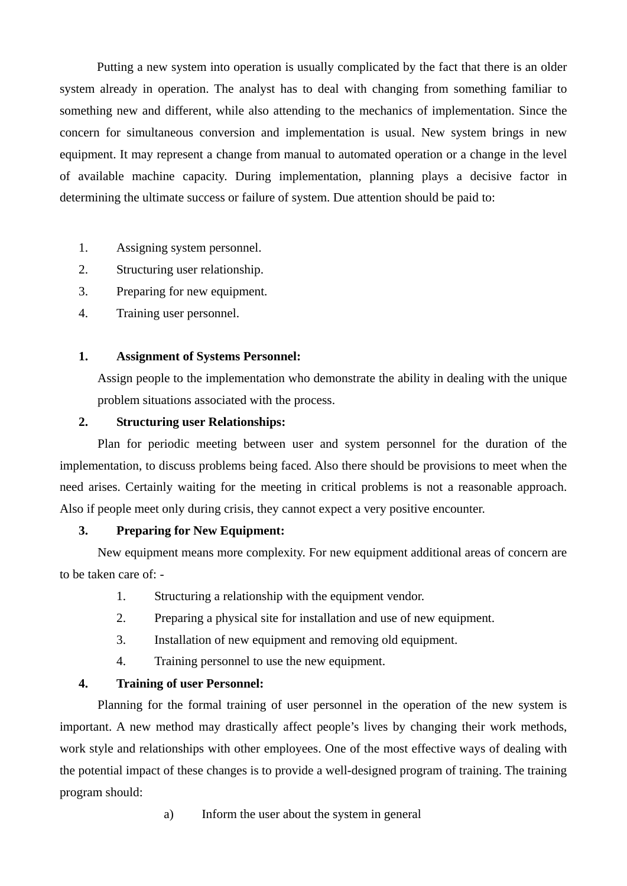Putting a new system into operation is usually complicated by the fact that there is an older system already in operation. The analyst has to deal with changing from something familiar to something new and different, while also attending to the mechanics of implementation. Since the concern for simultaneous conversion and implementation is usual. New system brings in new equipment. It may represent a change from manual to automated operation or a change in the level of available machine capacity. During implementation, planning plays a decisive factor in determining the ultimate success or failure of system. Due attention should be paid to:

- 1. Assigning system personnel.
- 2. Structuring user relationship.
- 3. Preparing for new equipment.
- 4. Training user personnel.

## **1. Assignment of Systems Personnel:**

Assign people to the implementation who demonstrate the ability in dealing with the unique problem situations associated with the process.

## **2. Structuring user Relationships:**

Plan for periodic meeting between user and system personnel for the duration of the implementation, to discuss problems being faced. Also there should be provisions to meet when the need arises. Certainly waiting for the meeting in critical problems is not a reasonable approach. Also if people meet only during crisis, they cannot expect a very positive encounter.

## **3. Preparing for New Equipment:**

New equipment means more complexity. For new equipment additional areas of concern are to be taken care of: -

- 1. Structuring a relationship with the equipment vendor.
- 2. Preparing a physical site for installation and use of new equipment.
- 3. Installation of new equipment and removing old equipment.
- 4. Training personnel to use the new equipment.

## **4. Training of user Personnel:**

Planning for the formal training of user personnel in the operation of the new system is important. A new method may drastically affect people's lives by changing their work methods, work style and relationships with other employees. One of the most effective ways of dealing with the potential impact of these changes is to provide a well-designed program of training. The training program should:

a) Inform the user about the system in general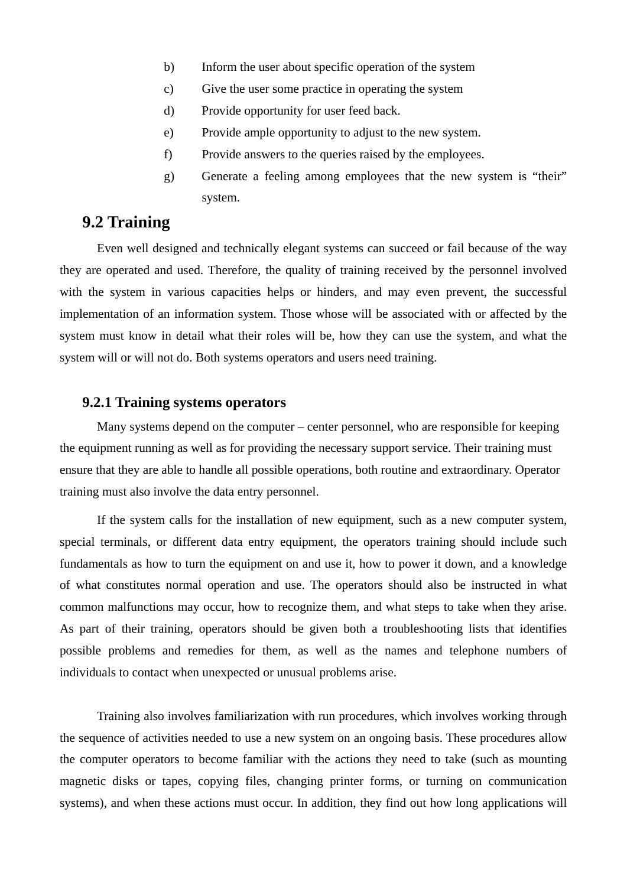- b) Inform the user about specific operation of the system
- c) Give the user some practice in operating the system
- d) Provide opportunity for user feed back.
- e) Provide ample opportunity to adjust to the new system.
- f) Provide answers to the queries raised by the employees.
- g) Generate a feeling among employees that the new system is "their" system.

# **9.2 Training**

Even well designed and technically elegant systems can succeed or fail because of the way they are operated and used. Therefore, the quality of training received by the personnel involved with the system in various capacities helps or hinders, and may even prevent, the successful implementation of an information system. Those whose will be associated with or affected by the system must know in detail what their roles will be, how they can use the system, and what the system will or will not do. Both systems operators and users need training.

## **9.2.1 Training systems operators**

 Many systems depend on the computer – center personnel, who are responsible for keeping the equipment running as well as for providing the necessary support service. Their training must ensure that they are able to handle all possible operations, both routine and extraordinary. Operator training must also involve the data entry personnel.

 If the system calls for the installation of new equipment, such as a new computer system, special terminals, or different data entry equipment, the operators training should include such fundamentals as how to turn the equipment on and use it, how to power it down, and a knowledge of what constitutes normal operation and use. The operators should also be instructed in what common malfunctions may occur, how to recognize them, and what steps to take when they arise. As part of their training, operators should be given both a troubleshooting lists that identifies possible problems and remedies for them, as well as the names and telephone numbers of individuals to contact when unexpected or unusual problems arise.

 Training also involves familiarization with run procedures, which involves working through the sequence of activities needed to use a new system on an ongoing basis. These procedures allow the computer operators to become familiar with the actions they need to take (such as mounting magnetic disks or tapes, copying files, changing printer forms, or turning on communication systems), and when these actions must occur. In addition, they find out how long applications will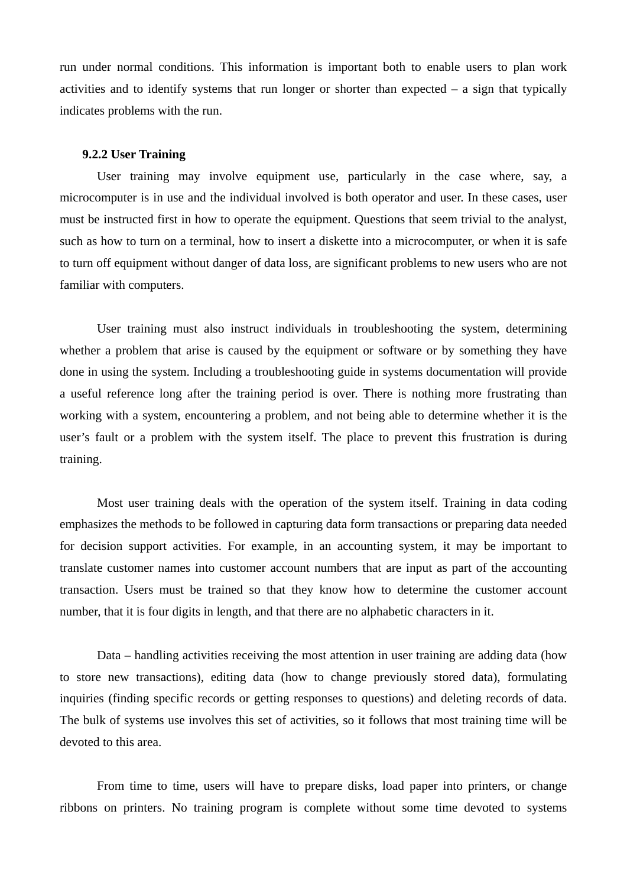run under normal conditions. This information is important both to enable users to plan work activities and to identify systems that run longer or shorter than expected – a sign that typically indicates problems with the run.

## **9.2.2 User Training**

User training may involve equipment use, particularly in the case where, say, a microcomputer is in use and the individual involved is both operator and user. In these cases, user must be instructed first in how to operate the equipment. Questions that seem trivial to the analyst, such as how to turn on a terminal, how to insert a diskette into a microcomputer, or when it is safe to turn off equipment without danger of data loss, are significant problems to new users who are not familiar with computers.

 User training must also instruct individuals in troubleshooting the system, determining whether a problem that arise is caused by the equipment or software or by something they have done in using the system. Including a troubleshooting guide in systems documentation will provide a useful reference long after the training period is over. There is nothing more frustrating than working with a system, encountering a problem, and not being able to determine whether it is the user's fault or a problem with the system itself. The place to prevent this frustration is during training.

 Most user training deals with the operation of the system itself. Training in data coding emphasizes the methods to be followed in capturing data form transactions or preparing data needed for decision support activities. For example, in an accounting system, it may be important to translate customer names into customer account numbers that are input as part of the accounting transaction. Users must be trained so that they know how to determine the customer account number, that it is four digits in length, and that there are no alphabetic characters in it.

 Data – handling activities receiving the most attention in user training are adding data (how to store new transactions), editing data (how to change previously stored data), formulating inquiries (finding specific records or getting responses to questions) and deleting records of data. The bulk of systems use involves this set of activities, so it follows that most training time will be devoted to this area.

 From time to time, users will have to prepare disks, load paper into printers, or change ribbons on printers. No training program is complete without some time devoted to systems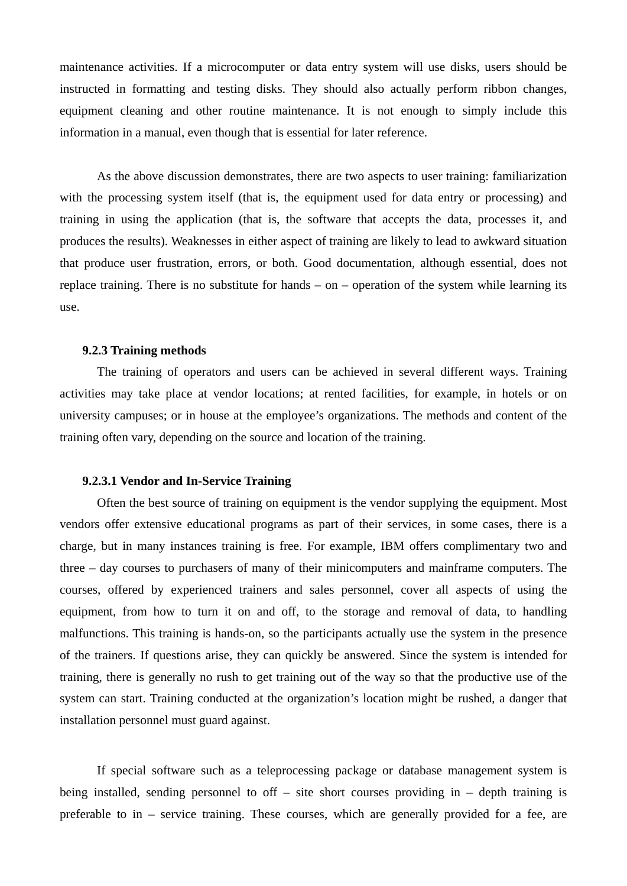maintenance activities. If a microcomputer or data entry system will use disks, users should be instructed in formatting and testing disks. They should also actually perform ribbon changes, equipment cleaning and other routine maintenance. It is not enough to simply include this information in a manual, even though that is essential for later reference.

 As the above discussion demonstrates, there are two aspects to user training: familiarization with the processing system itself (that is, the equipment used for data entry or processing) and training in using the application (that is, the software that accepts the data, processes it, and produces the results). Weaknesses in either aspect of training are likely to lead to awkward situation that produce user frustration, errors, or both. Good documentation, although essential, does not replace training. There is no substitute for hands – on – operation of the system while learning its use.

## **9.2.3 Training methods**

The training of operators and users can be achieved in several different ways. Training activities may take place at vendor locations; at rented facilities, for example, in hotels or on university campuses; or in house at the employee's organizations. The methods and content of the training often vary, depending on the source and location of the training.

## **9.2.3.1 Vendor and In-Service Training**

 Often the best source of training on equipment is the vendor supplying the equipment. Most vendors offer extensive educational programs as part of their services, in some cases, there is a charge, but in many instances training is free. For example, IBM offers complimentary two and three – day courses to purchasers of many of their minicomputers and mainframe computers. The courses, offered by experienced trainers and sales personnel, cover all aspects of using the equipment, from how to turn it on and off, to the storage and removal of data, to handling malfunctions. This training is hands-on, so the participants actually use the system in the presence of the trainers. If questions arise, they can quickly be answered. Since the system is intended for training, there is generally no rush to get training out of the way so that the productive use of the system can start. Training conducted at the organization's location might be rushed, a danger that installation personnel must guard against.

 If special software such as a teleprocessing package or database management system is being installed, sending personnel to off – site short courses providing in – depth training is preferable to in – service training. These courses, which are generally provided for a fee, are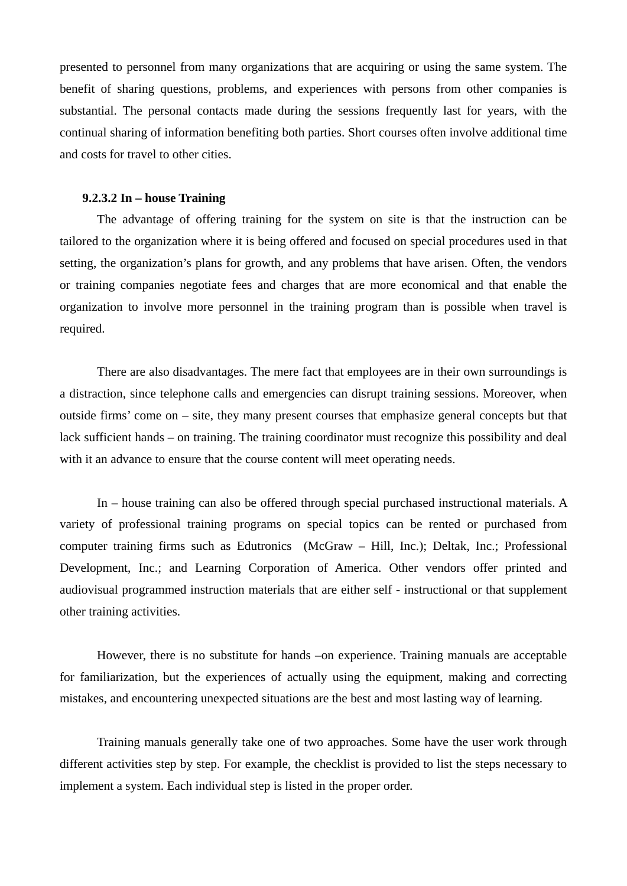presented to personnel from many organizations that are acquiring or using the same system. The benefit of sharing questions, problems, and experiences with persons from other companies is substantial. The personal contacts made during the sessions frequently last for years, with the continual sharing of information benefiting both parties. Short courses often involve additional time and costs for travel to other cities.

### **9.2.3.2 In – house Training**

The advantage of offering training for the system on site is that the instruction can be tailored to the organization where it is being offered and focused on special procedures used in that setting, the organization's plans for growth, and any problems that have arisen. Often, the vendors or training companies negotiate fees and charges that are more economical and that enable the organization to involve more personnel in the training program than is possible when travel is required.

 There are also disadvantages. The mere fact that employees are in their own surroundings is a distraction, since telephone calls and emergencies can disrupt training sessions. Moreover, when outside firms' come on – site, they many present courses that emphasize general concepts but that lack sufficient hands – on training. The training coordinator must recognize this possibility and deal with it an advance to ensure that the course content will meet operating needs.

 In – house training can also be offered through special purchased instructional materials. A variety of professional training programs on special topics can be rented or purchased from computer training firms such as Edutronics (McGraw – Hill, Inc.); Deltak, Inc.; Professional Development, Inc.; and Learning Corporation of America. Other vendors offer printed and audiovisual programmed instruction materials that are either self - instructional or that supplement other training activities.

 However, there is no substitute for hands –on experience. Training manuals are acceptable for familiarization, but the experiences of actually using the equipment, making and correcting mistakes, and encountering unexpected situations are the best and most lasting way of learning.

 Training manuals generally take one of two approaches. Some have the user work through different activities step by step. For example, the checklist is provided to list the steps necessary to implement a system. Each individual step is listed in the proper order.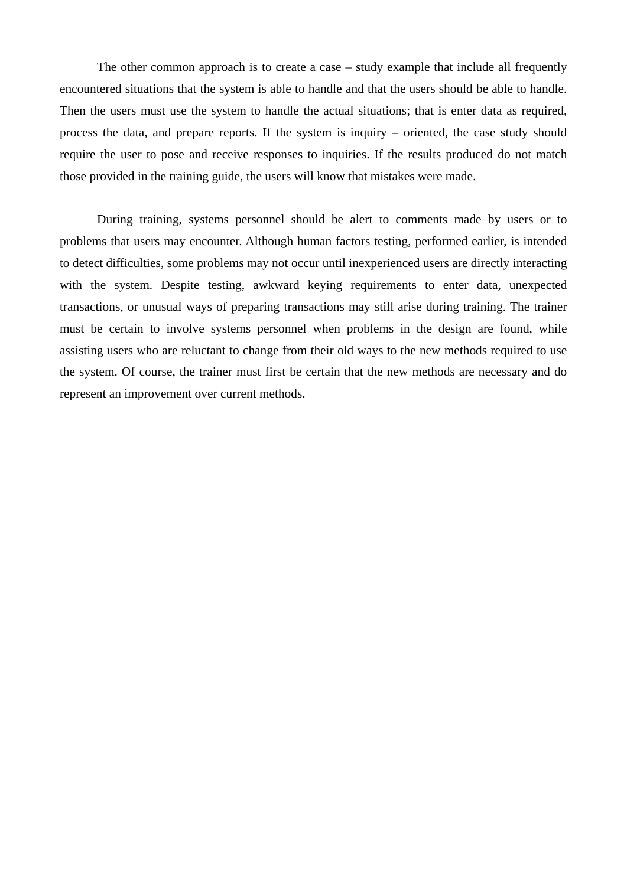The other common approach is to create a case – study example that include all frequently encountered situations that the system is able to handle and that the users should be able to handle. Then the users must use the system to handle the actual situations; that is enter data as required, process the data, and prepare reports. If the system is inquiry – oriented, the case study should require the user to pose and receive responses to inquiries. If the results produced do not match those provided in the training guide, the users will know that mistakes were made.

 During training, systems personnel should be alert to comments made by users or to problems that users may encounter. Although human factors testing, performed earlier, is intended to detect difficulties, some problems may not occur until inexperienced users are directly interacting with the system. Despite testing, awkward keying requirements to enter data, unexpected transactions, or unusual ways of preparing transactions may still arise during training. The trainer must be certain to involve systems personnel when problems in the design are found, while assisting users who are reluctant to change from their old ways to the new methods required to use the system. Of course, the trainer must first be certain that the new methods are necessary and do represent an improvement over current methods.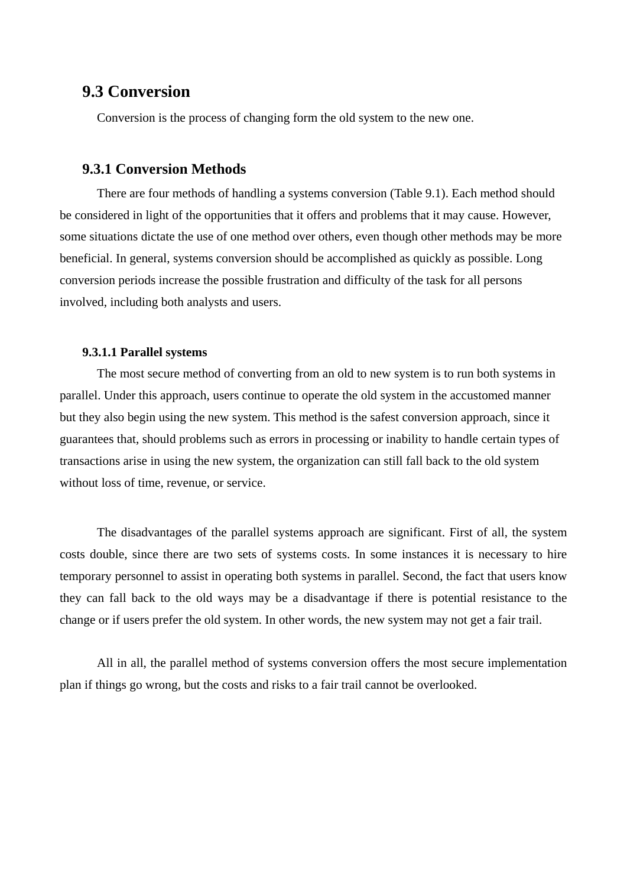# **9.3 Conversion**

Conversion is the process of changing form the old system to the new one.

## **9.3.1 Conversion Methods**

 There are four methods of handling a systems conversion (Table 9.1). Each method should be considered in light of the opportunities that it offers and problems that it may cause. However, some situations dictate the use of one method over others, even though other methods may be more beneficial. In general, systems conversion should be accomplished as quickly as possible. Long conversion periods increase the possible frustration and difficulty of the task for all persons involved, including both analysts and users.

## **9.3.1.1 Parallel systems**

 The most secure method of converting from an old to new system is to run both systems in parallel. Under this approach, users continue to operate the old system in the accustomed manner but they also begin using the new system. This method is the safest conversion approach, since it guarantees that, should problems such as errors in processing or inability to handle certain types of transactions arise in using the new system, the organization can still fall back to the old system without loss of time, revenue, or service.

 The disadvantages of the parallel systems approach are significant. First of all, the system costs double, since there are two sets of systems costs. In some instances it is necessary to hire temporary personnel to assist in operating both systems in parallel. Second, the fact that users know they can fall back to the old ways may be a disadvantage if there is potential resistance to the change or if users prefer the old system. In other words, the new system may not get a fair trail.

 All in all, the parallel method of systems conversion offers the most secure implementation plan if things go wrong, but the costs and risks to a fair trail cannot be overlooked.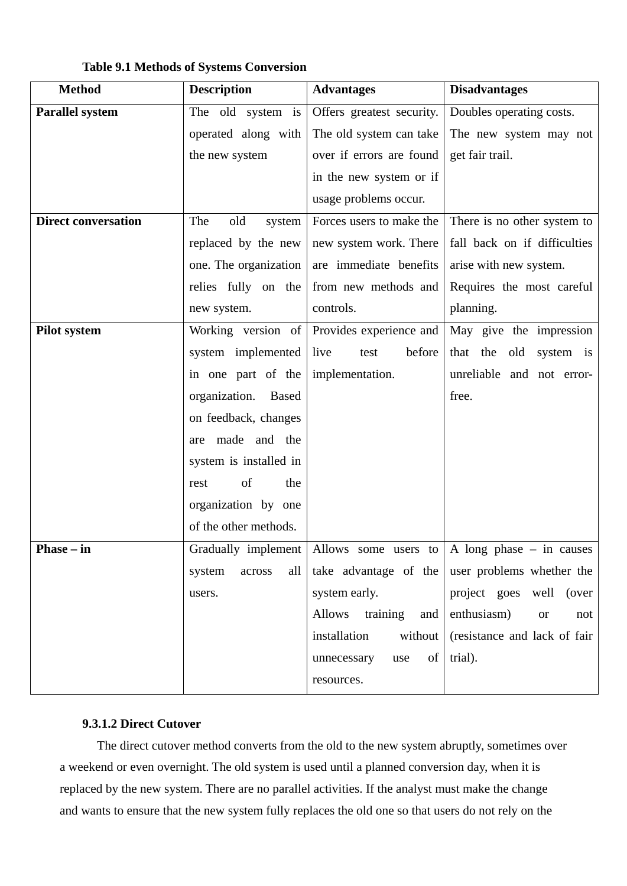| <b>Method</b>              | <b>Description</b>            | <b>Advantages</b>         | <b>Disadvantages</b>                                                           |
|----------------------------|-------------------------------|---------------------------|--------------------------------------------------------------------------------|
| <b>Parallel system</b>     | The old system is             | Offers greatest security. | Doubles operating costs.                                                       |
|                            | operated along with           | The old system can take   | The new system may not                                                         |
|                            | the new system                | over if errors are found  | get fair trail.                                                                |
|                            |                               | in the new system or if   |                                                                                |
|                            |                               | usage problems occur.     |                                                                                |
| <b>Direct conversation</b> | old<br>The<br>system          | Forces users to make the  | There is no other system to                                                    |
|                            | replaced by the new           | new system work. There    | fall back on if difficulties                                                   |
|                            | one. The organization         | are immediate benefits    | arise with new system.                                                         |
|                            | relies fully on the           | from new methods and      | Requires the most careful                                                      |
|                            | new system.                   | controls.                 | planning.                                                                      |
| <b>Pilot system</b>        | Working version of            | Provides experience and   | May give the impression                                                        |
|                            | system implemented            | before<br>live<br>test    | that the<br>old<br>system is                                                   |
|                            | in one part of the            | implementation.           | unreliable and not error-                                                      |
|                            | organization.<br><b>Based</b> |                           | free.                                                                          |
|                            | on feedback, changes          |                           |                                                                                |
|                            | are made and the              |                           |                                                                                |
|                            | system is installed in        |                           |                                                                                |
|                            | of<br>the<br>rest             |                           |                                                                                |
|                            | organization by one           |                           |                                                                                |
|                            | of the other methods.         |                           |                                                                                |
| Phase – in                 |                               |                           | Gradually implement Allows some users to $\overline{A}$ long phase – in causes |
|                            | all<br>system<br>across       |                           | take advantage of the user problems whether the                                |
|                            | users.                        | system early.             | project goes well (over                                                        |
|                            |                               | training<br>Allows<br>and | enthusiasm)<br><b>or</b><br>not                                                |
|                            |                               | installation<br>without   | (resistance and lack of fair)                                                  |
|                            |                               | of<br>unnecessary<br>use  | trial).                                                                        |
|                            |                               | resources.                |                                                                                |

 **Table 9.1 Methods of Systems Conversion** 

## **9.3.1.2 Direct Cutover**

 The direct cutover method converts from the old to the new system abruptly, sometimes over a weekend or even overnight. The old system is used until a planned conversion day, when it is replaced by the new system. There are no parallel activities. If the analyst must make the change and wants to ensure that the new system fully replaces the old one so that users do not rely on the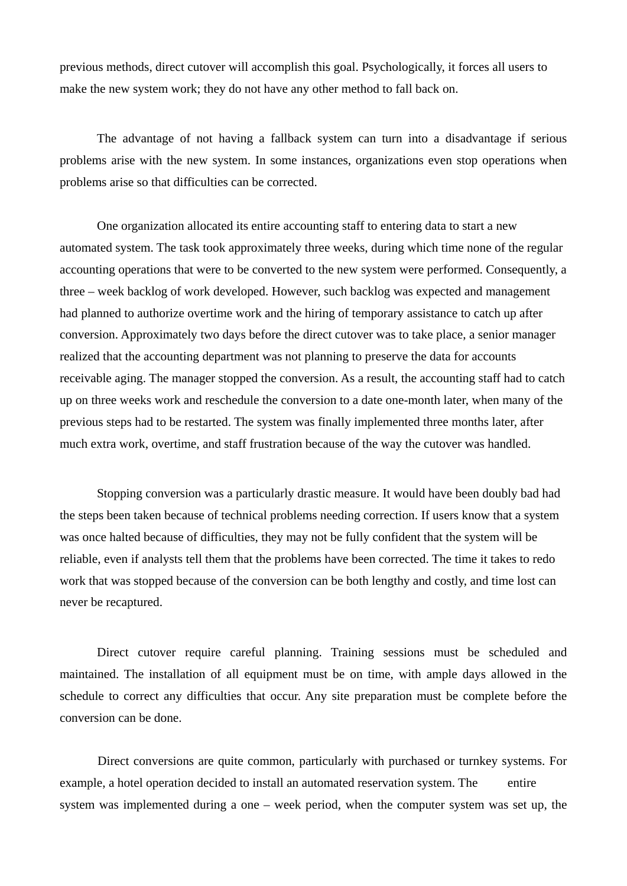previous methods, direct cutover will accomplish this goal. Psychologically, it forces all users to make the new system work; they do not have any other method to fall back on.

 The advantage of not having a fallback system can turn into a disadvantage if serious problems arise with the new system. In some instances, organizations even stop operations when problems arise so that difficulties can be corrected.

 One organization allocated its entire accounting staff to entering data to start a new automated system. The task took approximately three weeks, during which time none of the regular accounting operations that were to be converted to the new system were performed. Consequently, a three – week backlog of work developed. However, such backlog was expected and management had planned to authorize overtime work and the hiring of temporary assistance to catch up after conversion. Approximately two days before the direct cutover was to take place, a senior manager realized that the accounting department was not planning to preserve the data for accounts receivable aging. The manager stopped the conversion. As a result, the accounting staff had to catch up on three weeks work and reschedule the conversion to a date one-month later, when many of the previous steps had to be restarted. The system was finally implemented three months later, after much extra work, overtime, and staff frustration because of the way the cutover was handled.

 Stopping conversion was a particularly drastic measure. It would have been doubly bad had the steps been taken because of technical problems needing correction. If users know that a system was once halted because of difficulties, they may not be fully confident that the system will be reliable, even if analysts tell them that the problems have been corrected. The time it takes to redo work that was stopped because of the conversion can be both lengthy and costly, and time lost can never be recaptured.

 Direct cutover require careful planning. Training sessions must be scheduled and maintained. The installation of all equipment must be on time, with ample days allowed in the schedule to correct any difficulties that occur. Any site preparation must be complete before the conversion can be done.

Direct conversions are quite common, particularly with purchased or turnkey systems. For example, a hotel operation decided to install an automated reservation system. The entire system was implemented during a one – week period, when the computer system was set up, the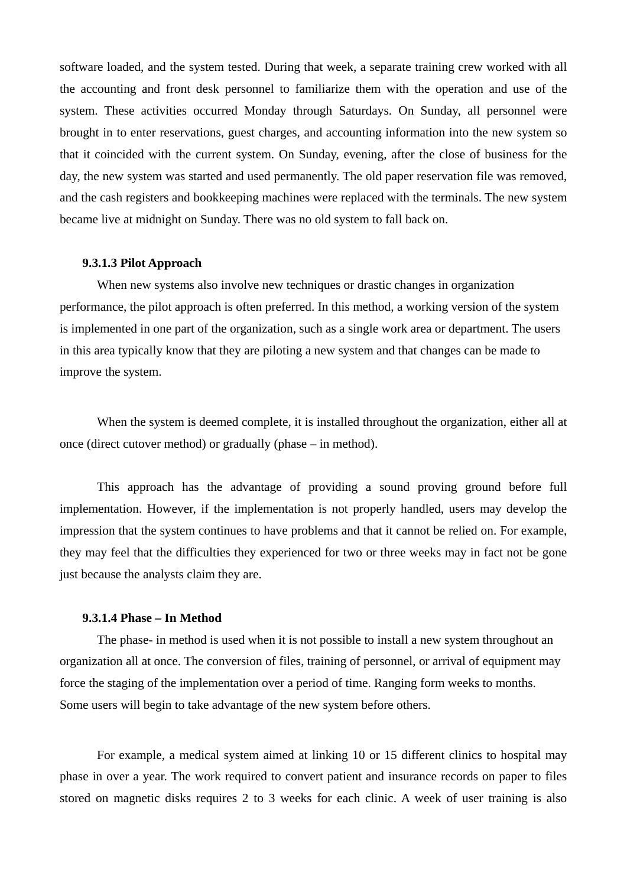software loaded, and the system tested. During that week, a separate training crew worked with all the accounting and front desk personnel to familiarize them with the operation and use of the system. These activities occurred Monday through Saturdays. On Sunday, all personnel were brought in to enter reservations, guest charges, and accounting information into the new system so that it coincided with the current system. On Sunday, evening, after the close of business for the day, the new system was started and used permanently. The old paper reservation file was removed, and the cash registers and bookkeeping machines were replaced with the terminals. The new system became live at midnight on Sunday. There was no old system to fall back on.

## **9.3.1.3 Pilot Approach**

 When new systems also involve new techniques or drastic changes in organization performance, the pilot approach is often preferred. In this method, a working version of the system is implemented in one part of the organization, such as a single work area or department. The users in this area typically know that they are piloting a new system and that changes can be made to improve the system.

 When the system is deemed complete, it is installed throughout the organization, either all at once (direct cutover method) or gradually (phase – in method).

 This approach has the advantage of providing a sound proving ground before full implementation. However, if the implementation is not properly handled, users may develop the impression that the system continues to have problems and that it cannot be relied on. For example, they may feel that the difficulties they experienced for two or three weeks may in fact not be gone just because the analysts claim they are.

## **9.3.1.4 Phase – In Method**

 The phase- in method is used when it is not possible to install a new system throughout an organization all at once. The conversion of files, training of personnel, or arrival of equipment may force the staging of the implementation over a period of time. Ranging form weeks to months. Some users will begin to take advantage of the new system before others.

 For example, a medical system aimed at linking 10 or 15 different clinics to hospital may phase in over a year. The work required to convert patient and insurance records on paper to files stored on magnetic disks requires 2 to 3 weeks for each clinic. A week of user training is also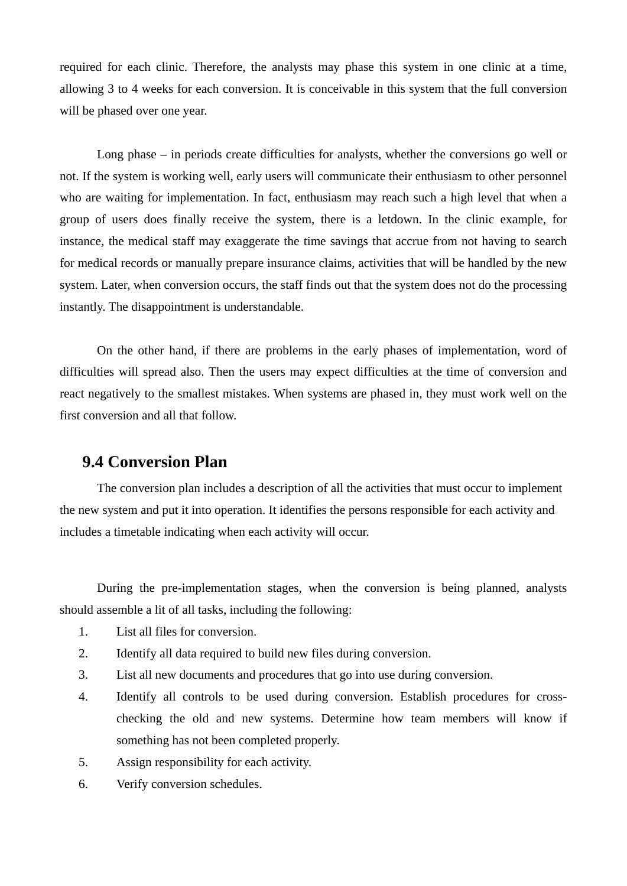required for each clinic. Therefore, the analysts may phase this system in one clinic at a time, allowing 3 to 4 weeks for each conversion. It is conceivable in this system that the full conversion will be phased over one year.

 Long phase – in periods create difficulties for analysts, whether the conversions go well or not. If the system is working well, early users will communicate their enthusiasm to other personnel who are waiting for implementation. In fact, enthusiasm may reach such a high level that when a group of users does finally receive the system, there is a letdown. In the clinic example, for instance, the medical staff may exaggerate the time savings that accrue from not having to search for medical records or manually prepare insurance claims, activities that will be handled by the new system. Later, when conversion occurs, the staff finds out that the system does not do the processing instantly. The disappointment is understandable.

 On the other hand, if there are problems in the early phases of implementation, word of difficulties will spread also. Then the users may expect difficulties at the time of conversion and react negatively to the smallest mistakes. When systems are phased in, they must work well on the first conversion and all that follow.

# **9.4 Conversion Plan**

 The conversion plan includes a description of all the activities that must occur to implement the new system and put it into operation. It identifies the persons responsible for each activity and includes a timetable indicating when each activity will occur.

 During the pre-implementation stages, when the conversion is being planned, analysts should assemble a lit of all tasks, including the following:

- 1. List all files for conversion.
- 2. Identify all data required to build new files during conversion.
- 3. List all new documents and procedures that go into use during conversion.
- 4. Identify all controls to be used during conversion. Establish procedures for crosschecking the old and new systems. Determine how team members will know if something has not been completed properly.
- 5. Assign responsibility for each activity.
- 6. Verify conversion schedules.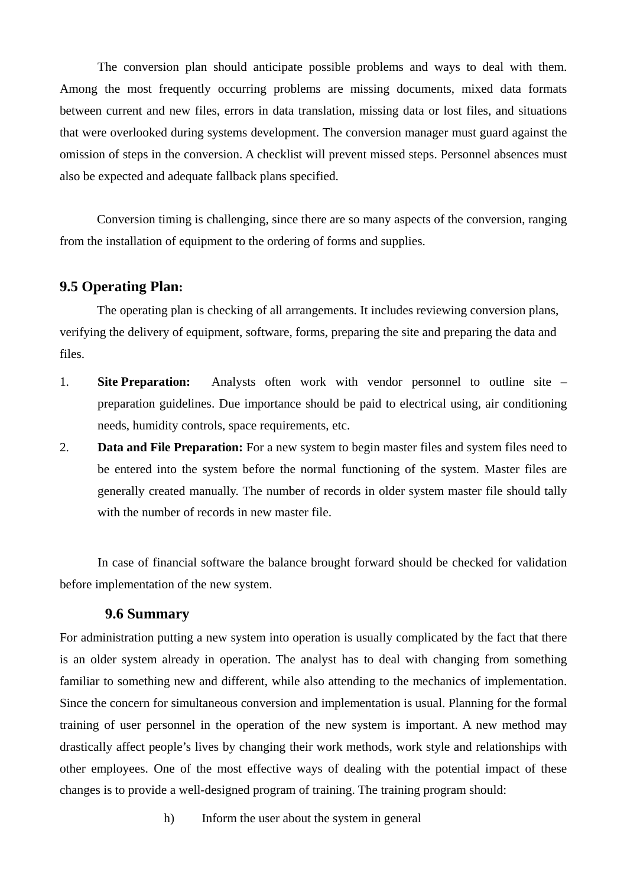The conversion plan should anticipate possible problems and ways to deal with them. Among the most frequently occurring problems are missing documents, mixed data formats between current and new files, errors in data translation, missing data or lost files, and situations that were overlooked during systems development. The conversion manager must guard against the omission of steps in the conversion. A checklist will prevent missed steps. Personnel absences must also be expected and adequate fallback plans specified.

 Conversion timing is challenging, since there are so many aspects of the conversion, ranging from the installation of equipment to the ordering of forms and supplies.

## **9.5 Operating Plan:**

 The operating plan is checking of all arrangements. It includes reviewing conversion plans, verifying the delivery of equipment, software, forms, preparing the site and preparing the data and files.

- 1. **Site Preparation:** Analysts often work with vendor personnel to outline site preparation guidelines. Due importance should be paid to electrical using, air conditioning needs, humidity controls, space requirements, etc.
- 2. **Data and File Preparation:** For a new system to begin master files and system files need to be entered into the system before the normal functioning of the system. Master files are generally created manually. The number of records in older system master file should tally with the number of records in new master file.

In case of financial software the balance brought forward should be checked for validation before implementation of the new system.

## **9.6 Summary**

For administration putting a new system into operation is usually complicated by the fact that there is an older system already in operation. The analyst has to deal with changing from something familiar to something new and different, while also attending to the mechanics of implementation. Since the concern for simultaneous conversion and implementation is usual. Planning for the formal training of user personnel in the operation of the new system is important. A new method may drastically affect people's lives by changing their work methods, work style and relationships with other employees. One of the most effective ways of dealing with the potential impact of these changes is to provide a well-designed program of training. The training program should:

h) Inform the user about the system in general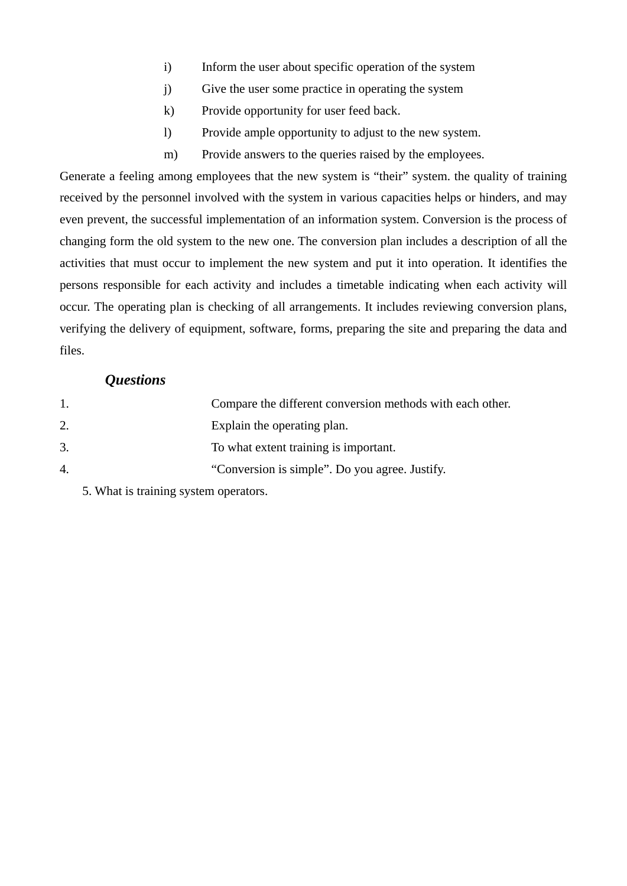- i) Inform the user about specific operation of the system
- j) Give the user some practice in operating the system
- k) Provide opportunity for user feed back.
- l) Provide ample opportunity to adjust to the new system.
- m) Provide answers to the queries raised by the employees.

Generate a feeling among employees that the new system is "their" system. the quality of training received by the personnel involved with the system in various capacities helps or hinders, and may even prevent, the successful implementation of an information system. Conversion is the process of changing form the old system to the new one. The conversion plan includes a description of all the activities that must occur to implement the new system and put it into operation. It identifies the persons responsible for each activity and includes a timetable indicating when each activity will occur. The operating plan is checking of all arrangements. It includes reviewing conversion plans, verifying the delivery of equipment, software, forms, preparing the site and preparing the data and files.

# *Questions*

| 1.             | Compare the different conversion methods with each other. |
|----------------|-----------------------------------------------------------|
| 2.             | Explain the operating plan.                               |
| 3.             | To what extent training is important.                     |
| $\mathbf{4}$ . | "Conversion is simple". Do you agree. Justify.            |

5. What is training system operators.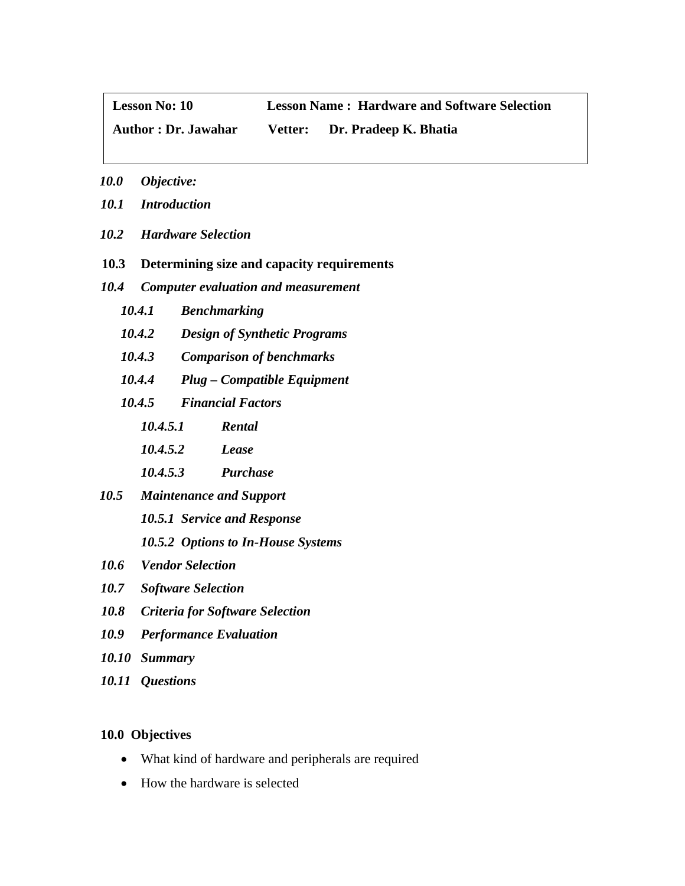**Author : Dr. Jawahar Vetter: Dr. Pradeep K. Bhatia** 

- *10.0 Objective:*
- *10.1 Introduction*
- *10.2 Hardware Selection*
- **10.3 Determining size and capacity requirements**
- *10.4 Computer evaluation and measurement* 
	- *10.4.1 Benchmarking*
	- *10.4.2 Design of Synthetic Programs*
	- *10.4.3 Comparison of benchmarks*
	- *10.4.4 Plug Compatible Equipment*
	- *10.4.5 Financial Factors* 
		- *10.4.5.1 Rental*
		- *10.4.5.2 Lease*
		- *10.4.5.3 Purchase*
- *10.5 Maintenance and Support 10.5.1 Service and Response 10.5.2 Options to In-House Systems*
- *10.6 Vendor Selection*
- *10.7 Software Selection*
- *10.8 Criteria for Software Selection*
- *10.9 Performance Evaluation*
- *10.10 Summary*
- *10.11 Questions*

# **10.0 Objectives**

- What kind of hardware and peripherals are required
- How the hardware is selected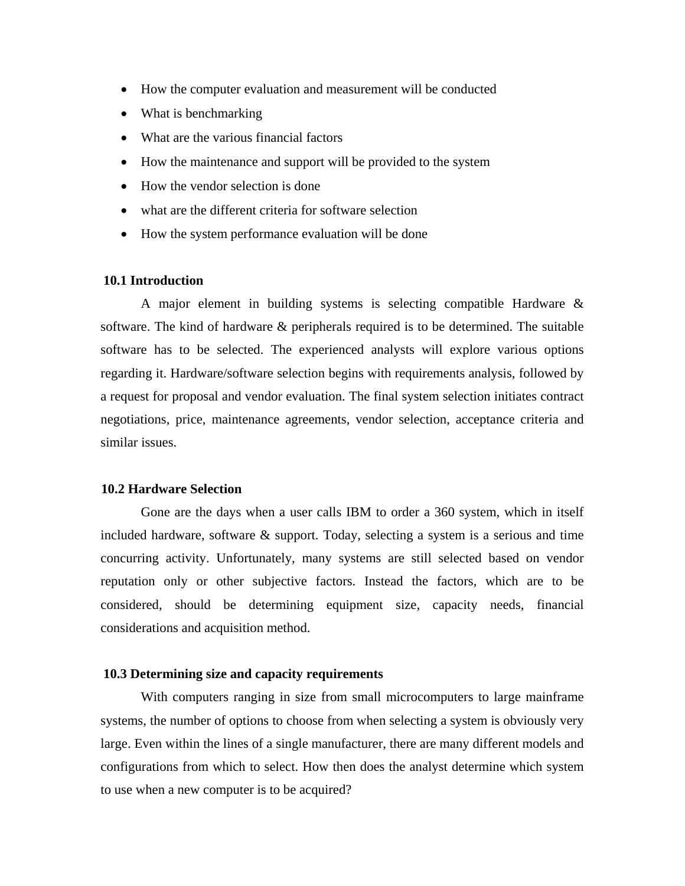- How the computer evaluation and measurement will be conducted
- What is benchmarking
- What are the various financial factors
- How the maintenance and support will be provided to the system
- How the vendor selection is done
- what are the different criteria for software selection
- How the system performance evaluation will be done

### **10.1 Introduction**

 A major element in building systems is selecting compatible Hardware & software. The kind of hardware & peripherals required is to be determined. The suitable software has to be selected. The experienced analysts will explore various options regarding it. Hardware/software selection begins with requirements analysis, followed by a request for proposal and vendor evaluation. The final system selection initiates contract negotiations, price, maintenance agreements, vendor selection, acceptance criteria and similar issues.

### **10.2 Hardware Selection**

 Gone are the days when a user calls IBM to order a 360 system, which in itself included hardware, software & support. Today, selecting a system is a serious and time concurring activity. Unfortunately, many systems are still selected based on vendor reputation only or other subjective factors. Instead the factors, which are to be considered, should be determining equipment size, capacity needs, financial considerations and acquisition method.

## **10.3 Determining size and capacity requirements**

 With computers ranging in size from small microcomputers to large mainframe systems, the number of options to choose from when selecting a system is obviously very large. Even within the lines of a single manufacturer, there are many different models and configurations from which to select. How then does the analyst determine which system to use when a new computer is to be acquired?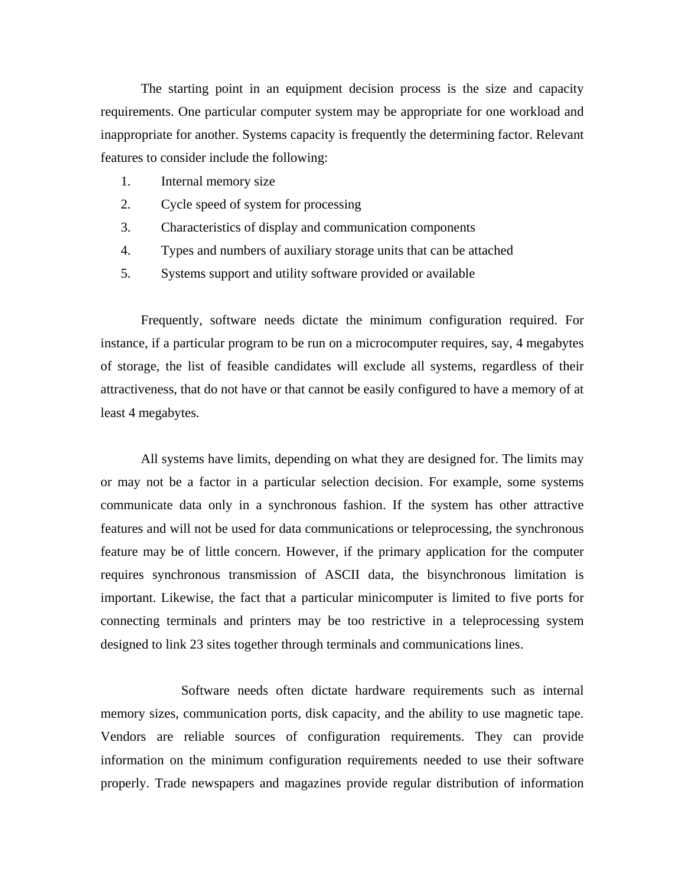The starting point in an equipment decision process is the size and capacity requirements. One particular computer system may be appropriate for one workload and inappropriate for another. Systems capacity is frequently the determining factor. Relevant features to consider include the following:

- 1. Internal memory size
- 2. Cycle speed of system for processing
- 3. Characteristics of display and communication components
- 4. Types and numbers of auxiliary storage units that can be attached
- 5. Systems support and utility software provided or available

Frequently, software needs dictate the minimum configuration required. For instance, if a particular program to be run on a microcomputer requires, say, 4 megabytes of storage, the list of feasible candidates will exclude all systems, regardless of their attractiveness, that do not have or that cannot be easily configured to have a memory of at least 4 megabytes.

All systems have limits, depending on what they are designed for. The limits may or may not be a factor in a particular selection decision. For example, some systems communicate data only in a synchronous fashion. If the system has other attractive features and will not be used for data communications or teleprocessing, the synchronous feature may be of little concern. However, if the primary application for the computer requires synchronous transmission of ASCII data, the bisynchronous limitation is important. Likewise, the fact that a particular minicomputer is limited to five ports for connecting terminals and printers may be too restrictive in a teleprocessing system designed to link 23 sites together through terminals and communications lines.

 Software needs often dictate hardware requirements such as internal memory sizes, communication ports, disk capacity, and the ability to use magnetic tape. Vendors are reliable sources of configuration requirements. They can provide information on the minimum configuration requirements needed to use their software properly. Trade newspapers and magazines provide regular distribution of information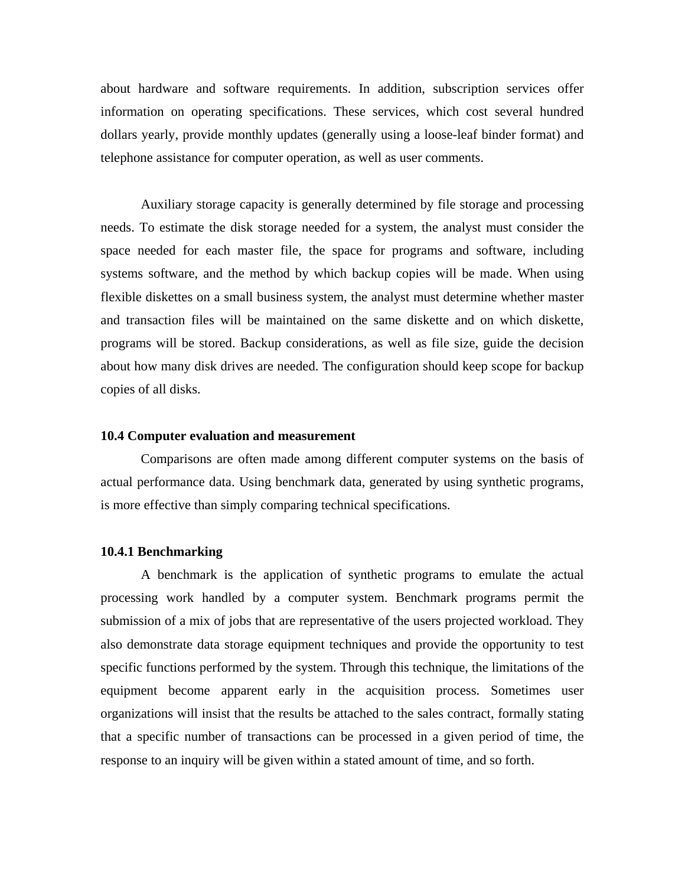about hardware and software requirements. In addition, subscription services offer information on operating specifications. These services, which cost several hundred dollars yearly, provide monthly updates (generally using a loose-leaf binder format) and telephone assistance for computer operation, as well as user comments.

Auxiliary storage capacity is generally determined by file storage and processing needs. To estimate the disk storage needed for a system, the analyst must consider the space needed for each master file, the space for programs and software, including systems software, and the method by which backup copies will be made. When using flexible diskettes on a small business system, the analyst must determine whether master and transaction files will be maintained on the same diskette and on which diskette, programs will be stored. Backup considerations, as well as file size, guide the decision about how many disk drives are needed. The configuration should keep scope for backup copies of all disks.

## **10.4 Computer evaluation and measurement**

 Comparisons are often made among different computer systems on the basis of actual performance data. Using benchmark data, generated by using synthetic programs, is more effective than simply comparing technical specifications.

## **10.4.1 Benchmarking**

A benchmark is the application of synthetic programs to emulate the actual processing work handled by a computer system. Benchmark programs permit the submission of a mix of jobs that are representative of the users projected workload. They also demonstrate data storage equipment techniques and provide the opportunity to test specific functions performed by the system. Through this technique, the limitations of the equipment become apparent early in the acquisition process. Sometimes user organizations will insist that the results be attached to the sales contract, formally stating that a specific number of transactions can be processed in a given period of time, the response to an inquiry will be given within a stated amount of time, and so forth.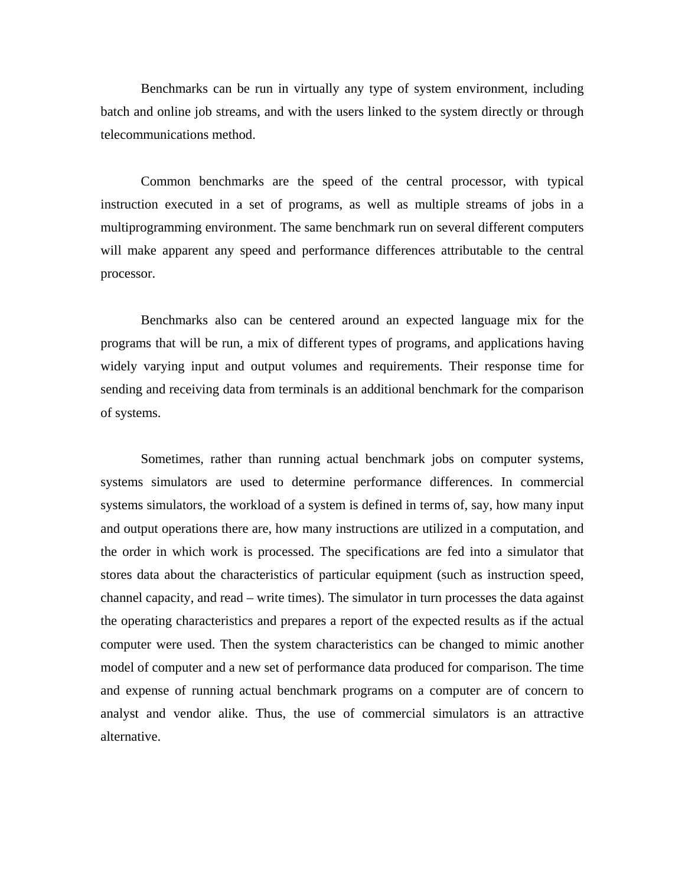Benchmarks can be run in virtually any type of system environment, including batch and online job streams, and with the users linked to the system directly or through telecommunications method.

 Common benchmarks are the speed of the central processor, with typical instruction executed in a set of programs, as well as multiple streams of jobs in a multiprogramming environment. The same benchmark run on several different computers will make apparent any speed and performance differences attributable to the central processor.

 Benchmarks also can be centered around an expected language mix for the programs that will be run, a mix of different types of programs, and applications having widely varying input and output volumes and requirements. Their response time for sending and receiving data from terminals is an additional benchmark for the comparison of systems.

 Sometimes, rather than running actual benchmark jobs on computer systems, systems simulators are used to determine performance differences. In commercial systems simulators, the workload of a system is defined in terms of, say, how many input and output operations there are, how many instructions are utilized in a computation, and the order in which work is processed. The specifications are fed into a simulator that stores data about the characteristics of particular equipment (such as instruction speed, channel capacity, and read – write times). The simulator in turn processes the data against the operating characteristics and prepares a report of the expected results as if the actual computer were used. Then the system characteristics can be changed to mimic another model of computer and a new set of performance data produced for comparison. The time and expense of running actual benchmark programs on a computer are of concern to analyst and vendor alike. Thus, the use of commercial simulators is an attractive alternative.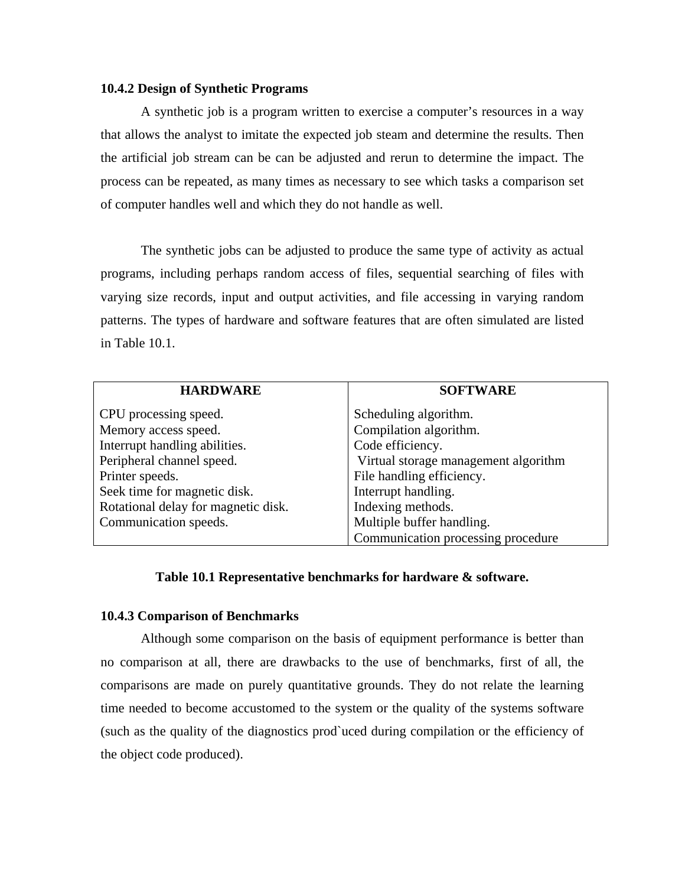## **10.4.2 Design of Synthetic Programs**

 A synthetic job is a program written to exercise a computer's resources in a way that allows the analyst to imitate the expected job steam and determine the results. Then the artificial job stream can be can be adjusted and rerun to determine the impact. The process can be repeated, as many times as necessary to see which tasks a comparison set of computer handles well and which they do not handle as well.

 The synthetic jobs can be adjusted to produce the same type of activity as actual programs, including perhaps random access of files, sequential searching of files with varying size records, input and output activities, and file accessing in varying random patterns. The types of hardware and software features that are often simulated are listed in Table 10.1.

| <b>HARDWARE</b>                     | <b>SOFTWARE</b>                      |
|-------------------------------------|--------------------------------------|
| CPU processing speed.               | Scheduling algorithm.                |
| Memory access speed.                | Compilation algorithm.               |
| Interrupt handling abilities.       | Code efficiency.                     |
| Peripheral channel speed.           | Virtual storage management algorithm |
| Printer speeds.                     | File handling efficiency.            |
| Seek time for magnetic disk.        | Interrupt handling.                  |
| Rotational delay for magnetic disk. | Indexing methods.                    |
| Communication speeds.               | Multiple buffer handling.            |
|                                     | Communication processing procedure   |

## **Table 10.1 Representative benchmarks for hardware & software.**

### **10.4.3 Comparison of Benchmarks**

 Although some comparison on the basis of equipment performance is better than no comparison at all, there are drawbacks to the use of benchmarks, first of all, the comparisons are made on purely quantitative grounds. They do not relate the learning time needed to become accustomed to the system or the quality of the systems software (such as the quality of the diagnostics prod`uced during compilation or the efficiency of the object code produced).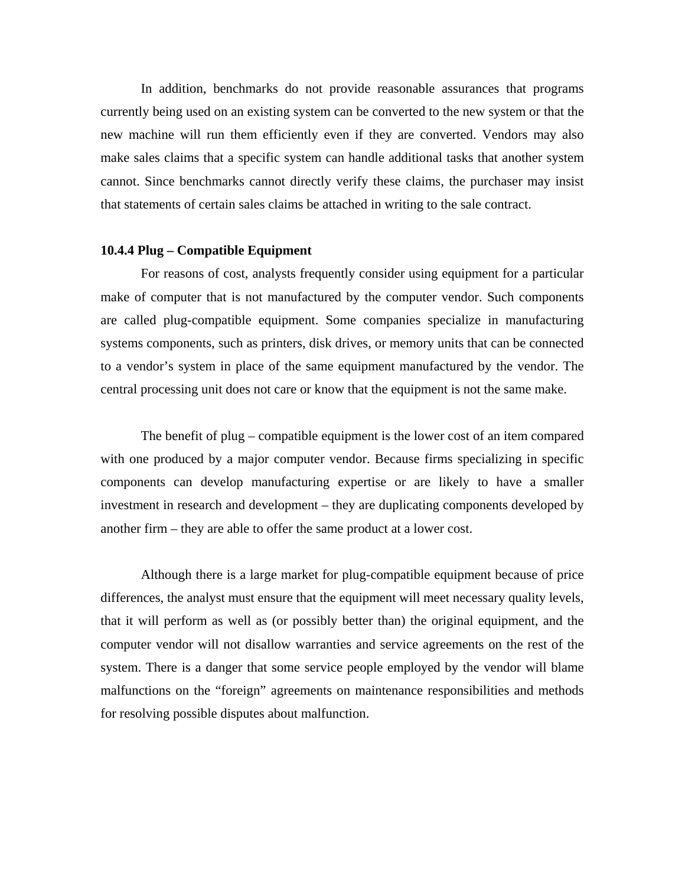In addition, benchmarks do not provide reasonable assurances that programs currently being used on an existing system can be converted to the new system or that the new machine will run them efficiently even if they are converted. Vendors may also make sales claims that a specific system can handle additional tasks that another system cannot. Since benchmarks cannot directly verify these claims, the purchaser may insist that statements of certain sales claims be attached in writing to the sale contract.

### **10.4.4 Plug – Compatible Equipment**

 For reasons of cost, analysts frequently consider using equipment for a particular make of computer that is not manufactured by the computer vendor. Such components are called plug-compatible equipment. Some companies specialize in manufacturing systems components, such as printers, disk drives, or memory units that can be connected to a vendor's system in place of the same equipment manufactured by the vendor. The central processing unit does not care or know that the equipment is not the same make.

 The benefit of plug – compatible equipment is the lower cost of an item compared with one produced by a major computer vendor. Because firms specializing in specific components can develop manufacturing expertise or are likely to have a smaller investment in research and development – they are duplicating components developed by another firm – they are able to offer the same product at a lower cost.

 Although there is a large market for plug-compatible equipment because of price differences, the analyst must ensure that the equipment will meet necessary quality levels, that it will perform as well as (or possibly better than) the original equipment, and the computer vendor will not disallow warranties and service agreements on the rest of the system. There is a danger that some service people employed by the vendor will blame malfunctions on the "foreign" agreements on maintenance responsibilities and methods for resolving possible disputes about malfunction.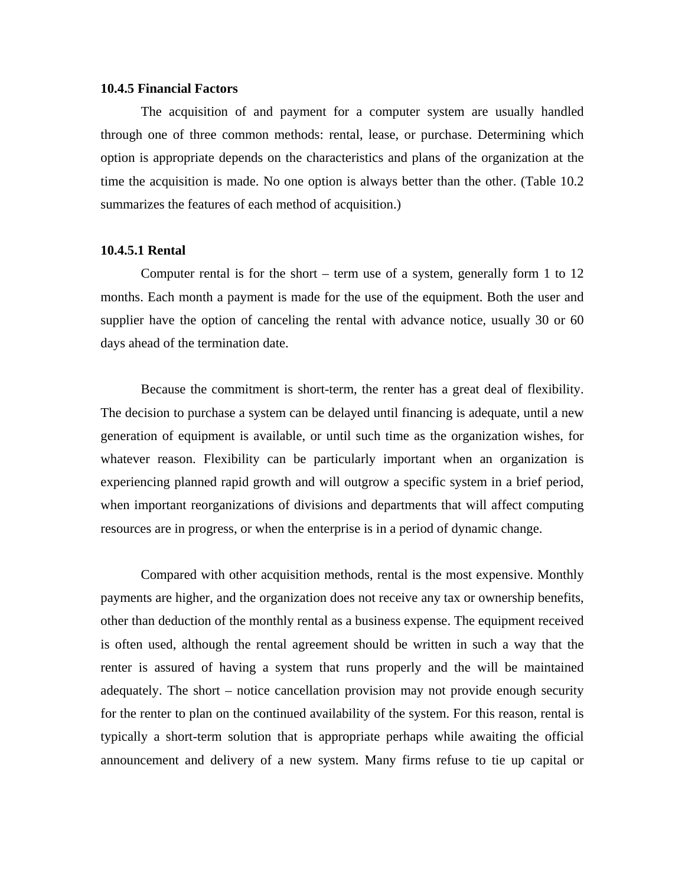### **10.4.5 Financial Factors**

 The acquisition of and payment for a computer system are usually handled through one of three common methods: rental, lease, or purchase. Determining which option is appropriate depends on the characteristics and plans of the organization at the time the acquisition is made. No one option is always better than the other. (Table 10.2 summarizes the features of each method of acquisition.)

#### **10.4.5.1 Rental**

 Computer rental is for the short – term use of a system, generally form 1 to 12 months. Each month a payment is made for the use of the equipment. Both the user and supplier have the option of canceling the rental with advance notice, usually 30 or 60 days ahead of the termination date.

 Because the commitment is short-term, the renter has a great deal of flexibility. The decision to purchase a system can be delayed until financing is adequate, until a new generation of equipment is available, or until such time as the organization wishes, for whatever reason. Flexibility can be particularly important when an organization is experiencing planned rapid growth and will outgrow a specific system in a brief period, when important reorganizations of divisions and departments that will affect computing resources are in progress, or when the enterprise is in a period of dynamic change.

 Compared with other acquisition methods, rental is the most expensive. Monthly payments are higher, and the organization does not receive any tax or ownership benefits, other than deduction of the monthly rental as a business expense. The equipment received is often used, although the rental agreement should be written in such a way that the renter is assured of having a system that runs properly and the will be maintained adequately. The short – notice cancellation provision may not provide enough security for the renter to plan on the continued availability of the system. For this reason, rental is typically a short-term solution that is appropriate perhaps while awaiting the official announcement and delivery of a new system. Many firms refuse to tie up capital or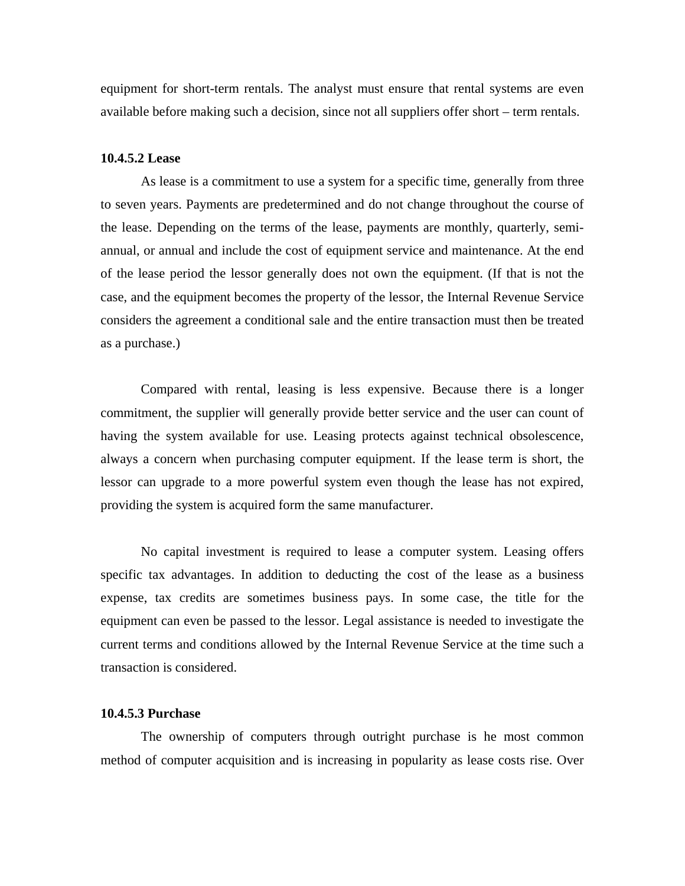equipment for short-term rentals. The analyst must ensure that rental systems are even available before making such a decision, since not all suppliers offer short – term rentals.

#### **10.4.5.2 Lease**

As lease is a commitment to use a system for a specific time, generally from three to seven years. Payments are predetermined and do not change throughout the course of the lease. Depending on the terms of the lease, payments are monthly, quarterly, semiannual, or annual and include the cost of equipment service and maintenance. At the end of the lease period the lessor generally does not own the equipment. (If that is not the case, and the equipment becomes the property of the lessor, the Internal Revenue Service considers the agreement a conditional sale and the entire transaction must then be treated as a purchase.)

 Compared with rental, leasing is less expensive. Because there is a longer commitment, the supplier will generally provide better service and the user can count of having the system available for use. Leasing protects against technical obsolescence, always a concern when purchasing computer equipment. If the lease term is short, the lessor can upgrade to a more powerful system even though the lease has not expired, providing the system is acquired form the same manufacturer.

 No capital investment is required to lease a computer system. Leasing offers specific tax advantages. In addition to deducting the cost of the lease as a business expense, tax credits are sometimes business pays. In some case, the title for the equipment can even be passed to the lessor. Legal assistance is needed to investigate the current terms and conditions allowed by the Internal Revenue Service at the time such a transaction is considered.

## **10.4.5.3 Purchase**

 The ownership of computers through outright purchase is he most common method of computer acquisition and is increasing in popularity as lease costs rise. Over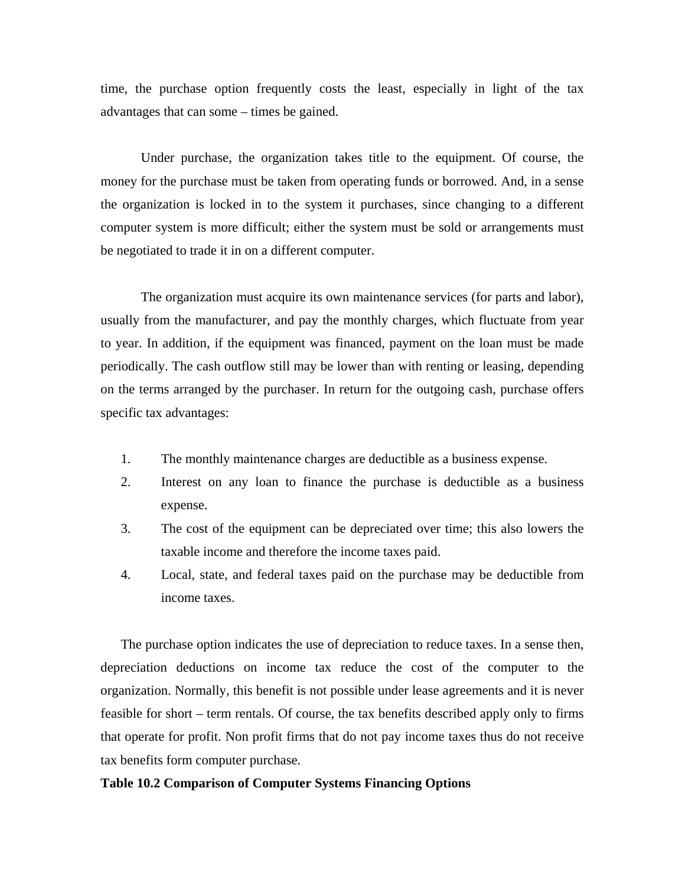time, the purchase option frequently costs the least, especially in light of the tax advantages that can some – times be gained.

 Under purchase, the organization takes title to the equipment. Of course, the money for the purchase must be taken from operating funds or borrowed. And, in a sense the organization is locked in to the system it purchases, since changing to a different computer system is more difficult; either the system must be sold or arrangements must be negotiated to trade it in on a different computer.

 The organization must acquire its own maintenance services (for parts and labor), usually from the manufacturer, and pay the monthly charges, which fluctuate from year to year. In addition, if the equipment was financed, payment on the loan must be made periodically. The cash outflow still may be lower than with renting or leasing, depending on the terms arranged by the purchaser. In return for the outgoing cash, purchase offers specific tax advantages:

- 1. The monthly maintenance charges are deductible as a business expense.
- 2. Interest on any loan to finance the purchase is deductible as a business expense.
- 3. The cost of the equipment can be depreciated over time; this also lowers the taxable income and therefore the income taxes paid.
- 4. Local, state, and federal taxes paid on the purchase may be deductible from income taxes.

The purchase option indicates the use of depreciation to reduce taxes. In a sense then, depreciation deductions on income tax reduce the cost of the computer to the organization. Normally, this benefit is not possible under lease agreements and it is never feasible for short – term rentals. Of course, the tax benefits described apply only to firms that operate for profit. Non profit firms that do not pay income taxes thus do not receive tax benefits form computer purchase.

### **Table 10.2 Comparison of Computer Systems Financing Options**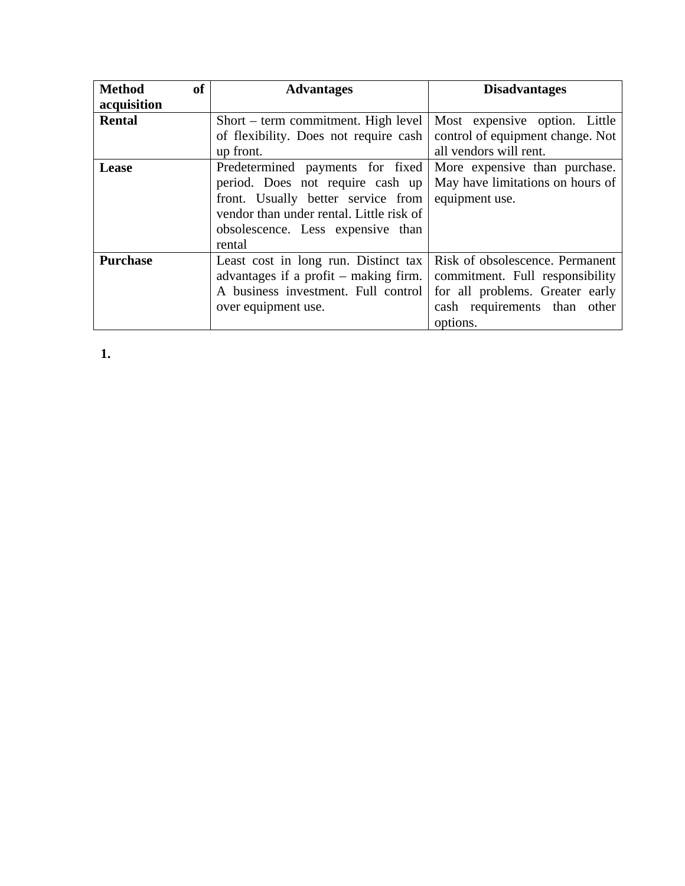| of<br><b>Method</b> | <b>Advantages</b>                                                               | <b>Disadvantages</b>                                               |
|---------------------|---------------------------------------------------------------------------------|--------------------------------------------------------------------|
| acquisition         |                                                                                 |                                                                    |
| <b>Rental</b>       | $Short - term commitment. High level$                                           | Most expensive option. Little                                      |
|                     | of flexibility. Does not require cash                                           | control of equipment change. Not                                   |
|                     | up front.                                                                       | all vendors will rent.                                             |
| <b>Lease</b>        | Predetermined payments for fixed                                                | More expensive than purchase.                                      |
|                     | period. Does not require cash up                                                | May have limitations on hours of                                   |
|                     | front. Usually better service from                                              | equipment use.                                                     |
|                     | vendor than under rental. Little risk of                                        |                                                                    |
|                     | obsolescence. Less expensive than                                               |                                                                    |
|                     | rental                                                                          |                                                                    |
| <b>Purchase</b>     | Least cost in long run. Distinct tax<br>advantages if a profit $-$ making firm. | Risk of obsolescence. Permanent<br>commitment. Full responsibility |
|                     | A business investment. Full control                                             | for all problems. Greater early                                    |
|                     | over equipment use.                                                             | cash requirements than other                                       |
|                     |                                                                                 | options.                                                           |

**1.**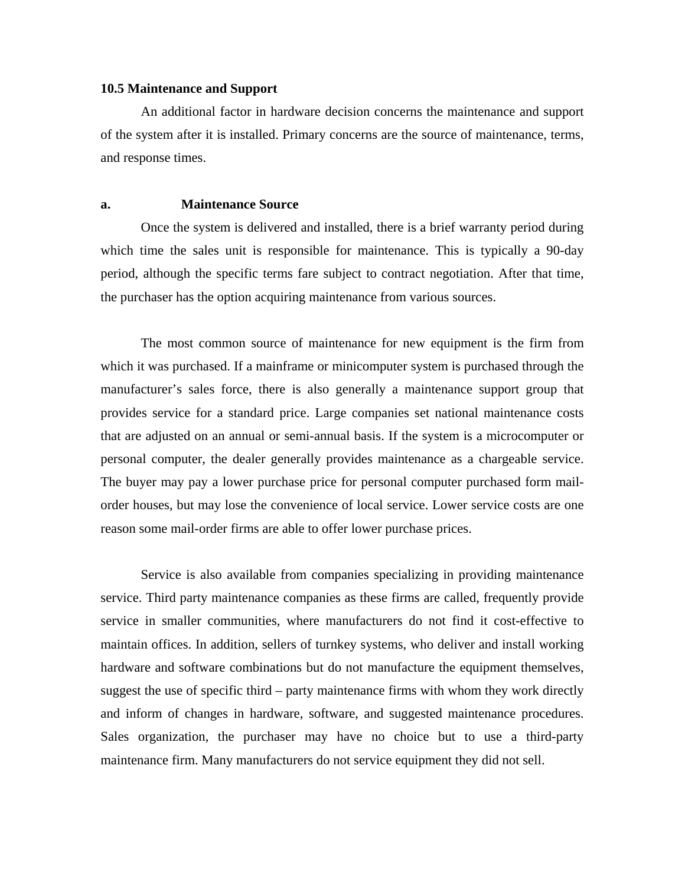#### **10.5 Maintenance and Support**

 An additional factor in hardware decision concerns the maintenance and support of the system after it is installed. Primary concerns are the source of maintenance, terms, and response times.

#### **a. Maintenance Source**

 Once the system is delivered and installed, there is a brief warranty period during which time the sales unit is responsible for maintenance. This is typically a 90-day period, although the specific terms fare subject to contract negotiation. After that time, the purchaser has the option acquiring maintenance from various sources.

 The most common source of maintenance for new equipment is the firm from which it was purchased. If a mainframe or minicomputer system is purchased through the manufacturer's sales force, there is also generally a maintenance support group that provides service for a standard price. Large companies set national maintenance costs that are adjusted on an annual or semi-annual basis. If the system is a microcomputer or personal computer, the dealer generally provides maintenance as a chargeable service. The buyer may pay a lower purchase price for personal computer purchased form mailorder houses, but may lose the convenience of local service. Lower service costs are one reason some mail-order firms are able to offer lower purchase prices.

 Service is also available from companies specializing in providing maintenance service. Third party maintenance companies as these firms are called, frequently provide service in smaller communities, where manufacturers do not find it cost-effective to maintain offices. In addition, sellers of turnkey systems, who deliver and install working hardware and software combinations but do not manufacture the equipment themselves, suggest the use of specific third – party maintenance firms with whom they work directly and inform of changes in hardware, software, and suggested maintenance procedures. Sales organization, the purchaser may have no choice but to use a third-party maintenance firm. Many manufacturers do not service equipment they did not sell.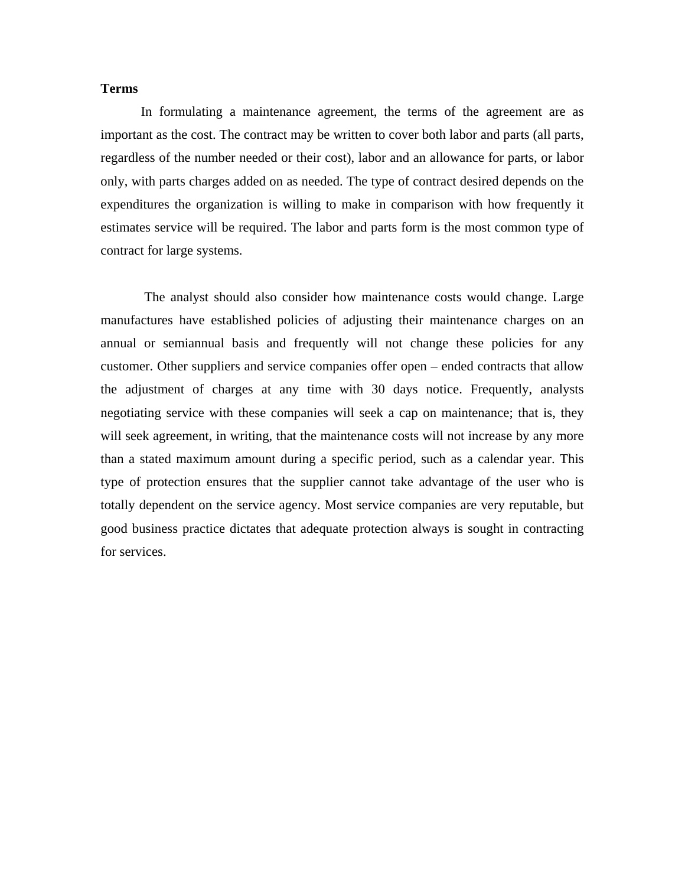## **Terms**

In formulating a maintenance agreement, the terms of the agreement are as important as the cost. The contract may be written to cover both labor and parts (all parts, regardless of the number needed or their cost), labor and an allowance for parts, or labor only, with parts charges added on as needed. The type of contract desired depends on the expenditures the organization is willing to make in comparison with how frequently it estimates service will be required. The labor and parts form is the most common type of contract for large systems.

 The analyst should also consider how maintenance costs would change. Large manufactures have established policies of adjusting their maintenance charges on an annual or semiannual basis and frequently will not change these policies for any customer. Other suppliers and service companies offer open – ended contracts that allow the adjustment of charges at any time with 30 days notice. Frequently, analysts negotiating service with these companies will seek a cap on maintenance; that is, they will seek agreement, in writing, that the maintenance costs will not increase by any more than a stated maximum amount during a specific period, such as a calendar year. This type of protection ensures that the supplier cannot take advantage of the user who is totally dependent on the service agency. Most service companies are very reputable, but good business practice dictates that adequate protection always is sought in contracting for services.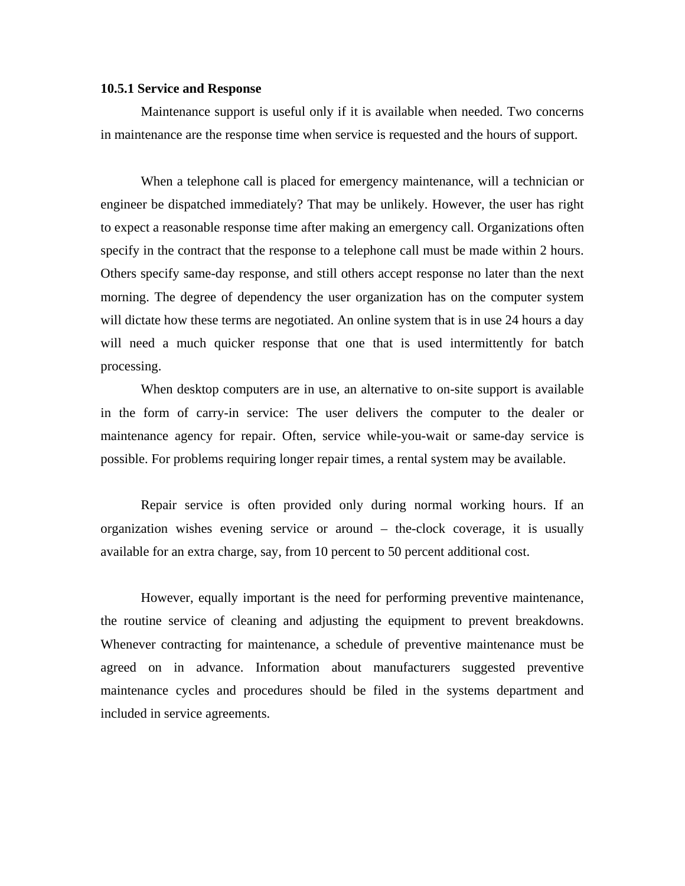#### **10.5.1 Service and Response**

 Maintenance support is useful only if it is available when needed. Two concerns in maintenance are the response time when service is requested and the hours of support.

When a telephone call is placed for emergency maintenance, will a technician or engineer be dispatched immediately? That may be unlikely. However, the user has right to expect a reasonable response time after making an emergency call. Organizations often specify in the contract that the response to a telephone call must be made within 2 hours. Others specify same-day response, and still others accept response no later than the next morning. The degree of dependency the user organization has on the computer system will dictate how these terms are negotiated. An online system that is in use 24 hours a day will need a much quicker response that one that is used intermittently for batch processing.

When desktop computers are in use, an alternative to on-site support is available in the form of carry-in service: The user delivers the computer to the dealer or maintenance agency for repair. Often, service while-you-wait or same-day service is possible. For problems requiring longer repair times, a rental system may be available.

 Repair service is often provided only during normal working hours. If an organization wishes evening service or around – the-clock coverage, it is usually available for an extra charge, say, from 10 percent to 50 percent additional cost.

 However, equally important is the need for performing preventive maintenance, the routine service of cleaning and adjusting the equipment to prevent breakdowns. Whenever contracting for maintenance, a schedule of preventive maintenance must be agreed on in advance. Information about manufacturers suggested preventive maintenance cycles and procedures should be filed in the systems department and included in service agreements.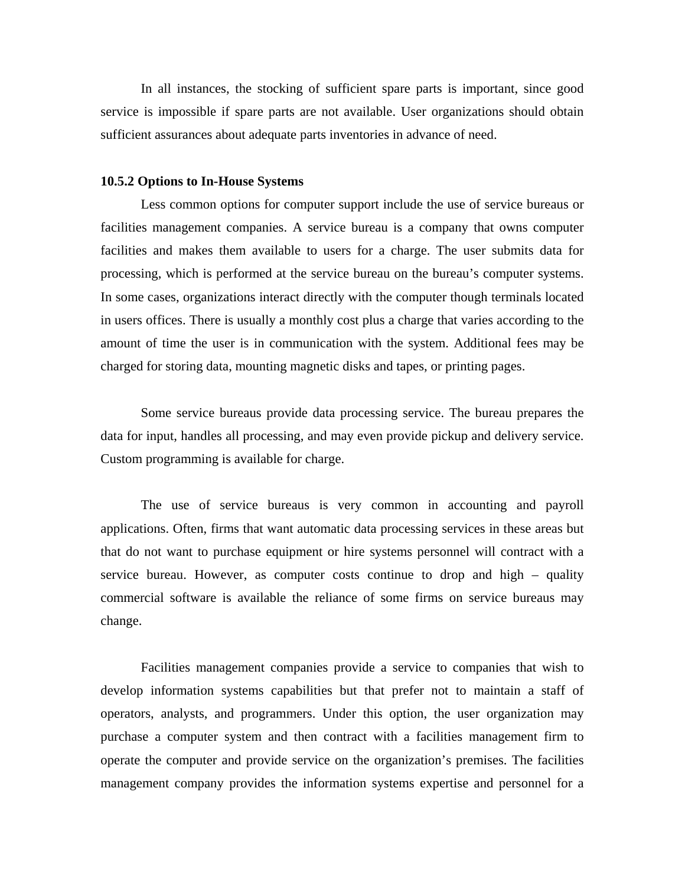In all instances, the stocking of sufficient spare parts is important, since good service is impossible if spare parts are not available. User organizations should obtain sufficient assurances about adequate parts inventories in advance of need.

### **10.5.2 Options to In-House Systems**

 Less common options for computer support include the use of service bureaus or facilities management companies. A service bureau is a company that owns computer facilities and makes them available to users for a charge. The user submits data for processing, which is performed at the service bureau on the bureau's computer systems. In some cases, organizations interact directly with the computer though terminals located in users offices. There is usually a monthly cost plus a charge that varies according to the amount of time the user is in communication with the system. Additional fees may be charged for storing data, mounting magnetic disks and tapes, or printing pages.

 Some service bureaus provide data processing service. The bureau prepares the data for input, handles all processing, and may even provide pickup and delivery service. Custom programming is available for charge.

 The use of service bureaus is very common in accounting and payroll applications. Often, firms that want automatic data processing services in these areas but that do not want to purchase equipment or hire systems personnel will contract with a service bureau. However, as computer costs continue to drop and high – quality commercial software is available the reliance of some firms on service bureaus may change.

 Facilities management companies provide a service to companies that wish to develop information systems capabilities but that prefer not to maintain a staff of operators, analysts, and programmers. Under this option, the user organization may purchase a computer system and then contract with a facilities management firm to operate the computer and provide service on the organization's premises. The facilities management company provides the information systems expertise and personnel for a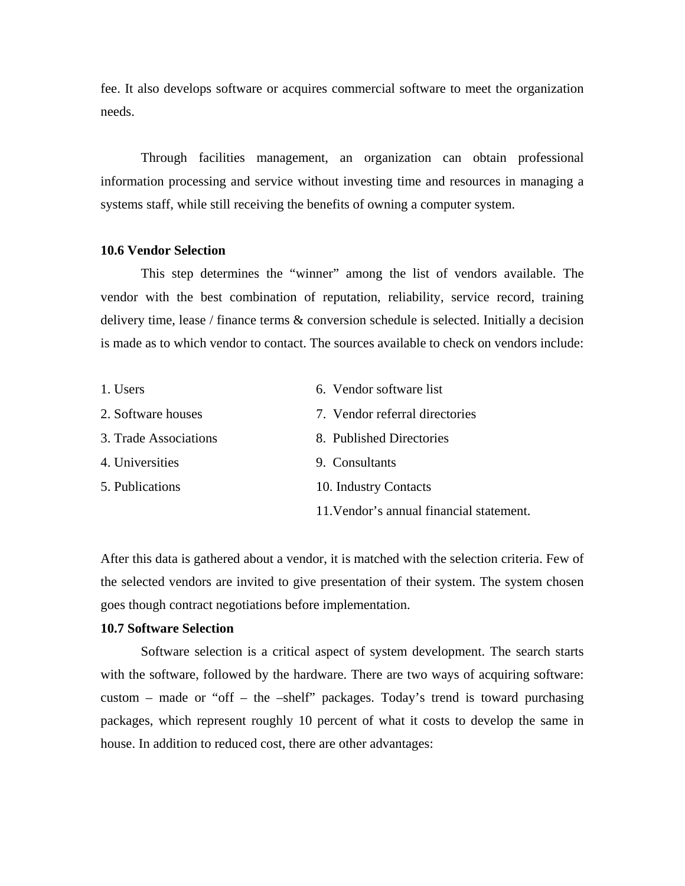fee. It also develops software or acquires commercial software to meet the organization needs.

 Through facilities management, an organization can obtain professional information processing and service without investing time and resources in managing a systems staff, while still receiving the benefits of owning a computer system.

### **10.6 Vendor Selection**

This step determines the "winner" among the list of vendors available. The vendor with the best combination of reputation, reliability, service record, training delivery time, lease / finance terms & conversion schedule is selected. Initially a decision is made as to which vendor to contact. The sources available to check on vendors include:

| 1. Users              | 6. Vendor software list                  |
|-----------------------|------------------------------------------|
| 2. Software houses    | 7. Vendor referral directories           |
| 3. Trade Associations | 8. Published Directories                 |
| 4. Universities       | 9. Consultants                           |
| 5. Publications       | 10. Industry Contacts                    |
|                       | 11. Vendor's annual financial statement. |

After this data is gathered about a vendor, it is matched with the selection criteria. Few of the selected vendors are invited to give presentation of their system. The system chosen goes though contract negotiations before implementation.

## **10.7 Software Selection**

 Software selection is a critical aspect of system development. The search starts with the software, followed by the hardware. There are two ways of acquiring software: custom – made or "off – the –shelf" packages. Today's trend is toward purchasing packages, which represent roughly 10 percent of what it costs to develop the same in house. In addition to reduced cost, there are other advantages: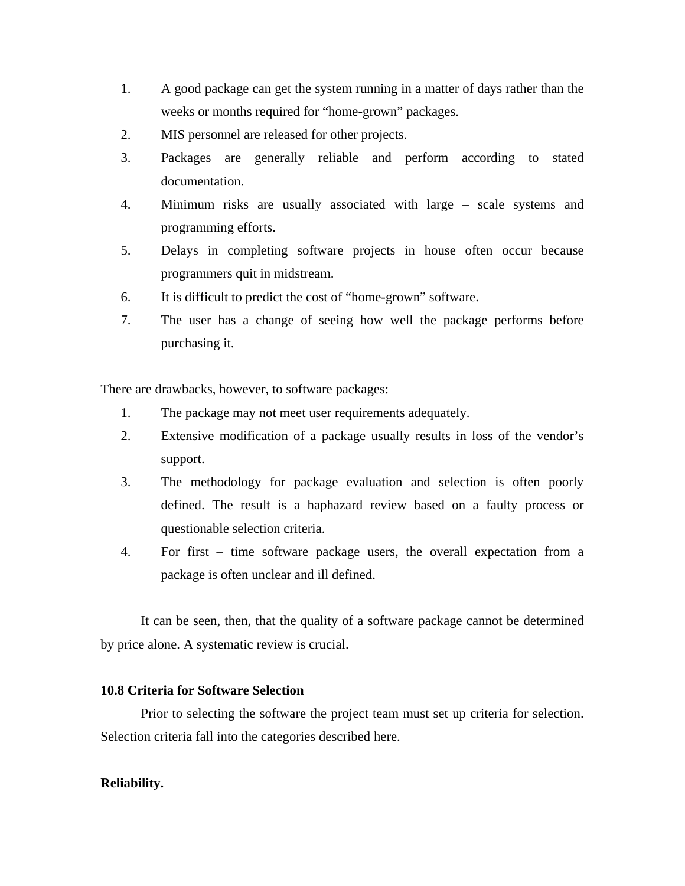- 1. A good package can get the system running in a matter of days rather than the weeks or months required for "home-grown" packages.
- 2. MIS personnel are released for other projects.
- 3. Packages are generally reliable and perform according to stated documentation.
- 4. Minimum risks are usually associated with large scale systems and programming efforts.
- 5. Delays in completing software projects in house often occur because programmers quit in midstream.
- 6. It is difficult to predict the cost of "home-grown" software.
- 7. The user has a change of seeing how well the package performs before purchasing it.

There are drawbacks, however, to software packages:

- 1. The package may not meet user requirements adequately.
- 2. Extensive modification of a package usually results in loss of the vendor's support.
- 3. The methodology for package evaluation and selection is often poorly defined. The result is a haphazard review based on a faulty process or questionable selection criteria.
- 4. For first time software package users, the overall expectation from a package is often unclear and ill defined.

It can be seen, then, that the quality of a software package cannot be determined by price alone. A systematic review is crucial.

## **10.8 Criteria for Software Selection**

 Prior to selecting the software the project team must set up criteria for selection. Selection criteria fall into the categories described here.

## **Reliability.**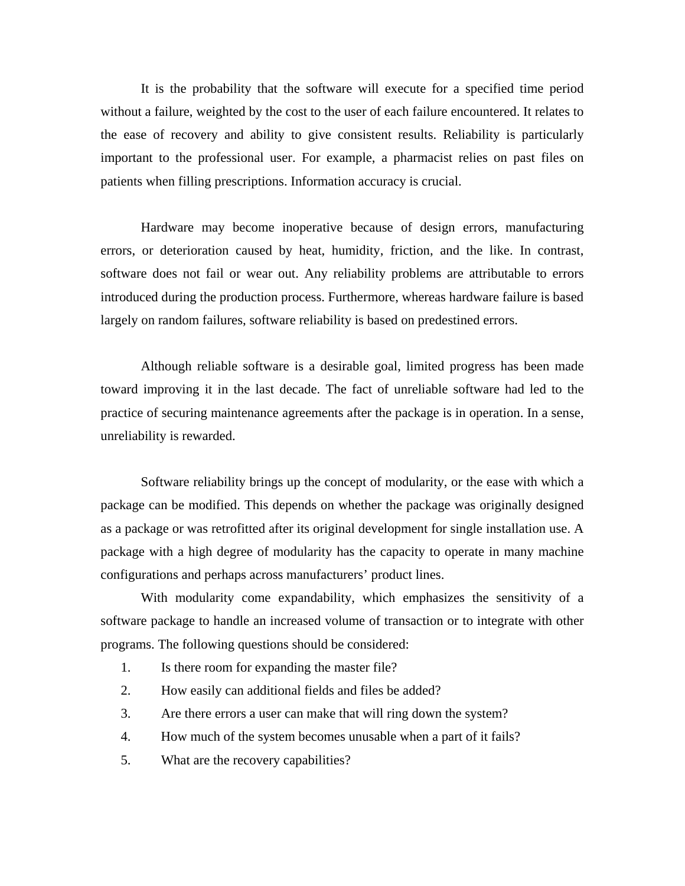It is the probability that the software will execute for a specified time period without a failure, weighted by the cost to the user of each failure encountered. It relates to the ease of recovery and ability to give consistent results. Reliability is particularly important to the professional user. For example, a pharmacist relies on past files on patients when filling prescriptions. Information accuracy is crucial.

 Hardware may become inoperative because of design errors, manufacturing errors, or deterioration caused by heat, humidity, friction, and the like. In contrast, software does not fail or wear out. Any reliability problems are attributable to errors introduced during the production process. Furthermore, whereas hardware failure is based largely on random failures, software reliability is based on predestined errors.

 Although reliable software is a desirable goal, limited progress has been made toward improving it in the last decade. The fact of unreliable software had led to the practice of securing maintenance agreements after the package is in operation. In a sense, unreliability is rewarded.

 Software reliability brings up the concept of modularity, or the ease with which a package can be modified. This depends on whether the package was originally designed as a package or was retrofitted after its original development for single installation use. A package with a high degree of modularity has the capacity to operate in many machine configurations and perhaps across manufacturers' product lines.

 With modularity come expandability, which emphasizes the sensitivity of a software package to handle an increased volume of transaction or to integrate with other programs. The following questions should be considered:

- 1. Is there room for expanding the master file?
- 2. How easily can additional fields and files be added?
- 3. Are there errors a user can make that will ring down the system?
- 4. How much of the system becomes unusable when a part of it fails?
- 5. What are the recovery capabilities?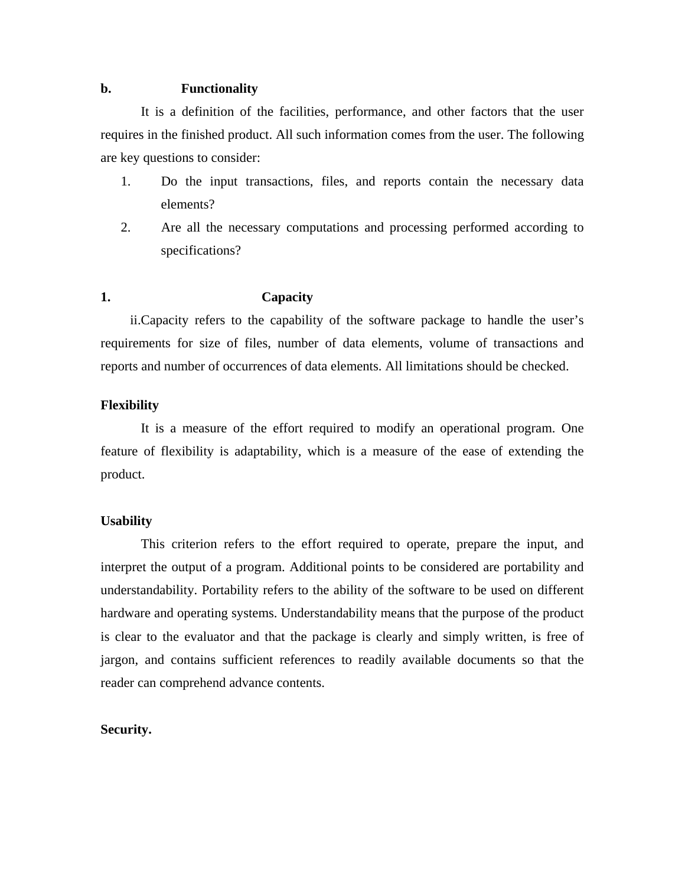#### **b. Functionality**

 It is a definition of the facilities, performance, and other factors that the user requires in the finished product. All such information comes from the user. The following are key questions to consider:

- 1. Do the input transactions, files, and reports contain the necessary data elements?
- 2. Are all the necessary computations and processing performed according to specifications?

## **1. Capacity**

ii.Capacity refers to the capability of the software package to handle the user's requirements for size of files, number of data elements, volume of transactions and reports and number of occurrences of data elements. All limitations should be checked.

## **Flexibility**

 It is a measure of the effort required to modify an operational program. One feature of flexibility is adaptability, which is a measure of the ease of extending the product.

#### **Usability**

 This criterion refers to the effort required to operate, prepare the input, and interpret the output of a program. Additional points to be considered are portability and understandability. Portability refers to the ability of the software to be used on different hardware and operating systems. Understandability means that the purpose of the product is clear to the evaluator and that the package is clearly and simply written, is free of jargon, and contains sufficient references to readily available documents so that the reader can comprehend advance contents.

## **Security.**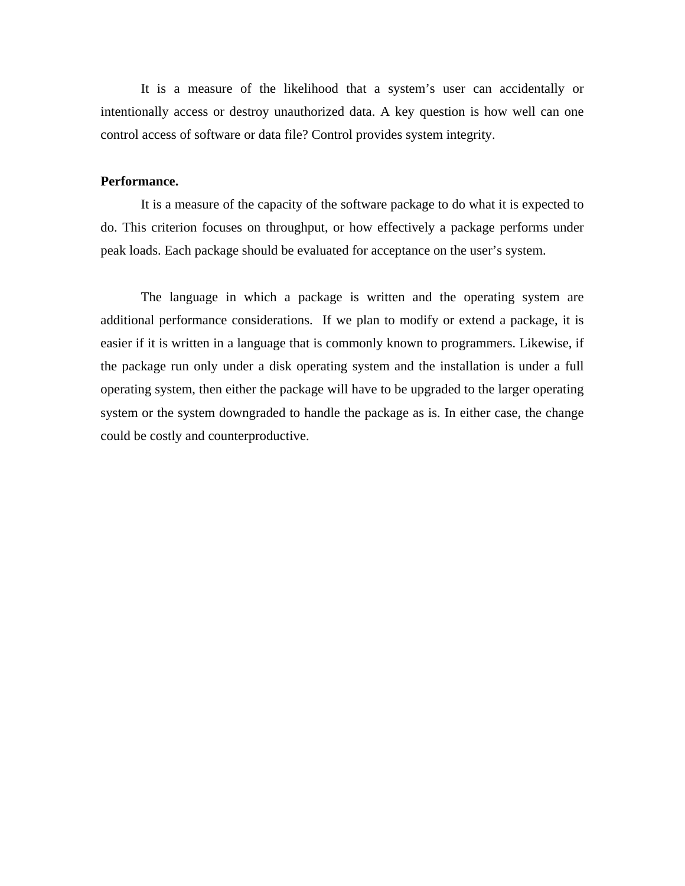It is a measure of the likelihood that a system's user can accidentally or intentionally access or destroy unauthorized data. A key question is how well can one control access of software or data file? Control provides system integrity.

#### **Performance.**

 It is a measure of the capacity of the software package to do what it is expected to do. This criterion focuses on throughput, or how effectively a package performs under peak loads. Each package should be evaluated for acceptance on the user's system.

 The language in which a package is written and the operating system are additional performance considerations. If we plan to modify or extend a package, it is easier if it is written in a language that is commonly known to programmers. Likewise, if the package run only under a disk operating system and the installation is under a full operating system, then either the package will have to be upgraded to the larger operating system or the system downgraded to handle the package as is. In either case, the change could be costly and counterproductive.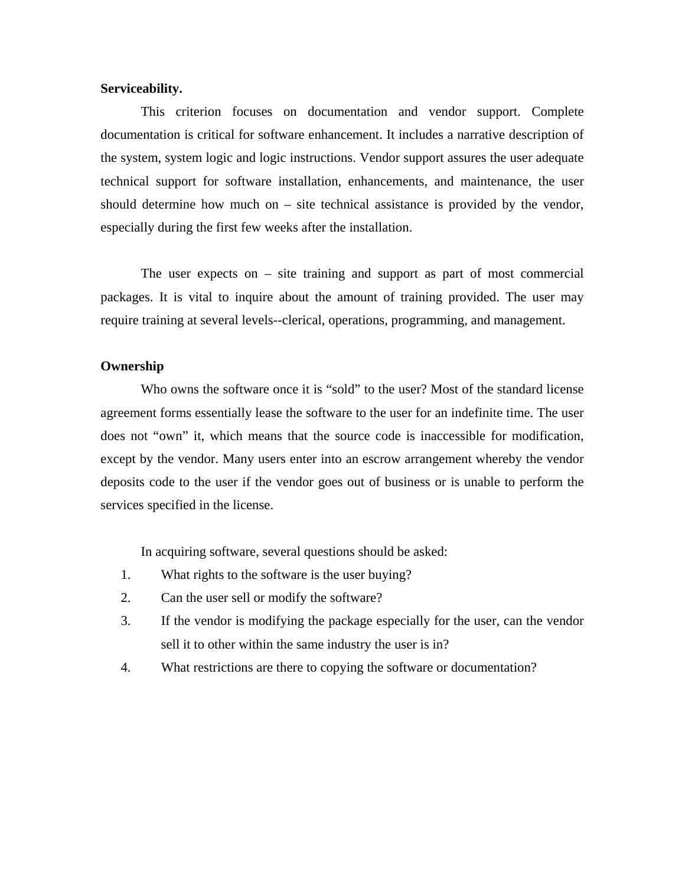## **Serviceability.**

 This criterion focuses on documentation and vendor support. Complete documentation is critical for software enhancement. It includes a narrative description of the system, system logic and logic instructions. Vendor support assures the user adequate technical support for software installation, enhancements, and maintenance, the user should determine how much on – site technical assistance is provided by the vendor, especially during the first few weeks after the installation.

 The user expects on – site training and support as part of most commercial packages. It is vital to inquire about the amount of training provided. The user may require training at several levels--clerical, operations, programming, and management.

## **Ownership**

 Who owns the software once it is "sold" to the user? Most of the standard license agreement forms essentially lease the software to the user for an indefinite time. The user does not "own" it, which means that the source code is inaccessible for modification, except by the vendor. Many users enter into an escrow arrangement whereby the vendor deposits code to the user if the vendor goes out of business or is unable to perform the services specified in the license.

In acquiring software, several questions should be asked:

- 1. What rights to the software is the user buying?
- 2. Can the user sell or modify the software?
- 3. If the vendor is modifying the package especially for the user, can the vendor sell it to other within the same industry the user is in?
- 4. What restrictions are there to copying the software or documentation?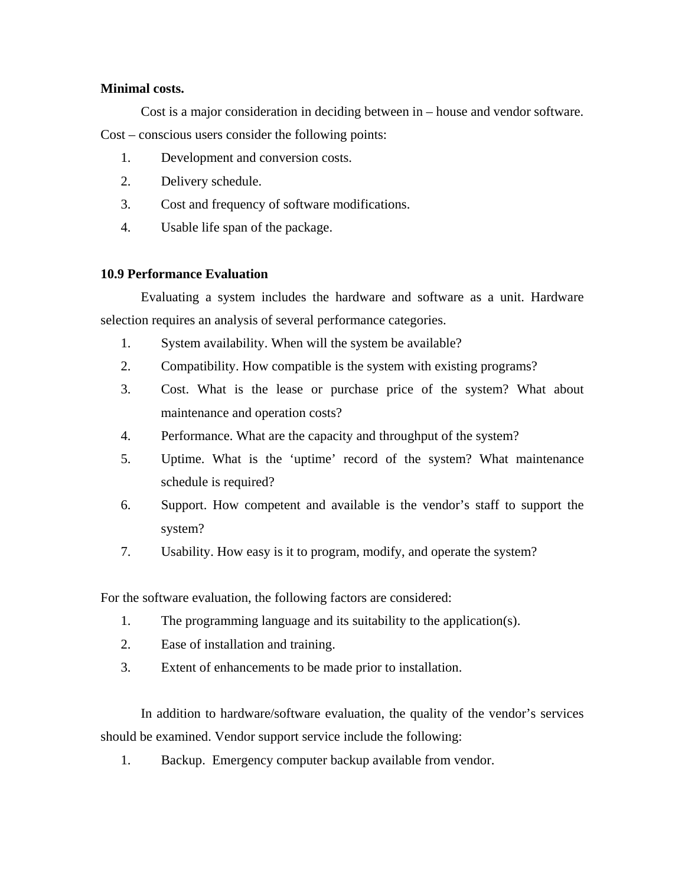## **Minimal costs.**

Cost is a major consideration in deciding between in – house and vendor software.

Cost – conscious users consider the following points:

- 1. Development and conversion costs.
- 2. Delivery schedule.
- 3. Cost and frequency of software modifications.
- 4. Usable life span of the package.

# **10.9 Performance Evaluation**

 Evaluating a system includes the hardware and software as a unit. Hardware selection requires an analysis of several performance categories.

- 1. System availability. When will the system be available?
- 2. Compatibility. How compatible is the system with existing programs?
- 3. Cost. What is the lease or purchase price of the system? What about maintenance and operation costs?
- 4. Performance. What are the capacity and throughput of the system?
- 5. Uptime. What is the 'uptime' record of the system? What maintenance schedule is required?
- 6. Support. How competent and available is the vendor's staff to support the system?
- 7. Usability. How easy is it to program, modify, and operate the system?

For the software evaluation, the following factors are considered:

- 1. The programming language and its suitability to the application(s).
- 2. Ease of installation and training.
- 3. Extent of enhancements to be made prior to installation.

In addition to hardware/software evaluation, the quality of the vendor's services should be examined. Vendor support service include the following:

1. Backup. Emergency computer backup available from vendor.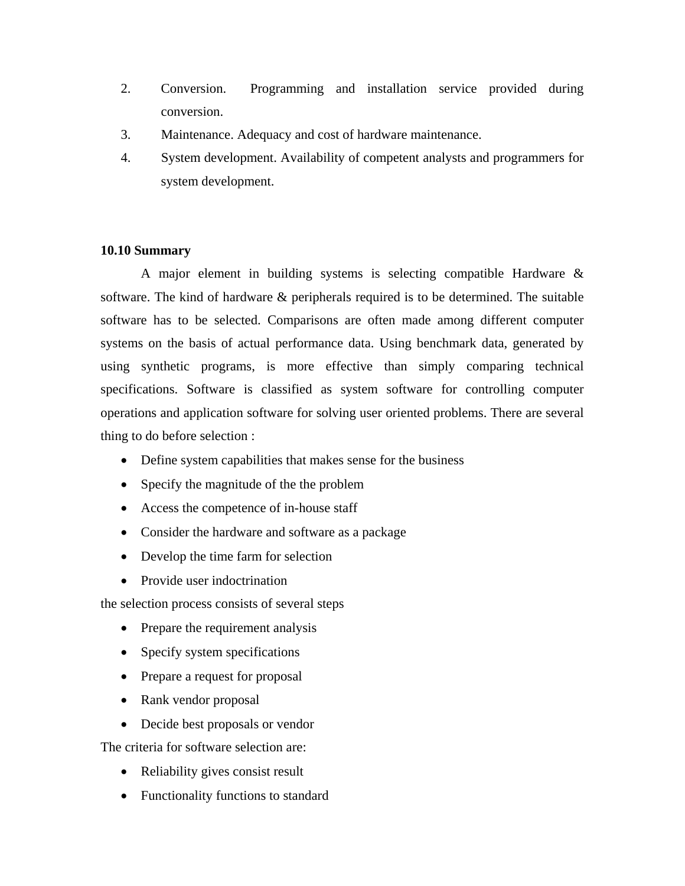- 2. Conversion. Programming and installation service provided during conversion.
- 3. Maintenance. Adequacy and cost of hardware maintenance.
- 4. System development. Availability of competent analysts and programmers for system development.

# **10.10 Summary**

 A major element in building systems is selecting compatible Hardware & software. The kind of hardware & peripherals required is to be determined. The suitable software has to be selected. Comparisons are often made among different computer systems on the basis of actual performance data. Using benchmark data, generated by using synthetic programs, is more effective than simply comparing technical specifications. Software is classified as system software for controlling computer operations and application software for solving user oriented problems. There are several thing to do before selection :

- Define system capabilities that makes sense for the business
- Specify the magnitude of the the problem
- Access the competence of in-house staff
- Consider the hardware and software as a package
- Develop the time farm for selection
- Provide user indoctrination

the selection process consists of several steps

- Prepare the requirement analysis
- Specify system specifications
- Prepare a request for proposal
- Rank vendor proposal
- Decide best proposals or vendor

The criteria for software selection are:

- Reliability gives consist result
- Functionality functions to standard